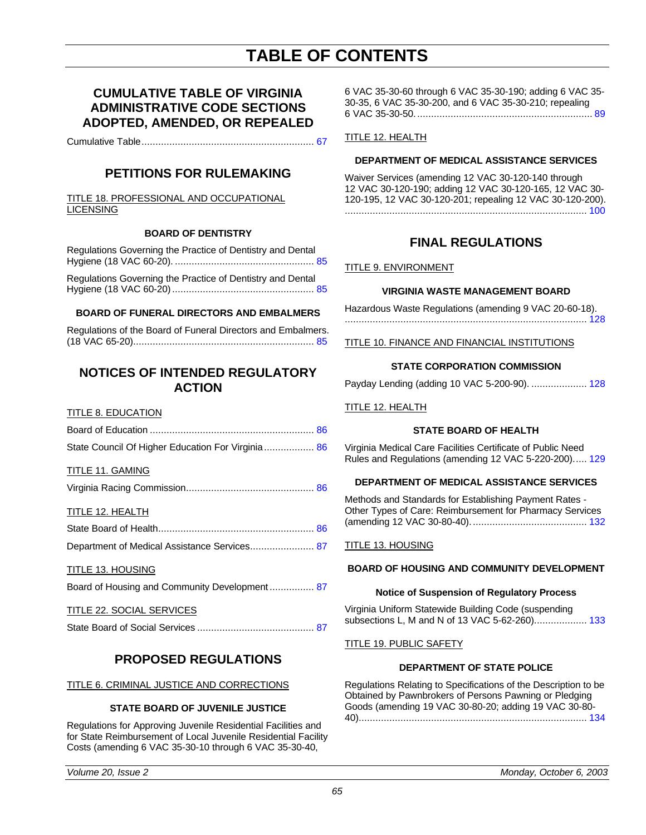# **TABLE OF CONTENTS**

### **CUMULATIVE TABLE OF VIRGINIA ADMINISTRATIVE CODE SECTIONS ADOPTED, AMENDED, OR REPEALED**

Cumulative Table.............................................................. [67](#page-2-0)

## **PETITIONS FOR RULEMAKING**

TITLE 18. PROFESSIONAL AND OCCUPATIONAL **LICENSING** 

#### **BOARD OF DENTISTRY**

| Regulations Governing the Practice of Dentistry and Dental |  |
|------------------------------------------------------------|--|
| Regulations Governing the Practice of Dentistry and Dental |  |

#### **BOARD OF FUNERAL DIRECTORS AND EMBALMERS**

| Regulations of the Board of Funeral Directors and Embalmers. |  |
|--------------------------------------------------------------|--|
|                                                              |  |

### **NOTICES OF INTENDED REGULATORY ACTION**

#### **TITLE 8. EDUCATION**

| State Council Of Higher Education For Virginia 86 |  |
|---------------------------------------------------|--|

#### TITLE 11. GAMING

#### TITLE 12. HEALTH

| Department of Medical Assistance Services 87 |  |
|----------------------------------------------|--|

#### TITLE 13. HOUSING

Board of Housing and Community Development ................ 87

#### TITLE 22. SOCIAL SERVICES

|--|--|

### **PROPOSED REGULATIONS**

#### TITLE 6. CRIMINAL JUSTICE AND CORRECTIONS

#### **STATE BOARD OF JUVENILE JUSTICE**

Regulations for Approving Juvenile Residential Facilities and for State Reimbursement of Local Juvenile Residential Facility Costs (amending 6 VAC 35-30-10 through 6 VAC 35-30-40,

6 VAC 35-30-60 through 6 VAC 35-30-190; adding 6 VAC 35- 30-35, 6 VAC 35-30-200, and 6 VAC 35-30-210; repealing 6 VAC 35-30-50................................................................ [89](#page-24-0)

#### TITLE 12. HEALTH

#### **DEPARTMENT OF MEDICAL ASSISTANCE SERVICES**

Waiver Services (amending 12 VAC 30-120-140 through 12 VAC 30-120-190; adding 12 VAC 30-120-165, 12 VAC 30- 120-195, 12 VAC 30-120-201; repealing 12 VAC 30-120-200). ....................................................................................... [100](#page-35-0)

### **FINAL REGULATIONS**

#### TITLE 9. ENVIRONMENT

#### **VIRGINIA WASTE MANAGEMENT BOARD**

Hazardous Waste Regulations (amending 9 VAC 20-60-18). ....................................................................................... [128](#page-63-0)

#### TITLE 10. FINANCE AND FINANCIAL INSTITUTIONS

#### **STATE CORPORATION COMMISSION**

Payday Lending (adding 10 VAC 5-200-90). .................... 128

TITLE 12. HEALTH

#### **STATE BOARD OF HEALTH**

Virginia Medical Care Facilities Certificate of Public Need Rules and Regulations (amending 12 VAC 5-220-200)..... [129](#page-64-0)

#### **DEPARTMENT OF MEDICAL ASSISTANCE SERVICES**

Methods and Standards for Establishing Payment Rates - Other Types of Care: Reimbursement for Pharmacy Services (amending 12 VAC 30-80-40).......................................... [132](#page-67-0)

#### TITLE 13. HOUSING

#### **BOARD OF HOUSING AND COMMUNITY DEVELOPMENT**

#### **Notice of Suspension of Regulatory Process**

Virginia Uniform Statewide Building Code (suspending subsections L, M and N of 13 VAC 5-62-260)................... [133](#page-68-0)

#### **TITLE 19. PUBLIC SAFETY**

#### **DEPARTMENT OF STATE POLICE**

Regulations Relating to Specifications of the Description to be Obtained by Pawnbrokers of Persons Pawning or Pledging Goods (amending 19 VAC 30-80-20; adding 19 VAC 30-80- 40).................................................................................. [134](#page-69-0)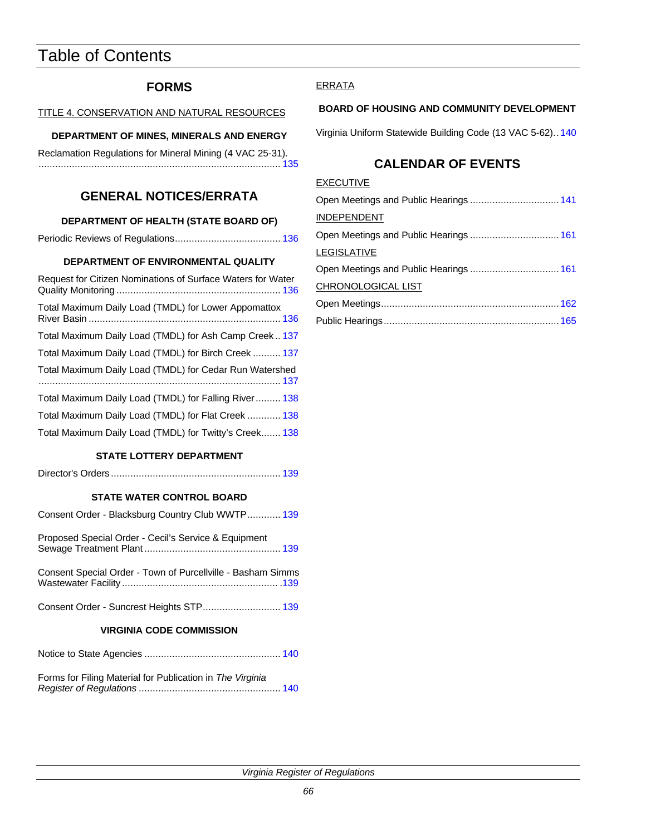# Table of Contents

## **FORMS**

TITLE 4. CONSERVATION AND NATURAL RESOURCES

### **DEPARTMENT OF MINES, MINERALS AND ENERGY**

| Reclamation Regulations for Mineral Mining (4 VAC 25-31). |  |
|-----------------------------------------------------------|--|
|                                                           |  |

## **GENERAL NOTICES/ERRATA**

### **DEPARTMENT OF HEALTH (STATE BOARD OF)**

|--|--|

#### **DEPARTMENT OF ENVIRONMENTAL QUALITY**

| Request for Citizen Nominations of Surface Waters for Water |
|-------------------------------------------------------------|
| Total Maximum Daily Load (TMDL) for Lower Appomattox        |
| Total Maximum Daily Load (TMDL) for Ash Camp Creek 137      |
| Total Maximum Daily Load (TMDL) for Birch Creek  137        |
| Total Maximum Daily Load (TMDL) for Cedar Run Watershed     |
| Total Maximum Daily Load (TMDL) for Falling River 138       |
| Total Maximum Daily Load (TMDL) for Flat Creek  138         |
| Total Maximum Daily Load (TMDL) for Twitty's Creek 138      |

#### **STATE LOTTERY DEPARTMENT**

|--|--|--|

### **STATE WATER CONTROL BOARD**

| Consent Order - Blacksburg Country Club WWTP 139                |  |  |
|-----------------------------------------------------------------|--|--|
| Proposed Special Order - Cecil's Service & Equipment            |  |  |
| Consent Special Order - Town of Purcellville - Basham Simms     |  |  |
|                                                                 |  |  |
| <b>VIRGINIA CODE COMMISSION</b>                                 |  |  |
|                                                                 |  |  |
| Forma for Filipe Metarial for Dublication in The <i>Urginia</i> |  |  |

| Forms for Filing Material for Publication in The Virginia |  |
|-----------------------------------------------------------|--|
|                                                           |  |

### **ERRATA**

#### **BOARD OF HOUSING AND COMMUNITY DEVELOPMENT**

Virginia Uniform Statewide Building Code (13 VAC 5-62).. [140](#page-75-0)

## **CALENDAR OF EVENTS**

| <b>EXECUTIVE</b>   |  |
|--------------------|--|
|                    |  |
| <b>INDEPENDENT</b> |  |
|                    |  |
| <b>LEGISLATIVE</b> |  |
|                    |  |
| CHRONOLOGICAL LIST |  |
|                    |  |
|                    |  |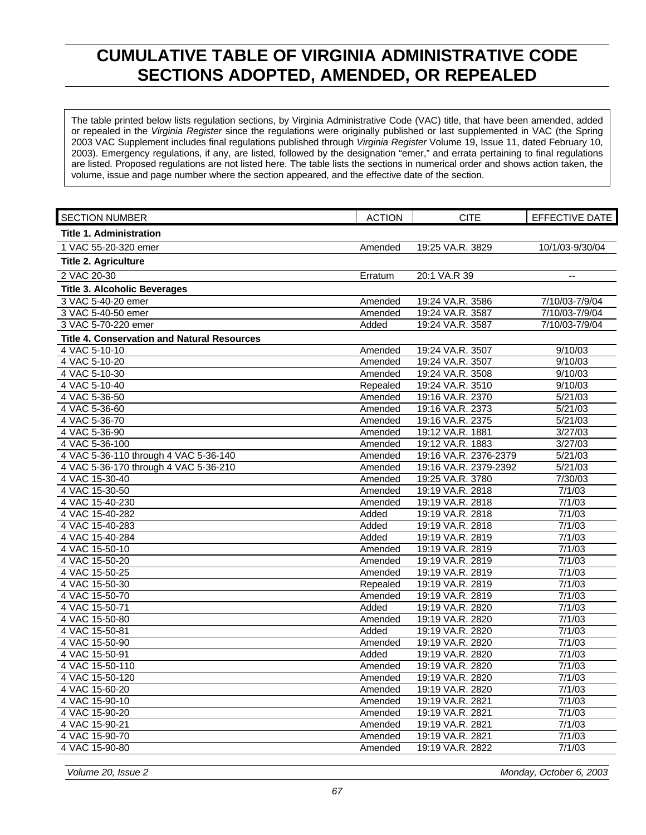# <span id="page-2-0"></span>**CUMULATIVE TABLE OF VIRGINIA ADMINISTRATIVE CODE SECTIONS ADOPTED, AMENDED, OR REPEALED**

The table printed below lists regulation sections, by Virginia Administrative Code (VAC) title, that have been amended, added or repealed in the *Virginia Register* since the regulations were originally published or last supplemented in VAC (the Spring 2003 VAC Supplement includes final regulations published through *Virginia Register* Volume 19, Issue 11, dated February 10, 2003). Emergency regulations, if any, are listed, followed by the designation "emer," and errata pertaining to final regulations are listed. Proposed regulations are not listed here. The table lists the sections in numerical order and shows action taken, the volume, issue and page number where the section appeared, and the effective date of the section.

| <b>Title 1. Administration</b><br>19:25 VA.R. 3829<br>10/1/03-9/30/04<br>1 VAC 55-20-320 emer<br>Amended<br><b>Title 2. Agriculture</b><br>2 VAC 20-30<br>20:1 VA.R 39<br>Erratum<br>$\overline{\phantom{a}}$<br><b>Title 3. Alcoholic Beverages</b><br>3 VAC 5-40-20 emer<br>19:24 VA.R. 3586<br>Amended<br>7/10/03-7/9/04<br>3 VAC 5-40-50 emer<br>Amended<br>19:24 VA.R. 3587<br>7/10/03-7/9/04<br>19:24 VA.R. 3587<br>7/10/03-7/9/04<br>3 VAC 5-70-220 emer<br>Added<br><b>Title 4. Conservation and Natural Resources</b><br>4 VAC 5-10-10<br>19:24 VA.R. 3507<br>9/10/03<br>Amended<br>19:24 VA.R. 3507<br>4 VAC 5-10-20<br>9/10/03<br>Amended<br>4 VAC 5-10-30<br>19:24 VA.R. 3508<br>9/10/03<br>Amended<br>19:24 VA.R. 3510<br>4 VAC 5-10-40<br>9/10/03<br>Repealed<br>4 VAC 5-36-50<br>19:16 VA.R. 2370<br>5/21/03<br>Amended<br>4 VAC 5-36-60<br>19:16 VA.R. 2373<br>5/21/03<br>Amended<br>4 VAC 5-36-70<br>Amended<br>19:16 VA.R. 2375<br>5/21/03<br>19:12 VA.R. 1881<br>3/27/03<br>4 VAC 5-36-90<br>Amended<br>4 VAC 5-36-100<br>19:12 VA.R. 1883<br>3/27/03<br>Amended<br>4 VAC 5-36-110 through 4 VAC 5-36-140<br>19:16 VA.R. 2376-2379<br>5/21/03<br>Amended<br>4 VAC 5-36-170 through 4 VAC 5-36-210<br>19:16 VA.R. 2379-2392<br>5/21/03<br>Amended<br>4 VAC 15-30-40<br>19:25 VA.R. 3780<br>Amended<br>7/30/03<br>4 VAC 15-30-50<br>19:19 VA.R. 2818<br>Amended<br>7/1/03<br>19:19 VA.R. 2818<br>7/1/03<br>4 VAC 15-40-230<br>Amended<br>4 VAC 15-40-282<br>19:19 VA.R. 2818<br>7/1/03<br>Added<br>4 VAC 15-40-283<br>19:19 VA.R. 2818<br>7/1/03<br>Added<br>19:19 VA.R. 2819<br>4 VAC 15-40-284<br>Added<br>7/1/03<br>7/1/03<br>4 VAC 15-50-10<br>19:19 VA.R. 2819<br>Amended<br>4 VAC 15-50-20<br>19:19 VA.R. 2819<br>7/1/03<br>Amended<br>4 VAC 15-50-25<br>7/1/03<br>Amended<br>19:19 VA.R. 2819<br>19:19 VA.R. 2819<br>7/1/03<br>4 VAC 15-50-30<br>Repealed<br>7/1/03<br>4 VAC 15-50-70<br>Amended<br>19:19 VA.R. 2819<br>4 VAC 15-50-71<br>Added<br>19:19 VA.R. 2820<br>7/1/03<br>4 VAC 15-50-80<br>19:19 VA.R. 2820<br>7/1/03<br>Amended<br>4 VAC 15-50-81<br>19:19 VA.R. 2820<br>7/1/03<br>Added<br>4 VAC 15-50-90<br>19:19 VA.R. 2820<br>7/1/03<br>Amended<br>Added<br>19:19 VA.R. 2820<br>7/1/03<br>4 VAC 15-50-91<br>19:19 VA.R. 2820<br>7/1/03<br>4 VAC 15-50-110<br>Amended<br>7/1/03<br>4 VAC 15-50-120<br>19:19 VA.R. 2820<br>Amended<br>7/1/03<br>4 VAC 15-60-20<br>19:19 VA.R. 2820<br>Amended<br>4 VAC 15-90-10<br>19:19 VA.R. 2821<br>7/1/03<br>Amended<br>4 VAC 15-90-20<br>19:19 VA.R. 2821<br>7/1/03<br>Amended<br>4 VAC 15-90-21<br>19:19 VA.R. 2821<br>7/1/03<br>Amended<br>7/1/03<br>4 VAC 15-90-70<br>19:19 VA.R. 2821<br>Amended | <b>SECTION NUMBER</b> | <b>ACTION</b> | <b>CITE</b>      | <b>EFFECTIVE DATE</b> |
|------------------------------------------------------------------------------------------------------------------------------------------------------------------------------------------------------------------------------------------------------------------------------------------------------------------------------------------------------------------------------------------------------------------------------------------------------------------------------------------------------------------------------------------------------------------------------------------------------------------------------------------------------------------------------------------------------------------------------------------------------------------------------------------------------------------------------------------------------------------------------------------------------------------------------------------------------------------------------------------------------------------------------------------------------------------------------------------------------------------------------------------------------------------------------------------------------------------------------------------------------------------------------------------------------------------------------------------------------------------------------------------------------------------------------------------------------------------------------------------------------------------------------------------------------------------------------------------------------------------------------------------------------------------------------------------------------------------------------------------------------------------------------------------------------------------------------------------------------------------------------------------------------------------------------------------------------------------------------------------------------------------------------------------------------------------------------------------------------------------------------------------------------------------------------------------------------------------------------------------------------------------------------------------------------------------------------------------------------------------------------------------------------------------------------------------------------------------------------------------------------------------------------------------------------------------------------------------------------------------------------------------------------------------------------|-----------------------|---------------|------------------|-----------------------|
|                                                                                                                                                                                                                                                                                                                                                                                                                                                                                                                                                                                                                                                                                                                                                                                                                                                                                                                                                                                                                                                                                                                                                                                                                                                                                                                                                                                                                                                                                                                                                                                                                                                                                                                                                                                                                                                                                                                                                                                                                                                                                                                                                                                                                                                                                                                                                                                                                                                                                                                                                                                                                                                                              |                       |               |                  |                       |
|                                                                                                                                                                                                                                                                                                                                                                                                                                                                                                                                                                                                                                                                                                                                                                                                                                                                                                                                                                                                                                                                                                                                                                                                                                                                                                                                                                                                                                                                                                                                                                                                                                                                                                                                                                                                                                                                                                                                                                                                                                                                                                                                                                                                                                                                                                                                                                                                                                                                                                                                                                                                                                                                              |                       |               |                  |                       |
|                                                                                                                                                                                                                                                                                                                                                                                                                                                                                                                                                                                                                                                                                                                                                                                                                                                                                                                                                                                                                                                                                                                                                                                                                                                                                                                                                                                                                                                                                                                                                                                                                                                                                                                                                                                                                                                                                                                                                                                                                                                                                                                                                                                                                                                                                                                                                                                                                                                                                                                                                                                                                                                                              |                       |               |                  |                       |
|                                                                                                                                                                                                                                                                                                                                                                                                                                                                                                                                                                                                                                                                                                                                                                                                                                                                                                                                                                                                                                                                                                                                                                                                                                                                                                                                                                                                                                                                                                                                                                                                                                                                                                                                                                                                                                                                                                                                                                                                                                                                                                                                                                                                                                                                                                                                                                                                                                                                                                                                                                                                                                                                              |                       |               |                  |                       |
|                                                                                                                                                                                                                                                                                                                                                                                                                                                                                                                                                                                                                                                                                                                                                                                                                                                                                                                                                                                                                                                                                                                                                                                                                                                                                                                                                                                                                                                                                                                                                                                                                                                                                                                                                                                                                                                                                                                                                                                                                                                                                                                                                                                                                                                                                                                                                                                                                                                                                                                                                                                                                                                                              |                       |               |                  |                       |
|                                                                                                                                                                                                                                                                                                                                                                                                                                                                                                                                                                                                                                                                                                                                                                                                                                                                                                                                                                                                                                                                                                                                                                                                                                                                                                                                                                                                                                                                                                                                                                                                                                                                                                                                                                                                                                                                                                                                                                                                                                                                                                                                                                                                                                                                                                                                                                                                                                                                                                                                                                                                                                                                              |                       |               |                  |                       |
|                                                                                                                                                                                                                                                                                                                                                                                                                                                                                                                                                                                                                                                                                                                                                                                                                                                                                                                                                                                                                                                                                                                                                                                                                                                                                                                                                                                                                                                                                                                                                                                                                                                                                                                                                                                                                                                                                                                                                                                                                                                                                                                                                                                                                                                                                                                                                                                                                                                                                                                                                                                                                                                                              |                       |               |                  |                       |
|                                                                                                                                                                                                                                                                                                                                                                                                                                                                                                                                                                                                                                                                                                                                                                                                                                                                                                                                                                                                                                                                                                                                                                                                                                                                                                                                                                                                                                                                                                                                                                                                                                                                                                                                                                                                                                                                                                                                                                                                                                                                                                                                                                                                                                                                                                                                                                                                                                                                                                                                                                                                                                                                              |                       |               |                  |                       |
|                                                                                                                                                                                                                                                                                                                                                                                                                                                                                                                                                                                                                                                                                                                                                                                                                                                                                                                                                                                                                                                                                                                                                                                                                                                                                                                                                                                                                                                                                                                                                                                                                                                                                                                                                                                                                                                                                                                                                                                                                                                                                                                                                                                                                                                                                                                                                                                                                                                                                                                                                                                                                                                                              |                       |               |                  |                       |
|                                                                                                                                                                                                                                                                                                                                                                                                                                                                                                                                                                                                                                                                                                                                                                                                                                                                                                                                                                                                                                                                                                                                                                                                                                                                                                                                                                                                                                                                                                                                                                                                                                                                                                                                                                                                                                                                                                                                                                                                                                                                                                                                                                                                                                                                                                                                                                                                                                                                                                                                                                                                                                                                              |                       |               |                  |                       |
|                                                                                                                                                                                                                                                                                                                                                                                                                                                                                                                                                                                                                                                                                                                                                                                                                                                                                                                                                                                                                                                                                                                                                                                                                                                                                                                                                                                                                                                                                                                                                                                                                                                                                                                                                                                                                                                                                                                                                                                                                                                                                                                                                                                                                                                                                                                                                                                                                                                                                                                                                                                                                                                                              |                       |               |                  |                       |
|                                                                                                                                                                                                                                                                                                                                                                                                                                                                                                                                                                                                                                                                                                                                                                                                                                                                                                                                                                                                                                                                                                                                                                                                                                                                                                                                                                                                                                                                                                                                                                                                                                                                                                                                                                                                                                                                                                                                                                                                                                                                                                                                                                                                                                                                                                                                                                                                                                                                                                                                                                                                                                                                              |                       |               |                  |                       |
|                                                                                                                                                                                                                                                                                                                                                                                                                                                                                                                                                                                                                                                                                                                                                                                                                                                                                                                                                                                                                                                                                                                                                                                                                                                                                                                                                                                                                                                                                                                                                                                                                                                                                                                                                                                                                                                                                                                                                                                                                                                                                                                                                                                                                                                                                                                                                                                                                                                                                                                                                                                                                                                                              |                       |               |                  |                       |
|                                                                                                                                                                                                                                                                                                                                                                                                                                                                                                                                                                                                                                                                                                                                                                                                                                                                                                                                                                                                                                                                                                                                                                                                                                                                                                                                                                                                                                                                                                                                                                                                                                                                                                                                                                                                                                                                                                                                                                                                                                                                                                                                                                                                                                                                                                                                                                                                                                                                                                                                                                                                                                                                              |                       |               |                  |                       |
|                                                                                                                                                                                                                                                                                                                                                                                                                                                                                                                                                                                                                                                                                                                                                                                                                                                                                                                                                                                                                                                                                                                                                                                                                                                                                                                                                                                                                                                                                                                                                                                                                                                                                                                                                                                                                                                                                                                                                                                                                                                                                                                                                                                                                                                                                                                                                                                                                                                                                                                                                                                                                                                                              |                       |               |                  |                       |
|                                                                                                                                                                                                                                                                                                                                                                                                                                                                                                                                                                                                                                                                                                                                                                                                                                                                                                                                                                                                                                                                                                                                                                                                                                                                                                                                                                                                                                                                                                                                                                                                                                                                                                                                                                                                                                                                                                                                                                                                                                                                                                                                                                                                                                                                                                                                                                                                                                                                                                                                                                                                                                                                              |                       |               |                  |                       |
|                                                                                                                                                                                                                                                                                                                                                                                                                                                                                                                                                                                                                                                                                                                                                                                                                                                                                                                                                                                                                                                                                                                                                                                                                                                                                                                                                                                                                                                                                                                                                                                                                                                                                                                                                                                                                                                                                                                                                                                                                                                                                                                                                                                                                                                                                                                                                                                                                                                                                                                                                                                                                                                                              |                       |               |                  |                       |
|                                                                                                                                                                                                                                                                                                                                                                                                                                                                                                                                                                                                                                                                                                                                                                                                                                                                                                                                                                                                                                                                                                                                                                                                                                                                                                                                                                                                                                                                                                                                                                                                                                                                                                                                                                                                                                                                                                                                                                                                                                                                                                                                                                                                                                                                                                                                                                                                                                                                                                                                                                                                                                                                              |                       |               |                  |                       |
|                                                                                                                                                                                                                                                                                                                                                                                                                                                                                                                                                                                                                                                                                                                                                                                                                                                                                                                                                                                                                                                                                                                                                                                                                                                                                                                                                                                                                                                                                                                                                                                                                                                                                                                                                                                                                                                                                                                                                                                                                                                                                                                                                                                                                                                                                                                                                                                                                                                                                                                                                                                                                                                                              |                       |               |                  |                       |
|                                                                                                                                                                                                                                                                                                                                                                                                                                                                                                                                                                                                                                                                                                                                                                                                                                                                                                                                                                                                                                                                                                                                                                                                                                                                                                                                                                                                                                                                                                                                                                                                                                                                                                                                                                                                                                                                                                                                                                                                                                                                                                                                                                                                                                                                                                                                                                                                                                                                                                                                                                                                                                                                              |                       |               |                  |                       |
|                                                                                                                                                                                                                                                                                                                                                                                                                                                                                                                                                                                                                                                                                                                                                                                                                                                                                                                                                                                                                                                                                                                                                                                                                                                                                                                                                                                                                                                                                                                                                                                                                                                                                                                                                                                                                                                                                                                                                                                                                                                                                                                                                                                                                                                                                                                                                                                                                                                                                                                                                                                                                                                                              |                       |               |                  |                       |
|                                                                                                                                                                                                                                                                                                                                                                                                                                                                                                                                                                                                                                                                                                                                                                                                                                                                                                                                                                                                                                                                                                                                                                                                                                                                                                                                                                                                                                                                                                                                                                                                                                                                                                                                                                                                                                                                                                                                                                                                                                                                                                                                                                                                                                                                                                                                                                                                                                                                                                                                                                                                                                                                              |                       |               |                  |                       |
|                                                                                                                                                                                                                                                                                                                                                                                                                                                                                                                                                                                                                                                                                                                                                                                                                                                                                                                                                                                                                                                                                                                                                                                                                                                                                                                                                                                                                                                                                                                                                                                                                                                                                                                                                                                                                                                                                                                                                                                                                                                                                                                                                                                                                                                                                                                                                                                                                                                                                                                                                                                                                                                                              |                       |               |                  |                       |
|                                                                                                                                                                                                                                                                                                                                                                                                                                                                                                                                                                                                                                                                                                                                                                                                                                                                                                                                                                                                                                                                                                                                                                                                                                                                                                                                                                                                                                                                                                                                                                                                                                                                                                                                                                                                                                                                                                                                                                                                                                                                                                                                                                                                                                                                                                                                                                                                                                                                                                                                                                                                                                                                              |                       |               |                  |                       |
|                                                                                                                                                                                                                                                                                                                                                                                                                                                                                                                                                                                                                                                                                                                                                                                                                                                                                                                                                                                                                                                                                                                                                                                                                                                                                                                                                                                                                                                                                                                                                                                                                                                                                                                                                                                                                                                                                                                                                                                                                                                                                                                                                                                                                                                                                                                                                                                                                                                                                                                                                                                                                                                                              |                       |               |                  |                       |
|                                                                                                                                                                                                                                                                                                                                                                                                                                                                                                                                                                                                                                                                                                                                                                                                                                                                                                                                                                                                                                                                                                                                                                                                                                                                                                                                                                                                                                                                                                                                                                                                                                                                                                                                                                                                                                                                                                                                                                                                                                                                                                                                                                                                                                                                                                                                                                                                                                                                                                                                                                                                                                                                              |                       |               |                  |                       |
|                                                                                                                                                                                                                                                                                                                                                                                                                                                                                                                                                                                                                                                                                                                                                                                                                                                                                                                                                                                                                                                                                                                                                                                                                                                                                                                                                                                                                                                                                                                                                                                                                                                                                                                                                                                                                                                                                                                                                                                                                                                                                                                                                                                                                                                                                                                                                                                                                                                                                                                                                                                                                                                                              |                       |               |                  |                       |
|                                                                                                                                                                                                                                                                                                                                                                                                                                                                                                                                                                                                                                                                                                                                                                                                                                                                                                                                                                                                                                                                                                                                                                                                                                                                                                                                                                                                                                                                                                                                                                                                                                                                                                                                                                                                                                                                                                                                                                                                                                                                                                                                                                                                                                                                                                                                                                                                                                                                                                                                                                                                                                                                              |                       |               |                  |                       |
|                                                                                                                                                                                                                                                                                                                                                                                                                                                                                                                                                                                                                                                                                                                                                                                                                                                                                                                                                                                                                                                                                                                                                                                                                                                                                                                                                                                                                                                                                                                                                                                                                                                                                                                                                                                                                                                                                                                                                                                                                                                                                                                                                                                                                                                                                                                                                                                                                                                                                                                                                                                                                                                                              |                       |               |                  |                       |
|                                                                                                                                                                                                                                                                                                                                                                                                                                                                                                                                                                                                                                                                                                                                                                                                                                                                                                                                                                                                                                                                                                                                                                                                                                                                                                                                                                                                                                                                                                                                                                                                                                                                                                                                                                                                                                                                                                                                                                                                                                                                                                                                                                                                                                                                                                                                                                                                                                                                                                                                                                                                                                                                              |                       |               |                  |                       |
|                                                                                                                                                                                                                                                                                                                                                                                                                                                                                                                                                                                                                                                                                                                                                                                                                                                                                                                                                                                                                                                                                                                                                                                                                                                                                                                                                                                                                                                                                                                                                                                                                                                                                                                                                                                                                                                                                                                                                                                                                                                                                                                                                                                                                                                                                                                                                                                                                                                                                                                                                                                                                                                                              |                       |               |                  |                       |
|                                                                                                                                                                                                                                                                                                                                                                                                                                                                                                                                                                                                                                                                                                                                                                                                                                                                                                                                                                                                                                                                                                                                                                                                                                                                                                                                                                                                                                                                                                                                                                                                                                                                                                                                                                                                                                                                                                                                                                                                                                                                                                                                                                                                                                                                                                                                                                                                                                                                                                                                                                                                                                                                              |                       |               |                  |                       |
|                                                                                                                                                                                                                                                                                                                                                                                                                                                                                                                                                                                                                                                                                                                                                                                                                                                                                                                                                                                                                                                                                                                                                                                                                                                                                                                                                                                                                                                                                                                                                                                                                                                                                                                                                                                                                                                                                                                                                                                                                                                                                                                                                                                                                                                                                                                                                                                                                                                                                                                                                                                                                                                                              |                       |               |                  |                       |
|                                                                                                                                                                                                                                                                                                                                                                                                                                                                                                                                                                                                                                                                                                                                                                                                                                                                                                                                                                                                                                                                                                                                                                                                                                                                                                                                                                                                                                                                                                                                                                                                                                                                                                                                                                                                                                                                                                                                                                                                                                                                                                                                                                                                                                                                                                                                                                                                                                                                                                                                                                                                                                                                              |                       |               |                  |                       |
|                                                                                                                                                                                                                                                                                                                                                                                                                                                                                                                                                                                                                                                                                                                                                                                                                                                                                                                                                                                                                                                                                                                                                                                                                                                                                                                                                                                                                                                                                                                                                                                                                                                                                                                                                                                                                                                                                                                                                                                                                                                                                                                                                                                                                                                                                                                                                                                                                                                                                                                                                                                                                                                                              |                       |               |                  |                       |
|                                                                                                                                                                                                                                                                                                                                                                                                                                                                                                                                                                                                                                                                                                                                                                                                                                                                                                                                                                                                                                                                                                                                                                                                                                                                                                                                                                                                                                                                                                                                                                                                                                                                                                                                                                                                                                                                                                                                                                                                                                                                                                                                                                                                                                                                                                                                                                                                                                                                                                                                                                                                                                                                              |                       |               |                  |                       |
|                                                                                                                                                                                                                                                                                                                                                                                                                                                                                                                                                                                                                                                                                                                                                                                                                                                                                                                                                                                                                                                                                                                                                                                                                                                                                                                                                                                                                                                                                                                                                                                                                                                                                                                                                                                                                                                                                                                                                                                                                                                                                                                                                                                                                                                                                                                                                                                                                                                                                                                                                                                                                                                                              |                       |               |                  |                       |
|                                                                                                                                                                                                                                                                                                                                                                                                                                                                                                                                                                                                                                                                                                                                                                                                                                                                                                                                                                                                                                                                                                                                                                                                                                                                                                                                                                                                                                                                                                                                                                                                                                                                                                                                                                                                                                                                                                                                                                                                                                                                                                                                                                                                                                                                                                                                                                                                                                                                                                                                                                                                                                                                              |                       |               |                  |                       |
|                                                                                                                                                                                                                                                                                                                                                                                                                                                                                                                                                                                                                                                                                                                                                                                                                                                                                                                                                                                                                                                                                                                                                                                                                                                                                                                                                                                                                                                                                                                                                                                                                                                                                                                                                                                                                                                                                                                                                                                                                                                                                                                                                                                                                                                                                                                                                                                                                                                                                                                                                                                                                                                                              |                       |               |                  |                       |
|                                                                                                                                                                                                                                                                                                                                                                                                                                                                                                                                                                                                                                                                                                                                                                                                                                                                                                                                                                                                                                                                                                                                                                                                                                                                                                                                                                                                                                                                                                                                                                                                                                                                                                                                                                                                                                                                                                                                                                                                                                                                                                                                                                                                                                                                                                                                                                                                                                                                                                                                                                                                                                                                              |                       |               |                  |                       |
|                                                                                                                                                                                                                                                                                                                                                                                                                                                                                                                                                                                                                                                                                                                                                                                                                                                                                                                                                                                                                                                                                                                                                                                                                                                                                                                                                                                                                                                                                                                                                                                                                                                                                                                                                                                                                                                                                                                                                                                                                                                                                                                                                                                                                                                                                                                                                                                                                                                                                                                                                                                                                                                                              |                       |               |                  |                       |
|                                                                                                                                                                                                                                                                                                                                                                                                                                                                                                                                                                                                                                                                                                                                                                                                                                                                                                                                                                                                                                                                                                                                                                                                                                                                                                                                                                                                                                                                                                                                                                                                                                                                                                                                                                                                                                                                                                                                                                                                                                                                                                                                                                                                                                                                                                                                                                                                                                                                                                                                                                                                                                                                              |                       |               |                  |                       |
|                                                                                                                                                                                                                                                                                                                                                                                                                                                                                                                                                                                                                                                                                                                                                                                                                                                                                                                                                                                                                                                                                                                                                                                                                                                                                                                                                                                                                                                                                                                                                                                                                                                                                                                                                                                                                                                                                                                                                                                                                                                                                                                                                                                                                                                                                                                                                                                                                                                                                                                                                                                                                                                                              | 4 VAC 15-90-80        | Amended       | 19:19 VA.R. 2822 | 7/1/03                |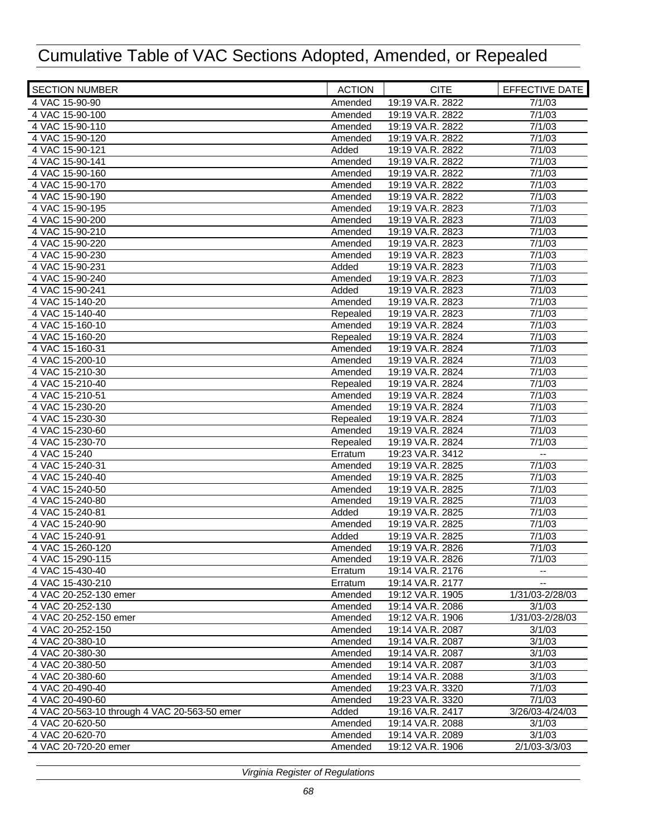| <b>SECTION NUMBER</b>                        | <b>ACTION</b>      | <b>CITE</b>      | EFFECTIVE DATE   |
|----------------------------------------------|--------------------|------------------|------------------|
| 4 VAC 15-90-90                               | Amended            | 19:19 VA.R. 2822 | 7/1/03           |
| 4 VAC 15-90-100                              | Amended            | 19:19 VA.R. 2822 | 7/1/03           |
| 4 VAC 15-90-110                              | Amended            | 19:19 VA.R. 2822 | 7/1/03           |
| 4 VAC 15-90-120                              | Amended            | 19:19 VA.R. 2822 | 7/1/03           |
| 4 VAC 15-90-121                              | Added              | 19:19 VA.R. 2822 | 7/1/03           |
| 4 VAC 15-90-141                              | Amended            | 19:19 VA.R. 2822 | 7/1/03           |
| 4 VAC 15-90-160                              | Amended            | 19:19 VA.R. 2822 | 7/1/03           |
| 4 VAC 15-90-170                              | Amended            | 19:19 VA.R. 2822 | 7/1/03           |
| 4 VAC 15-90-190                              | Amended            | 19:19 VA.R. 2822 | 7/1/03           |
| 4 VAC 15-90-195                              | Amended            | 19:19 VA.R. 2823 | 7/1/03           |
| 4 VAC 15-90-200                              | Amended            | 19:19 VA.R. 2823 | 7/1/03           |
| 4 VAC 15-90-210                              | Amended            | 19:19 VA.R. 2823 | 7/1/03           |
| 4 VAC 15-90-220                              | Amended            | 19:19 VA.R. 2823 | 7/1/03           |
| 4 VAC 15-90-230                              | Amended            | 19:19 VA.R. 2823 | 7/1/03           |
| 4 VAC 15-90-231                              | Added              | 19:19 VA.R. 2823 | 7/1/03           |
| 4 VAC 15-90-240                              | Amended            | 19:19 VA.R. 2823 | 7/1/03           |
| 4 VAC 15-90-241                              | Added              | 19:19 VA.R. 2823 | 7/1/03           |
| 4 VAC 15-140-20                              | Amended            | 19:19 VA.R. 2823 | 7/1/03           |
| 4 VAC 15-140-40                              | Repealed           | 19:19 VA.R. 2823 | 7/1/03           |
| 4 VAC 15-160-10                              | Amended            | 19:19 VA.R. 2824 | 7/1/03           |
| 4 VAC 15-160-20                              | Repealed           | 19:19 VA.R. 2824 | 7/1/03           |
| 4 VAC 15-160-31                              | Amended            | 19:19 VA.R. 2824 | 7/1/03           |
| 4 VAC 15-200-10                              | Amended            | 19:19 VA.R. 2824 | 7/1/03           |
| 4 VAC 15-210-30                              | Amended            | 19:19 VA.R. 2824 | 7/1/03           |
| 4 VAC 15-210-40                              | Repealed           | 19:19 VA.R. 2824 | 7/1/03           |
| 4 VAC 15-210-51                              | Amended            | 19:19 VA.R. 2824 | 7/1/03           |
| 4 VAC 15-230-20                              | Amended            | 19:19 VA.R. 2824 | 7/1/03           |
| 4 VAC 15-230-30                              | Repealed           | 19:19 VA.R. 2824 | 7/1/03           |
| 4 VAC 15-230-60                              | Amended            | 19:19 VA.R. 2824 | 7/1/03           |
| 4 VAC 15-230-70                              | Repealed           | 19:19 VA.R. 2824 | 7/1/03           |
| 4 VAC 15-240                                 | Erratum            | 19:23 VA.R. 3412 | $\mathbf{L}$     |
| 4 VAC 15-240-31                              | Amended            | 19:19 VA.R. 2825 | 7/1/03           |
| 4 VAC 15-240-40                              | Amended            | 19:19 VA.R. 2825 | 7/1/03           |
| 4 VAC 15-240-50                              | Amended            | 19:19 VA.R. 2825 | 7/1/03           |
| 4 VAC 15-240-80                              | Amended            | 19:19 VA.R. 2825 | 7/1/03           |
| 4 VAC 15-240-81                              | Added              | 19:19 VA.R. 2825 | 7/1/03           |
| 4 VAC 15-240-90                              | Amended            | 19:19 VA.R. 2825 | 7/1/03           |
| 4 VAC 15-240-91                              | Added              | 19:19 VA.R. 2825 | 7/1/03           |
| 4 VAC 15-260-120                             | Amended            | 19:19 VA.R. 2826 | 7/1/03           |
| 4 VAC 15-290-115                             | Amended            | 19:19 VA.R. 2826 | 7/1/03           |
| 4 VAC 15-430-40                              |                    | 19:14 VA.R. 2176 |                  |
| 4 VAC 15-430-210                             | Erratum            | 19:14 VA.R. 2177 | --               |
| 4 VAC 20-252-130 emer                        | Erratum<br>Amended | 19:12 VA.R. 1905 | 1/31/03-2/28/03  |
|                                              |                    |                  | 3/1/03           |
| 4 VAC 20-252-130                             | Amended            | 19:14 VA.R. 2086 | 1/31/03-2/28/03  |
| 4 VAC 20-252-150 emer                        | Amended            | 19:12 VA.R. 1906 |                  |
| 4 VAC 20-252-150                             | Amended            | 19:14 VA.R. 2087 | 3/1/03           |
| 4 VAC 20-380-10                              | Amended            | 19:14 VA.R. 2087 | 3/1/03<br>3/1/03 |
| 4 VAC 20-380-30                              | Amended            | 19:14 VA.R. 2087 |                  |
| 4 VAC 20-380-50                              | Amended            | 19:14 VA.R. 2087 | 3/1/03           |
| 4 VAC 20-380-60                              | Amended            | 19:14 VA.R. 2088 | 3/1/03           |
| 4 VAC 20-490-40                              | Amended            | 19:23 VA.R. 3320 | 7/1/03           |
| 4 VAC 20-490-60                              | Amended            | 19:23 VA.R. 3320 | 7/1/03           |
| 4 VAC 20-563-10 through 4 VAC 20-563-50 emer | Added              | 19:16 VA.R. 2417 | 3/26/03-4/24/03  |
| 4 VAC 20-620-50                              | Amended            | 19:14 VA.R. 2088 | 3/1/03           |
| 4 VAC 20-620-70                              | Amended            | 19:14 VA.R. 2089 | 3/1/03           |
| 4 VAC 20-720-20 emer                         | Amended            | 19:12 VA.R. 1906 | 2/1/03-3/3/03    |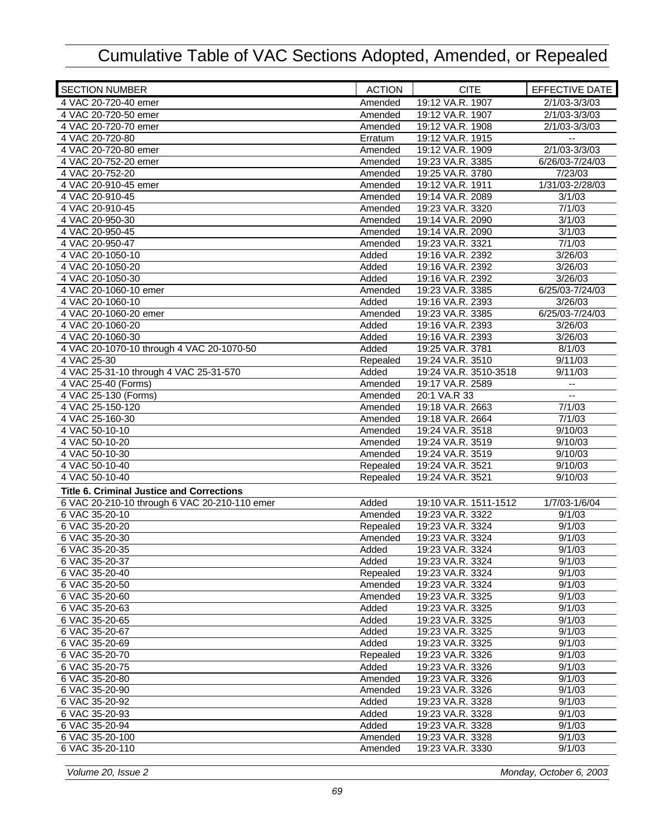| <b>SECTION NUMBER</b>                            | <b>ACTION</b> | <b>CITE</b>                          | EFFECTIVE DATE           |
|--------------------------------------------------|---------------|--------------------------------------|--------------------------|
| 4 VAC 20-720-40 emer                             | Amended       | 19:12 VA.R. 1907                     | 2/1/03-3/3/03            |
| 4 VAC 20-720-50 emer                             | Amended       | 19:12 VA.R. 1907                     | 2/1/03-3/3/03            |
| 4 VAC 20-720-70 emer                             | Amended       | 19:12 VA.R. 1908                     | 2/1/03-3/3/03            |
| 4 VAC 20-720-80                                  | Erratum       | 19:12 VA.R. 1915                     | $\overline{\phantom{a}}$ |
| 4 VAC 20-720-80 emer                             | Amended       | 19:12 VA.R. 1909                     | $2/1/03 - 3/3/03$        |
| 4 VAC 20-752-20 emer                             | Amended       | 19:23 VA.R. 3385                     | 6/26/03-7/24/03          |
| 4 VAC 20-752-20                                  | Amended       | 19:25 VA.R. 3780                     | 7/23/03                  |
| 4 VAC 20-910-45 emer                             | Amended       | 19:12 VA.R. 1911                     | 1/31/03-2/28/03          |
| 4 VAC 20-910-45                                  | Amended       | 19:14 VA.R. 2089                     | 3/1/03                   |
| 4 VAC 20-910-45                                  | Amended       | 19:23 VA.R. 3320                     | 7/1/03                   |
| 4 VAC 20-950-30                                  | Amended       | 19:14 VA.R. 2090                     | 3/1/03                   |
| 4 VAC 20-950-45                                  | Amended       | 19:14 VA.R. 2090                     | 3/1/03                   |
| 4 VAC 20-950-47                                  | Amended       | 19:23 VA.R. 3321                     | 7/1/03                   |
| 4 VAC 20-1050-10                                 | Added         | 19:16 VA.R. 2392                     | 3/26/03                  |
| 4 VAC 20-1050-20                                 | Added         | 19:16 VA.R. 2392                     | 3/26/03                  |
| 4 VAC 20-1050-30                                 | Added         | 19:16 VA.R. 2392                     | 3/26/03                  |
| 4 VAC 20-1060-10 emer                            | Amended       | 19:23 VA.R. 3385                     | 6/25/03-7/24/03          |
| 4 VAC 20-1060-10                                 | Added         | 19:16 VA.R. 2393                     | 3/26/03                  |
| 4 VAC 20-1060-20 emer                            | Amended       | 19:23 VA.R. 3385                     |                          |
|                                                  |               | 19:16 VA.R. 2393                     | 6/25/03-7/24/03          |
| 4 VAC 20-1060-20                                 | Added         |                                      | 3/26/03                  |
| 4 VAC 20-1060-30                                 | Added         | 19:16 VA.R. 2393                     | 3/26/03                  |
| 4 VAC 20-1070-10 through 4 VAC 20-1070-50        | Added         | 19:25 VA.R. 3781                     | 8/1/03                   |
| 4 VAC 25-30                                      | Repealed      | 19:24 VA.R. 3510                     | 9/11/03                  |
| 4 VAC 25-31-10 through 4 VAC 25-31-570           | Added         | 19:24 VA.R. 3510-3518                | 9/11/03                  |
| 4 VAC 25-40 (Forms)                              | Amended       | 19:17 VA.R. 2589                     | $\overline{\phantom{a}}$ |
| 4 VAC 25-130 (Forms)                             | Amended       | 20:1 VA.R 33                         | $\overline{\phantom{a}}$ |
| 4 VAC 25-150-120                                 | Amended       | 19:18 VA.R. 2663                     | 7/1/03                   |
| 4 VAC 25-160-30                                  | Amended       | 19:18 VA.R. 2664                     | 7/1/03                   |
| 4 VAC 50-10-10                                   | Amended       | 19:24 VA.R. 3518                     | 9/10/03                  |
| 4 VAC 50-10-20                                   | Amended       | 19:24 VA.R. 3519                     | 9/10/03                  |
| 4 VAC 50-10-30                                   | Amended       | 19:24 VA.R. 3519                     | 9/10/03                  |
| 4 VAC 50-10-40                                   | Repealed      | 19:24 VA.R. 3521                     | 9/10/03                  |
| 4 VAC 50-10-40                                   | Repealed      | 19:24 VA.R. 3521                     | 9/10/03                  |
| <b>Title 6. Criminal Justice and Corrections</b> |               |                                      |                          |
| 6 VAC 20-210-10 through 6 VAC 20-210-110 emer    | Added         | 19:10 VA.R. 1511-1512                | 1/7/03-1/6/04            |
| 6 VAC 35-20-10                                   | Amended       | 19:23 VA.R. 3322                     | 9/1/03                   |
| 6 VAC 35-20-20                                   | Repealed      | 19:23 VA.R. 3324                     | 9/1/03                   |
| 6 VAC 35-20-30                                   | Amended       | 19:23 VA.R. 3324                     | 9/1/03                   |
| 6 VAC 35-20-35                                   | Added         | 19:23 VA.R. 3324                     | 9/1/03                   |
| 6 VAC 35-20-37                                   | Added         | 19:23 VA.R. 3324                     | 9/1/03                   |
| 6 VAC 35-20-40                                   | Repealed      | 19:23 VA.R. 3324                     | 9/1/03                   |
| 6 VAC 35-20-50                                   | Amended       | 19:23 VA.R. 3324                     | 9/1/03                   |
| 6 VAC 35-20-60                                   | Amended       | 19:23 VA.R. 3325                     | 9/1/03                   |
| 6 VAC 35-20-63                                   | Added         | 19:23 VA.R. 3325                     | 9/1/03                   |
| 6 VAC 35-20-65                                   | Added         | 19:23 VA.R. 3325                     | 9/1/03                   |
| 6 VAC 35-20-67                                   | Added         | 19:23 VA.R. 3325                     | 9/1/03                   |
|                                                  |               |                                      |                          |
| 6 VAC 35-20-69                                   | Added         | 19:23 VA.R. 3325<br>19:23 VA.R. 3326 | 9/1/03                   |
| 6 VAC 35-20-70                                   | Repealed      |                                      | 9/1/03                   |
| 6 VAC 35-20-75                                   | Added         | 19:23 VA.R. 3326                     | 9/1/03                   |
| 6 VAC 35-20-80                                   | Amended       | 19:23 VA.R. 3326                     | 9/1/03                   |
| 6 VAC 35-20-90                                   | Amended       | 19:23 VA.R. 3326                     | 9/1/03                   |
| 6 VAC 35-20-92                                   | Added         | 19:23 VA.R. 3328                     | 9/1/03                   |
| 6 VAC 35-20-93                                   | Added         | 19:23 VA.R. 3328                     | 9/1/03                   |
| 6 VAC 35-20-94                                   | Added         | 19:23 VA.R. 3328                     | 9/1/03                   |
| 6 VAC 35-20-100                                  | Amended       | 19:23 VA.R. 3328                     | 9/1/03                   |
| 6 VAC 35-20-110                                  | Amended       | 19:23 VA.R. 3330                     | 9/1/03                   |
|                                                  |               |                                      |                          |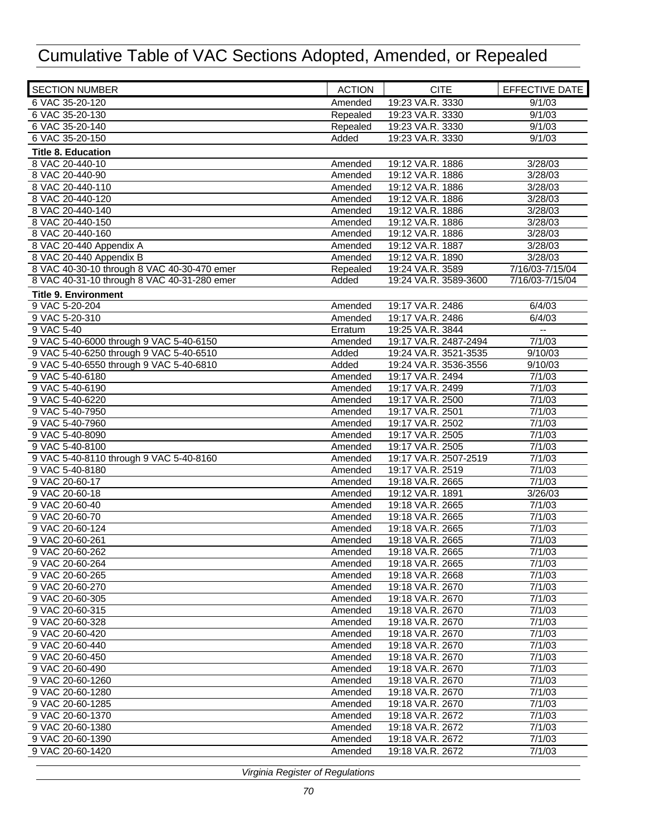| <b>SECTION NUMBER</b>                       | <b>ACTION</b> | <b>CITE</b>           | EFFECTIVE DATE           |
|---------------------------------------------|---------------|-----------------------|--------------------------|
| 6 VAC 35-20-120                             | Amended       | 19:23 VA.R. 3330      | 9/1/03                   |
| 6 VAC 35-20-130                             | Repealed      | 19:23 VA.R. 3330      | 9/1/03                   |
| 6 VAC 35-20-140                             | Repealed      | 19:23 VA.R. 3330      | 9/1/03                   |
| 6 VAC 35-20-150                             | Added         | 19:23 VA.R. 3330      | 9/1/03                   |
| <b>Title 8. Education</b>                   |               |                       |                          |
| 8 VAC 20-440-10                             | Amended       | 19:12 VA.R. 1886      | 3/28/03                  |
| 8 VAC 20-440-90                             | Amended       | 19:12 VA.R. 1886      | 3/28/03                  |
| 8 VAC 20-440-110                            | Amended       | 19:12 VA.R. 1886      | 3/28/03                  |
| 8 VAC 20-440-120                            | Amended       | 19:12 VA.R. 1886      | 3/28/03                  |
| 8 VAC 20-440-140                            | Amended       | 19:12 VA.R. 1886      | 3/28/03                  |
| 8 VAC 20-440-150                            | Amended       | 19:12 VA.R. 1886      | 3/28/03                  |
| 8 VAC 20-440-160                            | Amended       | 19:12 VA.R. 1886      | 3/28/03                  |
| 8 VAC 20-440 Appendix A                     | Amended       | 19:12 VA.R. 1887      | 3/28/03                  |
| 8 VAC 20-440 Appendix B                     | Amended       | 19:12 VA.R. 1890      | 3/28/03                  |
| 8 VAC 40-30-10 through 8 VAC 40-30-470 emer | Repealed      | 19:24 VA.R. 3589      | 7/16/03-7/15/04          |
| 8 VAC 40-31-10 through 8 VAC 40-31-280 emer | Added         | 19:24 VA.R. 3589-3600 | 7/16/03-7/15/04          |
| <b>Title 9. Environment</b>                 |               |                       |                          |
| 9 VAC 5-20-204                              | Amended       | 19:17 VA.R. 2486      | 6/4/03                   |
| 9 VAC 5-20-310                              | Amended       | 19:17 VA.R. 2486      | 6/4/03                   |
| 9 VAC 5-40                                  | Erratum       | 19:25 VA.R. 3844      | $\overline{\phantom{a}}$ |
| 9 VAC 5-40-6000 through 9 VAC 5-40-6150     | Amended       | 19:17 VA.R. 2487-2494 | 7/1/03                   |
| 9 VAC 5-40-6250 through 9 VAC 5-40-6510     | Added         | 19:24 VA.R. 3521-3535 | 9/10/03                  |
| 9 VAC 5-40-6550 through 9 VAC 5-40-6810     | Added         | 19:24 VA.R. 3536-3556 | 9/10/03                  |
| 9 VAC 5-40-6180                             | Amended       | 19:17 VA.R. 2494      | 7/1/03                   |
| 9 VAC 5-40-6190                             | Amended       | 19:17 VA.R. 2499      | 7/1/03                   |
| 9 VAC 5-40-6220                             | Amended       | 19:17 VA.R. 2500      | 7/1/03                   |
| 9 VAC 5-40-7950                             | Amended       | 19:17 VA.R. 2501      | 7/1/03                   |
| 9 VAC 5-40-7960                             | Amended       | 19:17 VA.R. 2502      | 7/1/03                   |
| 9 VAC 5-40-8090                             | Amended       | 19:17 VA.R. 2505      | 7/1/03                   |
| 9 VAC 5-40-8100                             | Amended       | 19:17 VA.R. 2505      | 7/1/03                   |
| 9 VAC 5-40-8110 through 9 VAC 5-40-8160     | Amended       | 19:17 VA.R. 2507-2519 | 7/1/03                   |
| 9 VAC 5-40-8180                             | Amended       | 19:17 VA.R. 2519      | 7/1/03                   |
| 9 VAC 20-60-17                              | Amended       | 19:18 VA.R. 2665      | 7/1/03                   |
| 9 VAC 20-60-18                              | Amended       | 19:12 VA.R. 1891      | 3/26/03                  |
| 9 VAC 20-60-40                              | Amended       | 19:18 VA.R. 2665      | 7/1/03                   |
| 9 VAC 20-60-70                              | Amended       | 19:18 VA.R. 2665      | 7/1/03                   |
| 9 VAC 20-60-124                             | Amended       | 19:18 VA.R. 2665      | 7/1/03                   |
| 9 VAC 20-60-261                             | Amended       | 19:18 VA.R. 2665      | 7/1/03                   |
| 9 VAC 20-60-262                             | Amended       | 19:18 VA.R. 2665      | 7/1/03                   |
| 9 VAC 20-60-264                             | Amended       | 19:18 VA.R. 2665      | 7/1/03                   |
| 9 VAC 20-60-265                             | Amended       | 19:18 VA.R. 2668      | 7/1/03                   |
| 9 VAC 20-60-270                             | Amended       | 19:18 VA.R. 2670      | 7/1/03                   |
| 9 VAC 20-60-305                             | Amended       | 19:18 VA.R. 2670      | 7/1/03                   |
| 9 VAC 20-60-315                             | Amended       | 19:18 VA.R. 2670      | 7/1/03                   |
| 9 VAC 20-60-328                             | Amended       | 19:18 VA.R. 2670      | 7/1/03                   |
| 9 VAC 20-60-420                             | Amended       | 19:18 VA.R. 2670      | 7/1/03                   |
| 9 VAC 20-60-440                             | Amended       | 19:18 VA.R. 2670      | 7/1/03                   |
| 9 VAC 20-60-450                             | Amended       | 19:18 VA.R. 2670      | 7/1/03                   |
| 9 VAC 20-60-490                             | Amended       | 19:18 VA.R. 2670      | 7/1/03                   |
| 9 VAC 20-60-1260                            | Amended       | 19:18 VA.R. 2670      | 7/1/03                   |
| 9 VAC 20-60-1280                            | Amended       | 19:18 VA.R. 2670      | 7/1/03                   |
| 9 VAC 20-60-1285                            | Amended       | 19:18 VA.R. 2670      | 7/1/03                   |
| 9 VAC 20-60-1370                            | Amended       | 19:18 VA.R. 2672      | 7/1/03                   |
| 9 VAC 20-60-1380                            | Amended       | 19:18 VA.R. 2672      | 7/1/03                   |
| 9 VAC 20-60-1390                            | Amended       | 19:18 VA.R. 2672      | 7/1/03                   |
| 9 VAC 20-60-1420                            | Amended       | 19:18 VA.R. 2672      | 7/1/03                   |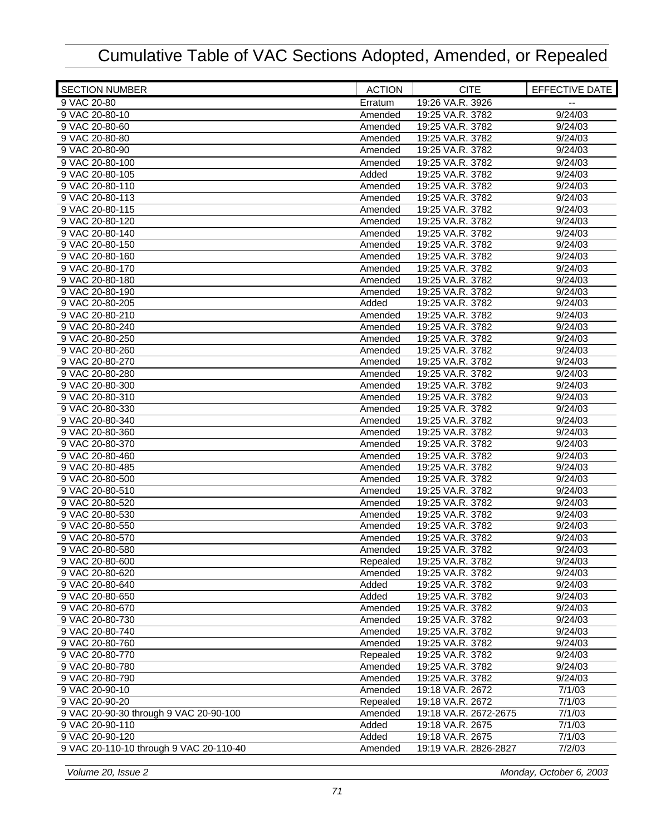| 19:26 VA.R. 3926<br>9 VAC 20-80<br>Erratum<br>9/24/03<br>9 VAC 20-80-10<br>19:25 VA.R. 3782<br>Amended<br>19:25 VA.R. 3782<br>9/24/03<br>9 VAC 20-80-60<br>Amended<br>19:25 VA.R. 3782<br>9 VAC 20-80-80<br>9/24/03<br>Amended<br>9 VAC 20-80-90<br>Amended<br>9/24/03<br>19:25 VA.R. 3782<br>9 VAC 20-80-100<br>19:25 VA.R. 3782<br>Amended<br>9/24/03<br>19:25 VA.R. 3782<br>9/24/03<br>9 VAC 20-80-105<br>Added<br>9 VAC 20-80-110<br>Amended<br>19:25 VA.R. 3782<br>9/24/03<br>9 VAC 20-80-113<br>19:25 VA.R. 3782<br>9/24/03<br>Amended<br>9/24/03<br>9 VAC 20-80-115<br>19:25 VA.R. 3782<br>Amended<br>9 VAC 20-80-120<br>19:25 VA.R. 3782<br>9/24/03<br>Amended<br>9 VAC 20-80-140<br>19:25 VA.R. 3782<br>9/24/03<br>Amended<br>9 VAC 20-80-150<br>Amended<br>19:25 VA.R. 3782<br>9/24/03<br>19:25 VA.R. 3782<br>9 VAC 20-80-160<br>9/24/03<br>Amended<br>9 VAC 20-80-170<br>19:25 VA.R. 3782<br>9/24/03<br>Amended<br>9 VAC 20-80-180<br>19:25 VA.R. 3782<br>9/24/03<br>Amended<br>19:25 VA.R. 3782<br>9/24/03<br>9 VAC 20-80-190<br>Amended<br>9 VAC 20-80-205<br>19:25 VA.R. 3782<br>9/24/03<br>Added<br>9 VAC 20-80-210<br>19:25 VA.R. 3782<br>9/24/03<br>Amended<br>9 VAC 20-80-240<br>19:25 VA.R. 3782<br>9/24/03<br>Amended<br>9 VAC 20-80-250<br>Amended<br>19:25 VA.R. 3782<br>9/24/03<br>9/24/03<br>9 VAC 20-80-260<br>19:25 VA.R. 3782<br>Amended<br>9 VAC 20-80-270<br>19:25 VA.R. 3782<br>9/24/03<br>Amended<br>19:25 VA.R. 3782<br>9 VAC 20-80-280<br>9/24/03<br>Amended<br>19:25 VA.R. 3782<br>9 VAC 20-80-300<br>9/24/03<br>Amended<br>9 VAC 20-80-310<br>19:25 VA.R. 3782<br>Amended<br>9/24/03<br>9 VAC 20-80-330<br>Amended<br>19:25 VA.R. 3782<br>9/24/03<br>9 VAC 20-80-340<br>19:25 VA.R. 3782<br>9/24/03<br>Amended<br>9/24/03<br>9 VAC 20-80-360<br>Amended<br>19:25 VA.R. 3782<br>9 VAC 20-80-370<br>19:25 VA.R. 3782<br>9/24/03<br>Amended<br>19:25 VA.R. 3782<br>9 VAC 20-80-460<br>9/24/03<br>Amended<br>19:25 VA.R. 3782<br>9 VAC 20-80-485<br>9/24/03<br>Amended<br>9 VAC 20-80-500<br>19:25 VA.R. 3782<br>9/24/03<br>Amended<br>19:25 VA.R. 3782<br>9 VAC 20-80-510<br>9/24/03<br>Amended<br>9 VAC 20-80-520<br>19:25 VA.R. 3782<br>9/24/03<br>Amended<br>19:25 VA.R. 3782<br>9 VAC 20-80-530<br>9/24/03<br>Amended<br>19:25 VA.R. 3782<br>9 VAC 20-80-550<br>9/24/03<br>Amended<br>19:25 VA.R. 3782<br>9 VAC 20-80-570<br>9/24/03<br>Amended<br>9 VAC 20-80-580<br>19:25 VA.R. 3782<br>9/24/03<br>Amended<br>9 VAC 20-80-600<br>9/24/03<br>Repealed<br>19:25 VA.R. 3782<br>Amended<br>19:25 VA.R. 3782<br>9 VAC 20-80-620<br>9/24/03<br>Added<br>9/24/03<br>9 VAC 20-80-640<br>19:25 VA.R. 3782<br>Added<br>9 VAC 20-80-650<br>19:25 VA.R. 3782<br>9/24/03<br>9 VAC 20-80-670<br>19:25 VA.R. 3782<br>9/24/03<br>Amended<br>19:25 VA.R. 3782<br>9/24/03<br>9 VAC 20-80-730<br>Amended<br>9 VAC 20-80-740<br>19:25 VA.R. 3782<br>9/24/03<br>Amended<br>9 VAC 20-80-760<br>Amended<br>19:25 VA.R. 3782<br>9/24/03<br>9 VAC 20-80-770<br>Repealed<br>19:25 VA.R. 3782<br>9/24/03<br>Amended<br>19:25 VA.R. 3782<br>9/24/03<br>9 VAC 20-80-780<br>9 VAC 20-80-790<br>19:25 VA.R. 3782<br>9/24/03<br>Amended<br>19:18 VA.R. 2672<br>7/1/03<br>9 VAC 20-90-10<br>Amended<br>9 VAC 20-90-20<br>19:18 VA.R. 2672<br>7/1/03<br>Repealed<br>9 VAC 20-90-30 through 9 VAC 20-90-100<br>Amended<br>19:18 VA.R. 2672-2675<br>7/1/03<br>Added<br>7/1/03<br>9 VAC 20-90-110<br>19:18 VA.R. 2675<br>7/1/03<br>9 VAC 20-90-120<br>Added<br>19:18 VA.R. 2675<br>9 VAC 20-110-10 through 9 VAC 20-110-40<br>19:19 VA.R. 2826-2827<br>Amended<br>7/2/03 | <b>SECTION NUMBER</b> | <b>ACTION</b> | <b>CITE</b> | EFFECTIVE DATE |
|---------------------------------------------------------------------------------------------------------------------------------------------------------------------------------------------------------------------------------------------------------------------------------------------------------------------------------------------------------------------------------------------------------------------------------------------------------------------------------------------------------------------------------------------------------------------------------------------------------------------------------------------------------------------------------------------------------------------------------------------------------------------------------------------------------------------------------------------------------------------------------------------------------------------------------------------------------------------------------------------------------------------------------------------------------------------------------------------------------------------------------------------------------------------------------------------------------------------------------------------------------------------------------------------------------------------------------------------------------------------------------------------------------------------------------------------------------------------------------------------------------------------------------------------------------------------------------------------------------------------------------------------------------------------------------------------------------------------------------------------------------------------------------------------------------------------------------------------------------------------------------------------------------------------------------------------------------------------------------------------------------------------------------------------------------------------------------------------------------------------------------------------------------------------------------------------------------------------------------------------------------------------------------------------------------------------------------------------------------------------------------------------------------------------------------------------------------------------------------------------------------------------------------------------------------------------------------------------------------------------------------------------------------------------------------------------------------------------------------------------------------------------------------------------------------------------------------------------------------------------------------------------------------------------------------------------------------------------------------------------------------------------------------------------------------------------------------------------------------------------------------------------------------------------------------------------------------------------------------------------------------------------------------------------------------------------------------------------------------------------------------------------------------------------------------------------------------------------------------------------------------------------------------------------------------------------------|-----------------------|---------------|-------------|----------------|
|                                                                                                                                                                                                                                                                                                                                                                                                                                                                                                                                                                                                                                                                                                                                                                                                                                                                                                                                                                                                                                                                                                                                                                                                                                                                                                                                                                                                                                                                                                                                                                                                                                                                                                                                                                                                                                                                                                                                                                                                                                                                                                                                                                                                                                                                                                                                                                                                                                                                                                                                                                                                                                                                                                                                                                                                                                                                                                                                                                                                                                                                                                                                                                                                                                                                                                                                                                                                                                                                                                                                                                           |                       |               |             |                |
|                                                                                                                                                                                                                                                                                                                                                                                                                                                                                                                                                                                                                                                                                                                                                                                                                                                                                                                                                                                                                                                                                                                                                                                                                                                                                                                                                                                                                                                                                                                                                                                                                                                                                                                                                                                                                                                                                                                                                                                                                                                                                                                                                                                                                                                                                                                                                                                                                                                                                                                                                                                                                                                                                                                                                                                                                                                                                                                                                                                                                                                                                                                                                                                                                                                                                                                                                                                                                                                                                                                                                                           |                       |               |             |                |
|                                                                                                                                                                                                                                                                                                                                                                                                                                                                                                                                                                                                                                                                                                                                                                                                                                                                                                                                                                                                                                                                                                                                                                                                                                                                                                                                                                                                                                                                                                                                                                                                                                                                                                                                                                                                                                                                                                                                                                                                                                                                                                                                                                                                                                                                                                                                                                                                                                                                                                                                                                                                                                                                                                                                                                                                                                                                                                                                                                                                                                                                                                                                                                                                                                                                                                                                                                                                                                                                                                                                                                           |                       |               |             |                |
|                                                                                                                                                                                                                                                                                                                                                                                                                                                                                                                                                                                                                                                                                                                                                                                                                                                                                                                                                                                                                                                                                                                                                                                                                                                                                                                                                                                                                                                                                                                                                                                                                                                                                                                                                                                                                                                                                                                                                                                                                                                                                                                                                                                                                                                                                                                                                                                                                                                                                                                                                                                                                                                                                                                                                                                                                                                                                                                                                                                                                                                                                                                                                                                                                                                                                                                                                                                                                                                                                                                                                                           |                       |               |             |                |
|                                                                                                                                                                                                                                                                                                                                                                                                                                                                                                                                                                                                                                                                                                                                                                                                                                                                                                                                                                                                                                                                                                                                                                                                                                                                                                                                                                                                                                                                                                                                                                                                                                                                                                                                                                                                                                                                                                                                                                                                                                                                                                                                                                                                                                                                                                                                                                                                                                                                                                                                                                                                                                                                                                                                                                                                                                                                                                                                                                                                                                                                                                                                                                                                                                                                                                                                                                                                                                                                                                                                                                           |                       |               |             |                |
|                                                                                                                                                                                                                                                                                                                                                                                                                                                                                                                                                                                                                                                                                                                                                                                                                                                                                                                                                                                                                                                                                                                                                                                                                                                                                                                                                                                                                                                                                                                                                                                                                                                                                                                                                                                                                                                                                                                                                                                                                                                                                                                                                                                                                                                                                                                                                                                                                                                                                                                                                                                                                                                                                                                                                                                                                                                                                                                                                                                                                                                                                                                                                                                                                                                                                                                                                                                                                                                                                                                                                                           |                       |               |             |                |
|                                                                                                                                                                                                                                                                                                                                                                                                                                                                                                                                                                                                                                                                                                                                                                                                                                                                                                                                                                                                                                                                                                                                                                                                                                                                                                                                                                                                                                                                                                                                                                                                                                                                                                                                                                                                                                                                                                                                                                                                                                                                                                                                                                                                                                                                                                                                                                                                                                                                                                                                                                                                                                                                                                                                                                                                                                                                                                                                                                                                                                                                                                                                                                                                                                                                                                                                                                                                                                                                                                                                                                           |                       |               |             |                |
|                                                                                                                                                                                                                                                                                                                                                                                                                                                                                                                                                                                                                                                                                                                                                                                                                                                                                                                                                                                                                                                                                                                                                                                                                                                                                                                                                                                                                                                                                                                                                                                                                                                                                                                                                                                                                                                                                                                                                                                                                                                                                                                                                                                                                                                                                                                                                                                                                                                                                                                                                                                                                                                                                                                                                                                                                                                                                                                                                                                                                                                                                                                                                                                                                                                                                                                                                                                                                                                                                                                                                                           |                       |               |             |                |
|                                                                                                                                                                                                                                                                                                                                                                                                                                                                                                                                                                                                                                                                                                                                                                                                                                                                                                                                                                                                                                                                                                                                                                                                                                                                                                                                                                                                                                                                                                                                                                                                                                                                                                                                                                                                                                                                                                                                                                                                                                                                                                                                                                                                                                                                                                                                                                                                                                                                                                                                                                                                                                                                                                                                                                                                                                                                                                                                                                                                                                                                                                                                                                                                                                                                                                                                                                                                                                                                                                                                                                           |                       |               |             |                |
|                                                                                                                                                                                                                                                                                                                                                                                                                                                                                                                                                                                                                                                                                                                                                                                                                                                                                                                                                                                                                                                                                                                                                                                                                                                                                                                                                                                                                                                                                                                                                                                                                                                                                                                                                                                                                                                                                                                                                                                                                                                                                                                                                                                                                                                                                                                                                                                                                                                                                                                                                                                                                                                                                                                                                                                                                                                                                                                                                                                                                                                                                                                                                                                                                                                                                                                                                                                                                                                                                                                                                                           |                       |               |             |                |
|                                                                                                                                                                                                                                                                                                                                                                                                                                                                                                                                                                                                                                                                                                                                                                                                                                                                                                                                                                                                                                                                                                                                                                                                                                                                                                                                                                                                                                                                                                                                                                                                                                                                                                                                                                                                                                                                                                                                                                                                                                                                                                                                                                                                                                                                                                                                                                                                                                                                                                                                                                                                                                                                                                                                                                                                                                                                                                                                                                                                                                                                                                                                                                                                                                                                                                                                                                                                                                                                                                                                                                           |                       |               |             |                |
|                                                                                                                                                                                                                                                                                                                                                                                                                                                                                                                                                                                                                                                                                                                                                                                                                                                                                                                                                                                                                                                                                                                                                                                                                                                                                                                                                                                                                                                                                                                                                                                                                                                                                                                                                                                                                                                                                                                                                                                                                                                                                                                                                                                                                                                                                                                                                                                                                                                                                                                                                                                                                                                                                                                                                                                                                                                                                                                                                                                                                                                                                                                                                                                                                                                                                                                                                                                                                                                                                                                                                                           |                       |               |             |                |
|                                                                                                                                                                                                                                                                                                                                                                                                                                                                                                                                                                                                                                                                                                                                                                                                                                                                                                                                                                                                                                                                                                                                                                                                                                                                                                                                                                                                                                                                                                                                                                                                                                                                                                                                                                                                                                                                                                                                                                                                                                                                                                                                                                                                                                                                                                                                                                                                                                                                                                                                                                                                                                                                                                                                                                                                                                                                                                                                                                                                                                                                                                                                                                                                                                                                                                                                                                                                                                                                                                                                                                           |                       |               |             |                |
|                                                                                                                                                                                                                                                                                                                                                                                                                                                                                                                                                                                                                                                                                                                                                                                                                                                                                                                                                                                                                                                                                                                                                                                                                                                                                                                                                                                                                                                                                                                                                                                                                                                                                                                                                                                                                                                                                                                                                                                                                                                                                                                                                                                                                                                                                                                                                                                                                                                                                                                                                                                                                                                                                                                                                                                                                                                                                                                                                                                                                                                                                                                                                                                                                                                                                                                                                                                                                                                                                                                                                                           |                       |               |             |                |
|                                                                                                                                                                                                                                                                                                                                                                                                                                                                                                                                                                                                                                                                                                                                                                                                                                                                                                                                                                                                                                                                                                                                                                                                                                                                                                                                                                                                                                                                                                                                                                                                                                                                                                                                                                                                                                                                                                                                                                                                                                                                                                                                                                                                                                                                                                                                                                                                                                                                                                                                                                                                                                                                                                                                                                                                                                                                                                                                                                                                                                                                                                                                                                                                                                                                                                                                                                                                                                                                                                                                                                           |                       |               |             |                |
|                                                                                                                                                                                                                                                                                                                                                                                                                                                                                                                                                                                                                                                                                                                                                                                                                                                                                                                                                                                                                                                                                                                                                                                                                                                                                                                                                                                                                                                                                                                                                                                                                                                                                                                                                                                                                                                                                                                                                                                                                                                                                                                                                                                                                                                                                                                                                                                                                                                                                                                                                                                                                                                                                                                                                                                                                                                                                                                                                                                                                                                                                                                                                                                                                                                                                                                                                                                                                                                                                                                                                                           |                       |               |             |                |
|                                                                                                                                                                                                                                                                                                                                                                                                                                                                                                                                                                                                                                                                                                                                                                                                                                                                                                                                                                                                                                                                                                                                                                                                                                                                                                                                                                                                                                                                                                                                                                                                                                                                                                                                                                                                                                                                                                                                                                                                                                                                                                                                                                                                                                                                                                                                                                                                                                                                                                                                                                                                                                                                                                                                                                                                                                                                                                                                                                                                                                                                                                                                                                                                                                                                                                                                                                                                                                                                                                                                                                           |                       |               |             |                |
|                                                                                                                                                                                                                                                                                                                                                                                                                                                                                                                                                                                                                                                                                                                                                                                                                                                                                                                                                                                                                                                                                                                                                                                                                                                                                                                                                                                                                                                                                                                                                                                                                                                                                                                                                                                                                                                                                                                                                                                                                                                                                                                                                                                                                                                                                                                                                                                                                                                                                                                                                                                                                                                                                                                                                                                                                                                                                                                                                                                                                                                                                                                                                                                                                                                                                                                                                                                                                                                                                                                                                                           |                       |               |             |                |
|                                                                                                                                                                                                                                                                                                                                                                                                                                                                                                                                                                                                                                                                                                                                                                                                                                                                                                                                                                                                                                                                                                                                                                                                                                                                                                                                                                                                                                                                                                                                                                                                                                                                                                                                                                                                                                                                                                                                                                                                                                                                                                                                                                                                                                                                                                                                                                                                                                                                                                                                                                                                                                                                                                                                                                                                                                                                                                                                                                                                                                                                                                                                                                                                                                                                                                                                                                                                                                                                                                                                                                           |                       |               |             |                |
|                                                                                                                                                                                                                                                                                                                                                                                                                                                                                                                                                                                                                                                                                                                                                                                                                                                                                                                                                                                                                                                                                                                                                                                                                                                                                                                                                                                                                                                                                                                                                                                                                                                                                                                                                                                                                                                                                                                                                                                                                                                                                                                                                                                                                                                                                                                                                                                                                                                                                                                                                                                                                                                                                                                                                                                                                                                                                                                                                                                                                                                                                                                                                                                                                                                                                                                                                                                                                                                                                                                                                                           |                       |               |             |                |
|                                                                                                                                                                                                                                                                                                                                                                                                                                                                                                                                                                                                                                                                                                                                                                                                                                                                                                                                                                                                                                                                                                                                                                                                                                                                                                                                                                                                                                                                                                                                                                                                                                                                                                                                                                                                                                                                                                                                                                                                                                                                                                                                                                                                                                                                                                                                                                                                                                                                                                                                                                                                                                                                                                                                                                                                                                                                                                                                                                                                                                                                                                                                                                                                                                                                                                                                                                                                                                                                                                                                                                           |                       |               |             |                |
|                                                                                                                                                                                                                                                                                                                                                                                                                                                                                                                                                                                                                                                                                                                                                                                                                                                                                                                                                                                                                                                                                                                                                                                                                                                                                                                                                                                                                                                                                                                                                                                                                                                                                                                                                                                                                                                                                                                                                                                                                                                                                                                                                                                                                                                                                                                                                                                                                                                                                                                                                                                                                                                                                                                                                                                                                                                                                                                                                                                                                                                                                                                                                                                                                                                                                                                                                                                                                                                                                                                                                                           |                       |               |             |                |
|                                                                                                                                                                                                                                                                                                                                                                                                                                                                                                                                                                                                                                                                                                                                                                                                                                                                                                                                                                                                                                                                                                                                                                                                                                                                                                                                                                                                                                                                                                                                                                                                                                                                                                                                                                                                                                                                                                                                                                                                                                                                                                                                                                                                                                                                                                                                                                                                                                                                                                                                                                                                                                                                                                                                                                                                                                                                                                                                                                                                                                                                                                                                                                                                                                                                                                                                                                                                                                                                                                                                                                           |                       |               |             |                |
|                                                                                                                                                                                                                                                                                                                                                                                                                                                                                                                                                                                                                                                                                                                                                                                                                                                                                                                                                                                                                                                                                                                                                                                                                                                                                                                                                                                                                                                                                                                                                                                                                                                                                                                                                                                                                                                                                                                                                                                                                                                                                                                                                                                                                                                                                                                                                                                                                                                                                                                                                                                                                                                                                                                                                                                                                                                                                                                                                                                                                                                                                                                                                                                                                                                                                                                                                                                                                                                                                                                                                                           |                       |               |             |                |
|                                                                                                                                                                                                                                                                                                                                                                                                                                                                                                                                                                                                                                                                                                                                                                                                                                                                                                                                                                                                                                                                                                                                                                                                                                                                                                                                                                                                                                                                                                                                                                                                                                                                                                                                                                                                                                                                                                                                                                                                                                                                                                                                                                                                                                                                                                                                                                                                                                                                                                                                                                                                                                                                                                                                                                                                                                                                                                                                                                                                                                                                                                                                                                                                                                                                                                                                                                                                                                                                                                                                                                           |                       |               |             |                |
|                                                                                                                                                                                                                                                                                                                                                                                                                                                                                                                                                                                                                                                                                                                                                                                                                                                                                                                                                                                                                                                                                                                                                                                                                                                                                                                                                                                                                                                                                                                                                                                                                                                                                                                                                                                                                                                                                                                                                                                                                                                                                                                                                                                                                                                                                                                                                                                                                                                                                                                                                                                                                                                                                                                                                                                                                                                                                                                                                                                                                                                                                                                                                                                                                                                                                                                                                                                                                                                                                                                                                                           |                       |               |             |                |
|                                                                                                                                                                                                                                                                                                                                                                                                                                                                                                                                                                                                                                                                                                                                                                                                                                                                                                                                                                                                                                                                                                                                                                                                                                                                                                                                                                                                                                                                                                                                                                                                                                                                                                                                                                                                                                                                                                                                                                                                                                                                                                                                                                                                                                                                                                                                                                                                                                                                                                                                                                                                                                                                                                                                                                                                                                                                                                                                                                                                                                                                                                                                                                                                                                                                                                                                                                                                                                                                                                                                                                           |                       |               |             |                |
|                                                                                                                                                                                                                                                                                                                                                                                                                                                                                                                                                                                                                                                                                                                                                                                                                                                                                                                                                                                                                                                                                                                                                                                                                                                                                                                                                                                                                                                                                                                                                                                                                                                                                                                                                                                                                                                                                                                                                                                                                                                                                                                                                                                                                                                                                                                                                                                                                                                                                                                                                                                                                                                                                                                                                                                                                                                                                                                                                                                                                                                                                                                                                                                                                                                                                                                                                                                                                                                                                                                                                                           |                       |               |             |                |
|                                                                                                                                                                                                                                                                                                                                                                                                                                                                                                                                                                                                                                                                                                                                                                                                                                                                                                                                                                                                                                                                                                                                                                                                                                                                                                                                                                                                                                                                                                                                                                                                                                                                                                                                                                                                                                                                                                                                                                                                                                                                                                                                                                                                                                                                                                                                                                                                                                                                                                                                                                                                                                                                                                                                                                                                                                                                                                                                                                                                                                                                                                                                                                                                                                                                                                                                                                                                                                                                                                                                                                           |                       |               |             |                |
|                                                                                                                                                                                                                                                                                                                                                                                                                                                                                                                                                                                                                                                                                                                                                                                                                                                                                                                                                                                                                                                                                                                                                                                                                                                                                                                                                                                                                                                                                                                                                                                                                                                                                                                                                                                                                                                                                                                                                                                                                                                                                                                                                                                                                                                                                                                                                                                                                                                                                                                                                                                                                                                                                                                                                                                                                                                                                                                                                                                                                                                                                                                                                                                                                                                                                                                                                                                                                                                                                                                                                                           |                       |               |             |                |
|                                                                                                                                                                                                                                                                                                                                                                                                                                                                                                                                                                                                                                                                                                                                                                                                                                                                                                                                                                                                                                                                                                                                                                                                                                                                                                                                                                                                                                                                                                                                                                                                                                                                                                                                                                                                                                                                                                                                                                                                                                                                                                                                                                                                                                                                                                                                                                                                                                                                                                                                                                                                                                                                                                                                                                                                                                                                                                                                                                                                                                                                                                                                                                                                                                                                                                                                                                                                                                                                                                                                                                           |                       |               |             |                |
|                                                                                                                                                                                                                                                                                                                                                                                                                                                                                                                                                                                                                                                                                                                                                                                                                                                                                                                                                                                                                                                                                                                                                                                                                                                                                                                                                                                                                                                                                                                                                                                                                                                                                                                                                                                                                                                                                                                                                                                                                                                                                                                                                                                                                                                                                                                                                                                                                                                                                                                                                                                                                                                                                                                                                                                                                                                                                                                                                                                                                                                                                                                                                                                                                                                                                                                                                                                                                                                                                                                                                                           |                       |               |             |                |
|                                                                                                                                                                                                                                                                                                                                                                                                                                                                                                                                                                                                                                                                                                                                                                                                                                                                                                                                                                                                                                                                                                                                                                                                                                                                                                                                                                                                                                                                                                                                                                                                                                                                                                                                                                                                                                                                                                                                                                                                                                                                                                                                                                                                                                                                                                                                                                                                                                                                                                                                                                                                                                                                                                                                                                                                                                                                                                                                                                                                                                                                                                                                                                                                                                                                                                                                                                                                                                                                                                                                                                           |                       |               |             |                |
|                                                                                                                                                                                                                                                                                                                                                                                                                                                                                                                                                                                                                                                                                                                                                                                                                                                                                                                                                                                                                                                                                                                                                                                                                                                                                                                                                                                                                                                                                                                                                                                                                                                                                                                                                                                                                                                                                                                                                                                                                                                                                                                                                                                                                                                                                                                                                                                                                                                                                                                                                                                                                                                                                                                                                                                                                                                                                                                                                                                                                                                                                                                                                                                                                                                                                                                                                                                                                                                                                                                                                                           |                       |               |             |                |
|                                                                                                                                                                                                                                                                                                                                                                                                                                                                                                                                                                                                                                                                                                                                                                                                                                                                                                                                                                                                                                                                                                                                                                                                                                                                                                                                                                                                                                                                                                                                                                                                                                                                                                                                                                                                                                                                                                                                                                                                                                                                                                                                                                                                                                                                                                                                                                                                                                                                                                                                                                                                                                                                                                                                                                                                                                                                                                                                                                                                                                                                                                                                                                                                                                                                                                                                                                                                                                                                                                                                                                           |                       |               |             |                |
|                                                                                                                                                                                                                                                                                                                                                                                                                                                                                                                                                                                                                                                                                                                                                                                                                                                                                                                                                                                                                                                                                                                                                                                                                                                                                                                                                                                                                                                                                                                                                                                                                                                                                                                                                                                                                                                                                                                                                                                                                                                                                                                                                                                                                                                                                                                                                                                                                                                                                                                                                                                                                                                                                                                                                                                                                                                                                                                                                                                                                                                                                                                                                                                                                                                                                                                                                                                                                                                                                                                                                                           |                       |               |             |                |
|                                                                                                                                                                                                                                                                                                                                                                                                                                                                                                                                                                                                                                                                                                                                                                                                                                                                                                                                                                                                                                                                                                                                                                                                                                                                                                                                                                                                                                                                                                                                                                                                                                                                                                                                                                                                                                                                                                                                                                                                                                                                                                                                                                                                                                                                                                                                                                                                                                                                                                                                                                                                                                                                                                                                                                                                                                                                                                                                                                                                                                                                                                                                                                                                                                                                                                                                                                                                                                                                                                                                                                           |                       |               |             |                |
|                                                                                                                                                                                                                                                                                                                                                                                                                                                                                                                                                                                                                                                                                                                                                                                                                                                                                                                                                                                                                                                                                                                                                                                                                                                                                                                                                                                                                                                                                                                                                                                                                                                                                                                                                                                                                                                                                                                                                                                                                                                                                                                                                                                                                                                                                                                                                                                                                                                                                                                                                                                                                                                                                                                                                                                                                                                                                                                                                                                                                                                                                                                                                                                                                                                                                                                                                                                                                                                                                                                                                                           |                       |               |             |                |
|                                                                                                                                                                                                                                                                                                                                                                                                                                                                                                                                                                                                                                                                                                                                                                                                                                                                                                                                                                                                                                                                                                                                                                                                                                                                                                                                                                                                                                                                                                                                                                                                                                                                                                                                                                                                                                                                                                                                                                                                                                                                                                                                                                                                                                                                                                                                                                                                                                                                                                                                                                                                                                                                                                                                                                                                                                                                                                                                                                                                                                                                                                                                                                                                                                                                                                                                                                                                                                                                                                                                                                           |                       |               |             |                |
|                                                                                                                                                                                                                                                                                                                                                                                                                                                                                                                                                                                                                                                                                                                                                                                                                                                                                                                                                                                                                                                                                                                                                                                                                                                                                                                                                                                                                                                                                                                                                                                                                                                                                                                                                                                                                                                                                                                                                                                                                                                                                                                                                                                                                                                                                                                                                                                                                                                                                                                                                                                                                                                                                                                                                                                                                                                                                                                                                                                                                                                                                                                                                                                                                                                                                                                                                                                                                                                                                                                                                                           |                       |               |             |                |
|                                                                                                                                                                                                                                                                                                                                                                                                                                                                                                                                                                                                                                                                                                                                                                                                                                                                                                                                                                                                                                                                                                                                                                                                                                                                                                                                                                                                                                                                                                                                                                                                                                                                                                                                                                                                                                                                                                                                                                                                                                                                                                                                                                                                                                                                                                                                                                                                                                                                                                                                                                                                                                                                                                                                                                                                                                                                                                                                                                                                                                                                                                                                                                                                                                                                                                                                                                                                                                                                                                                                                                           |                       |               |             |                |
|                                                                                                                                                                                                                                                                                                                                                                                                                                                                                                                                                                                                                                                                                                                                                                                                                                                                                                                                                                                                                                                                                                                                                                                                                                                                                                                                                                                                                                                                                                                                                                                                                                                                                                                                                                                                                                                                                                                                                                                                                                                                                                                                                                                                                                                                                                                                                                                                                                                                                                                                                                                                                                                                                                                                                                                                                                                                                                                                                                                                                                                                                                                                                                                                                                                                                                                                                                                                                                                                                                                                                                           |                       |               |             |                |
|                                                                                                                                                                                                                                                                                                                                                                                                                                                                                                                                                                                                                                                                                                                                                                                                                                                                                                                                                                                                                                                                                                                                                                                                                                                                                                                                                                                                                                                                                                                                                                                                                                                                                                                                                                                                                                                                                                                                                                                                                                                                                                                                                                                                                                                                                                                                                                                                                                                                                                                                                                                                                                                                                                                                                                                                                                                                                                                                                                                                                                                                                                                                                                                                                                                                                                                                                                                                                                                                                                                                                                           |                       |               |             |                |
|                                                                                                                                                                                                                                                                                                                                                                                                                                                                                                                                                                                                                                                                                                                                                                                                                                                                                                                                                                                                                                                                                                                                                                                                                                                                                                                                                                                                                                                                                                                                                                                                                                                                                                                                                                                                                                                                                                                                                                                                                                                                                                                                                                                                                                                                                                                                                                                                                                                                                                                                                                                                                                                                                                                                                                                                                                                                                                                                                                                                                                                                                                                                                                                                                                                                                                                                                                                                                                                                                                                                                                           |                       |               |             |                |
|                                                                                                                                                                                                                                                                                                                                                                                                                                                                                                                                                                                                                                                                                                                                                                                                                                                                                                                                                                                                                                                                                                                                                                                                                                                                                                                                                                                                                                                                                                                                                                                                                                                                                                                                                                                                                                                                                                                                                                                                                                                                                                                                                                                                                                                                                                                                                                                                                                                                                                                                                                                                                                                                                                                                                                                                                                                                                                                                                                                                                                                                                                                                                                                                                                                                                                                                                                                                                                                                                                                                                                           |                       |               |             |                |
|                                                                                                                                                                                                                                                                                                                                                                                                                                                                                                                                                                                                                                                                                                                                                                                                                                                                                                                                                                                                                                                                                                                                                                                                                                                                                                                                                                                                                                                                                                                                                                                                                                                                                                                                                                                                                                                                                                                                                                                                                                                                                                                                                                                                                                                                                                                                                                                                                                                                                                                                                                                                                                                                                                                                                                                                                                                                                                                                                                                                                                                                                                                                                                                                                                                                                                                                                                                                                                                                                                                                                                           |                       |               |             |                |
|                                                                                                                                                                                                                                                                                                                                                                                                                                                                                                                                                                                                                                                                                                                                                                                                                                                                                                                                                                                                                                                                                                                                                                                                                                                                                                                                                                                                                                                                                                                                                                                                                                                                                                                                                                                                                                                                                                                                                                                                                                                                                                                                                                                                                                                                                                                                                                                                                                                                                                                                                                                                                                                                                                                                                                                                                                                                                                                                                                                                                                                                                                                                                                                                                                                                                                                                                                                                                                                                                                                                                                           |                       |               |             |                |
|                                                                                                                                                                                                                                                                                                                                                                                                                                                                                                                                                                                                                                                                                                                                                                                                                                                                                                                                                                                                                                                                                                                                                                                                                                                                                                                                                                                                                                                                                                                                                                                                                                                                                                                                                                                                                                                                                                                                                                                                                                                                                                                                                                                                                                                                                                                                                                                                                                                                                                                                                                                                                                                                                                                                                                                                                                                                                                                                                                                                                                                                                                                                                                                                                                                                                                                                                                                                                                                                                                                                                                           |                       |               |             |                |
|                                                                                                                                                                                                                                                                                                                                                                                                                                                                                                                                                                                                                                                                                                                                                                                                                                                                                                                                                                                                                                                                                                                                                                                                                                                                                                                                                                                                                                                                                                                                                                                                                                                                                                                                                                                                                                                                                                                                                                                                                                                                                                                                                                                                                                                                                                                                                                                                                                                                                                                                                                                                                                                                                                                                                                                                                                                                                                                                                                                                                                                                                                                                                                                                                                                                                                                                                                                                                                                                                                                                                                           |                       |               |             |                |
|                                                                                                                                                                                                                                                                                                                                                                                                                                                                                                                                                                                                                                                                                                                                                                                                                                                                                                                                                                                                                                                                                                                                                                                                                                                                                                                                                                                                                                                                                                                                                                                                                                                                                                                                                                                                                                                                                                                                                                                                                                                                                                                                                                                                                                                                                                                                                                                                                                                                                                                                                                                                                                                                                                                                                                                                                                                                                                                                                                                                                                                                                                                                                                                                                                                                                                                                                                                                                                                                                                                                                                           |                       |               |             |                |
|                                                                                                                                                                                                                                                                                                                                                                                                                                                                                                                                                                                                                                                                                                                                                                                                                                                                                                                                                                                                                                                                                                                                                                                                                                                                                                                                                                                                                                                                                                                                                                                                                                                                                                                                                                                                                                                                                                                                                                                                                                                                                                                                                                                                                                                                                                                                                                                                                                                                                                                                                                                                                                                                                                                                                                                                                                                                                                                                                                                                                                                                                                                                                                                                                                                                                                                                                                                                                                                                                                                                                                           |                       |               |             |                |
|                                                                                                                                                                                                                                                                                                                                                                                                                                                                                                                                                                                                                                                                                                                                                                                                                                                                                                                                                                                                                                                                                                                                                                                                                                                                                                                                                                                                                                                                                                                                                                                                                                                                                                                                                                                                                                                                                                                                                                                                                                                                                                                                                                                                                                                                                                                                                                                                                                                                                                                                                                                                                                                                                                                                                                                                                                                                                                                                                                                                                                                                                                                                                                                                                                                                                                                                                                                                                                                                                                                                                                           |                       |               |             |                |
|                                                                                                                                                                                                                                                                                                                                                                                                                                                                                                                                                                                                                                                                                                                                                                                                                                                                                                                                                                                                                                                                                                                                                                                                                                                                                                                                                                                                                                                                                                                                                                                                                                                                                                                                                                                                                                                                                                                                                                                                                                                                                                                                                                                                                                                                                                                                                                                                                                                                                                                                                                                                                                                                                                                                                                                                                                                                                                                                                                                                                                                                                                                                                                                                                                                                                                                                                                                                                                                                                                                                                                           |                       |               |             |                |
|                                                                                                                                                                                                                                                                                                                                                                                                                                                                                                                                                                                                                                                                                                                                                                                                                                                                                                                                                                                                                                                                                                                                                                                                                                                                                                                                                                                                                                                                                                                                                                                                                                                                                                                                                                                                                                                                                                                                                                                                                                                                                                                                                                                                                                                                                                                                                                                                                                                                                                                                                                                                                                                                                                                                                                                                                                                                                                                                                                                                                                                                                                                                                                                                                                                                                                                                                                                                                                                                                                                                                                           |                       |               |             |                |
|                                                                                                                                                                                                                                                                                                                                                                                                                                                                                                                                                                                                                                                                                                                                                                                                                                                                                                                                                                                                                                                                                                                                                                                                                                                                                                                                                                                                                                                                                                                                                                                                                                                                                                                                                                                                                                                                                                                                                                                                                                                                                                                                                                                                                                                                                                                                                                                                                                                                                                                                                                                                                                                                                                                                                                                                                                                                                                                                                                                                                                                                                                                                                                                                                                                                                                                                                                                                                                                                                                                                                                           |                       |               |             |                |
|                                                                                                                                                                                                                                                                                                                                                                                                                                                                                                                                                                                                                                                                                                                                                                                                                                                                                                                                                                                                                                                                                                                                                                                                                                                                                                                                                                                                                                                                                                                                                                                                                                                                                                                                                                                                                                                                                                                                                                                                                                                                                                                                                                                                                                                                                                                                                                                                                                                                                                                                                                                                                                                                                                                                                                                                                                                                                                                                                                                                                                                                                                                                                                                                                                                                                                                                                                                                                                                                                                                                                                           |                       |               |             |                |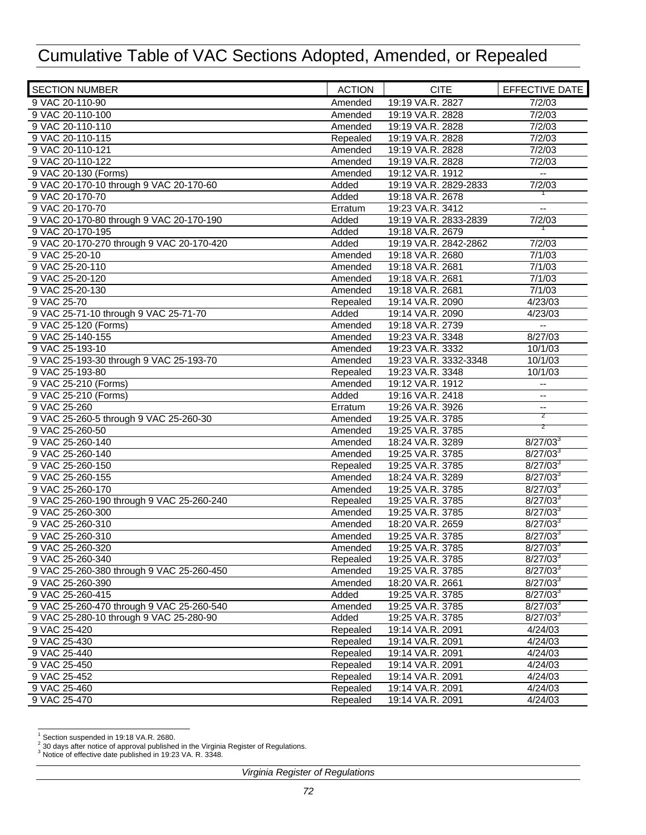| <b>SECTION NUMBER</b>                                         | <b>ACTION</b>       | <b>CITE</b>                          | <b>EFFECTIVE DATE</b>                         |
|---------------------------------------------------------------|---------------------|--------------------------------------|-----------------------------------------------|
| 9 VAC 20-110-90                                               | Amended             | 19:19 VA.R. 2827                     | 7/2/03                                        |
| 9 VAC 20-110-100                                              | Amended             | 19:19 VA.R. 2828                     | 7/2/03                                        |
| 9 VAC 20-110-110                                              | Amended             | 19:19 VA.R. 2828                     | 7/2/03                                        |
| 9 VAC 20-110-115                                              | Repealed            | 19:19 VA.R. 2828                     | 7/2/03                                        |
| 9 VAC 20-110-121                                              | Amended             | 19:19 VA.R. 2828                     | 7/2/03                                        |
| 9 VAC 20-110-122                                              | Amended             | 19:19 VA.R. 2828                     | 7/2/03                                        |
| 9 VAC 20-130 (Forms)                                          | Amended             | 19:12 VA.R. 1912                     | $\mathord{\hspace{1pt}\text{--}\hspace{1pt}}$ |
| 9 VAC 20-170-10 through 9 VAC 20-170-60                       | Added               | 19:19 VA.R. 2829-2833                | 7/2/03                                        |
| 9 VAC 20-170-70                                               | Added               | 19:18 VA.R. 2678                     |                                               |
| 9 VAC 20-170-70                                               | Erratum             | 19:23 VA.R. 3412                     | $\overline{\phantom{a}}$                      |
| 9 VAC 20-170-80 through 9 VAC 20-170-190                      | Added               | 19:19 VA.R. 2833-2839                | 7/2/03                                        |
| 9 VAC 20-170-195                                              | Added               | 19:18 VA.R. 2679                     |                                               |
| 9 VAC 20-170-270 through 9 VAC 20-170-420                     | Added               | 19:19 VA.R. 2842-2862                | 7/2/03                                        |
| 9 VAC 25-20-10                                                | Amended             | 19:18 VA.R. 2680                     | 7/1/03                                        |
| 9 VAC 25-20-110                                               | Amended             | 19:18 VA.R. 2681                     | 7/1/03                                        |
| 9 VAC 25-20-120                                               | Amended             | 19:18 VA.R. 2681                     | 7/1/03                                        |
| 9 VAC 25-20-130                                               | Amended             | 19:18 VA.R. 2681                     | 7/1/03                                        |
| 9 VAC 25-70                                                   | Repealed            | 19:14 VA.R. 2090                     | 4/23/03                                       |
| 9 VAC 25-71-10 through 9 VAC 25-71-70                         | Added               | 19:14 VA.R. 2090                     | 4/23/03                                       |
| 9 VAC 25-120 (Forms)                                          | Amended             | 19:18 VA.R. 2739                     | $\overline{\phantom{a}}$                      |
| 9 VAC 25-140-155                                              | Amended             | 19:23 VA.R. 3348                     | 8/27/03                                       |
| 9 VAC 25-193-10                                               | Amended             | 19:23 VA.R. 3332                     | 10/1/03                                       |
| 9 VAC 25-193-30 through 9 VAC 25-193-70                       | Amended             | 19:23 VA.R. 3332-3348                | 10/1/03                                       |
| 9 VAC 25-193-80                                               | Repealed            | 19:23 VA.R. 3348                     | 10/1/03                                       |
| 9 VAC 25-210 (Forms)                                          | Amended             | 19:12 VA.R. 1912                     |                                               |
| 9 VAC 25-210 (Forms)                                          | Added               | 19:16 VA.R. 2418                     | --<br>$\overline{\phantom{a}}$                |
| 9 VAC 25-260                                                  | Erratum             | 19:26 VA.R. 3926                     |                                               |
| 9 VAC 25-260-5 through 9 VAC 25-260-30                        | Amended             | 19:25 VA.R. 3785                     | --<br>$\overline{2}$                          |
| 9 VAC 25-260-50                                               | Amended             | 19:25 VA.R. 3785                     | $\overline{z}$                                |
| 9 VAC 25-260-140                                              |                     |                                      | $8/27/03^{3}$                                 |
| 9 VAC 25-260-140                                              | Amended             | 18:24 VA.R. 3289<br>19:25 VA.R. 3785 | $8/27/03^3$                                   |
|                                                               | Amended             |                                      |                                               |
| 9 VAC 25-260-150<br>9 VAC 25-260-155                          | Repealed<br>Amended | 19:25 VA.R. 3785                     | $8/27/03^3$<br>$8/27/03^{3}$                  |
| 9 VAC 25-260-170                                              |                     | 18:24 VA.R. 3289<br>19:25 VA.R. 3785 | $8/27/03^3$                                   |
|                                                               | Amended             |                                      | $8/27/03^3$                                   |
| 9 VAC 25-260-190 through 9 VAC 25-260-240<br>9 VAC 25-260-300 | Repealed            | 19:25 VA.R. 3785<br>19:25 VA.R. 3785 | $8/27/03^3$                                   |
| 9 VAC 25-260-310                                              | Amended<br>Amended  | 18:20 VA.R. 2659                     | $8/27/03^{3}$                                 |
|                                                               |                     | 19:25 VA.R. 3785                     | $8/27/03^3$                                   |
| 9 VAC 25-260-310                                              | Amended             |                                      |                                               |
| 9 VAC 25-260-320                                              | Amended             | 19:25 VA.R. 3785                     | $8/27/03^3$                                   |
| 9 VAC 25-260-340<br>9 VAC 25-260-380 through 9 VAC 25-260-450 | Repealed            | 19:25 VA.R. 3785                     | $8/27/03^{3}$                                 |
|                                                               | Amended             | 19:25 VA.R. 3785                     | $8/27/03^3$                                   |
| 9 VAC 25-260-390                                              | Amended             | 18:20 VA.R. 2661                     | $8/27/03^3$                                   |
| 9 VAC 25-260-415                                              | Added               | 19:25 VA.R. 3785                     | $8/27/03^{3}$                                 |
| 9 VAC 25-260-470 through 9 VAC 25-260-540                     | Amended             | 19:25 VA.R. 3785                     | $8/27/03^3$                                   |
| 9 VAC 25-280-10 through 9 VAC 25-280-90                       | Added               | 19:25 VA.R. 3785                     | $8/27/03^3$                                   |
| 9 VAC 25-420                                                  | Repealed            | 19:14 VA.R. 2091                     | 4/24/03                                       |
| 9 VAC 25-430                                                  | Repealed            | 19:14 VA.R. 2091                     | 4/24/03                                       |
| 9 VAC 25-440                                                  | Repealed            | 19:14 VA.R. 2091                     | 4/24/03                                       |
| 9 VAC 25-450                                                  | Repealed            | 19:14 VA.R. 2091                     | 4/24/03                                       |
| 9 VAC 25-452                                                  | Repealed            | 19:14 VA.R. 2091                     | 4/24/03                                       |
| 9 VAC 25-460                                                  | Repealed            | 19:14 VA.R. 2091                     | 4/24/03                                       |
| 9 VAC 25-470                                                  | Repealed            | 19:14 VA.R. 2091                     | 4/24/03                                       |

<sup>&</sup>lt;sup>1</sup><br>Section suspended in 19:18 VA.R. 2680.<br><sup>3</sup> Notice of effective date published in 19:23 VA. R. 3348.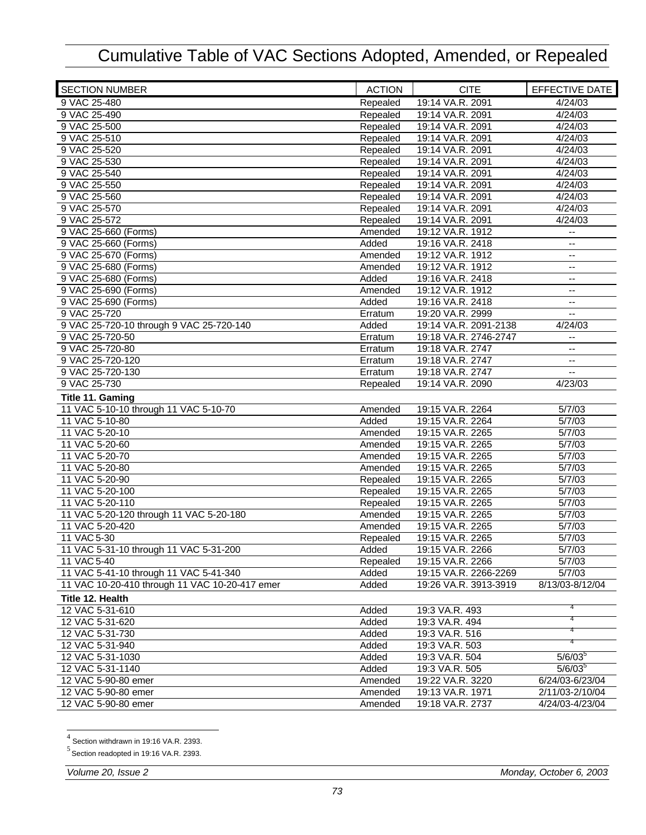| <b>SECTION NUMBER</b>                          | <b>ACTION</b> | <b>CITE</b>           | EFFECTIVE DATE           |
|------------------------------------------------|---------------|-----------------------|--------------------------|
| 9 VAC 25-480                                   | Repealed      | 19:14 VA.R. 2091      | 4/24/03                  |
| 9 VAC 25-490                                   | Repealed      | 19:14 VA.R. 2091      | 4/24/03                  |
| 9 VAC 25-500                                   | Repealed      | 19:14 VA.R. 2091      | 4/24/03                  |
| 9 VAC 25-510                                   | Repealed      | 19:14 VA.R. 2091      | 4/24/03                  |
| 9 VAC 25-520                                   | Repealed      | 19:14 VA.R. 2091      | 4/24/03                  |
| 9 VAC 25-530                                   | Repealed      | 19:14 VA.R. 2091      | 4/24/03                  |
| 9 VAC 25-540                                   | Repealed      | 19:14 VA.R. 2091      | 4/24/03                  |
| 9 VAC 25-550                                   | Repealed      | 19:14 VA.R. 2091      | 4/24/03                  |
| 9 VAC 25-560                                   | Repealed      | 19:14 VA.R. 2091      | 4/24/03                  |
| 9 VAC 25-570                                   | Repealed      | 19:14 VA.R. 2091      | 4/24/03                  |
| 9 VAC 25-572                                   | Repealed      | 19:14 VA.R. 2091      | 4/24/03                  |
| 9 VAC 25-660 (Forms)                           | Amended       | 19:12 VA.R. 1912      | $\overline{\phantom{a}}$ |
| 9 VAC 25-660 (Forms)                           | Added         | 19:16 VA.R. 2418      | $-$                      |
| 9 VAC 25-670 (Forms)                           | Amended       | 19:12 VA.R. 1912      | --                       |
| 9 VAC 25-680 (Forms)                           | Amended       | 19:12 VA.R. 1912      | $\overline{\phantom{a}}$ |
| 9 VAC 25-680 (Forms)                           | Added         | 19:16 VA.R. 2418      | $\overline{\phantom{a}}$ |
| 9 VAC 25-690 (Forms)                           | Amended       | 19:12 VA.R. 1912      | --                       |
| 9 VAC 25-690 (Forms)                           | Added         | 19:16 VA.R. 2418      | $-$                      |
| 9 VAC 25-720                                   | Erratum       | 19:20 VA.R. 2999      | $\overline{\phantom{a}}$ |
| 9 VAC 25-720-10 through 9 VAC 25-720-140       | Added         | 19:14 VA.R. 2091-2138 | 4/24/03                  |
| 9 VAC 25-720-50                                | Erratum       | 19:18 VA.R. 2746-2747 | --                       |
| 9 VAC 25-720-80                                | Erratum       | 19:18 VA.R. 2747      | $\overline{\phantom{a}}$ |
| 9 VAC 25-720-120                               | Erratum       | 19:18 VA.R. 2747      | $\overline{\phantom{a}}$ |
| 9 VAC 25-720-130                               | Erratum       | 19:18 VA.R. 2747      | $\overline{\phantom{a}}$ |
| 9 VAC 25-730                                   | Repealed      | 19:14 VA.R. 2090      | 4/23/03                  |
| Title 11. Gaming                               |               |                       |                          |
| 11 VAC 5-10-10 through 11 VAC 5-10-70          | Amended       | 19:15 VA.R. 2264      | 5/7/03                   |
| 11 VAC 5-10-80                                 | Added         | 19:15 VA.R. 2264      | 5/7/03                   |
| 11 VAC 5-20-10                                 | Amended       | 19:15 VA.R. 2265      | 5/7/03                   |
| 11 VAC 5-20-60                                 | Amended       | 19:15 VA.R. 2265      | 5/7/03                   |
| 11 VAC 5-20-70                                 | Amended       | 19:15 VA.R. 2265      | 5/7/03                   |
| 11 VAC 5-20-80                                 | Amended       | 19:15 VA.R. 2265      | 5/7/03                   |
| 11 VAC 5-20-90                                 | Repealed      | 19:15 VA.R. 2265      | 5/7/03                   |
| 11 VAC 5-20-100                                | Repealed      | 19:15 VA.R. 2265      | 5/7/03                   |
| 11 VAC 5-20-110                                | Repealed      | 19:15 VA.R. 2265      | 5/7/03                   |
| 11 VAC 5-20-120 through 11 VAC 5-20-180        | Amended       | 19:15 VA.R. 2265      | 5/7/03                   |
| 11 VAC 5-20-420                                | Amended       | 19:15 VA.R. 2265      | 5/7/03                   |
| 11 VAC 5-30                                    | Repealed      | 19:15 VA.R. 2265      | 5/7/03                   |
| 11 VAC 5-31-10 through 11 VAC 5-31-200         | Added         | 19:15 VA.R. 2266      | 5/7/03                   |
| 11 VAC 5-40                                    | Repealed      | 19:15 VA.R. 2266      | 5/7/03                   |
| 11 VAC 5-41-10 through 11 VAC 5-41-340         | Added         | 19:15 VA.R. 2266-2269 | 5/7/03                   |
| 11 VAC 10-20-410 through 11 VAC 10-20-417 emer | Added         | 19:26 VA.R. 3913-3919 | 8/13/03-8/12/04          |
| Title 12. Health                               |               |                       |                          |
| 12 VAC 5-31-610                                | Added         | 19:3 VA.R. 493        |                          |
| 12 VAC 5-31-620                                | Added         | 19:3 VA.R. 494        |                          |
| 12 VAC 5-31-730                                | Added         | 19:3 VA.R. 516        |                          |
| 12 VAC 5-31-940                                | Added         | 19:3 VA.R. 503        |                          |
| 12 VAC 5-31-1030                               | Added         | 19:3 VA.R. 504        | $5/6/03^{\circ}$         |
| 12 VAC 5-31-1140                               | Added         | 19:3 VA.R. 505        | $5/6/03^5$               |
| 12 VAC 5-90-80 emer                            | Amended       | 19:22 VA.R. 3220      | 6/24/03-6/23/04          |
| 12 VAC 5-90-80 emer                            | Amended       | 19:13 VA.R. 1971      | 2/11/03-2/10/04          |
| 12 VAC 5-90-80 emer                            | Amended       | 19:18 VA.R. 2737      | 4/24/03-4/23/04          |
|                                                |               |                       |                          |

<sup>–&</sup>lt;br><sup>4</sup> Section withdrawn in 19:16 VA.R. 2393.<br><sup>5</sup> Section readopted in 19:16 VA.R. 2393.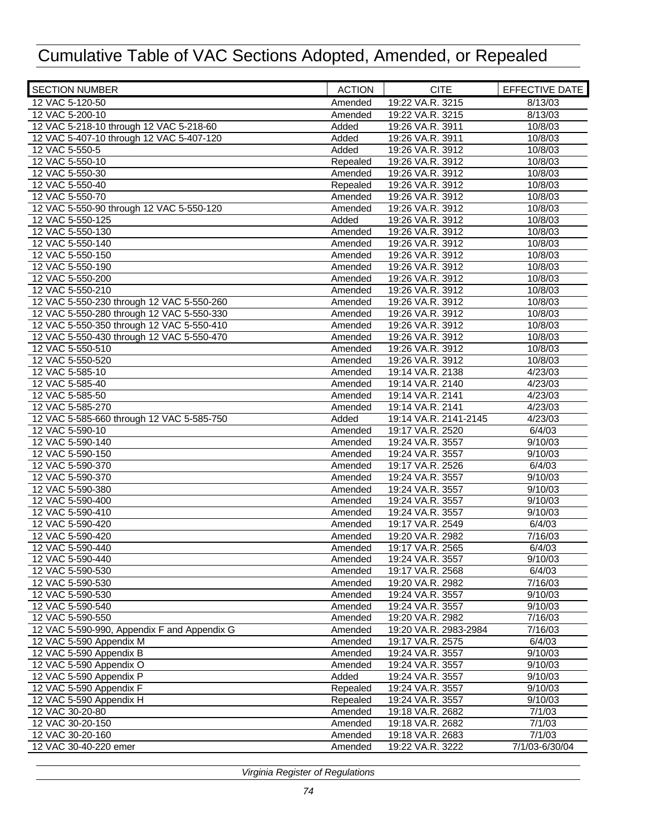| <b>SECTION NUMBER</b>                       | <b>ACTION</b> | <b>CITE</b>           | <b>EFFECTIVE DATE</b> |
|---------------------------------------------|---------------|-----------------------|-----------------------|
| 12 VAC 5-120-50                             | Amended       | 19:22 VA.R. 3215      | 8/13/03               |
| 12 VAC 5-200-10                             | Amended       | 19:22 VA.R. 3215      | 8/13/03               |
| 12 VAC 5-218-10 through 12 VAC 5-218-60     | Added         | 19:26 VA.R. 3911      | 10/8/03               |
| 12 VAC 5-407-10 through 12 VAC 5-407-120    | Added         | 19:26 VA.R. 3911      | 10/8/03               |
| 12 VAC 5-550-5                              | Added         | 19:26 VA.R. 3912      | 10/8/03               |
| 12 VAC 5-550-10                             | Repealed      | 19:26 VA.R. 3912      | 10/8/03               |
| 12 VAC 5-550-30                             | Amended       | 19:26 VA.R. 3912      | 10/8/03               |
| 12 VAC 5-550-40                             | Repealed      | 19:26 VA.R. 3912      | 10/8/03               |
| 12 VAC 5-550-70                             | Amended       | 19:26 VA.R. 3912      | 10/8/03               |
| 12 VAC 5-550-90 through 12 VAC 5-550-120    | Amended       | 19:26 VA.R. 3912      | 10/8/03               |
| 12 VAC 5-550-125                            | Added         | 19:26 VA.R. 3912      | 10/8/03               |
| 12 VAC 5-550-130                            | Amended       | 19:26 VA.R. 3912      | 10/8/03               |
| 12 VAC 5-550-140                            | Amended       | 19:26 VA.R. 3912      | 10/8/03               |
| 12 VAC 5-550-150                            | Amended       | 19:26 VA.R. 3912      | 10/8/03               |
| 12 VAC 5-550-190                            | Amended       | 19:26 VA.R. 3912      | 10/8/03               |
| 12 VAC 5-550-200                            | Amended       | 19:26 VA.R. 3912      | 10/8/03               |
| 12 VAC 5-550-210                            | Amended       | 19:26 VA.R. 3912      | 10/8/03               |
| 12 VAC 5-550-230 through 12 VAC 5-550-260   | Amended       | 19:26 VA.R. 3912      | 10/8/03               |
| 12 VAC 5-550-280 through 12 VAC 5-550-330   | Amended       | 19:26 VA.R. 3912      | 10/8/03               |
| 12 VAC 5-550-350 through 12 VAC 5-550-410   | Amended       | 19:26 VA.R. 3912      | 10/8/03               |
| 12 VAC 5-550-430 through 12 VAC 5-550-470   | Amended       | 19:26 VA.R. 3912      | 10/8/03               |
| 12 VAC 5-550-510                            |               | 19:26 VA.R. 3912      | 10/8/03               |
| 12 VAC 5-550-520                            | Amended       | 19:26 VA.R. 3912      | 10/8/03               |
| 12 VAC 5-585-10                             | Amended       |                       |                       |
|                                             | Amended       | 19:14 VA.R. 2138      | 4/23/03               |
| 12 VAC 5-585-40                             | Amended       | 19:14 VA.R. 2140      | 4/23/03               |
| 12 VAC 5-585-50                             | Amended       | 19:14 VA.R. 2141      | 4/23/03               |
| 12 VAC 5-585-270                            | Amended       | 19:14 VA.R. 2141      | 4/23/03               |
| 12 VAC 5-585-660 through 12 VAC 5-585-750   | Added         | 19:14 VA.R. 2141-2145 | 4/23/03               |
| 12 VAC 5-590-10                             | Amended       | 19:17 VA.R. 2520      | 6/4/03                |
| 12 VAC 5-590-140                            | Amended       | 19:24 VA.R. 3557      | 9/10/03               |
| 12 VAC 5-590-150                            | Amended       | 19:24 VA.R. 3557      | 9/10/03               |
| 12 VAC 5-590-370                            | Amended       | 19:17 VA.R. 2526      | 6/4/03                |
| 12 VAC 5-590-370                            | Amended       | 19:24 VA.R. 3557      | 9/10/03               |
| 12 VAC 5-590-380                            | Amended       | 19:24 VA.R. 3557      | 9/10/03               |
| 12 VAC 5-590-400                            | Amended       | 19:24 VA.R. 3557      | 9/10/03               |
| 12 VAC 5-590-410                            | Amended       | 19:24 VA.R. 3557      | 9/10/03               |
| 12 VAC 5-590-420                            | Amended       | 19:17 VA.R. 2549      | 6/4/03                |
| 12 VAC 5-590-420                            | Amended       | 19:20 VA.R. 2982      | 7/16/03               |
| 12 VAC 5-590-440                            | Amended       | 19:17 VA.R. 2565      | 6/4/03                |
| 12 VAC 5-590-440                            | Amended       | 19:24 VA.R. 3557      | 9/10/03               |
| 12 VAC 5-590-530                            | Amended       | 19:17 VA.R. 2568      | 6/4/03                |
| 12 VAC 5-590-530                            | Amended       | 19:20 VA.R. 2982      | 7/16/03               |
| 12 VAC 5-590-530                            | Amended       | 19:24 VA.R. 3557      | 9/10/03               |
| 12 VAC 5-590-540                            | Amended       | 19:24 VA.R. 3557      | 9/10/03               |
| 12 VAC 5-590-550                            | Amended       | 19:20 VA.R. 2982      | 7/16/03               |
| 12 VAC 5-590-990, Appendix F and Appendix G | Amended       | 19:20 VA.R. 2983-2984 | 7/16/03               |
| 12 VAC 5-590 Appendix M                     | Amended       | 19:17 VA.R. 2575      | 6/4/03                |
| 12 VAC 5-590 Appendix B                     | Amended       | 19:24 VA.R. 3557      | 9/10/03               |
| 12 VAC 5-590 Appendix O                     | Amended       | 19:24 VA.R. 3557      | 9/10/03               |
| 12 VAC 5-590 Appendix P                     | Added         | 19:24 VA.R. 3557      | 9/10/03               |
| 12 VAC 5-590 Appendix F                     | Repealed      | 19:24 VA.R. 3557      | 9/10/03               |
| 12 VAC 5-590 Appendix H                     | Repealed      | 19:24 VA.R. 3557      | 9/10/03               |
| 12 VAC 30-20-80                             | Amended       | 19:18 VA.R. 2682      | 7/1/03                |
| 12 VAC 30-20-150                            | Amended       | 19:18 VA.R. 2682      | 7/1/03                |
| 12 VAC 30-20-160                            | Amended       | 19:18 VA.R. 2683      | 7/1/03                |
| 12 VAC 30-40-220 emer                       | Amended       | 19:22 VA.R. 3222      | 7/1/03-6/30/04        |
|                                             |               |                       |                       |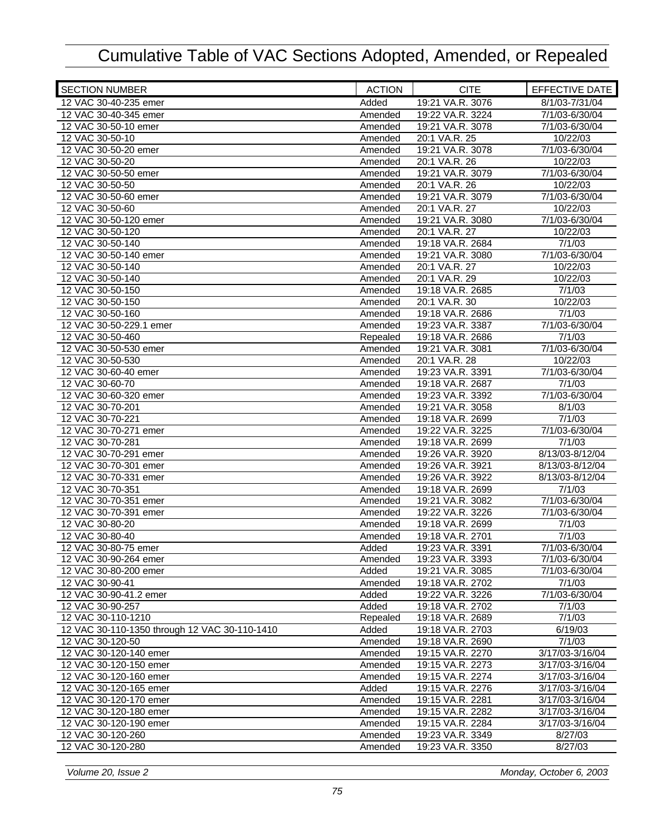| <b>SECTION NUMBER</b>                         | <b>ACTION</b>      | <b>CITE</b>                          | EFFECTIVE DATE           |
|-----------------------------------------------|--------------------|--------------------------------------|--------------------------|
| 12 VAC 30-40-235 emer                         | Added              | 19:21 VA.R. 3076                     | 8/1/03-7/31/04           |
| 12 VAC 30-40-345 emer                         | Amended            | 19:22 VA.R. 3224                     | 7/1/03-6/30/04           |
| 12 VAC 30-50-10 emer                          | Amended            | 19:21 VA.R. 3078                     | 7/1/03-6/30/04           |
| 12 VAC 30-50-10                               | Amended            | 20:1 VA.R. 25                        | 10/22/03                 |
| 12 VAC 30-50-20 emer                          | Amended            | 19:21 VA.R. 3078                     | 7/1/03-6/30/04           |
| 12 VAC 30-50-20                               | Amended            | 20:1 VA.R. 26                        | 10/22/03                 |
| 12 VAC 30-50-50 emer                          | Amended            | 19:21 VA.R. 3079                     | 7/1/03-6/30/04           |
| 12 VAC 30-50-50                               | Amended            | 20:1 VA.R. 26                        | 10/22/03                 |
| 12 VAC 30-50-60 emer                          | Amended            | 19:21 VA.R. 3079                     | 7/1/03-6/30/04           |
| 12 VAC 30-50-60                               | Amended            | 20:1 VA.R. 27                        | 10/22/03                 |
| 12 VAC 30-50-120 emer                         | Amended            | 19:21 VA.R. 3080                     | 7/1/03-6/30/04           |
| 12 VAC 30-50-120                              | Amended            | 20:1 VA.R. 27                        | 10/22/03                 |
| 12 VAC 30-50-140                              | Amended            | 19:18 VA.R. 2684                     | 7/1/03                   |
| 12 VAC 30-50-140 emer                         | Amended            | 19:21 VA.R. 3080                     | 7/1/03-6/30/04           |
| 12 VAC 30-50-140                              | Amended            | 20:1 VA.R. 27                        | 10/22/03                 |
| 12 VAC 30-50-140                              | Amended            | 20:1 VA.R. 29                        | 10/22/03                 |
| 12 VAC 30-50-150                              | Amended            | 19:18 VA.R. 2685                     | 7/1/03                   |
| 12 VAC 30-50-150                              | Amended            | 20:1 VA.R. 30                        | 10/22/03                 |
| 12 VAC 30-50-160                              | Amended            | 19:18 VA.R. 2686                     | 7/1/03                   |
| 12 VAC 30-50-229.1 emer                       | Amended            | 19:23 VA.R. 3387                     | 7/1/03-6/30/04           |
| 12 VAC 30-50-460                              | Repealed           | 19:18 VA.R. 2686                     | 7/1/03                   |
| 12 VAC 30-50-530 emer                         | Amended            | 19:21 VA.R. 3081                     | 7/1/03-6/30/04           |
| 12 VAC 30-50-530                              | Amended            | 20:1 VA.R. 28                        | 10/22/03                 |
| 12 VAC 30-60-40 emer                          | Amended            | 19:23 VA.R. 3391                     | 7/1/03-6/30/04           |
| 12 VAC 30-60-70                               | Amended            | 19:18 VA.R. 2687                     | 7/1/03                   |
| 12 VAC 30-60-320 emer                         | Amended            | 19:23 VA.R. 3392                     | 7/1/03-6/30/04           |
| 12 VAC 30-70-201                              | Amended            | 19:21 VA.R. 3058                     | 8/1/03                   |
| 12 VAC 30-70-221<br>12 VAC 30-70-271 emer     | Amended            | 19:18 VA.R. 2699<br>19:22 VA.R. 3225 | 7/1/03<br>7/1/03-6/30/04 |
| 12 VAC 30-70-281                              | Amended<br>Amended | 19:18 VA.R. 2699                     | 7/1/03                   |
| 12 VAC 30-70-291 emer                         | Amended            | 19:26 VA.R. 3920                     | 8/13/03-8/12/04          |
| 12 VAC 30-70-301 emer                         | Amended            | 19:26 VA.R. 3921                     | 8/13/03-8/12/04          |
| 12 VAC 30-70-331 emer                         | Amended            | 19:26 VA.R. 3922                     | 8/13/03-8/12/04          |
| 12 VAC 30-70-351                              | Amended            | 19:18 VA.R. 2699                     | 7/1/03                   |
| 12 VAC 30-70-351 emer                         | Amended            | 19:21 VA.R. 3082                     | 7/1/03-6/30/04           |
| 12 VAC 30-70-391 emer                         | Amended            | 19:22 VA.R. 3226                     | 7/1/03-6/30/04           |
| 12 VAC 30-80-20                               | Amended            | 19:18 VA.R. 2699                     | 7/1/03                   |
| 12 VAC 30-80-40                               | Amended            | 19:18 VA.R. 2701                     | 7/1/03                   |
| 12 VAC 30-80-75 emer                          | Added              | 19:23 VA.R. 3391                     | 7/1/03-6/30/04           |
| 12 VAC 30-90-264 emer                         | Amended            | 19:23 VA.R. 3393                     | 7/1/03-6/30/04           |
| 12 VAC 30-80-200 emer                         | Added              | 19:21 VA.R. 3085                     | 7/1/03-6/30/04           |
| 12 VAC 30-90-41                               | Amended            | 19:18 VA.R. 2702                     | 7/1/03                   |
| 12 VAC 30-90-41.2 emer                        | Added              | 19:22 VA.R. 3226                     | 7/1/03-6/30/04           |
| 12 VAC 30-90-257                              | Added              | 19:18 VA.R. 2702                     | 7/1/03                   |
| 12 VAC 30-110-1210                            | Repealed           | 19:18 VA.R. 2689                     | 7/1/03                   |
| 12 VAC 30-110-1350 through 12 VAC 30-110-1410 | Added              | 19:18 VA.R. 2703                     | 6/19/03                  |
| 12 VAC 30-120-50                              | Amended            | 19:18 VA.R. 2690                     | 7/1/03                   |
| 12 VAC 30-120-140 emer                        | Amended            | 19:15 VA.R. 2270                     | 3/17/03-3/16/04          |
| 12 VAC 30-120-150 emer                        | Amended            | 19:15 VA.R. 2273                     | 3/17/03-3/16/04          |
| 12 VAC 30-120-160 emer                        | Amended            | 19:15 VA.R. 2274                     | 3/17/03-3/16/04          |
| 12 VAC 30-120-165 emer                        | Added              | 19:15 VA.R. 2276                     | 3/17/03-3/16/04          |
| 12 VAC 30-120-170 emer                        | Amended            | 19:15 VA.R. 2281                     | 3/17/03-3/16/04          |
| 12 VAC 30-120-180 emer                        | Amended            | 19:15 VA.R. 2282                     | 3/17/03-3/16/04          |
| 12 VAC 30-120-190 emer                        | Amended            | 19:15 VA.R. 2284                     | 3/17/03-3/16/04          |
| 12 VAC 30-120-260                             | Amended            | 19:23 VA.R. 3349                     | 8/27/03                  |
| 12 VAC 30-120-280                             | Amended            | 19:23 VA.R. 3350                     | 8/27/03                  |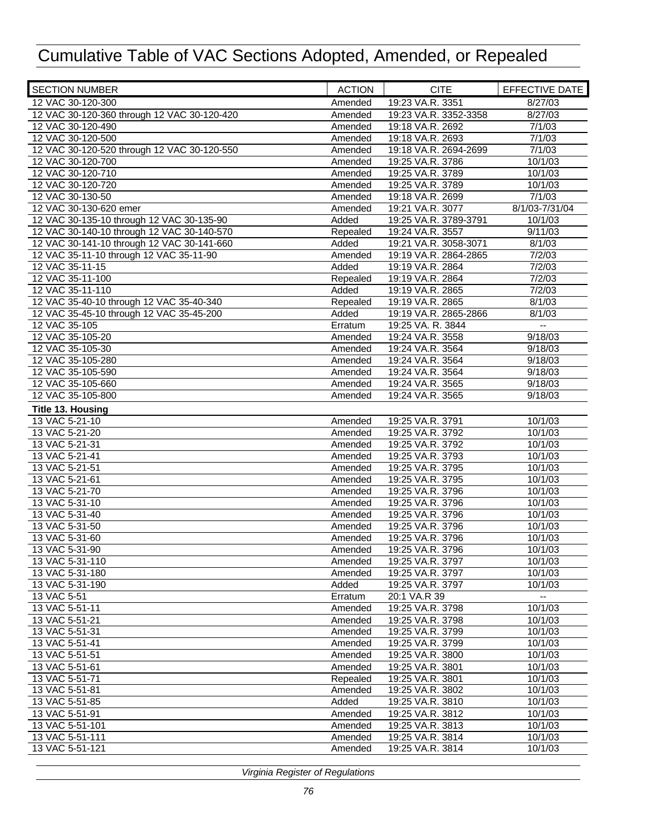| <b>SECTION NUMBER</b>                       | <b>ACTION</b> | <b>CITE</b>           | EFFECTIVE DATE |
|---------------------------------------------|---------------|-----------------------|----------------|
| 12 VAC 30-120-300                           | Amended       | 19:23 VA.R. 3351      | 8/27/03        |
| 12 VAC 30-120-360 through 12 VAC 30-120-420 | Amended       | 19:23 VA.R. 3352-3358 | 8/27/03        |
| 12 VAC 30-120-490                           | Amended       | 19:18 VA.R. 2692      | 7/1/03         |
| 12 VAC 30-120-500                           | Amended       | 19:18 VA.R. 2693      | 7/1/03         |
| 12 VAC 30-120-520 through 12 VAC 30-120-550 | Amended       | 19:18 VA.R. 2694-2699 | 7/1/03         |
| 12 VAC 30-120-700                           | Amended       | 19:25 VA.R. 3786      | 10/1/03        |
| 12 VAC 30-120-710                           | Amended       | 19:25 VA.R. 3789      | 10/1/03        |
| 12 VAC 30-120-720                           | Amended       | 19:25 VA.R. 3789      | 10/1/03        |
| 12 VAC 30-130-50                            | Amended       | 19:18 VA.R. 2699      | 7/1/03         |
| 12 VAC 30-130-620 emer                      | Amended       | 19:21 VA.R. 3077      | 8/1/03-7/31/04 |
| 12 VAC 30-135-10 through 12 VAC 30-135-90   | Added         | 19:25 VA.R. 3789-3791 | 10/1/03        |
| 12 VAC 30-140-10 through 12 VAC 30-140-570  | Repealed      | 19:24 VA.R. 3557      | 9/11/03        |
| 12 VAC 30-141-10 through 12 VAC 30-141-660  | Added         | 19:21 VA.R. 3058-3071 | 8/1/03         |
| 12 VAC 35-11-10 through 12 VAC 35-11-90     | Amended       | 19:19 VA.R. 2864-2865 | 7/2/03         |
| 12 VAC 35-11-15                             | Added         | 19:19 VA.R. 2864      | 7/2/03         |
| 12 VAC 35-11-100                            | Repealed      | 19:19 VA.R. 2864      | 7/2/03         |
| 12 VAC 35-11-110                            | Added         | 19:19 VA.R. 2865      | 7/2/03         |
| 12 VAC 35-40-10 through 12 VAC 35-40-340    | Repealed      | 19:19 VA.R. 2865      | 8/1/03         |
| 12 VAC 35-45-10 through 12 VAC 35-45-200    | Added         | 19:19 VA.R. 2865-2866 | 8/1/03         |
| 12 VAC 35-105                               | Erratum       | 19:25 VA. R. 3844     |                |
| 12 VAC 35-105-20                            | Amended       | 19:24 VA.R. 3558      | 9/18/03        |
| 12 VAC 35-105-30                            | Amended       | 19:24 VA.R. 3564      | 9/18/03        |
| 12 VAC 35-105-280                           | Amended       | 19:24 VA.R. 3564      | 9/18/03        |
| 12 VAC 35-105-590                           | Amended       | 19:24 VA.R. 3564      | 9/18/03        |
| 12 VAC 35-105-660                           | Amended       | 19:24 VA.R. 3565      | 9/18/03        |
| 12 VAC 35-105-800                           | Amended       | 19:24 VA.R. 3565      | 9/18/03        |
| Title 13. Housing                           |               |                       |                |
| 13 VAC 5-21-10                              | Amended       | 19:25 VA.R. 3791      | 10/1/03        |
| 13 VAC 5-21-20                              | Amended       | 19:25 VA.R. 3792      | 10/1/03        |
| 13 VAC 5-21-31                              | Amended       | 19:25 VA.R. 3792      | 10/1/03        |
| 13 VAC 5-21-41                              | Amended       | 19:25 VA.R. 3793      | 10/1/03        |
| 13 VAC 5-21-51                              | Amended       | 19:25 VA.R. 3795      | 10/1/03        |
| 13 VAC 5-21-61                              | Amended       | 19:25 VA.R. 3795      | 10/1/03        |
| 13 VAC 5-21-70                              | Amended       | 19:25 VA.R. 3796      | 10/1/03        |
| 13 VAC 5-31-10                              | Amended       | 19:25 VA.R. 3796      | 10/1/03        |
| 13 VAC 5-31-40                              | Amended       | 19:25 VA.R. 3796      | 10/1/03        |
| 13 VAC 5-31-50                              | Amended       | 19:25 VA.R. 3796      | 10/1/03        |
| 13 VAC 5-31-60                              | Amended       | 19:25 VA.R. 3796      | 10/1/03        |
| 13 VAC 5-31-90                              | Amended       | 19:25 VA.R. 3796      | 10/1/03        |
| 13 VAC 5-31-110                             | Amended       | 19:25 VA.R. 3797      | 10/1/03        |
| 13 VAC 5-31-180                             | Amended       | 19:25 VA.R. 3797      | 10/1/03        |
| 13 VAC 5-31-190                             | Added         | 19:25 VA.R. 3797      | 10/1/03        |
| 13 VAC 5-51                                 | Erratum       | 20:1 VA.R 39          | $\mathbf{u}$   |
| 13 VAC 5-51-11                              | Amended       | 19:25 VA.R. 3798      | 10/1/03        |
| 13 VAC 5-51-21                              | Amended       | 19:25 VA.R. 3798      | 10/1/03        |
| 13 VAC 5-51-31                              | Amended       | 19:25 VA.R. 3799      | 10/1/03        |
| 13 VAC 5-51-41                              | Amended       | 19:25 VA.R. 3799      | 10/1/03        |
| 13 VAC 5-51-51                              | Amended       | 19:25 VA.R. 3800      | 10/1/03        |
| 13 VAC 5-51-61                              | Amended       | 19:25 VA.R. 3801      | 10/1/03        |
| 13 VAC 5-51-71                              | Repealed      | 19:25 VA.R. 3801      | 10/1/03        |
| 13 VAC 5-51-81                              | Amended       | 19:25 VA.R. 3802      | 10/1/03        |
| 13 VAC 5-51-85                              | Added         | 19:25 VA.R. 3810      | 10/1/03        |
| 13 VAC 5-51-91                              | Amended       | 19:25 VA.R. 3812      | 10/1/03        |
| 13 VAC 5-51-101                             | Amended       | 19:25 VA.R. 3813      | 10/1/03        |
| 13 VAC 5-51-111                             | Amended       | 19:25 VA.R. 3814      | 10/1/03        |
| 13 VAC 5-51-121                             | Amended       | 19:25 VA.R. 3814      | 10/1/03        |
|                                             |               |                       |                |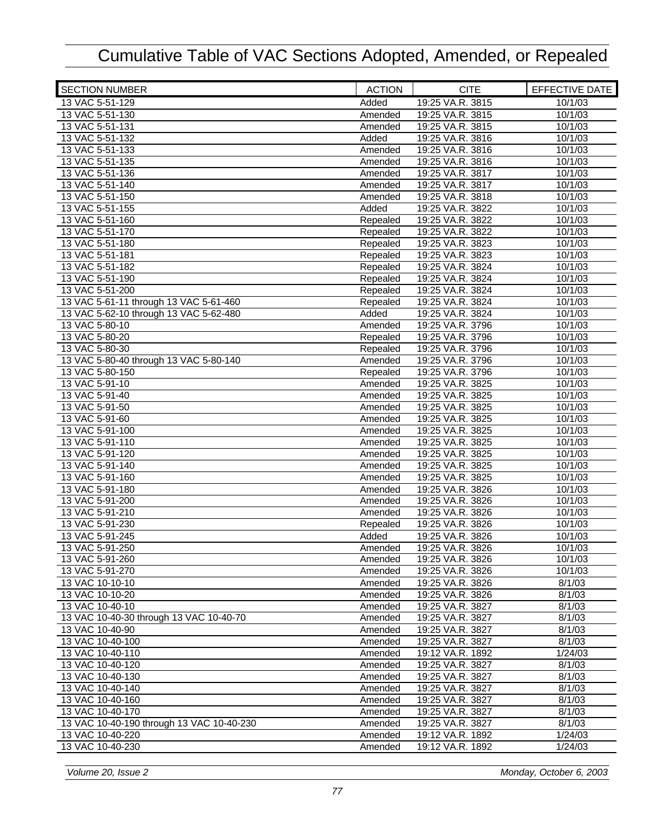| <b>SECTION NUMBER</b>                     | <b>ACTION</b> | <b>CITE</b>      | EFFECTIVE DATE |
|-------------------------------------------|---------------|------------------|----------------|
| 13 VAC 5-51-129                           | Added         | 19:25 VA.R. 3815 | 10/1/03        |
| 13 VAC 5-51-130                           | Amended       | 19:25 VA.R. 3815 | 10/1/03        |
| 13 VAC 5-51-131                           | Amended       | 19:25 VA.R. 3815 | 10/1/03        |
| 13 VAC 5-51-132                           | Added         | 19:25 VA.R. 3816 | 10/1/03        |
| 13 VAC 5-51-133                           | Amended       | 19:25 VA.R. 3816 | 10/1/03        |
| 13 VAC 5-51-135                           | Amended       | 19:25 VA.R. 3816 | 10/1/03        |
| 13 VAC 5-51-136                           | Amended       | 19:25 VA.R. 3817 | 10/1/03        |
| 13 VAC 5-51-140                           | Amended       | 19:25 VA.R. 3817 | 10/1/03        |
| 13 VAC 5-51-150                           | Amended       | 19:25 VA.R. 3818 | 10/1/03        |
| 13 VAC 5-51-155                           | Added         | 19:25 VA.R. 3822 | 10/1/03        |
| 13 VAC 5-51-160                           | Repealed      | 19:25 VA.R. 3822 | 10/1/03        |
| 13 VAC 5-51-170                           | Repealed      | 19:25 VA.R. 3822 | 10/1/03        |
| 13 VAC 5-51-180                           | Repealed      | 19:25 VA.R. 3823 | 10/1/03        |
| 13 VAC 5-51-181                           | Repealed      | 19:25 VA.R. 3823 | 10/1/03        |
| 13 VAC 5-51-182                           | Repealed      | 19:25 VA.R. 3824 | 10/1/03        |
| 13 VAC 5-51-190                           | Repealed      | 19:25 VA.R. 3824 | 10/1/03        |
| 13 VAC 5-51-200                           | Repealed      | 19:25 VA.R. 3824 | 10/1/03        |
| 13 VAC 5-61-11 through 13 VAC 5-61-460    | Repealed      | 19:25 VA.R. 3824 | 10/1/03        |
| 13 VAC 5-62-10 through 13 VAC 5-62-480    | Added         | 19:25 VA.R. 3824 | 10/1/03        |
| 13 VAC 5-80-10                            | Amended       | 19:25 VA.R. 3796 | 10/1/03        |
| 13 VAC 5-80-20                            | Repealed      | 19:25 VA.R. 3796 | 10/1/03        |
| 13 VAC 5-80-30                            | Repealed      | 19:25 VA.R. 3796 | 10/1/03        |
| 13 VAC 5-80-40 through 13 VAC 5-80-140    | Amended       | 19:25 VA.R. 3796 | 10/1/03        |
| 13 VAC 5-80-150                           | Repealed      | 19:25 VA.R. 3796 | 10/1/03        |
| 13 VAC 5-91-10                            | Amended       | 19:25 VA.R. 3825 | 10/1/03        |
| 13 VAC 5-91-40                            | Amended       | 19:25 VA.R. 3825 | 10/1/03        |
| 13 VAC 5-91-50                            | Amended       | 19:25 VA.R. 3825 | 10/1/03        |
| 13 VAC 5-91-60                            | Amended       | 19:25 VA.R. 3825 | 10/1/03        |
| 13 VAC 5-91-100                           | Amended       | 19:25 VA.R. 3825 | 10/1/03        |
| 13 VAC 5-91-110                           | Amended       | 19:25 VA.R. 3825 | 10/1/03        |
| 13 VAC 5-91-120                           | Amended       | 19:25 VA.R. 3825 | 10/1/03        |
| 13 VAC 5-91-140                           | Amended       | 19:25 VA.R. 3825 | 10/1/03        |
| 13 VAC 5-91-160                           | Amended       | 19:25 VA.R. 3825 | 10/1/03        |
| 13 VAC 5-91-180                           | Amended       | 19:25 VA.R. 3826 | 10/1/03        |
| 13 VAC 5-91-200                           | Amended       | 19:25 VA.R. 3826 | 10/1/03        |
| 13 VAC 5-91-210                           | Amended       | 19:25 VA.R. 3826 | 10/1/03        |
| 13 VAC 5-91-230                           | Repealed      | 19:25 VA.R. 3826 | 10/1/03        |
| 13 VAC 5-91-245                           | Added         | 19:25 VA.R. 3826 | 10/1/03        |
| 13 VAC 5-91-250                           | Amended       | 19:25 VA.R. 3826 | 10/1/03        |
| 13 VAC 5-91-260                           | Amended       | 19:25 VA.R. 3826 | 10/1/03        |
| 13 VAC 5-91-270                           | Amended       | 19:25 VA.R. 3826 | 10/1/03        |
| 13 VAC 10-10-10                           | Amended       | 19:25 VA.R. 3826 | 8/1/03         |
| 13 VAC 10-10-20                           | Amended       | 19:25 VA.R. 3826 | 8/1/03         |
| 13 VAC 10-40-10                           | Amended       | 19:25 VA.R. 3827 | 8/1/03         |
| 13 VAC 10-40-30 through 13 VAC 10-40-70   | Amended       | 19:25 VA.R. 3827 | 8/1/03         |
| 13 VAC 10-40-90                           | Amended       | 19:25 VA.R. 3827 | 8/1/03         |
| 13 VAC 10-40-100                          | Amended       | 19:25 VA.R. 3827 | 8/1/03         |
| 13 VAC 10-40-110                          | Amended       | 19:12 VA.R. 1892 | 1/24/03        |
| 13 VAC 10-40-120                          | Amended       | 19:25 VA.R. 3827 | 8/1/03         |
| 13 VAC 10-40-130                          | Amended       | 19:25 VA.R. 3827 | 8/1/03         |
| 13 VAC 10-40-140                          | Amended       | 19:25 VA.R. 3827 | 8/1/03         |
| 13 VAC 10-40-160                          | Amended       | 19:25 VA.R. 3827 | 8/1/03         |
| 13 VAC 10-40-170                          | Amended       | 19:25 VA.R. 3827 | 8/1/03         |
| 13 VAC 10-40-190 through 13 VAC 10-40-230 | Amended       | 19:25 VA.R. 3827 | 8/1/03         |
| 13 VAC 10-40-220                          | Amended       | 19:12 VA.R. 1892 | 1/24/03        |
| 13 VAC 10-40-230                          | Amended       | 19:12 VA.R. 1892 | 1/24/03        |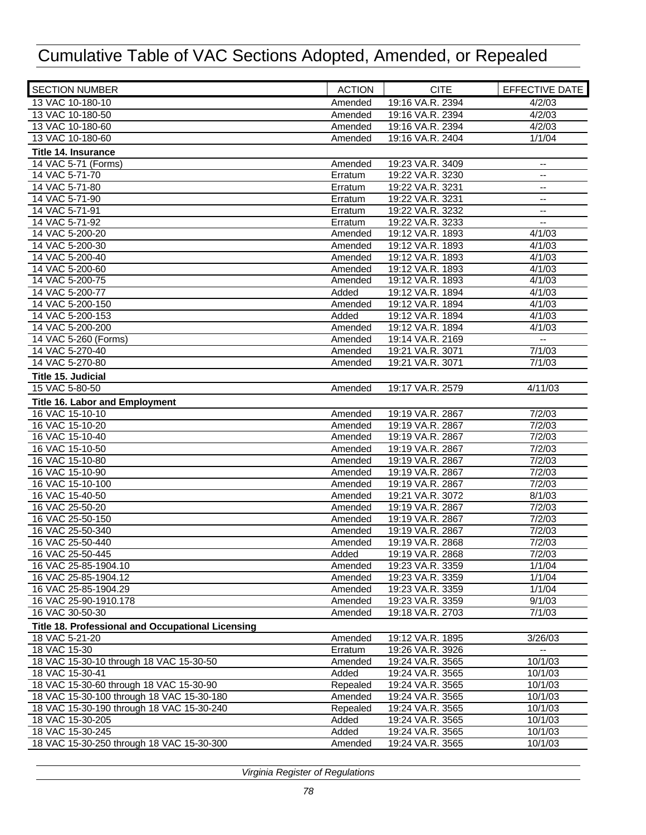| <b>SECTION NUMBER</b>                             | <b>ACTION</b> | <b>CITE</b>      | EFFECTIVE DATE                                |
|---------------------------------------------------|---------------|------------------|-----------------------------------------------|
| 13 VAC 10-180-10                                  | Amended       | 19:16 VA.R. 2394 | 4/2/03                                        |
| 13 VAC 10-180-50                                  | Amended       | 19:16 VA.R. 2394 | 4/2/03                                        |
| 13 VAC 10-180-60                                  | Amended       | 19:16 VA.R. 2394 | 4/2/03                                        |
| 13 VAC 10-180-60                                  | Amended       | 19:16 VA.R. 2404 | 1/1/04                                        |
| <b>Title 14. Insurance</b>                        |               |                  |                                               |
| 14 VAC 5-71 (Forms)                               | Amended       | 19:23 VA.R. 3409 | $\overline{\phantom{a}}$                      |
| 14 VAC 5-71-70                                    | Erratum       | 19:22 VA.R. 3230 | --                                            |
| 14 VAC 5-71-80                                    | Erratum       | 19:22 VA.R. 3231 | --                                            |
| 14 VAC 5-71-90                                    | Erratum       | 19:22 VA.R. 3231 | $-$                                           |
| 14 VAC 5-71-91                                    | Erratum       | 19:22 VA.R. 3232 | --                                            |
| 14 VAC 5-71-92                                    | Erratum       | 19:22 VA.R. 3233 | $\overline{\phantom{a}}$                      |
| 14 VAC 5-200-20                                   | Amended       | 19:12 VA.R. 1893 | 4/1/03                                        |
| 14 VAC 5-200-30                                   | Amended       | 19:12 VA.R. 1893 | 4/1/03                                        |
| 14 VAC 5-200-40                                   | Amended       | 19:12 VA.R. 1893 | 4/1/03                                        |
| 14 VAC 5-200-60                                   | Amended       | 19:12 VA.R. 1893 | 4/1/03                                        |
| 14 VAC 5-200-75                                   | Amended       | 19:12 VA.R. 1893 | 4/1/03                                        |
| 14 VAC 5-200-77                                   | Added         | 19:12 VA.R. 1894 | 4/1/03                                        |
| 14 VAC 5-200-150                                  | Amended       | 19:12 VA.R. 1894 | 4/1/03                                        |
| 14 VAC 5-200-153                                  | Added         | 19:12 VA.R. 1894 | 4/1/03                                        |
| 14 VAC 5-200-200                                  | Amended       | 19:12 VA.R. 1894 | 4/1/03                                        |
| 14 VAC 5-260 (Forms)                              | Amended       | 19:14 VA.R. 2169 | $\mathord{\hspace{1pt}\text{--}\hspace{1pt}}$ |
| 14 VAC 5-270-40                                   | Amended       | 19:21 VA.R. 3071 | 7/1/03                                        |
| 14 VAC 5-270-80                                   | Amended       | 19:21 VA.R. 3071 | 7/1/03                                        |
| Title 15. Judicial                                |               |                  |                                               |
| 15 VAC 5-80-50                                    | Amended       | 19:17 VA.R. 2579 | 4/11/03                                       |
| <b>Title 16. Labor and Employment</b>             |               |                  |                                               |
| 16 VAC 15-10-10                                   | Amended       | 19:19 VA.R. 2867 | 7/2/03                                        |
| 16 VAC 15-10-20                                   | Amended       | 19:19 VA.R. 2867 | 7/2/03                                        |
| 16 VAC 15-10-40                                   | Amended       | 19:19 VA.R. 2867 | 7/2/03                                        |
| 16 VAC 15-10-50                                   | Amended       | 19:19 VA.R. 2867 | 7/2/03                                        |
| 16 VAC 15-10-80                                   | Amended       | 19:19 VA.R. 2867 | 7/2/03                                        |
| 16 VAC 15-10-90                                   | Amended       | 19:19 VA.R. 2867 | 7/2/03                                        |
| 16 VAC 15-10-100                                  | Amended       | 19:19 VA.R. 2867 | 7/2/03                                        |
| 16 VAC 15-40-50                                   | Amended       | 19:21 VA.R. 3072 | 8/1/03                                        |
| 16 VAC 25-50-20                                   | Amended       | 19:19 VA.R. 2867 | 7/2/03                                        |
| 16 VAC 25-50-150                                  | Amended       | 19:19 VA.R. 2867 | 7/2/03                                        |
| 16 VAC 25-50-340                                  | Amended       | 19:19 VA.R. 2867 | 7/2/03                                        |
| 16 VAC 25-50-440                                  | Amended       | 19:19 VA.R. 2868 | 7/2/03                                        |
| 16 VAC 25-50-445                                  | Added         | 19:19 VA.R. 2868 | 7/2/03                                        |
| 16 VAC 25-85-1904.10                              | Amended       | 19:23 VA.R. 3359 | 1/1/04                                        |
| 16 VAC 25-85-1904.12                              | Amended       | 19:23 VA.R. 3359 | 1/1/04                                        |
| 16 VAC 25-85-1904.29                              | Amended       | 19:23 VA.R. 3359 | 1/1/04                                        |
| 16 VAC 25-90-1910.178                             | Amended       | 19:23 VA.R. 3359 | 9/1/03                                        |
| 16 VAC 30-50-30                                   | Amended       | 19:18 VA.R. 2703 | 7/1/03                                        |
| Title 18. Professional and Occupational Licensing |               |                  |                                               |
| 18 VAC 5-21-20                                    | Amended       | 19:12 VA.R. 1895 | 3/26/03                                       |
| 18 VAC 15-30                                      | Erratum       | 19:26 VA.R. 3926 |                                               |
| 18 VAC 15-30-10 through 18 VAC 15-30-50           | Amended       | 19:24 VA.R. 3565 | 10/1/03                                       |
| 18 VAC 15-30-41                                   | Added         | 19:24 VA.R. 3565 | 10/1/03                                       |
| 18 VAC 15-30-60 through 18 VAC 15-30-90           | Repealed      | 19:24 VA.R. 3565 | 10/1/03                                       |
| 18 VAC 15-30-100 through 18 VAC 15-30-180         | Amended       | 19:24 VA.R. 3565 | 10/1/03                                       |
| 18 VAC 15-30-190 through 18 VAC 15-30-240         | Repealed      | 19:24 VA.R. 3565 | 10/1/03                                       |
| 18 VAC 15-30-205                                  | Added         | 19:24 VA.R. 3565 | 10/1/03                                       |
| 18 VAC 15-30-245                                  | Added         | 19:24 VA.R. 3565 | 10/1/03                                       |
| 18 VAC 15-30-250 through 18 VAC 15-30-300         | Amended       | 19:24 VA.R. 3565 | 10/1/03                                       |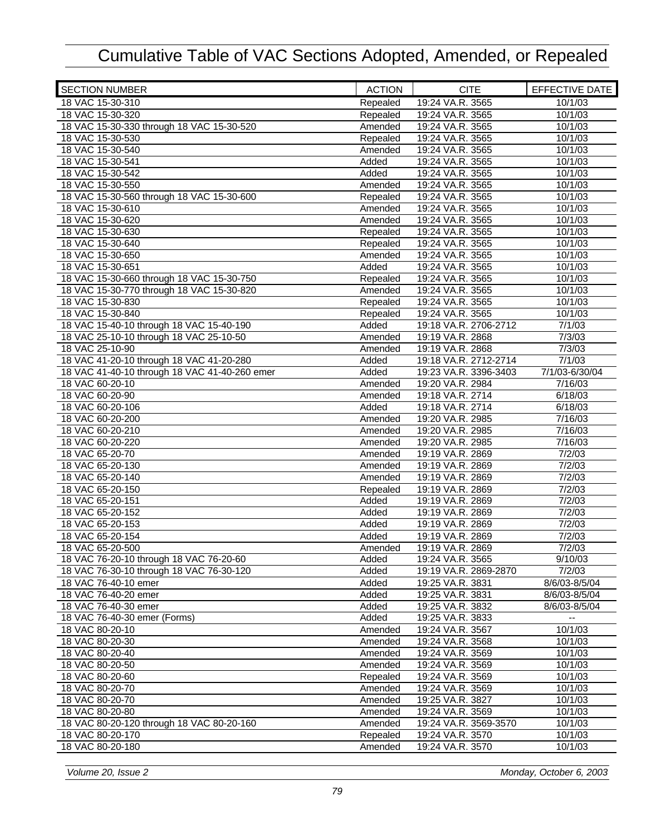| <b>SECTION NUMBER</b>                         | <b>ACTION</b> | <b>CITE</b>           | EFFECTIVE DATE |
|-----------------------------------------------|---------------|-----------------------|----------------|
| 18 VAC 15-30-310                              | Repealed      | 19:24 VA.R. 3565      | 10/1/03        |
| 18 VAC 15-30-320                              | Repealed      | 19:24 VA.R. 3565      | 10/1/03        |
| 18 VAC 15-30-330 through 18 VAC 15-30-520     | Amended       | 19:24 VA.R. 3565      | 10/1/03        |
| 18 VAC 15-30-530                              | Repealed      | 19:24 VA.R. 3565      | 10/1/03        |
| 18 VAC 15-30-540                              | Amended       | 19:24 VA.R. 3565      | 10/1/03        |
| 18 VAC 15-30-541                              | Added         | 19:24 VA.R. 3565      | 10/1/03        |
| 18 VAC 15-30-542                              | Added         | 19:24 VA.R. 3565      | 10/1/03        |
| 18 VAC 15-30-550                              | Amended       | 19:24 VA.R. 3565      | 10/1/03        |
| 18 VAC 15-30-560 through 18 VAC 15-30-600     | Repealed      | 19:24 VA.R. 3565      | 10/1/03        |
| 18 VAC 15-30-610                              | Amended       | 19:24 VA.R. 3565      | 10/1/03        |
| 18 VAC 15-30-620                              | Amended       | 19:24 VA.R. 3565      | 10/1/03        |
| 18 VAC 15-30-630                              | Repealed      | 19:24 VA.R. 3565      | 10/1/03        |
| 18 VAC 15-30-640                              | Repealed      | 19:24 VA.R. 3565      | 10/1/03        |
| 18 VAC 15-30-650                              | Amended       | 19:24 VA.R. 3565      | 10/1/03        |
| 18 VAC 15-30-651                              | Added         | 19:24 VA.R. 3565      | 10/1/03        |
| 18 VAC 15-30-660 through 18 VAC 15-30-750     | Repealed      | 19:24 VA.R. 3565      | 10/1/03        |
| 18 VAC 15-30-770 through 18 VAC 15-30-820     | Amended       | 19:24 VA.R. 3565      | 10/1/03        |
| 18 VAC 15-30-830                              | Repealed      | 19:24 VA.R. 3565      | 10/1/03        |
| 18 VAC 15-30-840                              | Repealed      | 19:24 VA.R. 3565      | 10/1/03        |
| 18 VAC 15-40-10 through 18 VAC 15-40-190      | Added         | 19:18 VA.R. 2706-2712 | 7/1/03         |
| 18 VAC 25-10-10 through 18 VAC 25-10-50       | Amended       | 19:19 VA.R. 2868      | 7/3/03         |
| 18 VAC 25-10-90                               | Amended       | 19:19 VA.R. 2868      | 7/3/03         |
| 18 VAC 41-20-10 through 18 VAC 41-20-280      | Added         | 19:18 VA.R. 2712-2714 | 7/1/03         |
| 18 VAC 41-40-10 through 18 VAC 41-40-260 emer | Added         | 19:23 VA.R. 3396-3403 | 7/1/03-6/30/04 |
| 18 VAC 60-20-10                               | Amended       | 19:20 VA.R. 2984      | 7/16/03        |
| 18 VAC 60-20-90                               | Amended       | 19:18 VA.R. 2714      | 6/18/03        |
| 18 VAC 60-20-106                              | Added         | 19:18 VA.R. 2714      | 6/18/03        |
| 18 VAC 60-20-200                              | Amended       | 19:20 VA.R. 2985      | 7/16/03        |
| 18 VAC 60-20-210                              | Amended       | 19:20 VA.R. 2985      | 7/16/03        |
| 18 VAC 60-20-220                              | Amended       | 19:20 VA.R. 2985      | 7/16/03        |
| 18 VAC 65-20-70                               | Amended       | 19:19 VA.R. 2869      | 7/2/03         |
| 18 VAC 65-20-130                              | Amended       | 19:19 VA.R. 2869      | 7/2/03         |
| 18 VAC 65-20-140                              | Amended       | 19:19 VA.R. 2869      | 7/2/03         |
| 18 VAC 65-20-150                              | Repealed      | 19:19 VA.R. 2869      | 7/2/03         |
| 18 VAC 65-20-151                              | Added         | 19:19 VA.R. 2869      | 7/2/03         |
| 18 VAC 65-20-152                              | Added         | 19:19 VA.R. 2869      | 7/2/03         |
| 18 VAC 65-20-153                              | Added         | 19:19 VA.R. 2869      | 7/2/03         |
| 18 VAC 65-20-154                              | Added         | 19:19 VA.R. 2869      | 7/2/03         |
| 18 VAC 65-20-500                              | Amended       | 19:19 VA.R. 2869      | 7/2/03         |
| 18 VAC 76-20-10 through 18 VAC 76-20-60       | Added         | 19:24 VA.R. 3565      | 9/10/03        |
| 18 VAC 76-30-10 through 18 VAC 76-30-120      | Added         | 19:19 VA.R. 2869-2870 | 7/2/03         |
| 18 VAC 76-40-10 emer                          | Added         | 19:25 VA.R. 3831      | 8/6/03-8/5/04  |
| 18 VAC 76-40-20 emer                          | Added         | 19:25 VA.R. 3831      | 8/6/03-8/5/04  |
| 18 VAC 76-40-30 emer                          | Added         | 19:25 VA.R. 3832      | 8/6/03-8/5/04  |
| 18 VAC 76-40-30 emer (Forms)                  | Added         | 19:25 VA.R. 3833      |                |
| 18 VAC 80-20-10                               | Amended       | 19:24 VA.R. 3567      | 10/1/03        |
| 18 VAC 80-20-30                               | Amended       | 19:24 VA.R. 3568      | 10/1/03        |
| 18 VAC 80-20-40                               | Amended       | 19:24 VA.R. 3569      | 10/1/03        |
| 18 VAC 80-20-50                               | Amended       | 19:24 VA.R. 3569      | 10/1/03        |
| 18 VAC 80-20-60                               | Repealed      | 19:24 VA.R. 3569      | 10/1/03        |
| 18 VAC 80-20-70                               | Amended       | 19:24 VA.R. 3569      | 10/1/03        |
| 18 VAC 80-20-70                               | Amended       | 19:25 VA.R. 3827      | 10/1/03        |
| 18 VAC 80-20-80                               | Amended       | 19:24 VA.R. 3569      | 10/1/03        |
| 18 VAC 80-20-120 through 18 VAC 80-20-160     | Amended       | 19:24 VA.R. 3569-3570 | 10/1/03        |
| 18 VAC 80-20-170                              | Repealed      | 19:24 VA.R. 3570      | 10/1/03        |
| 18 VAC 80-20-180                              | Amended       | 19:24 VA.R. 3570      | 10/1/03        |
|                                               |               |                       |                |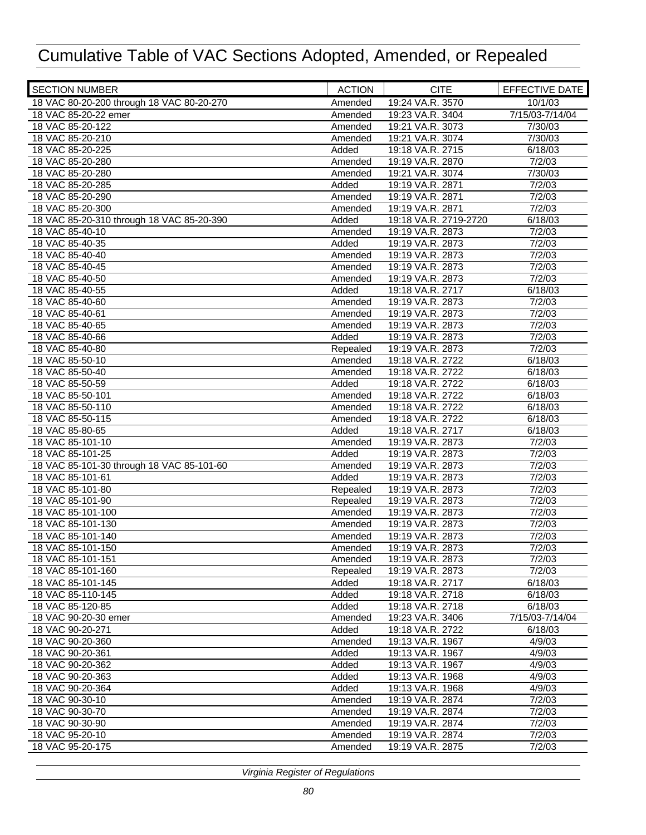| <b>SECTION NUMBER</b>                     | <b>ACTION</b> | <b>CITE</b>           | <b>EFFECTIVE DATE</b> |
|-------------------------------------------|---------------|-----------------------|-----------------------|
| 18 VAC 80-20-200 through 18 VAC 80-20-270 | Amended       | 19:24 VA.R. 3570      | 10/1/03               |
| 18 VAC 85-20-22 emer                      | Amended       | 19:23 VA.R. 3404      | 7/15/03-7/14/04       |
| 18 VAC 85-20-122                          | Amended       | 19:21 VA.R. 3073      | 7/30/03               |
| 18 VAC 85-20-210                          | Amended       | 19:21 VA.R. 3074      | 7/30/03               |
| 18 VAC 85-20-225                          | Added         | 19:18 VA.R. 2715      | 6/18/03               |
| 18 VAC 85-20-280                          | Amended       | 19:19 VA.R. 2870      | 7/2/03                |
| 18 VAC 85-20-280                          | Amended       | 19:21 VA.R. 3074      | 7/30/03               |
| 18 VAC 85-20-285                          | Added         | 19:19 VA.R. 2871      | 7/2/03                |
| 18 VAC 85-20-290                          | Amended       | 19:19 VA.R. 2871      | 7/2/03                |
| 18 VAC 85-20-300                          | Amended       | 19:19 VA.R. 2871      | 7/2/03                |
| 18 VAC 85-20-310 through 18 VAC 85-20-390 | Added         | 19:18 VA.R. 2719-2720 | 6/18/03               |
| 18 VAC 85-40-10                           | Amended       | 19:19 VA.R. 2873      | 7/2/03                |
| 18 VAC 85-40-35                           | Added         | 19:19 VA.R. 2873      | 7/2/03                |
| 18 VAC 85-40-40                           | Amended       | 19:19 VA.R. 2873      | 7/2/03                |
| 18 VAC 85-40-45                           | Amended       | 19:19 VA.R. 2873      | 7/2/03                |
| 18 VAC 85-40-50                           | Amended       | 19:19 VA.R. 2873      | 7/2/03                |
| 18 VAC 85-40-55                           | Added         | 19:18 VA.R. 2717      | 6/18/03               |
| 18 VAC 85-40-60                           | Amended       | 19:19 VA.R. 2873      | 7/2/03                |
| 18 VAC 85-40-61                           | Amended       | 19:19 VA.R. 2873      | 7/2/03                |
| 18 VAC 85-40-65                           | Amended       | 19:19 VA.R. 2873      | 7/2/03                |
| 18 VAC 85-40-66                           | Added         | 19:19 VA.R. 2873      | 7/2/03                |
| 18 VAC 85-40-80                           | Repealed      | 19:19 VA.R. 2873      | 7/2/03                |
| 18 VAC 85-50-10                           | Amended       | 19:18 VA.R. 2722      | 6/18/03               |
| 18 VAC 85-50-40                           | Amended       | 19:18 VA.R. 2722      | 6/18/03               |
| 18 VAC 85-50-59                           | Added         | 19:18 VA.R. 2722      | 6/18/03               |
| 18 VAC 85-50-101                          | Amended       | 19:18 VA.R. 2722      | 6/18/03               |
| 18 VAC 85-50-110                          | Amended       | 19:18 VA.R. 2722      | 6/18/03               |
| 18 VAC 85-50-115                          | Amended       | 19:18 VA.R. 2722      | 6/18/03               |
| 18 VAC 85-80-65                           | Added         | 19:18 VA.R. 2717      | 6/18/03               |
| 18 VAC 85-101-10                          | Amended       | 19:19 VA.R. 2873      | 7/2/03                |
| 18 VAC 85-101-25                          | Added         | 19:19 VA.R. 2873      | 7/2/03                |
| 18 VAC 85-101-30 through 18 VAC 85-101-60 | Amended       | 19:19 VA.R. 2873      | 7/2/03                |
| 18 VAC 85-101-61                          | Added         | 19:19 VA.R. 2873      | 7/2/03                |
| 18 VAC 85-101-80                          | Repealed      | 19:19 VA.R. 2873      | 7/2/03                |
| 18 VAC 85-101-90                          | Repealed      | 19:19 VA.R. 2873      | 7/2/03                |
| 18 VAC 85-101-100                         | Amended       | 19:19 VA.R. 2873      | 7/2/03                |
| 18 VAC 85-101-130                         | Amended       | 19:19 VA.R. 2873      | 7/2/03                |
| 18 VAC 85-101-140                         | Amended       | 19:19 VA.R. 2873      | 7/2/03                |
| 18 VAC 85-101-150                         | Amended       | 19:19 VA.R. 2873      | 7/2/03                |
| 18 VAC 85-101-151                         | Amended       | 19:19 VA.R. 2873      | 7/2/03                |
| 18 VAC 85-101-160                         | Repealed      | 19:19 VA.R. 2873      | 7/2/03                |
| 18 VAC 85-101-145                         | Added         | 19:18 VA.R. 2717      | 6/18/03               |
| 18 VAC 85-110-145                         | Added         | 19:18 VA.R. 2718      | 6/18/03               |
| 18 VAC 85-120-85                          | Added         | 19:18 VA.R. 2718      | 6/18/03               |
| 18 VAC 90-20-30 emer                      | Amended       | 19:23 VA.R. 3406      | 7/15/03-7/14/04       |
| 18 VAC 90-20-271                          | Added         | 19:18 VA.R. 2722      | 6/18/03               |
| 18 VAC 90-20-360                          | Amended       | 19:13 VA.R. 1967      | 4/9/03                |
| 18 VAC 90-20-361                          | Added         | 19:13 VA.R. 1967      | 4/9/03                |
| 18 VAC 90-20-362                          | Added         | 19:13 VA.R. 1967      | 4/9/03                |
| 18 VAC 90-20-363                          | Added         | 19:13 VA.R. 1968      | 4/9/03                |
| 18 VAC 90-20-364                          | Added         | 19:13 VA.R. 1968      | 4/9/03                |
| 18 VAC 90-30-10                           | Amended       | 19:19 VA.R. 2874      | 7/2/03                |
| 18 VAC 90-30-70                           | Amended       | 19:19 VA.R. 2874      | 7/2/03                |
| 18 VAC 90-30-90                           | Amended       | 19:19 VA.R. 2874      | 7/2/03                |
| 18 VAC 95-20-10                           | Amended       | 19:19 VA.R. 2874      | 7/2/03                |
| 18 VAC 95-20-175                          | Amended       | 19:19 VA.R. 2875      | 7/2/03                |
|                                           |               |                       |                       |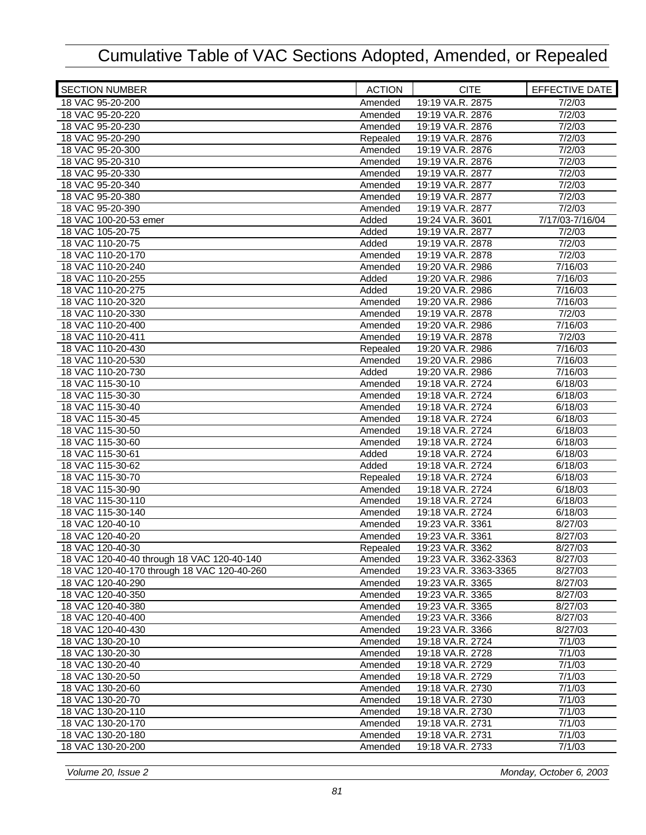| <b>SECTION NUMBER</b>                       | <b>ACTION</b> | <b>CITE</b>           | EFFECTIVE DATE  |
|---------------------------------------------|---------------|-----------------------|-----------------|
| 18 VAC 95-20-200                            | Amended       | 19:19 VA.R. 2875      | 7/2/03          |
| 18 VAC 95-20-220                            | Amended       | 19:19 VA.R. 2876      | 7/2/03          |
| 18 VAC 95-20-230                            | Amended       | 19:19 VA.R. 2876      | 7/2/03          |
| 18 VAC 95-20-290                            | Repealed      | 19:19 VA.R. 2876      | 7/2/03          |
| 18 VAC 95-20-300                            | Amended       | 19:19 VA.R. 2876      | 7/2/03          |
| 18 VAC 95-20-310                            | Amended       | 19:19 VA.R. 2876      | 7/2/03          |
| 18 VAC 95-20-330                            | Amended       | 19:19 VA.R. 2877      | 7/2/03          |
| 18 VAC 95-20-340                            | Amended       | 19:19 VA.R. 2877      | 7/2/03          |
| 18 VAC 95-20-380                            | Amended       | 19:19 VA.R. 2877      | 7/2/03          |
| 18 VAC 95-20-390                            | Amended       | 19:19 VA.R. 2877      | 7/2/03          |
| 18 VAC 100-20-53 emer                       | Added         | 19:24 VA.R. 3601      | 7/17/03-7/16/04 |
| 18 VAC 105-20-75                            | Added         | 19:19 VA.R. 2877      | 7/2/03          |
| 18 VAC 110-20-75                            | Added         | 19:19 VA.R. 2878      | 7/2/03          |
| 18 VAC 110-20-170                           | Amended       | 19:19 VA.R. 2878      | 7/2/03          |
| 18 VAC 110-20-240                           | Amended       | 19:20 VA.R. 2986      | 7/16/03         |
| 18 VAC 110-20-255                           | Added         | 19:20 VA.R. 2986      | 7/16/03         |
| 18 VAC 110-20-275                           | Added         | 19:20 VA.R. 2986      | 7/16/03         |
| 18 VAC 110-20-320                           | Amended       | 19:20 VA.R. 2986      | 7/16/03         |
| 18 VAC 110-20-330                           | Amended       | 19:19 VA.R. 2878      | 7/2/03          |
| 18 VAC 110-20-400                           | Amended       | 19:20 VA.R. 2986      | 7/16/03         |
| 18 VAC 110-20-411                           | Amended       | 19:19 VA.R. 2878      | 7/2/03          |
| 18 VAC 110-20-430                           | Repealed      | 19:20 VA.R. 2986      | 7/16/03         |
| 18 VAC 110-20-530                           | Amended       | 19:20 VA.R. 2986      | 7/16/03         |
| 18 VAC 110-20-730                           | Added         | 19:20 VA.R. 2986      | 7/16/03         |
| 18 VAC 115-30-10                            | Amended       | 19:18 VA.R. 2724      | 6/18/03         |
| 18 VAC 115-30-30                            | Amended       | 19:18 VA.R. 2724      | 6/18/03         |
| 18 VAC 115-30-40                            | Amended       | 19:18 VA.R. 2724      | 6/18/03         |
| 18 VAC 115-30-45                            | Amended       | 19:18 VA.R. 2724      | 6/18/03         |
| 18 VAC 115-30-50                            | Amended       | 19:18 VA.R. 2724      | 6/18/03         |
| 18 VAC 115-30-60                            | Amended       | 19:18 VA.R. 2724      | 6/18/03         |
| 18 VAC 115-30-61                            | Added         | 19:18 VA.R. 2724      | 6/18/03         |
| 18 VAC 115-30-62                            | Added         | 19:18 VA.R. 2724      | 6/18/03         |
| 18 VAC 115-30-70                            | Repealed      | 19:18 VA.R. 2724      | 6/18/03         |
| 18 VAC 115-30-90                            | Amended       | 19:18 VA.R. 2724      | 6/18/03         |
| 18 VAC 115-30-110                           | Amended       | 19:18 VA.R. 2724      | 6/18/03         |
| 18 VAC 115-30-140                           | Amended       | 19:18 VA.R. 2724      | 6/18/03         |
| 18 VAC 120-40-10                            | Amended       | 19:23 VA.R. 3361      | 8/27/03         |
| 18 VAC 120-40-20                            | Amended       | 19:23 VA.R. 3361      | 8/27/03         |
| 18 VAC 120-40-30                            | Repealed      | 19:23 VA.R. 3362      | 8/27/03         |
| 18 VAC 120-40-40 through 18 VAC 120-40-140  | Amended       | 19:23 VA.R. 3362-3363 | 8/27/03         |
| 18 VAC 120-40-170 through 18 VAC 120-40-260 | Amended       | 19:23 VA.R. 3363-3365 | 8/27/03         |
| 18 VAC 120-40-290                           | Amended       | 19:23 VA.R. 3365      | 8/27/03         |
| 18 VAC 120-40-350                           | Amended       | 19:23 VA.R. 3365      | 8/27/03         |
| 18 VAC 120-40-380                           | Amended       | 19:23 VA.R. 3365      | 8/27/03         |
| 18 VAC 120-40-400                           | Amended       | 19:23 VA.R. 3366      | 8/27/03         |
| 18 VAC 120-40-430                           | Amended       | 19:23 VA.R. 3366      | 8/27/03         |
| 18 VAC 130-20-10                            | Amended       | 19:18 VA.R. 2724      | 7/1/03          |
| 18 VAC 130-20-30                            | Amended       | 19:18 VA.R. 2728      | 7/1/03          |
| 18 VAC 130-20-40                            | Amended       | 19:18 VA.R. 2729      | 7/1/03          |
| 18 VAC 130-20-50                            | Amended       | 19:18 VA.R. 2729      | 7/1/03          |
| 18 VAC 130-20-60                            | Amended       | 19:18 VA.R. 2730      | 7/1/03          |
| 18 VAC 130-20-70                            | Amended       | 19:18 VA.R. 2730      | 7/1/03          |
| 18 VAC 130-20-110                           | Amended       | 19:18 VA.R. 2730      | 7/1/03          |
| 18 VAC 130-20-170                           | Amended       | 19:18 VA.R. 2731      | 7/1/03          |
| 18 VAC 130-20-180                           | Amended       | 19:18 VA.R. 2731      | 7/1/03          |
| 18 VAC 130-20-200                           | Amended       | 19:18 VA.R. 2733      | 7/1/03          |
|                                             |               |                       |                 |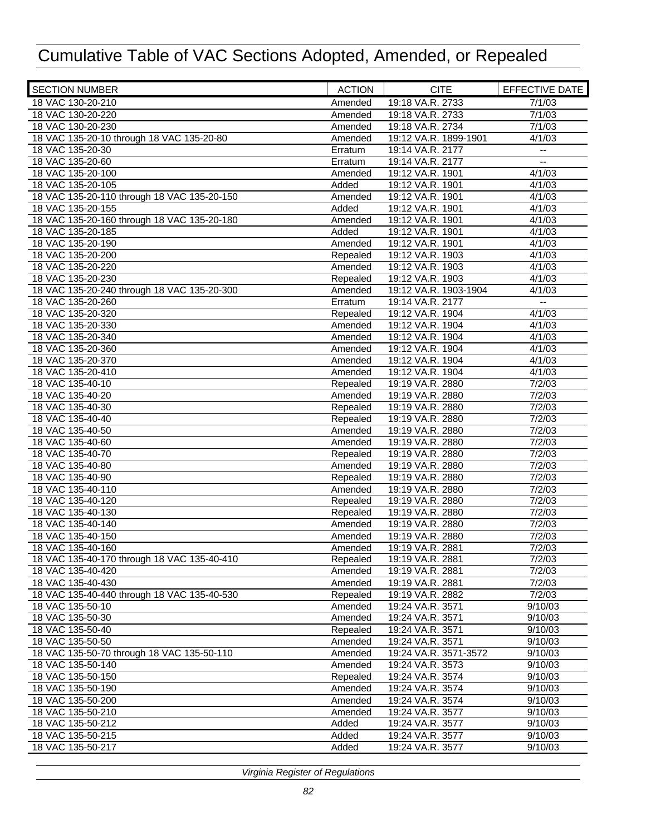| <b>SECTION NUMBER</b>                                           | <b>ACTION</b> | <b>CITE</b>                               | EFFECTIVE DATE           |
|-----------------------------------------------------------------|---------------|-------------------------------------------|--------------------------|
| 18 VAC 130-20-210                                               | Amended       | 19:18 VA.R. 2733                          | 7/1/03                   |
| 18 VAC 130-20-220                                               | Amended       | 19:18 VA.R. 2733                          | 7/1/03                   |
| 18 VAC 130-20-230                                               | Amended       | 19:18 VA.R. 2734                          | 7/1/03                   |
| 18 VAC 135-20-10 through 18 VAC 135-20-80                       | Amended       | 19:12 VA.R. 1899-1901                     | 4/1/03                   |
| 18 VAC 135-20-30                                                | Erratum       | 19:14 VA.R. 2177                          | ۰.                       |
| 18 VAC 135-20-60                                                | Erratum       | 19:14 VA.R. 2177                          | $\overline{\phantom{a}}$ |
| 18 VAC 135-20-100                                               | Amended       | 19:12 VA.R. 1901                          | 4/1/03                   |
| 18 VAC 135-20-105                                               | Added         | 19:12 VA.R. 1901                          | 4/1/03                   |
| 18 VAC 135-20-110 through 18 VAC 135-20-150                     | Amended       | 19:12 VA.R. 1901                          | 4/1/03                   |
| 18 VAC 135-20-155                                               | Added         | 19:12 VA.R. 1901                          | 4/1/03                   |
| 18 VAC 135-20-160 through 18 VAC 135-20-180                     | Amended       | 19:12 VA.R. 1901                          | 4/1/03                   |
| 18 VAC 135-20-185                                               | Added         | 19:12 VA.R. 1901                          | 4/1/03                   |
| 18 VAC 135-20-190                                               | Amended       | 19:12 VA.R. 1901                          | 4/1/03                   |
| 18 VAC 135-20-200                                               | Repealed      | 19:12 VA.R. 1903                          | 4/1/03                   |
| 18 VAC 135-20-220                                               | Amended       | 19:12 VA.R. 1903                          | 4/1/03                   |
| 18 VAC 135-20-230                                               | Repealed      | 19:12 VA.R. 1903                          | 4/1/03                   |
| 18 VAC 135-20-240 through 18 VAC 135-20-300                     | Amended       | 19:12 VA.R. 1903-1904                     | 4/1/03                   |
| 18 VAC 135-20-260                                               | Erratum       | 19:14 VA.R. 2177                          | $\overline{\phantom{a}}$ |
| 18 VAC 135-20-320                                               | Repealed      | 19:12 VA.R. 1904                          | 4/1/03                   |
| 18 VAC 135-20-330                                               | Amended       | 19:12 VA.R. 1904                          | 4/1/03                   |
| 18 VAC 135-20-340                                               | Amended       | 19:12 VA.R. 1904                          | 4/1/03                   |
| 18 VAC 135-20-360                                               | Amended       | 19:12 VA.R. 1904                          | 4/1/03                   |
| 18 VAC 135-20-370                                               | Amended       | 19:12 VA.R. 1904                          | 4/1/03                   |
| 18 VAC 135-20-410                                               | Amended       | 19:12 VA.R. 1904                          | 4/1/03                   |
| 18 VAC 135-40-10                                                | Repealed      | 19:19 VA.R. 2880                          | 7/2/03                   |
| 18 VAC 135-40-20                                                | Amended       | 19:19 VA.R. 2880                          | 7/2/03                   |
| 18 VAC 135-40-30                                                | Repealed      | 19:19 VA.R. 2880                          | 7/2/03                   |
| 18 VAC 135-40-40                                                | Repealed      | 19:19 VA.R. 2880                          | 7/2/03                   |
| 18 VAC 135-40-50                                                | Amended       | 19:19 VA.R. 2880                          | 7/2/03                   |
| 18 VAC 135-40-60                                                | Amended       | 19:19 VA.R. 2880                          | 7/2/03                   |
| 18 VAC 135-40-70                                                | Repealed      | 19:19 VA.R. 2880                          | 7/2/03                   |
| 18 VAC 135-40-80                                                | Amended       | 19:19 VA.R. 2880                          | 7/2/03                   |
| 18 VAC 135-40-90                                                | Repealed      | 19:19 VA.R. 2880                          | 7/2/03                   |
| 18 VAC 135-40-110                                               | Amended       | 19:19 VA.R. 2880                          | 7/2/03                   |
| 18 VAC 135-40-120                                               | Repealed      | 19:19 VA.R. 2880                          | 7/2/03                   |
| 18 VAC 135-40-130                                               | Repealed      | 19:19 VA.R. 2880                          | 7/2/03                   |
| 18 VAC 135-40-140                                               | Amended       | 19:19 VA.R. 2880                          | 7/2/03                   |
| 18 VAC 135-40-150                                               | Amended       | 19:19 VA.R. 2880                          | 7/2/03                   |
| 18 VAC 135-40-160                                               | Amended       | 19:19 VA.R. 2881                          | 7/2/03                   |
| 18 VAC 135-40-170 through 18 VAC 135-40-410                     | Repealed      | 19:19 VA.R. 2881                          | 7/2/03                   |
| 18 VAC 135-40-420                                               | Amended       | 19:19 VA.R. 2881                          | 7/2/03                   |
| 18 VAC 135-40-430                                               | Amended       | 19:19 VA.R. 2881                          | 7/2/03                   |
| 18 VAC 135-40-440 through 18 VAC 135-40-530                     | Repealed      | 19:19 VA.R. 2882                          | 7/2/03                   |
| 18 VAC 135-50-10                                                | Amended       | 19:24 VA.R. 3571                          | 9/10/03                  |
| 18 VAC 135-50-30                                                | Amended       | 19:24 VA.R. 3571                          | 9/10/03                  |
| 18 VAC 135-50-40                                                | Repealed      | 19:24 VA.R. 3571                          | 9/10/03                  |
| 18 VAC 135-50-50                                                | Amended       |                                           | 9/10/03                  |
|                                                                 |               | 19:24 VA.R. 3571<br>19:24 VA.R. 3571-3572 | 9/10/03                  |
| 18 VAC 135-50-70 through 18 VAC 135-50-110<br>18 VAC 135-50-140 | Amended       |                                           |                          |
| 18 VAC 135-50-150                                               | Amended       | 19:24 VA.R. 3573                          | 9/10/03                  |
|                                                                 | Repealed      | 19:24 VA.R. 3574                          | 9/10/03                  |
| 18 VAC 135-50-190                                               | Amended       | 19:24 VA.R. 3574                          | 9/10/03                  |
| 18 VAC 135-50-200                                               | Amended       | 19:24 VA.R. 3574                          | 9/10/03                  |
| 18 VAC 135-50-210                                               | Amended       | 19:24 VA.R. 3577                          | 9/10/03                  |
| 18 VAC 135-50-212                                               | Added         | 19:24 VA.R. 3577                          | 9/10/03                  |
| 18 VAC 135-50-215                                               | Added         | 19:24 VA.R. 3577                          | 9/10/03                  |
| 18 VAC 135-50-217                                               | Added         | 19:24 VA.R. 3577                          | 9/10/03                  |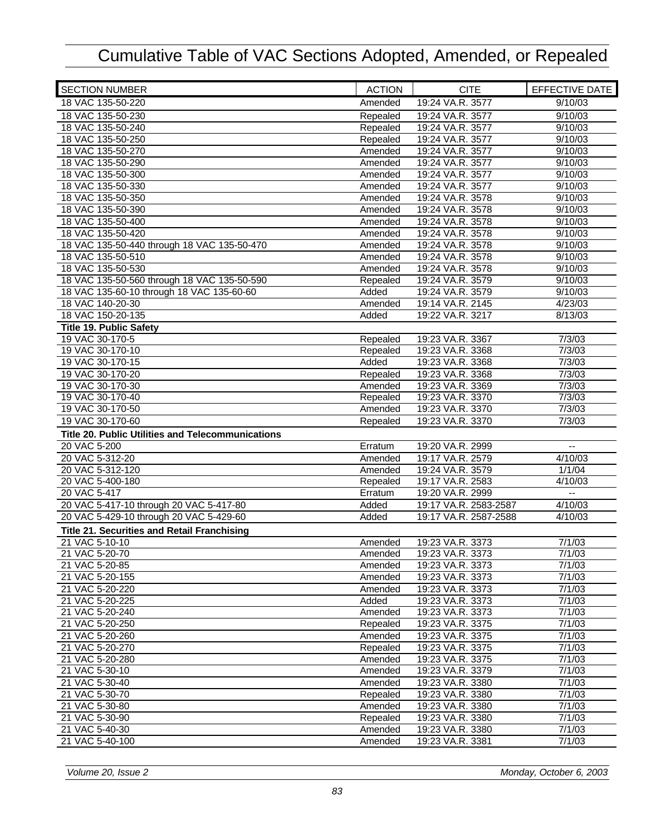| <b>SECTION NUMBER</b>                                    | <b>ACTION</b> | <b>CITE</b>           | EFFECTIVE DATE              |
|----------------------------------------------------------|---------------|-----------------------|-----------------------------|
| 18 VAC 135-50-220                                        | Amended       | 19:24 VA.R. 3577      | 9/10/03                     |
| 18 VAC 135-50-230                                        | Repealed      | 19:24 VA.R. 3577      | 9/10/03                     |
| 18 VAC 135-50-240                                        | Repealed      | 19:24 VA.R. 3577      | 9/10/03                     |
| 18 VAC 135-50-250                                        | Repealed      | 19:24 VA.R. 3577      | 9/10/03                     |
| 18 VAC 135-50-270                                        | Amended       | 19:24 VA.R. 3577      | 9/10/03                     |
| 18 VAC 135-50-290                                        | Amended       | 19:24 VA.R. 3577      | 9/10/03                     |
| 18 VAC 135-50-300                                        | Amended       | 19:24 VA.R. 3577      | 9/10/03                     |
| 18 VAC 135-50-330                                        | Amended       | 19:24 VA.R. 3577      | 9/10/03                     |
| 18 VAC 135-50-350                                        | Amended       | 19:24 VA.R. 3578      | 9/10/03                     |
| 18 VAC 135-50-390                                        | Amended       | 19:24 VA.R. 3578      | 9/10/03                     |
| 18 VAC 135-50-400                                        | Amended       | 19:24 VA.R. 3578      | 9/10/03                     |
| 18 VAC 135-50-420                                        | Amended       | 19:24 VA.R. 3578      | 9/10/03                     |
| 18 VAC 135-50-440 through 18 VAC 135-50-470              | Amended       | 19:24 VA.R. 3578      | 9/10/03                     |
| 18 VAC 135-50-510                                        | Amended       | 19:24 VA.R. 3578      | 9/10/03                     |
| 18 VAC 135-50-530                                        | Amended       | 19:24 VA.R. 3578      | 9/10/03                     |
| 18 VAC 135-50-560 through 18 VAC 135-50-590              | Repealed      | 19:24 VA.R. 3579      | 9/10/03                     |
| 18 VAC 135-60-10 through 18 VAC 135-60-60                | Added         | 19:24 VA.R. 3579      | 9/10/03                     |
| 18 VAC 140-20-30                                         | Amended       | 19:14 VA.R. 2145      | 4/23/03                     |
| 18 VAC 150-20-135                                        | Added         | 19:22 VA.R. 3217      | 8/13/03                     |
| <b>Title 19. Public Safety</b>                           |               |                       |                             |
| 19 VAC 30-170-5                                          | Repealed      | 19:23 VA.R. 3367      | 7/3/03                      |
| 19 VAC 30-170-10                                         | Repealed      | 19:23 VA.R. 3368      | 7/3/03                      |
| 19 VAC 30-170-15                                         | Added         | 19:23 VA.R. 3368      | 7/3/03                      |
| 19 VAC 30-170-20                                         | Repealed      | 19:23 VA.R. 3368      | 7/3/03                      |
| 19 VAC 30-170-30                                         | Amended       | 19:23 VA.R. 3369      | 7/3/03                      |
| 19 VAC 30-170-40                                         | Repealed      | 19:23 VA.R. 3370      | 7/3/03                      |
| 19 VAC 30-170-50                                         | Amended       | 19:23 VA.R. 3370      | 7/3/03                      |
| 19 VAC 30-170-60                                         | Repealed      | 19:23 VA.R. 3370      | 7/3/03                      |
| <b>Title 20. Public Utilities and Telecommunications</b> |               |                       |                             |
| 20 VAC 5-200                                             | Erratum       | 19:20 VA.R. 2999      | $\mathbf{u}$                |
| 20 VAC 5-312-20                                          | Amended       | 19:17 VA.R. 2579      | 4/10/03                     |
| 20 VAC 5-312-120                                         | Amended       | 19:24 VA.R. 3579      | 1/1/04                      |
| 20 VAC 5-400-180                                         | Repealed      | 19:17 VA.R. 2583      | 4/10/03                     |
| 20 VAC 5-417                                             | Erratum       | 19:20 VA.R. 2999      | $\mathcal{L}_{\mathcal{F}}$ |
| 20 VAC 5-417-10 through 20 VAC 5-417-80                  | Added         | 19:17 VA.R. 2583-2587 | 4/10/03                     |
| 20 VAC 5-429-10 through 20 VAC 5-429-60                  | Added         | 19:17 VA.R. 2587-2588 | 4/10/03                     |
| <b>Title 21. Securities and Retail Franchising</b>       |               |                       |                             |
| 21 VAC 5-10-10                                           | Amended       | 19:23 VA.R. 3373      | 7/1/03                      |
| 21 VAC 5-20-70                                           | Amended       | 19:23 VA.R. 3373      | 7/1/03                      |
| $\overline{21}$ VAC 5-20-85                              | Amended       | 19:23 VA.R. 3373      | 7/1/03                      |
| 21 VAC 5-20-155                                          | Amended       | 19:23 VA.R. 3373      | 7/1/03                      |
| 21 VAC 5-20-220                                          | Amended       | 19:23 VA.R. 3373      | 7/1/03                      |
| 21 VAC 5-20-225                                          | Added         | 19:23 VA.R. 3373      | 7/1/03                      |
| 21 VAC 5-20-240                                          | Amended       | 19:23 VA.R. 3373      | 7/1/03                      |
| 21 VAC 5-20-250                                          | Repealed      | 19:23 VA.R. 3375      | 7/1/03                      |
| 21 VAC 5-20-260                                          | Amended       | 19:23 VA.R. 3375      | 7/1/03                      |
| 21 VAC 5-20-270                                          | Repealed      | 19:23 VA.R. 3375      | 7/1/03                      |
| 21 VAC 5-20-280                                          | Amended       | 19:23 VA.R. 3375      | 7/1/03                      |
| 21 VAC 5-30-10                                           | Amended       | 19:23 VA.R. 3379      | 7/1/03                      |
| 21 VAC 5-30-40                                           | Amended       | 19:23 VA.R. 3380      | 7/1/03                      |
| 21 VAC 5-30-70                                           | Repealed      | 19:23 VA.R. 3380      | 7/1/03                      |
| 21 VAC 5-30-80                                           | Amended       | 19:23 VA.R. 3380      | 7/1/03                      |
| 21 VAC 5-30-90                                           | Repealed      | 19:23 VA.R. 3380      | 7/1/03                      |
| 21 VAC 5-40-30                                           | Amended       | 19:23 VA.R. 3380      | 7/1/03                      |
| 21 VAC 5-40-100                                          | Amended       | 19:23 VA.R. 3381      | 7/1/03                      |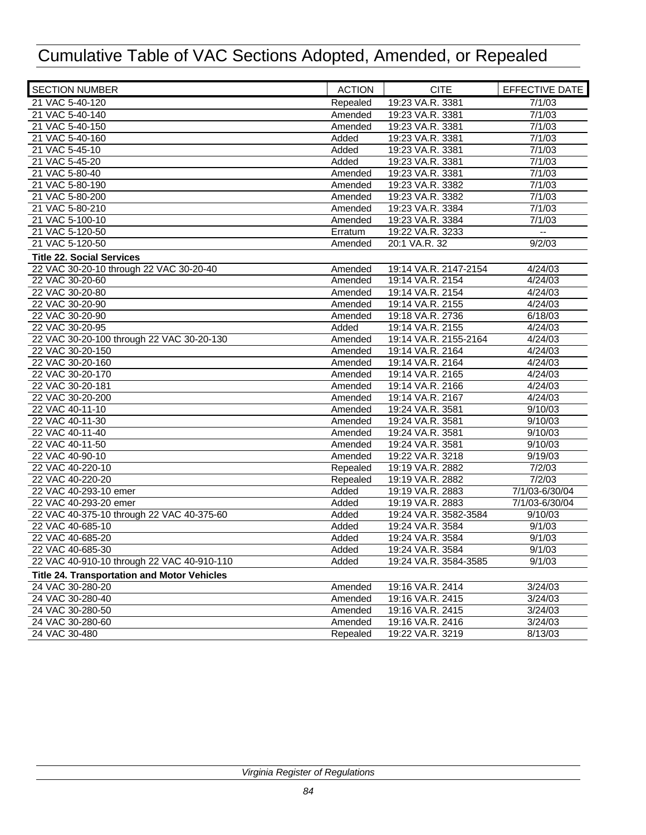| <b>SECTION NUMBER</b>                       | <b>ACTION</b> | <b>CITE</b>           | EFFECTIVE DATE      |
|---------------------------------------------|---------------|-----------------------|---------------------|
| 21 VAC 5-40-120                             | Repealed      | 19:23 VA.R. 3381      | 7/1/03              |
| 21 VAC 5-40-140                             | Amended       | 19:23 VA.R. 3381      | 7/1/03              |
| 21 VAC 5-40-150                             | Amended       | 19:23 VA.R. 3381      | 7/1/03              |
| 21 VAC 5-40-160                             | Added         | 19:23 VA.R. 3381      | 7/1/03              |
| 21 VAC 5-45-10                              | Added         | 19:23 VA.R. 3381      | 7/1/03              |
| 21 VAC 5-45-20                              | Added         | 19:23 VA.R. 3381      | 7/1/03              |
| 21 VAC 5-80-40                              | Amended       | 19:23 VA.R. 3381      | 7/1/03              |
| 21 VAC 5-80-190                             | Amended       | 19:23 VA.R. 3382      | 7/1/03              |
| 21 VAC 5-80-200                             | Amended       | 19:23 VA.R. 3382      | 7/1/03              |
| 21 VAC 5-80-210                             | Amended       | 19:23 VA.R. 3384      | 7/1/03              |
| 21 VAC 5-100-10                             | Amended       | 19:23 VA.R. 3384      | 7/1/03              |
| 21 VAC 5-120-50                             | Erratum       | 19:22 VA.R. 3233      |                     |
| 21 VAC 5-120-50                             | Amended       | 20:1 VA.R. 32         | $\overline{9}/2/03$ |
| <b>Title 22. Social Services</b>            |               |                       |                     |
| 22 VAC 30-20-10 through 22 VAC 30-20-40     | Amended       | 19:14 VA.R. 2147-2154 | 4/24/03             |
| 22 VAC 30-20-60                             | Amended       | 19:14 VA.R. 2154      | 4/24/03             |
| 22 VAC 30-20-80                             | Amended       | 19:14 VA.R. 2154      | 4/24/03             |
| 22 VAC 30-20-90                             | Amended       | 19:14 VA.R. 2155      | 4/24/03             |
| 22 VAC 30-20-90                             | Amended       | 19:18 VA.R. 2736      | 6/18/03             |
| 22 VAC 30-20-95                             | Added         | 19:14 VA.R. 2155      | 4/24/03             |
| 22 VAC 30-20-100 through 22 VAC 30-20-130   | Amended       | 19:14 VA.R. 2155-2164 | 4/24/03             |
| 22 VAC 30-20-150                            | Amended       | 19:14 VA.R. 2164      | 4/24/03             |
| 22 VAC 30-20-160                            | Amended       | 19:14 VA.R. 2164      | 4/24/03             |
| 22 VAC 30-20-170                            | Amended       | 19:14 VA.R. 2165      | 4/24/03             |
| 22 VAC 30-20-181                            | Amended       | 19:14 VA.R. 2166      | 4/24/03             |
| 22 VAC 30-20-200                            | Amended       | 19:14 VA.R. 2167      | 4/24/03             |
| 22 VAC 40-11-10                             | Amended       | 19:24 VA.R. 3581      | 9/10/03             |
| 22 VAC 40-11-30                             | Amended       | 19:24 VA.R. 3581      | 9/10/03             |
| 22 VAC 40-11-40                             | Amended       | 19:24 VA.R. 3581      | 9/10/03             |
| 22 VAC 40-11-50                             | Amended       | 19:24 VA.R. 3581      | 9/10/03             |
| 22 VAC 40-90-10                             | Amended       | 19:22 VA.R. 3218      | 9/19/03             |
| 22 VAC 40-220-10                            | Repealed      | 19:19 VA.R. 2882      | 7/2/03              |
| 22 VAC 40-220-20                            | Repealed      | 19:19 VA.R. 2882      | 7/2/03              |
| 22 VAC 40-293-10 emer                       | Added         | 19:19 VA.R. 2883      | 7/1/03-6/30/04      |
| 22 VAC 40-293-20 emer                       | Added         | 19:19 VA.R. 2883      | 7/1/03-6/30/04      |
| 22 VAC 40-375-10 through 22 VAC 40-375-60   | Added         | 19:24 VA.R. 3582-3584 | 9/10/03             |
| 22 VAC 40-685-10                            | Added         | 19:24 VA.R. 3584      | 9/1/03              |
| 22 VAC 40-685-20                            | Added         | 19:24 VA.R. 3584      | 9/1/03              |
| 22 VAC 40-685-30                            | Added         | 19:24 VA.R. 3584      | 9/1/03              |
| 22 VAC 40-910-10 through 22 VAC 40-910-110  | Added         | 19:24 VA.R. 3584-3585 | 9/1/03              |
| Title 24. Transportation and Motor Vehicles |               |                       |                     |
| 24 VAC 30-280-20                            | Amended       | 19:16 VA.R. 2414      | 3/24/03             |
| 24 VAC 30-280-40                            | Amended       | 19:16 VA.R. 2415      | 3/24/03             |
| 24 VAC 30-280-50                            | Amended       | 19:16 VA.R. 2415      | 3/24/03             |
| 24 VAC 30-280-60                            | Amended       | 19:16 VA.R. 2416      | 3/24/03             |
| 24 VAC 30-480                               | Repealed      | 19:22 VA.R. 3219      | 8/13/03             |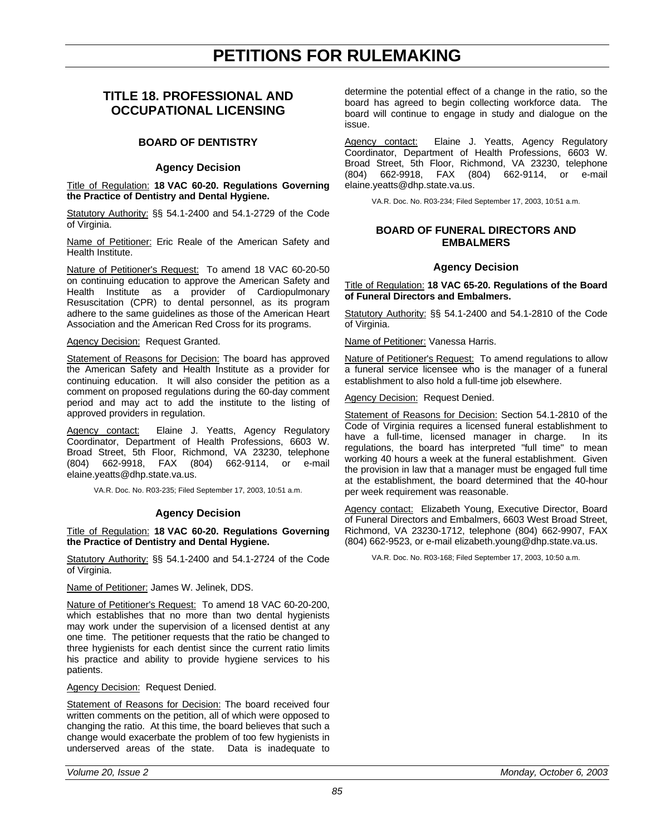## **PETITIONS FOR RULEMAKING**

### <span id="page-20-0"></span>**TITLE 18. PROFESSIONAL AND OCCUPATIONAL LICENSING**

#### **BOARD OF DENTISTRY**

#### **Agency Decision**

Title of Regulation: **18 VAC 60-20. Regulations Governing the Practice of Dentistry and Dental Hygiene.**

Statutory Authority: §§ 54.1-2400 and 54.1-2729 of the Code of Virginia.

Name of Petitioner: Eric Reale of the American Safety and Health Institute.

Nature of Petitioner's Request: To amend 18 VAC 60-20-50 on continuing education to approve the American Safety and Health Institute as a provider of Cardiopulmonary Resuscitation (CPR) to dental personnel, as its program adhere to the same guidelines as those of the American Heart Association and the American Red Cross for its programs.

#### Agency Decision: Request Granted.

Statement of Reasons for Decision: The board has approved the American Safety and Health Institute as a provider for continuing education. It will also consider the petition as a comment on proposed regulations during the 60-day comment period and may act to add the institute to the listing of approved providers in regulation.

Agency contact: Elaine J. Yeatts, Agency Regulatory Coordinator, Department of Health Professions, 6603 W. Broad Street, 5th Floor, Richmond, VA 23230, telephone<br>(804) 662-9918, FAX (804) 662-9114, or e-mail (804) 662-9918, FAX (804) 662-9114, or e-mail elaine.yeatts@dhp.state.va.us.

VA.R. Doc. No. R03-235; Filed September 17, 2003, 10:51 a.m.

#### **Agency Decision**

#### Title of Regulation: **18 VAC 60-20. Regulations Governing the Practice of Dentistry and Dental Hygiene.**

Statutory Authority: §§ 54.1-2400 and 54.1-2724 of the Code of Virginia.

Name of Petitioner: James W. Jelinek, DDS.

Nature of Petitioner's Request: To amend 18 VAC 60-20-200, which establishes that no more than two dental hygienists may work under the supervision of a licensed dentist at any one time. The petitioner requests that the ratio be changed to three hygienists for each dentist since the current ratio limits his practice and ability to provide hygiene services to his patients.

Agency Decision: Request Denied.

Statement of Reasons for Decision: The board received four written comments on the petition, all of which were opposed to changing the ratio. At this time, the board believes that such a change would exacerbate the problem of too few hygienists in underserved areas of the state. Data is inadequate to

determine the potential effect of a change in the ratio, so the board has agreed to begin collecting workforce data. The board will continue to engage in study and dialogue on the issue.

Agency contact: Elaine J. Yeatts, Agency Regulatory Coordinator, Department of Health Professions, 6603 W. Broad Street, 5th Floor, Richmond, VA 23230, telephone (804) 662-9918, FAX (804) 662-9114, or e-mail elaine.yeatts@dhp.state.va.us.

VA.R. Doc. No. R03-234; Filed September 17, 2003, 10:51 a.m.

#### **BOARD OF FUNERAL DIRECTORS AND EMBALMERS**

#### **Agency Decision**

Title of Regulation: **18 VAC 65-20. Regulations of the Board of Funeral Directors and Embalmers.**

Statutory Authority: §§ 54.1-2400 and 54.1-2810 of the Code of Virginia.

Name of Petitioner: Vanessa Harris.

Nature of Petitioner's Request: To amend regulations to allow a funeral service licensee who is the manager of a funeral establishment to also hold a full-time job elsewhere.

Agency Decision: Request Denied.

Statement of Reasons for Decision: Section 54.1-2810 of the Code of Virginia requires a licensed funeral establishment to have a full-time, licensed manager in charge. In its regulations, the board has interpreted "full time" to mean working 40 hours a week at the funeral establishment. Given the provision in law that a manager must be engaged full time at the establishment, the board determined that the 40-hour per week requirement was reasonable.

Agency contact: Elizabeth Young, Executive Director, Board of Funeral Directors and Embalmers, 6603 West Broad Street, Richmond, VA 23230-1712, telephone (804) 662-9907, FAX (804) 662-9523, or e-mail elizabeth.young@dhp.state.va.us.

VA.R. Doc. No. R03-168; Filed September 17, 2003, 10:50 a.m.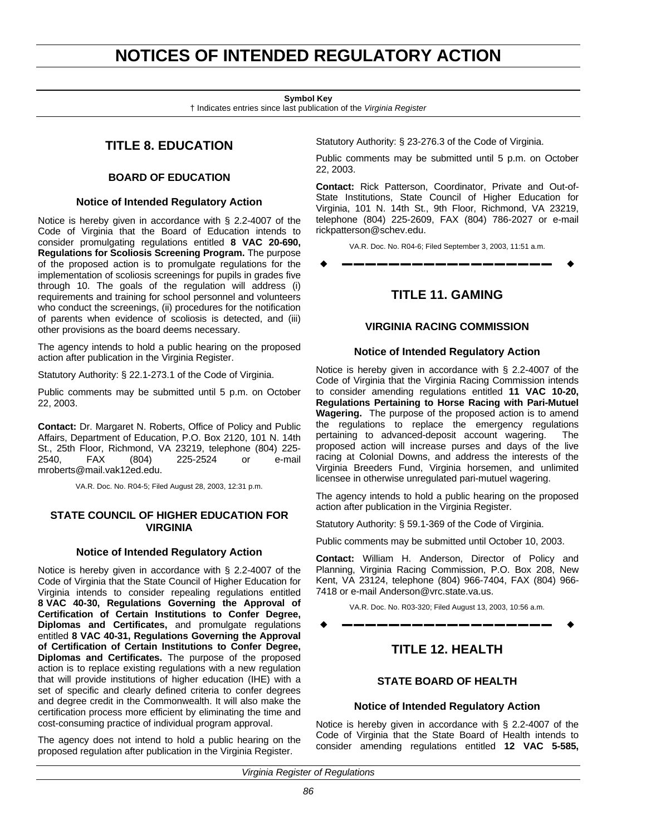## <span id="page-21-0"></span>**NOTICES OF INTENDED REGULATORY ACTION**

#### **Symbol Key**

† Indicates entries since last publication of the *Virginia Register*

### **TITLE 8. EDUCATION**

#### **BOARD OF EDUCATION**

#### **Notice of Intended Regulatory Action**

Notice is hereby given in accordance with § 2.2-4007 of the Code of Virginia that the Board of Education intends to consider promulgating regulations entitled **8 VAC 20-690, Regulations for Scoliosis Screening Program.** The purpose of the proposed action is to promulgate regulations for the implementation of scoliosis screenings for pupils in grades five through 10. The goals of the regulation will address (i) requirements and training for school personnel and volunteers who conduct the screenings, (ii) procedures for the notification of parents when evidence of scoliosis is detected, and (iii) other provisions as the board deems necessary.

The agency intends to hold a public hearing on the proposed action after publication in the Virginia Register.

Statutory Authority: § 22.1-273.1 of the Code of Virginia.

Public comments may be submitted until 5 p.m. on October 22, 2003.

**Contact:** Dr. Margaret N. Roberts, Office of Policy and Public Affairs, Department of Education, P.O. Box 2120, 101 N. 14th St., 25th Floor, Richmond, VA 23219, telephone (804) 225- 2540, FAX (804) 225-2524 or e-mail mroberts@mail.vak12ed.edu.

VA.R. Doc. No. R04-5; Filed August 28, 2003, 12:31 p.m.

#### **STATE COUNCIL OF HIGHER EDUCATION FOR VIRGINIA**

#### **Notice of Intended Regulatory Action**

Notice is hereby given in accordance with § 2.2-4007 of the Code of Virginia that the State Council of Higher Education for Virginia intends to consider repealing regulations entitled **8 VAC 40-30, Regulations Governing the Approval of Certification of Certain Institutions to Confer Degree, Diplomas and Certificates,** and promulgate regulations entitled **8 VAC 40-31, Regulations Governing the Approval of Certification of Certain Institutions to Confer Degree, Diplomas and Certificates.** The purpose of the proposed action is to replace existing regulations with a new regulation that will provide institutions of higher education (IHE) with a set of specific and clearly defined criteria to confer degrees and degree credit in the Commonwealth. It will also make the certification process more efficient by eliminating the time and cost-consuming practice of individual program approval.

The agency does not intend to hold a public hearing on the proposed regulation after publication in the Virginia Register.

Statutory Authority: § 23-276.3 of the Code of Virginia.

Public comments may be submitted until 5 p.m. on October 22, 2003.

**Contact:** Rick Patterson, Coordinator, Private and Out-of-State Institutions, State Council of Higher Education for Virginia, 101 N. 14th St., 9th Floor, Richmond, VA 23219, telephone (804) 225-2609, FAX (804) 786-2027 or e-mail rickpatterson@schev.edu.

VA.R. Doc. No. R04-6; Filed September 3, 2003, 11:51 a.m.

w **––––––––––––––––––** w

### **TITLE 11. GAMING**

#### **VIRGINIA RACING COMMISSION**

#### **Notice of Intended Regulatory Action**

Notice is hereby given in accordance with § 2.2-4007 of the Code of Virginia that the Virginia Racing Commission intends to consider amending regulations entitled **11 VAC 10-20, Regulations Pertaining to Horse Racing with Pari-Mutuel Wagering.** The purpose of the proposed action is to amend the regulations to replace the emergency regulations pertaining to advanced-deposit account wagering. The proposed action will increase purses and days of the live racing at Colonial Downs, and address the interests of the Virginia Breeders Fund, Virginia horsemen, and unlimited licensee in otherwise unregulated pari-mutuel wagering.

The agency intends to hold a public hearing on the proposed action after publication in the Virginia Register.

Statutory Authority: § 59.1-369 of the Code of Virginia.

Public comments may be submitted until October 10, 2003.

**Contact:** William H. Anderson, Director of Policy and Planning, Virginia Racing Commission, P.O. Box 208, New Kent, VA 23124, telephone (804) 966-7404, FAX (804) 966- 7418 or e-mail Anderson@vrc.state.va.us.

VA.R. Doc. No. R03-320; Filed August 13, 2003, 10:56 a.m. w **––––––––––––––––––** w

### **TITLE 12. HEALTH**

#### **STATE BOARD OF HEALTH**

#### **Notice of Intended Regulatory Action**

Notice is hereby given in accordance with § 2.2-4007 of the Code of Virginia that the State Board of Health intends to consider amending regulations entitled **12 VAC 5-585,**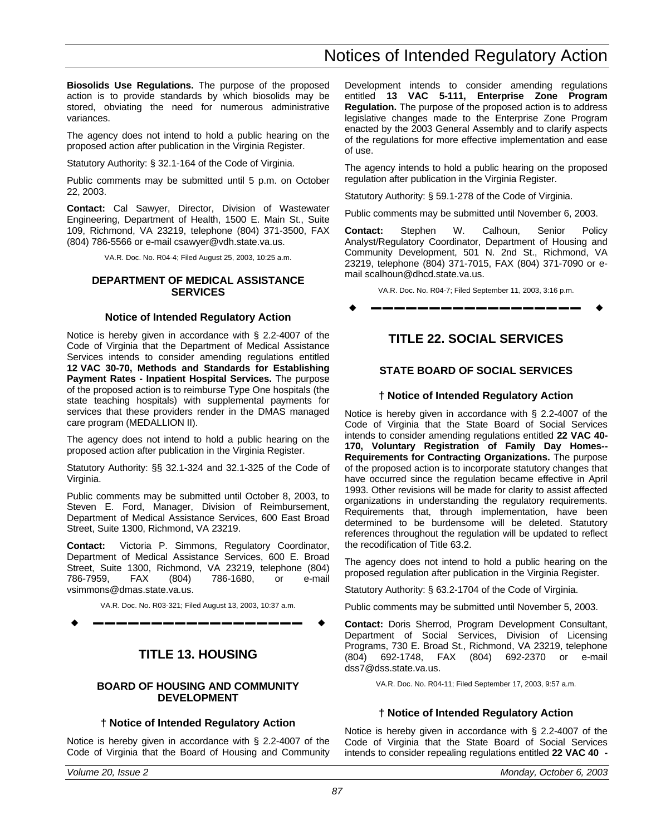## Notices of Intended Regulatory Action

<span id="page-22-0"></span>**Biosolids Use Regulations.** The purpose of the proposed action is to provide standards by which biosolids may be stored, obviating the need for numerous administrative variances.

The agency does not intend to hold a public hearing on the proposed action after publication in the Virginia Register.

Statutory Authority: § 32.1-164 of the Code of Virginia.

Public comments may be submitted until 5 p.m. on October 22, 2003.

**Contact:** Cal Sawyer, Director, Division of Wastewater Engineering, Department of Health, 1500 E. Main St., Suite 109, Richmond, VA 23219, telephone (804) 371-3500, FAX (804) 786-5566 or e-mail csawyer@vdh.state.va.us.

VA.R. Doc. No. R04-4; Filed August 25, 2003, 10:25 a.m.

#### **DEPARTMENT OF MEDICAL ASSISTANCE SERVICES**

#### **Notice of Intended Regulatory Action**

Notice is hereby given in accordance with § 2.2-4007 of the Code of Virginia that the Department of Medical Assistance Services intends to consider amending regulations entitled **12 VAC 30-70, Methods and Standards for Establishing Payment Rates - Inpatient Hospital Services.** The purpose of the proposed action is to reimburse Type One hospitals (the state teaching hospitals) with supplemental payments for services that these providers render in the DMAS managed care program (MEDALLION II).

The agency does not intend to hold a public hearing on the proposed action after publication in the Virginia Register.

Statutory Authority: §§ 32.1-324 and 32.1-325 of the Code of Virginia.

Public comments may be submitted until October 8, 2003, to Steven E. Ford, Manager, Division of Reimbursement, Department of Medical Assistance Services, 600 East Broad Street, Suite 1300, Richmond, VA 23219.

**Contact:** Victoria P. Simmons, Regulatory Coordinator, Department of Medical Assistance Services, 600 E. Broad Street, Suite 1300, Richmond, VA 23219, telephone (804) 786-7959, FAX (804) 786-1680, or e-mail vsimmons@dmas.state.va.us.

VA.R. Doc. No. R03-321; Filed August 13, 2003, 10:37 a.m. w **––––––––––––––––––** w

### **TITLE 13. HOUSING**

#### **BOARD OF HOUSING AND COMMUNITY DEVELOPMENT**

#### **† Notice of Intended Regulatory Action**

Notice is hereby given in accordance with § 2.2-4007 of the Code of Virginia that the Board of Housing and Community

Development intends to consider amending regulations entitled **13 VAC 5-111, Enterprise Zone Program Regulation.** The purpose of the proposed action is to address legislative changes made to the Enterprise Zone Program enacted by the 2003 General Assembly and to clarify aspects of the regulations for more effective implementation and ease of use.

The agency intends to hold a public hearing on the proposed regulation after publication in the Virginia Register.

Statutory Authority: § 59.1-278 of the Code of Virginia.

Public comments may be submitted until November 6, 2003.

**Contact:** Stephen W. Calhoun, Senior Policy Analyst/Regulatory Coordinator, Department of Housing and Community Development, 501 N. 2nd St., Richmond, VA 23219, telephone (804) 371-7015, FAX (804) 371-7090 or email scalhoun@dhcd.state.va.us.

VA.R. Doc. No. R04-7; Filed September 11, 2003, 3:16 p.m.

w **––––––––––––––––––** w

### **TITLE 22. SOCIAL SERVICES**

### **STATE BOARD OF SOCIAL SERVICES**

#### **† Notice of Intended Regulatory Action**

Notice is hereby given in accordance with § 2.2-4007 of the Code of Virginia that the State Board of Social Services intends to consider amending regulations entitled **22 VAC 40- 170, Voluntary Registration of Family Day Homes-- Requirements for Contracting Organizations.** The purpose of the proposed action is to incorporate statutory changes that have occurred since the regulation became effective in April 1993. Other revisions will be made for clarity to assist affected organizations in understanding the regulatory requirements. Requirements that, through implementation, have been determined to be burdensome will be deleted. Statutory references throughout the regulation will be updated to reflect the recodification of Title 63.2.

The agency does not intend to hold a public hearing on the proposed regulation after publication in the Virginia Register.

Statutory Authority: § 63.2-1704 of the Code of Virginia.

Public comments may be submitted until November 5, 2003.

**Contact:** Doris Sherrod, Program Development Consultant, Department of Social Services, Division of Licensing Programs, 730 E. Broad St., Richmond, VA 23219, telephone (804) 692-1748, FAX (804) 692-2370 or e-mail dss7@dss.state.va.us.

VA.R. Doc. No. R04-11; Filed September 17, 2003, 9:57 a.m.

#### **† Notice of Intended Regulatory Action**

Notice is hereby given in accordance with § 2.2-4007 of the Code of Virginia that the State Board of Social Services intends to consider repealing regulations entitled **22 VAC 40 -**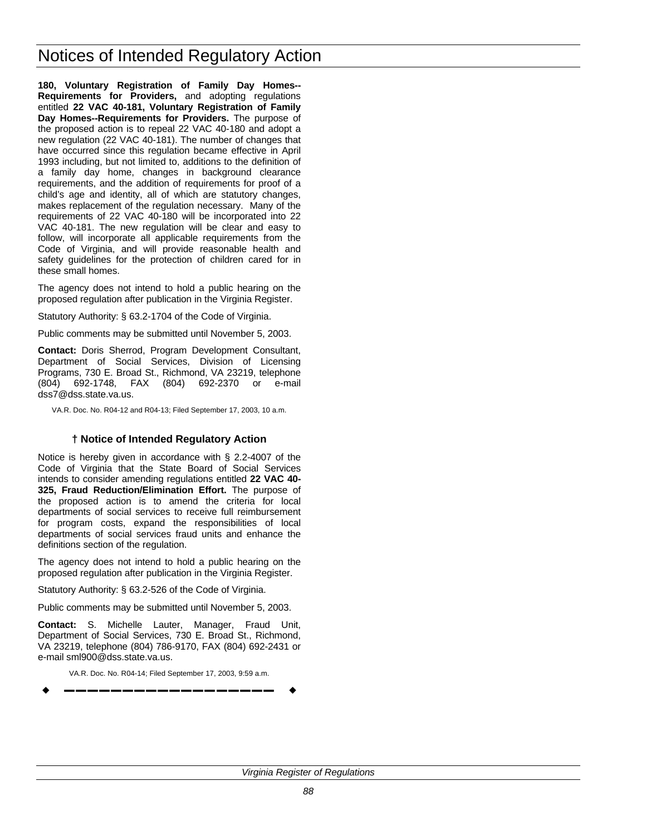**180, Voluntary Registration of Family Day Homes-- Requirements for Providers,** and adopting regulations entitled **22 VAC 40-181, Voluntary Registration of Family Day Homes--Requirements for Providers.** The purpose of the proposed action is to repeal 22 VAC 40-180 and adopt a new regulation (22 VAC 40-181). The number of changes that have occurred since this regulation became effective in April 1993 including, but not limited to, additions to the definition of a family day home, changes in background clearance requirements, and the addition of requirements for proof of a child's age and identity, all of which are statutory changes, makes replacement of the regulation necessary. Many of the requirements of 22 VAC 40-180 will be incorporated into 22 VAC 40-181. The new regulation will be clear and easy to follow, will incorporate all applicable requirements from the Code of Virginia, and will provide reasonable health and safety guidelines for the protection of children cared for in these small homes.

The agency does not intend to hold a public hearing on the proposed regulation after publication in the Virginia Register.

Statutory Authority: § 63.2-1704 of the Code of Virginia.

Public comments may be submitted until November 5, 2003.

**Contact:** Doris Sherrod, Program Development Consultant, Department of Social Services, Division of Licensing Programs, 730 E. Broad St., Richmond, VA 23219, telephone (804) 692-1748, FAX (804) 692-2370 or e-mail dss7@dss.state.va.us.

VA.R. Doc. No. R04-12 and R04-13; Filed September 17, 2003, 10 a.m.

### **† Notice of Intended Regulatory Action**

Notice is hereby given in accordance with § 2.2-4007 of the Code of Virginia that the State Board of Social Services intends to consider amending regulations entitled **22 VAC 40- 325, Fraud Reduction/Elimination Effort.** The purpose of the proposed action is to amend the criteria for local departments of social services to receive full reimbursement for program costs, expand the responsibilities of local departments of social services fraud units and enhance the definitions section of the regulation.

The agency does not intend to hold a public hearing on the proposed regulation after publication in the Virginia Register.

Statutory Authority: § 63.2-526 of the Code of Virginia.

Public comments may be submitted until November 5, 2003.

**Contact:** S. Michelle Lauter, Manager, Fraud Unit, Department of Social Services, 730 E. Broad St., Richmond, VA 23219, telephone (804) 786-9170, FAX (804) 692-2431 or e-mail sml900@dss.state.va.us.

VA.R. Doc. No. R04-14; Filed September 17, 2003, 9:59 a.m. w **––––––––––––––––––** w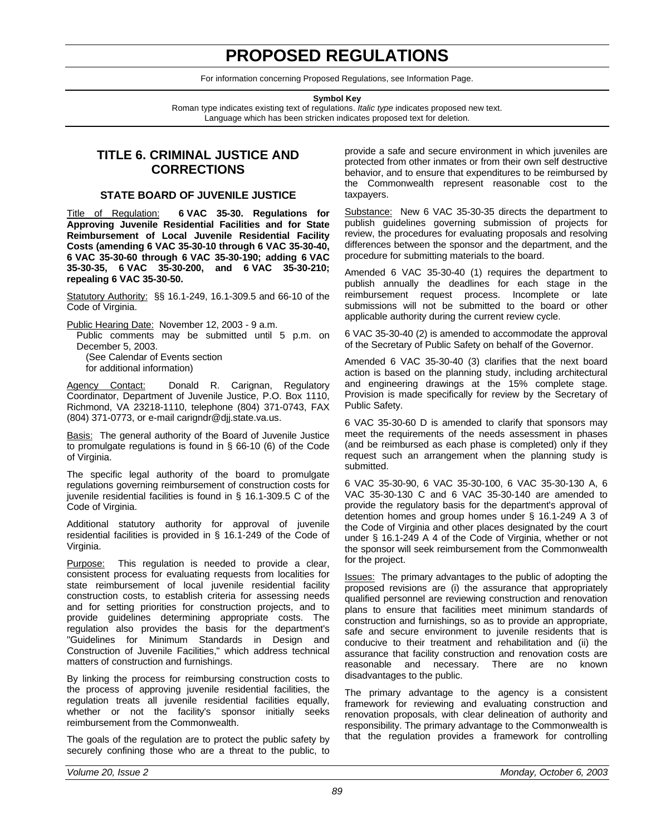## **PROPOSED REGULATIONS**

For information concerning Proposed Regulations, see Information Page.

**Symbol Key**

Roman type indicates existing text of regulations. *Italic type* indicates proposed new text. Language which has been stricken indicates proposed text for deletion.

### <span id="page-24-0"></span>**TITLE 6. CRIMINAL JUSTICE AND CORRECTIONS**

#### **STATE BOARD OF JUVENILE JUSTICE**

Title of Regulation: **6 VAC 35-30. Regulations for Approving Juvenile Residential Facilities and for State Reimbursement of Local Juvenile Residential Facility Costs (amending 6 VAC 35-30-10 through 6 VAC 35-30-40, 6 VAC 35-30-60 through 6 VAC 35-30-190; adding 6 VAC 35-30-35, 6 VAC 35-30-200, and 6 VAC 35-30-210; repealing 6 VAC 35-30-50.**

Statutory Authority: §§ 16.1-249, 16.1-309.5 and 66-10 of the Code of Virginia.

Public Hearing Date: November 12, 2003 - 9 a.m.

Public comments may be submitted until 5 p.m. on December 5, 2003.

(See Calendar of Events section for additional information)

Agency Contact: Donald R. Carignan, Regulatory Coordinator, Department of Juvenile Justice, P.O. Box 1110, Richmond, VA 23218-1110, telephone (804) 371-0743, FAX (804) 371-0773, or e-mail carigndr@djj.state.va.us.

**Basis:** The general authority of the Board of Juvenile Justice to promulgate regulations is found in § 66-10 (6) of the Code of Virginia.

The specific legal authority of the board to promulgate regulations governing reimbursement of construction costs for juvenile residential facilities is found in § 16.1-309.5 C of the Code of Virginia.

Additional statutory authority for approval of juvenile residential facilities is provided in § 16.1-249 of the Code of Virginia.

Purpose: This regulation is needed to provide a clear, consistent process for evaluating requests from localities for state reimbursement of local juvenile residential facility construction costs, to establish criteria for assessing needs and for setting priorities for construction projects, and to provide guidelines determining appropriate costs. The regulation also provides the basis for the department's "Guidelines for Minimum Standards in Design and Construction of Juvenile Facilities," which address technical matters of construction and furnishings.

By linking the process for reimbursing construction costs to the process of approving juvenile residential facilities, the regulation treats all juvenile residential facilities equally, whether or not the facility's sponsor initially seeks reimbursement from the Commonwealth.

The goals of the regulation are to protect the public safety by securely confining those who are a threat to the public, to provide a safe and secure environment in which juveniles are protected from other inmates or from their own self destructive behavior, and to ensure that expenditures to be reimbursed by the Commonwealth represent reasonable cost to the taxpayers.

Substance: New 6 VAC 35-30-35 directs the department to publish guidelines governing submission of projects for review, the procedures for evaluating proposals and resolving differences between the sponsor and the department, and the procedure for submitting materials to the board.

Amended 6 VAC 35-30-40 (1) requires the department to publish annually the deadlines for each stage in the reimbursement request process. Incomplete or late submissions will not be submitted to the board or other applicable authority during the current review cycle.

6 VAC 35-30-40 (2) is amended to accommodate the approval of the Secretary of Public Safety on behalf of the Governor.

Amended 6 VAC 35-30-40 (3) clarifies that the next board action is based on the planning study, including architectural and engineering drawings at the 15% complete stage. Provision is made specifically for review by the Secretary of Public Safety.

6 VAC 35-30-60 D is amended to clarify that sponsors may meet the requirements of the needs assessment in phases (and be reimbursed as each phase is completed) only if they request such an arrangement when the planning study is submitted.

6 VAC 35-30-90, 6 VAC 35-30-100, 6 VAC 35-30-130 A, 6 VAC 35-30-130 C and 6 VAC 35-30-140 are amended to provide the regulatory basis for the department's approval of detention homes and group homes under § 16.1-249 A 3 of the Code of Virginia and other places designated by the court under § 16.1-249 A 4 of the Code of Virginia, whether or not the sponsor will seek reimbursement from the Commonwealth for the project.

Issues: The primary advantages to the public of adopting the proposed revisions are (i) the assurance that appropriately qualified personnel are reviewing construction and renovation plans to ensure that facilities meet minimum standards of construction and furnishings, so as to provide an appropriate, safe and secure environment to juvenile residents that is conducive to their treatment and rehabilitation and (ii) the assurance that facility construction and renovation costs are reasonable and necessary. There are no known disadvantages to the public.

The primary advantage to the agency is a consistent framework for reviewing and evaluating construction and renovation proposals, with clear delineation of authority and responsibility. The primary advantage to the Commonwealth is that the regulation provides a framework for controlling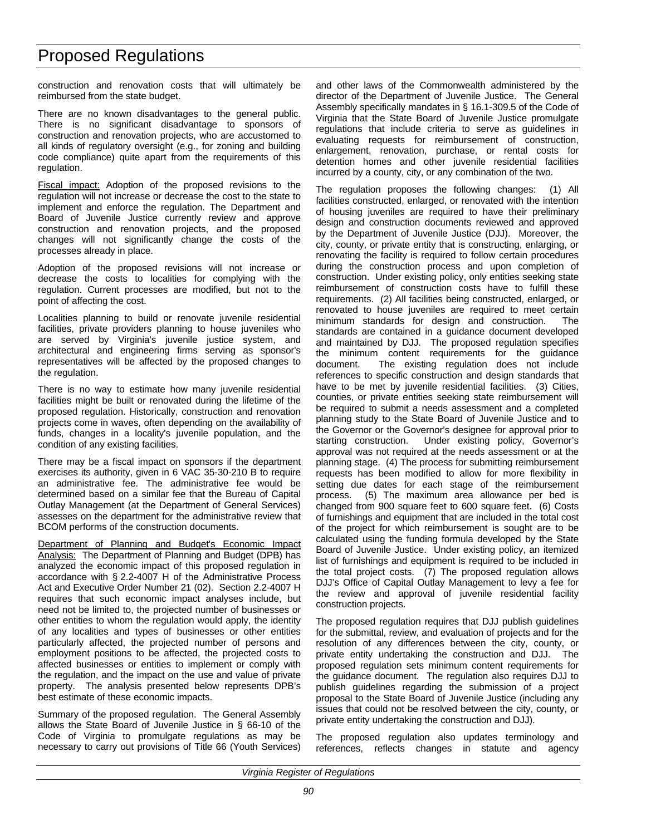construction and renovation costs that will ultimately be reimbursed from the state budget.

There are no known disadvantages to the general public. There is no significant disadvantage to sponsors of construction and renovation projects, who are accustomed to all kinds of regulatory oversight (e.g., for zoning and building code compliance) quite apart from the requirements of this regulation.

Fiscal impact: Adoption of the proposed revisions to the regulation will not increase or decrease the cost to the state to implement and enforce the regulation. The Department and Board of Juvenile Justice currently review and approve construction and renovation projects, and the proposed changes will not significantly change the costs of the processes already in place.

Adoption of the proposed revisions will not increase or decrease the costs to localities for complying with the regulation. Current processes are modified, but not to the point of affecting the cost.

Localities planning to build or renovate juvenile residential facilities, private providers planning to house juveniles who are served by Virginia's juvenile justice system, and architectural and engineering firms serving as sponsor's representatives will be affected by the proposed changes to the regulation.

There is no way to estimate how many juvenile residential facilities might be built or renovated during the lifetime of the proposed regulation. Historically, construction and renovation projects come in waves, often depending on the availability of funds, changes in a locality's juvenile population, and the condition of any existing facilities.

There may be a fiscal impact on sponsors if the department exercises its authority, given in 6 VAC 35-30-210 B to require an administrative fee. The administrative fee would be determined based on a similar fee that the Bureau of Capital Outlay Management (at the Department of General Services) assesses on the department for the administrative review that BCOM performs of the construction documents.

Department of Planning and Budget's Economic Impact Analysis: The Department of Planning and Budget (DPB) has analyzed the economic impact of this proposed regulation in accordance with § 2.2-4007 H of the Administrative Process Act and Executive Order Number 21 (02). Section 2.2-4007 H requires that such economic impact analyses include, but need not be limited to, the projected number of businesses or other entities to whom the regulation would apply, the identity of any localities and types of businesses or other entities particularly affected, the projected number of persons and employment positions to be affected, the projected costs to affected businesses or entities to implement or comply with the regulation, and the impact on the use and value of private property. The analysis presented below represents DPB's best estimate of these economic impacts.

Summary of the proposed regulation. The General Assembly allows the State Board of Juvenile Justice in § 66-10 of the Code of Virginia to promulgate regulations as may be necessary to carry out provisions of Title 66 (Youth Services)

and other laws of the Commonwealth administered by the director of the Department of Juvenile Justice. The General Assembly specifically mandates in § 16.1-309.5 of the Code of Virginia that the State Board of Juvenile Justice promulgate regulations that include criteria to serve as guidelines in evaluating requests for reimbursement of construction, enlargement, renovation, purchase, or rental costs for detention homes and other juvenile residential facilities incurred by a county, city, or any combination of the two.

The regulation proposes the following changes: (1) All facilities constructed, enlarged, or renovated with the intention of housing juveniles are required to have their preliminary design and construction documents reviewed and approved by the Department of Juvenile Justice (DJJ). Moreover, the city, county, or private entity that is constructing, enlarging, or renovating the facility is required to follow certain procedures during the construction process and upon completion of construction. Under existing policy, only entities seeking state reimbursement of construction costs have to fulfill these requirements. (2) All facilities being constructed, enlarged, or renovated to house juveniles are required to meet certain minimum standards for design and construction. The standards are contained in a guidance document developed and maintained by DJJ. The proposed regulation specifies the minimum content requirements for the guidance document. The existing regulation does not include references to specific construction and design standards that have to be met by juvenile residential facilities. (3) Cities, counties, or private entities seeking state reimbursement will be required to submit a needs assessment and a completed planning study to the State Board of Juvenile Justice and to the Governor or the Governor's designee for approval prior to starting construction. Under existing policy, Governor's Under existing policy, Governor's approval was not required at the needs assessment or at the planning stage. (4) The process for submitting reimbursement requests has been modified to allow for more flexibility in setting due dates for each stage of the reimbursement process. (5) The maximum area allowance per bed is changed from 900 square feet to 600 square feet. (6) Costs of furnishings and equipment that are included in the total cost of the project for which reimbursement is sought are to be calculated using the funding formula developed by the State Board of Juvenile Justice. Under existing policy, an itemized list of furnishings and equipment is required to be included in the total project costs. (7) The proposed regulation allows DJJ's Office of Capital Outlay Management to levy a fee for the review and approval of juvenile residential facility construction projects.

The proposed regulation requires that DJJ publish guidelines for the submittal, review, and evaluation of projects and for the resolution of any differences between the city, county, or private entity undertaking the construction and DJJ. The proposed regulation sets minimum content requirements for the guidance document. The regulation also requires DJJ to publish guidelines regarding the submission of a project proposal to the State Board of Juvenile Justice (including any issues that could not be resolved between the city, county, or private entity undertaking the construction and DJJ).

The proposed regulation also updates terminology and references, reflects changes in statute and agency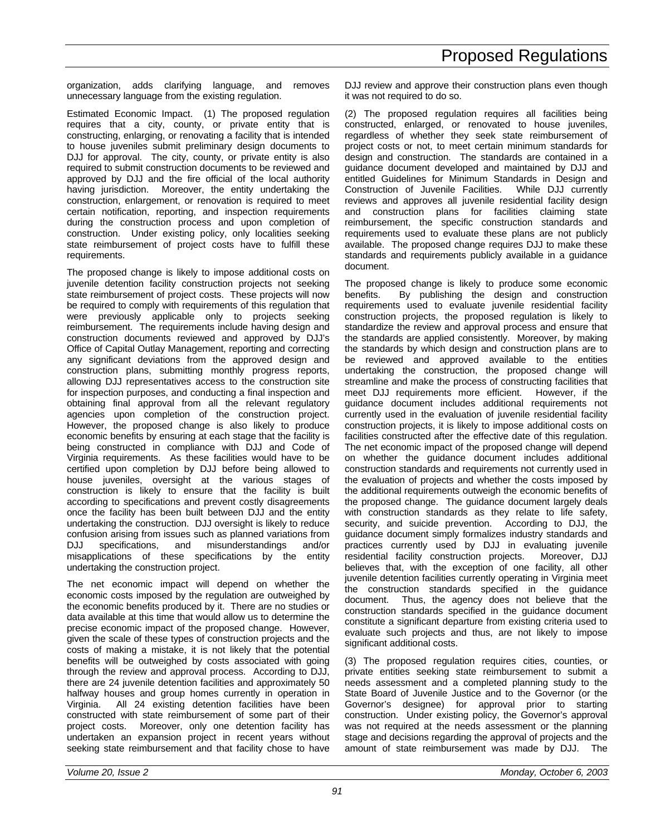organization, adds clarifying language, and removes unnecessary language from the existing regulation.

Estimated Economic Impact. (1) The proposed regulation requires that a city, county, or private entity that is constructing, enlarging, or renovating a facility that is intended to house juveniles submit preliminary design documents to DJJ for approval. The city, county, or private entity is also required to submit construction documents to be reviewed and approved by DJJ and the fire official of the local authority having jurisdiction. Moreover, the entity undertaking the construction, enlargement, or renovation is required to meet certain notification, reporting, and inspection requirements during the construction process and upon completion of construction. Under existing policy, only localities seeking state reimbursement of project costs have to fulfill these requirements.

The proposed change is likely to impose additional costs on juvenile detention facility construction projects not seeking state reimbursement of project costs. These projects will now be required to comply with requirements of this regulation that were previously applicable only to projects seeking reimbursement. The requirements include having design and construction documents reviewed and approved by DJJ's Office of Capital Outlay Management, reporting and correcting any significant deviations from the approved design and construction plans, submitting monthly progress reports, allowing DJJ representatives access to the construction site for inspection purposes, and conducting a final inspection and obtaining final approval from all the relevant regulatory agencies upon completion of the construction project. However, the proposed change is also likely to produce economic benefits by ensuring at each stage that the facility is being constructed in compliance with DJJ and Code of Virginia requirements. As these facilities would have to be certified upon completion by DJJ before being allowed to house juveniles, oversight at the various stages of construction is likely to ensure that the facility is built according to specifications and prevent costly disagreements once the facility has been built between DJJ and the entity undertaking the construction. DJJ oversight is likely to reduce confusion arising from issues such as planned variations from DJJ specifications, and misunderstandings and/or misapplications of these specifications by the entity undertaking the construction project.

The net economic impact will depend on whether the economic costs imposed by the regulation are outweighed by the economic benefits produced by it. There are no studies or data available at this time that would allow us to determine the precise economic impact of the proposed change. However, given the scale of these types of construction projects and the costs of making a mistake, it is not likely that the potential benefits will be outweighed by costs associated with going through the review and approval process. According to DJJ, there are 24 juvenile detention facilities and approximately 50 halfway houses and group homes currently in operation in Virginia. All 24 existing detention facilities have been constructed with state reimbursement of some part of their project costs. Moreover, only one detention facility has undertaken an expansion project in recent years without seeking state reimbursement and that facility chose to have

DJJ review and approve their construction plans even though it was not required to do so.

(2) The proposed regulation requires all facilities being constructed, enlarged, or renovated to house juveniles, regardless of whether they seek state reimbursement of project costs or not, to meet certain minimum standards for design and construction. The standards are contained in a guidance document developed and maintained by DJJ and entitled Guidelines for Minimum Standards in Design and Construction of Juvenile Facilities. While DJJ currently reviews and approves all juvenile residential facility design and construction plans for facilities claiming state reimbursement, the specific construction standards and requirements used to evaluate these plans are not publicly available. The proposed change requires DJJ to make these standards and requirements publicly available in a guidance document.

The proposed change is likely to produce some economic benefits. By publishing the design and construction requirements used to evaluate juvenile residential facility construction projects, the proposed regulation is likely to standardize the review and approval process and ensure that the standards are applied consistently. Moreover, by making the standards by which design and construction plans are to be reviewed and approved available to the entities undertaking the construction, the proposed change will streamline and make the process of constructing facilities that meet DJJ requirements more efficient. However, if the guidance document includes additional requirements not currently used in the evaluation of juvenile residential facility construction projects, it is likely to impose additional costs on facilities constructed after the effective date of this regulation. The net economic impact of the proposed change will depend on whether the guidance document includes additional construction standards and requirements not currently used in the evaluation of projects and whether the costs imposed by the additional requirements outweigh the economic benefits of the proposed change. The guidance document largely deals with construction standards as they relate to life safety, security, and suicide prevention. According to DJJ, the guidance document simply formalizes industry standards and practices currently used by DJJ in evaluating juvenile residential facility construction projects. Moreover, DJJ believes that, with the exception of one facility, all other juvenile detention facilities currently operating in Virginia meet the construction standards specified in the guidance document. Thus, the agency does not believe that the construction standards specified in the guidance document constitute a significant departure from existing criteria used to evaluate such projects and thus, are not likely to impose significant additional costs.

(3) The proposed regulation requires cities, counties, or private entities seeking state reimbursement to submit a needs assessment and a completed planning study to the State Board of Juvenile Justice and to the Governor (or the Governor's designee) for approval prior to starting construction. Under existing policy, the Governor's approval was not required at the needs assessment or the planning stage and decisions regarding the approval of projects and the amount of state reimbursement was made by DJJ. The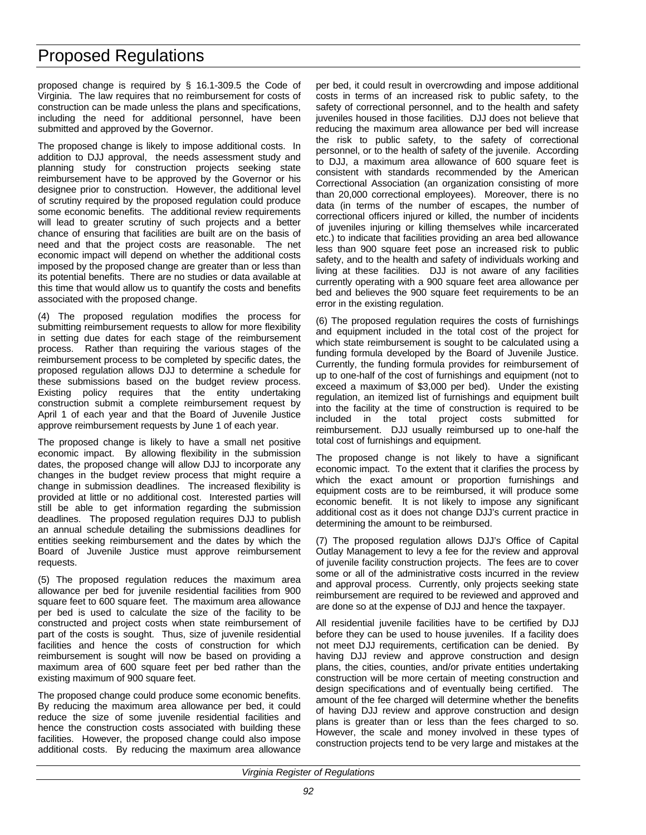proposed change is required by § 16.1-309.5 the Code of Virginia. The law requires that no reimbursement for costs of construction can be made unless the plans and specifications, including the need for additional personnel, have been submitted and approved by the Governor.

The proposed change is likely to impose additional costs. In addition to DJJ approval, the needs assessment study and planning study for construction projects seeking state reimbursement have to be approved by the Governor or his designee prior to construction. However, the additional level of scrutiny required by the proposed regulation could produce some economic benefits. The additional review requirements will lead to greater scrutiny of such projects and a better chance of ensuring that facilities are built are on the basis of need and that the project costs are reasonable. The net economic impact will depend on whether the additional costs imposed by the proposed change are greater than or less than its potential benefits. There are no studies or data available at this time that would allow us to quantify the costs and benefits associated with the proposed change.

(4) The proposed regulation modifies the process for submitting reimbursement requests to allow for more flexibility in setting due dates for each stage of the reimbursement process. Rather than requiring the various stages of the reimbursement process to be completed by specific dates, the proposed regulation allows DJJ to determine a schedule for these submissions based on the budget review process. Existing policy requires that the entity undertaking construction submit a complete reimbursement request by April 1 of each year and that the Board of Juvenile Justice approve reimbursement requests by June 1 of each year.

The proposed change is likely to have a small net positive economic impact. By allowing flexibility in the submission dates, the proposed change will allow DJJ to incorporate any changes in the budget review process that might require a change in submission deadlines. The increased flexibility is provided at little or no additional cost. Interested parties will still be able to get information regarding the submission deadlines. The proposed regulation requires DJJ to publish an annual schedule detailing the submissions deadlines for entities seeking reimbursement and the dates by which the Board of Juvenile Justice must approve reimbursement requests.

(5) The proposed regulation reduces the maximum area allowance per bed for juvenile residential facilities from 900 square feet to 600 square feet. The maximum area allowance per bed is used to calculate the size of the facility to be constructed and project costs when state reimbursement of part of the costs is sought. Thus, size of juvenile residential facilities and hence the costs of construction for which reimbursement is sought will now be based on providing a maximum area of 600 square feet per bed rather than the existing maximum of 900 square feet.

The proposed change could produce some economic benefits. By reducing the maximum area allowance per bed, it could reduce the size of some juvenile residential facilities and hence the construction costs associated with building these facilities. However, the proposed change could also impose additional costs. By reducing the maximum area allowance per bed, it could result in overcrowding and impose additional costs in terms of an increased risk to public safety, to the safety of correctional personnel, and to the health and safety juveniles housed in those facilities. DJJ does not believe that reducing the maximum area allowance per bed will increase the risk to public safety, to the safety of correctional personnel, or to the health of safety of the juvenile. According to DJJ, a maximum area allowance of 600 square feet is consistent with standards recommended by the American Correctional Association (an organization consisting of more than 20,000 correctional employees). Moreover, there is no data (in terms of the number of escapes, the number of correctional officers injured or killed, the number of incidents of juveniles injuring or killing themselves while incarcerated etc.) to indicate that facilities providing an area bed allowance less than 900 square feet pose an increased risk to public safety, and to the health and safety of individuals working and living at these facilities. DJJ is not aware of any facilities currently operating with a 900 square feet area allowance per bed and believes the 900 square feet requirements to be an error in the existing regulation.

(6) The proposed regulation requires the costs of furnishings and equipment included in the total cost of the project for which state reimbursement is sought to be calculated using a funding formula developed by the Board of Juvenile Justice. Currently, the funding formula provides for reimbursement of up to one-half of the cost of furnishings and equipment (not to exceed a maximum of \$3,000 per bed). Under the existing regulation, an itemized list of furnishings and equipment built into the facility at the time of construction is required to be included in the total project costs submitted for reimbursement. DJJ usually reimbursed up to one-half the total cost of furnishings and equipment.

The proposed change is not likely to have a significant economic impact. To the extent that it clarifies the process by which the exact amount or proportion furnishings and equipment costs are to be reimbursed, it will produce some economic benefit. It is not likely to impose any significant additional cost as it does not change DJJ's current practice in determining the amount to be reimbursed.

(7) The proposed regulation allows DJJ's Office of Capital Outlay Management to levy a fee for the review and approval of juvenile facility construction projects. The fees are to cover some or all of the administrative costs incurred in the review and approval process. Currently, only projects seeking state reimbursement are required to be reviewed and approved and are done so at the expense of DJJ and hence the taxpayer.

All residential juvenile facilities have to be certified by DJJ before they can be used to house juveniles. If a facility does not meet DJJ requirements, certification can be denied. By having DJJ review and approve construction and design plans, the cities, counties, and/or private entities undertaking construction will be more certain of meeting construction and design specifications and of eventually being certified. The amount of the fee charged will determine whether the benefits of having DJJ review and approve construction and design plans is greater than or less than the fees charged to so. However, the scale and money involved in these types of construction projects tend to be very large and mistakes at the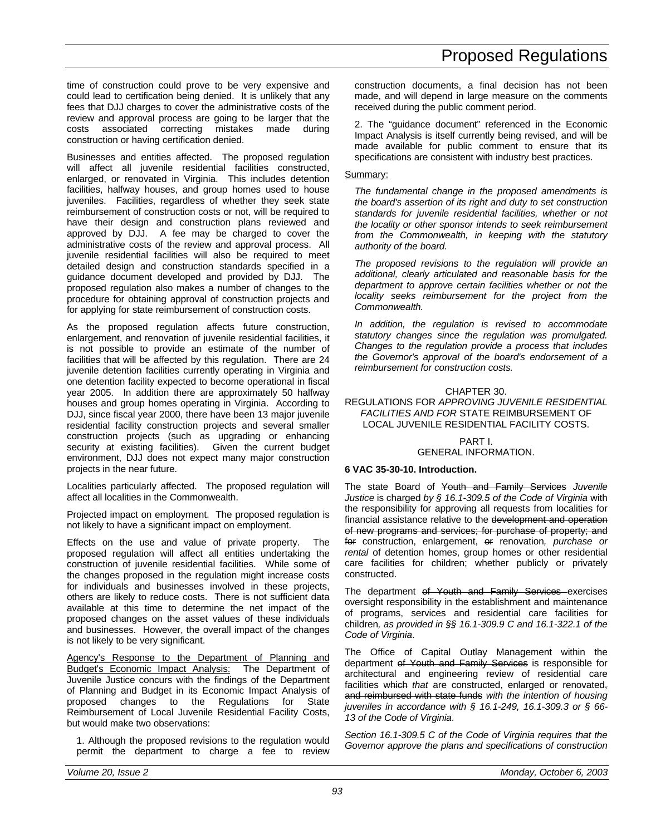time of construction could prove to be very expensive and could lead to certification being denied. It is unlikely that any fees that DJJ charges to cover the administrative costs of the review and approval process are going to be larger that the costs associated correcting mistakes made during construction or having certification denied.

Businesses and entities affected. The proposed regulation will affect all juvenile residential facilities constructed, enlarged, or renovated in Virginia. This includes detention facilities, halfway houses, and group homes used to house juveniles. Facilities, regardless of whether they seek state reimbursement of construction costs or not, will be required to have their design and construction plans reviewed and approved by DJJ. A fee may be charged to cover the administrative costs of the review and approval process. All juvenile residential facilities will also be required to meet detailed design and construction standards specified in a guidance document developed and provided by DJJ. The proposed regulation also makes a number of changes to the procedure for obtaining approval of construction projects and for applying for state reimbursement of construction costs.

As the proposed regulation affects future construction, enlargement, and renovation of juvenile residential facilities, it is not possible to provide an estimate of the number of facilities that will be affected by this regulation. There are 24 juvenile detention facilities currently operating in Virginia and one detention facility expected to become operational in fiscal year 2005. In addition there are approximately 50 halfway houses and group homes operating in Virginia. According to DJJ, since fiscal year 2000, there have been 13 major juvenile residential facility construction projects and several smaller construction projects (such as upgrading or enhancing security at existing facilities). Given the current budget environment, DJJ does not expect many major construction projects in the near future.

Localities particularly affected. The proposed regulation will affect all localities in the Commonwealth.

Projected impact on employment. The proposed regulation is not likely to have a significant impact on employment.

Effects on the use and value of private property. The proposed regulation will affect all entities undertaking the construction of juvenile residential facilities. While some of the changes proposed in the regulation might increase costs for individuals and businesses involved in these projects, others are likely to reduce costs. There is not sufficient data available at this time to determine the net impact of the proposed changes on the asset values of these individuals and businesses. However, the overall impact of the changes is not likely to be very significant.

Agency's Response to the Department of Planning and Budget's Economic Impact Analysis: The Department of Juvenile Justice concurs with the findings of the Department of Planning and Budget in its Economic Impact Analysis of proposed changes to the Regulations for State Reimbursement of Local Juvenile Residential Facility Costs, but would make two observations:

1. Although the proposed revisions to the regulation would permit the department to charge a fee to review construction documents, a final decision has not been made, and will depend in large measure on the comments received during the public comment period.

2. The "guidance document" referenced in the Economic Impact Analysis is itself currently being revised, and will be made available for public comment to ensure that its specifications are consistent with industry best practices.

#### Summary:

*The fundamental change in the proposed amendments is the board's assertion of its right and duty to set construction standards for juvenile residential facilities, whether or not the locality or other sponsor intends to seek reimbursement from the Commonwealth, in keeping with the statutory authority of the board.*

*The proposed revisions to the regulation will provide an additional, clearly articulated and reasonable basis for the department to approve certain facilities whether or not the locality seeks reimbursement for the project from the Commonwealth.*

*In addition, the regulation is revised to accommodate statutory changes since the regulation was promulgated. Changes to the regulation provide a process that includes the Governor's approval of the board's endorsement of a reimbursement for construction costs.*

### CHAPTER 30.

REGULATIONS FOR *APPROVING JUVENILE RESIDENTIAL FACILITIES AND FOR* STATE REIMBURSEMENT OF LOCAL JUVENILE RESIDENTIAL FACILITY COSTS.

#### PART I. GENERAL INFORMATION.

#### **6 VAC 35-30-10. Introduction.**

The state Board of Youth and Family Services *Juvenile Justice* is charged *by § 16.1-309.5 of the Code of Virginia* with the responsibility for approving all requests from localities for financial assistance relative to the development and operation of new programs and services; for purchase of property; and for construction, enlargement, or renovation*, purchase or rental* of detention homes, group homes or other residential care facilities for children; whether publicly or privately constructed.

The department of Youth and Family Services exercises oversight responsibility in the establishment and maintenance of programs, services and residential care facilities for children*, as provided in §§ 16.1-309.9 C and 16.1-322.1 of the Code of Virginia*.

The Office of Capital Outlay Management within the department of Youth and Family Services is responsible for architectural and engineering review of residential care facilities which *that* are constructed, enlarged or renovated, and reimbursed with state funds *with the intention of housing juveniles in accordance with § 16.1-249, 16.1-309.3 or § 66- 13 of the Code of Virginia*.

*Section 16.1-309.5 C of the Code of Virginia requires that the Governor approve the plans and specifications of construction*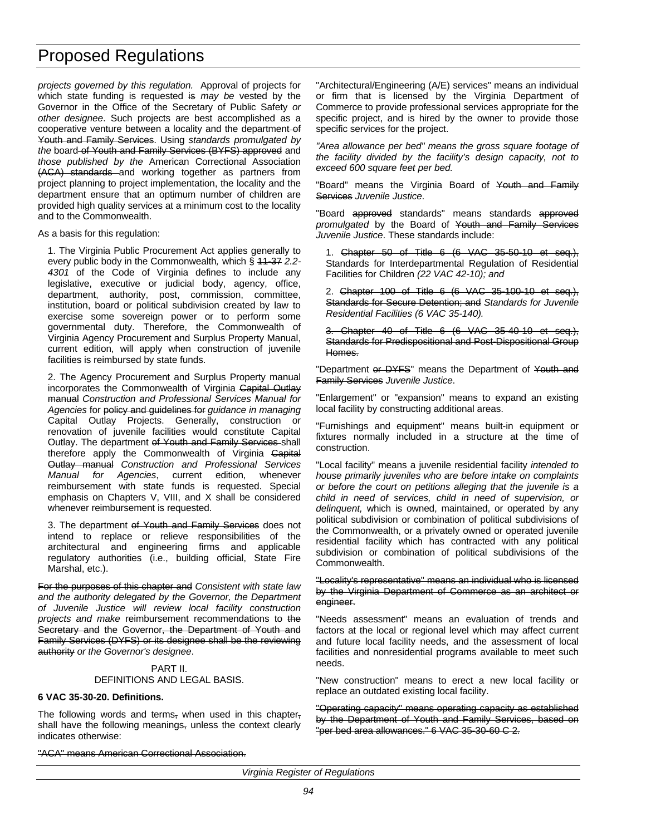*projects governed by this regulation.* Approval of projects for which state funding is requested is *may be* vested by the Governor in the Office of the Secretary of Public Safety *or other designee*. Such projects are best accomplished as a cooperative venture between a locality and the department-of Youth and Family Services. Using *standards promulgated by the* board of Youth and Family Services (BYFS) approved and *those published by the* American Correctional Association (ACA) standards and working together as partners from project planning to project implementation, the locality and the department ensure that an optimum number of children are provided high quality services at a minimum cost to the locality and to the Commonwealth.

As a basis for this regulation:

1. The Virginia Public Procurement Act applies generally to every public body in the Commonwealth*,* which § 11-37 *2.2- 4301* of the Code of Virginia defines to include any legislative, executive or judicial body, agency, office, department, authority, post, commission, committee, institution, board or political subdivision created by law to exercise some sovereign power or to perform some governmental duty. Therefore, the Commonwealth of Virginia Agency Procurement and Surplus Property Manual, current edition, will apply when construction of juvenile facilities is reimbursed by state funds.

2. The Agency Procurement and Surplus Property manual incorporates the Commonwealth of Virginia Capital Outlay manual *Construction and Professional Services Manual for Agencies* for policy and guidelines for *guidance in managing* Capital Outlay Projects. Generally, construction or renovation of juvenile facilities would constitute Capital Outlay. The department of Youth and Family Services shall therefore apply the Commonwealth of Virginia Capital Outlay manual *Construction and Professional Services Manual for Agencies*, current edition, whenever reimbursement with state funds is requested. Special emphasis on Chapters V, VIII, and X shall be considered whenever reimbursement is requested.

3. The department of Youth and Family Services does not intend to replace or relieve responsibilities of the architectural and engineering firms and applicable regulatory authorities (i.e., building official, State Fire Marshal, etc.).

For the purposes of this chapter and *Consistent with state law and the authority delegated by the Governor, the Department of Juvenile Justice will review local facility construction projects and make* reimbursement recommendations to the Secretary and the Governor, the Department of Youth and Family Services (DYFS) or its designee shall be the reviewing authority *or the Governor's designee*.

#### PART II. DEFINITIONS AND LEGAL BASIS.

#### **6 VAC 35-30-20. Definitions.**

The following words and terms, when used in this chapter, shall have the following meanings, unless the context clearly indicates otherwise:

"ACA" means American Correctional Association.

"Architectural/Engineering (A/E) services" means an individual or firm that is licensed by the Virginia Department of Commerce to provide professional services appropriate for the specific project, and is hired by the owner to provide those specific services for the project.

*"Area allowance per bed" means the gross square footage of the facility divided by the facility's design capacity, not to exceed 600 square feet per bed.*

"Board" means the Virginia Board of Youth and Family Services *Juvenile Justice*.

"Board approved standards" means standards approved *promulgated* by the Board of Youth and Family Services *Juvenile Justice*. These standards include:

1. Chapter 50 of Title 6 (6 VAC 35-50-10 et seq.), Standards for Interdepartmental Regulation of Residential Facilities for Children *(22 VAC 42-10); and*

2. Chapter 100 of Title 6 (6 VAC 35-100-10 et seq.), Standards for Secure Detention; and *Standards for Juvenile Residential Facilities (6 VAC 35-140).*

3. Chapter 40 of Title 6 (6 VAC 35-40-10 et seq.), Standards for Predispositional and Post-Dispositional Group Homes.

"Department or DYFS" means the Department of Youth and Family Services *Juvenile Justice*.

"Enlargement" or "expansion" means to expand an existing local facility by constructing additional areas.

"Furnishings and equipment" means built-in equipment or fixtures normally included in a structure at the time of construction.

"Local facility" means a juvenile residential facility *intended to house primarily juveniles who are before intake on complaints or before the court on petitions alleging that the juvenile is a child in need of services, child in need of supervision, or delinquent,* which is owned, maintained, or operated by any political subdivision or combination of political subdivisions of the Commonwealth, or a privately owned or operated juvenile residential facility which has contracted with any political subdivision or combination of political subdivisions of the Commonwealth.

"Locality's representative" means an individual who is licensed by the Virginia Department of Commerce as an architect or engineer.

"Needs assessment" means an evaluation of trends and factors at the local or regional level which may affect current and future local facility needs, and the assessment of local facilities and nonresidential programs available to meet such needs.

"New construction" means to erect a new local facility or replace an outdated existing local facility.

"Operating capacity" means operating capacity as established by the Department of Youth and Family Services, based on "per bed area allowances." 6 VAC 35-30-60 C 2.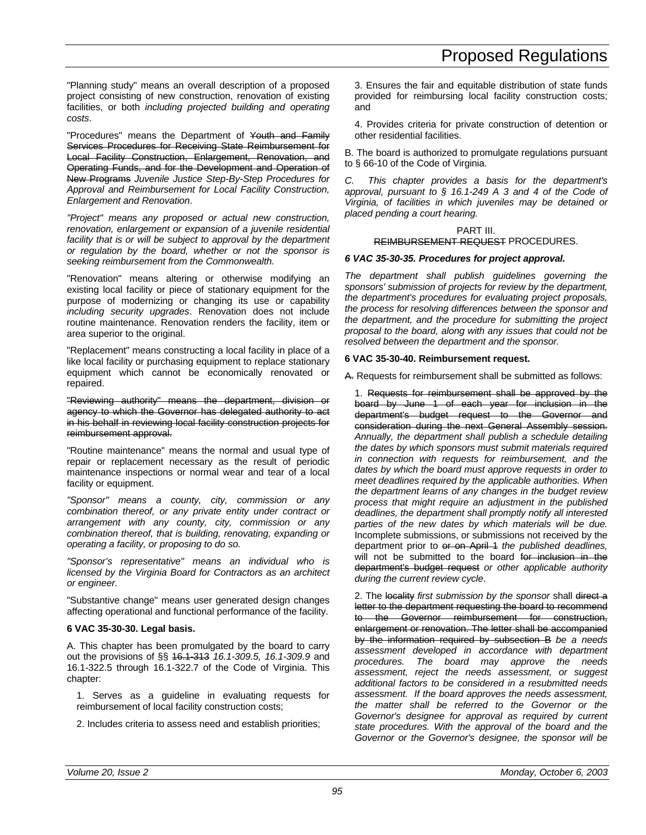"Planning study" means an overall description of a proposed project consisting of new construction, renovation of existing facilities, or both *including projected building and operating costs*.

"Procedures" means the Department of Youth and Family Services Procedures for Receiving State Reimbursement for Local Facility Construction, Enlargement, Renovation, and Operating Funds, and for the Development and Operation of New Programs *Juvenile Justice Step-By-Step Procedures for Approval and Reimbursement for Local Facility Construction, Enlargement and Renovation*.

*"Project" means any proposed or actual new construction, renovation, enlargement or expansion of a juvenile residential facility that is or will be subject to approval by the department or regulation by the board, whether or not the sponsor is seeking reimbursement from the Commonwealth.*

"Renovation" means altering or otherwise modifying an existing local facility or piece of stationary equipment for the purpose of modernizing or changing its use or capability *including security upgrades*. Renovation does not include routine maintenance. Renovation renders the facility, item or area superior to the original.

"Replacement" means constructing a local facility in place of a like local facility or purchasing equipment to replace stationary equipment which cannot be economically renovated or repaired.

"Reviewing authority" means the department, division or agency to which the Governor has delegated authority to act in his behalf in reviewing local facility construction projects for reimbursement approval.

"Routine maintenance" means the normal and usual type of repair or replacement necessary as the result of periodic maintenance inspections or normal wear and tear of a local facility or equipment.

*"Sponsor" means a county, city, commission or any combination thereof, or any private entity under contract or arrangement with any county, city, commission or any combination thereof, that is building, renovating, expanding or operating a facility, or proposing to do so.*

*"Sponsor's representative" means an individual who is licensed by the Virginia Board for Contractors as an architect or engineer.*

"Substantive change" means user generated design changes affecting operational and functional performance of the facility.

### **6 VAC 35-30-30. Legal basis.**

A. This chapter has been promulgated by the board to carry out the provisions of §§ 16.1-313 *16.1-309.5, 16.1-309.9* and 16.1-322.5 through 16.1-322.7 of the Code of Virginia. This chapter:

1. Serves as a guideline in evaluating requests for reimbursement of local facility construction costs;

2. Includes criteria to assess need and establish priorities;

3. Ensures the fair and equitable distribution of state funds provided for reimbursing local facility construction costs; and

4. Provides criteria for private construction of detention or other residential facilities.

B. The board is authorized to promulgate regulations pursuant to § 66-10 of the Code of Virginia.

*C. This chapter provides a basis for the department's approval, pursuant to § 16.1-249 A 3 and 4 of the Code of Virginia, of facilities in which juveniles may be detained or placed pending a court hearing.*

#### PART III. REIMBURSEMENT REQUEST PROCEDURES.

### *6 VAC 35-30-35. Procedures for project approval.*

*The department shall publish guidelines governing the sponsors' submission of projects for review by the department, the department's procedures for evaluating project proposals, the process for resolving differences between the sponsor and the department, and the procedure for submitting the project proposal to the board, along with any issues that could not be resolved between the department and the sponsor.*

### **6 VAC 35-30-40. Reimbursement request.**

A. Requests for reimbursement shall be submitted as follows:

1. Requests for reimbursement shall be approved by the board by June 1 of each year for inclusion in the department's budget request to the Governor and consideration during the next General Assembly session. *Annually, the department shall publish a schedule detailing the dates by which sponsors must submit materials required in connection with requests for reimbursement, and the dates by which the board must approve requests in order to meet deadlines required by the applicable authorities. When the department learns of any changes in the budget review process that might require an adjustment in the published deadlines, the department shall promptly notify all interested parties of the new dates by which materials will be due.* Incomplete submissions, or submissions not received by the department prior to or on April 1 *the published deadlines,* will not be submitted to the board for inclusion in the department's budget request *or other applicable authority during the current review cycle*.

2. The locality *first submission by the sponsor* shall direct a letter to the department requesting the board to recommend to the Governor reimbursement for construction, enlargement or renovation. The letter shall be accompanied by the information required by subsection B *be a needs assessment developed in accordance with department procedures. The board may approve the needs assessment, reject the needs assessment, or suggest additional factors to be considered in a resubmitted needs assessment. If the board approves the needs assessment, the matter shall be referred to the Governor or the Governor's designee for approval as required by current state procedures. With the approval of the board and the Governor or the Governor's designee, the sponsor will be*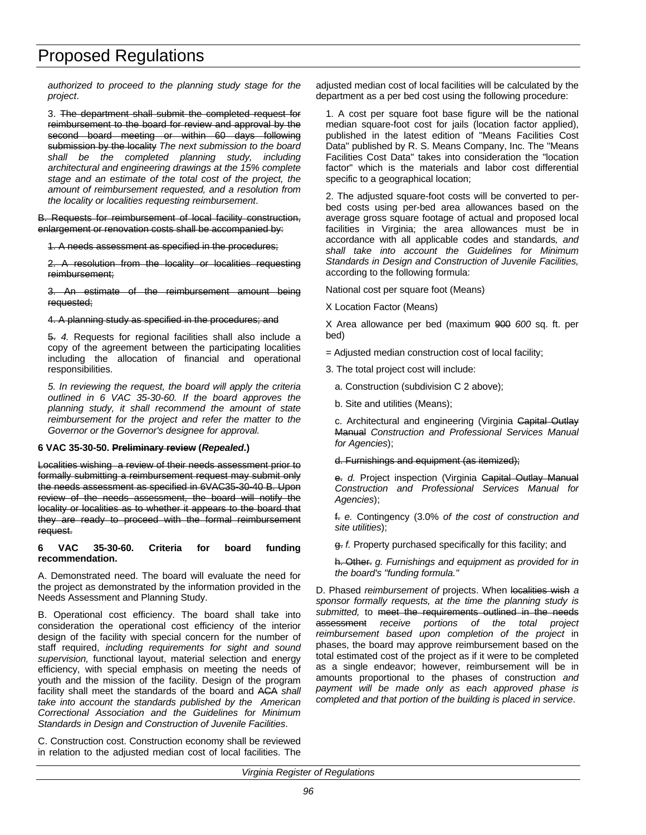*authorized to proceed to the planning study stage for the project*.

3. The department shall submit the completed request for reimbursement to the board for review and approval by the second board meeting or within 60 days following submission by the locality *The next submission to the board shall be the completed planning study, including architectural and engineering drawings at the 15% complete stage and an estimate of the total cost of the project, the amount of reimbursement requested, and a resolution from the locality or localities requesting reimbursement*.

B. Requests for reimbursement of local facility construction, enlargement or renovation costs shall be accompanied by:

1. A needs assessment as specified in the procedures;

2. A resolution from the locality or localities requesting reimbursement;

3. An estimate of the reimbursement amount being requested;

#### 4. A planning study as specified in the procedures; and

5. *4.* Requests for regional facilities shall also include a copy of the agreement between the participating localities including the allocation of financial and operational responsibilities.

*5. In reviewing the request, the board will apply the criteria outlined in 6 VAC 35-30-60. If the board approves the planning study, it shall recommend the amount of state reimbursement for the project and refer the matter to the Governor or the Governor's designee for approval.*

#### **6 VAC 35-30-50. Preliminary review (***Repealed***.)**

Localities wishing a review of their needs assessment prior to formally submitting a reimbursement request may submit only the needs assessment as specified in 6VAC35-30-40 B. Upon review of the needs assessment, the board will notify the locality or localities as to whether it appears to the board that they are ready to proceed with the formal reimbursement request.

#### **6 VAC 35-30-60. Criteria for board funding recommendation.**

A. Demonstrated need. The board will evaluate the need for the project as demonstrated by the information provided in the Needs Assessment and Planning Study.

B. Operational cost efficiency. The board shall take into consideration the operational cost efficiency of the interior design of the facility with special concern for the number of staff required, *including requirements for sight and sound supervision,* functional layout, material selection and energy efficiency, with special emphasis on meeting the needs of youth and the mission of the facility. Design of the program facility shall meet the standards of the board and ACA *shall take into account the standards published by the American Correctional Association and the Guidelines for Minimum Standards in Design and Construction of Juvenile Facilities*.

C. Construction cost. Construction economy shall be reviewed in relation to the adjusted median cost of local facilities. The adjusted median cost of local facilities will be calculated by the department as a per bed cost using the following procedure:

1. A cost per square foot base figure will be the national median square-foot cost for jails (location factor applied), published in the latest edition of "Means Facilities Cost Data" published by R. S. Means Company, Inc. The "Means Facilities Cost Data" takes into consideration the "location factor" which is the materials and labor cost differential specific to a geographical location;

2. The adjusted square-foot costs will be converted to perbed costs using per-bed area allowances based on the average gross square footage of actual and proposed local facilities in Virginia; the area allowances must be in accordance with all applicable codes and standards*, and shall take into account the Guidelines for Minimum Standards in Design and Construction of Juvenile Facilities,* according to the following formula:

National cost per square foot (Means)

X Location Factor (Means)

X Area allowance per bed (maximum 900 *600* sq. ft. per bed)

= Adjusted median construction cost of local facility;

3. The total project cost will include:

a. Construction (subdivision C 2 above);

b. Site and utilities (Means);

c. Architectural and engineering (Virginia Capital Outlay Manual *Construction and Professional Services Manual for Agencies*);

d. Furnishings and equipment (as itemized);

e. *d.* Project inspection (Virginia Capital Outlay Manual *Construction and Professional Services Manual for Agencies*);

f. *e.* Contingency (3.0% *of the cost of construction and site utilities*);

g. *f.* Property purchased specifically for this facility; and

h. Other. *g. Furnishings and equipment as provided for in the board's "funding formula."*

D. Phased *reimbursement of* projects. When localities wish *a sponsor formally requests, at the time the planning study is submitted,* to meet the requirements outlined in the needs assessment *receive portions of the total project reimbursement based upon completion of the project* in phases, the board may approve reimbursement based on the total estimated cost of the project as if it were to be completed as a single endeavor; however, reimbursement will be in amounts proportional to the phases of construction *and payment will be made only as each approved phase is completed and that portion of the building is placed in service*.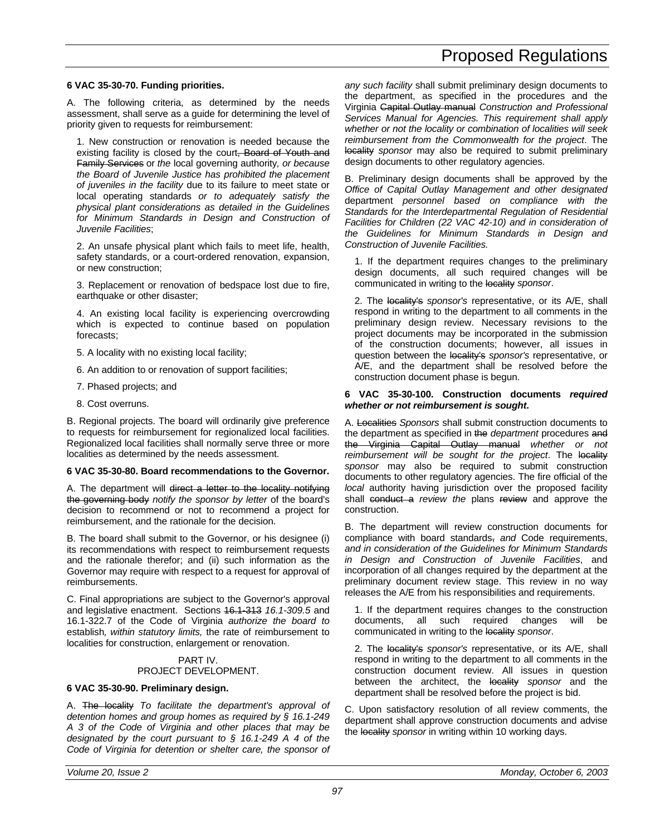#### **6 VAC 35-30-70. Funding priorities.**

A. The following criteria, as determined by the needs assessment, shall serve as a guide for determining the level of priority given to requests for reimbursement:

1. New construction or renovation is needed because the existing facility is closed by the court, Board of Youth and Family Services or *the* local governing authority*, or because the Board of Juvenile Justice has prohibited the placement of juveniles in the facility* due to its failure to meet state or local operating standards *or to adequately satisfy the physical plant considerations as detailed in the Guidelines for Minimum Standards in Design and Construction of Juvenile Facilities*;

2. An unsafe physical plant which fails to meet life, health, safety standards, or a court-ordered renovation, expansion, or new construction;

3. Replacement or renovation of bedspace lost due to fire, earthquake or other disaster;

4. An existing local facility is experiencing overcrowding which is expected to continue based on population forecasts;

- 5. A locality with no existing local facility;
- 6. An addition to or renovation of support facilities;
- 7. Phased projects; and
- 8. Cost overruns.

B. Regional projects. The board will ordinarily give preference to requests for reimbursement for regionalized local facilities. Regionalized local facilities shall normally serve three or more localities as determined by the needs assessment.

#### **6 VAC 35-30-80. Board recommendations to the Governor.**

A. The department will direct a letter to the locality notifying the governing body *notify the sponsor by letter* of the board's decision to recommend or not to recommend a project for reimbursement, and the rationale for the decision.

B. The board shall submit to the Governor, or his designee (i) its recommendations with respect to reimbursement requests and the rationale therefor; and (ii) such information as the Governor may require with respect to a request for approval of reimbursements.

C. Final appropriations are subject to the Governor's approval and legislative enactment. Sections 16.1-313 *16.1-309.5* and 16.1-322.7 of the Code of Virginia *authorize the board to* establish*, within statutory limits,* the rate of reimbursement to localities for construction, enlargement or renovation.

#### PART IV. PROJECT DEVELOPMENT.

#### **6 VAC 35-30-90. Preliminary design.**

A. The locality *To facilitate the department's approval of detention homes and group homes as required by § 16.1-249 A 3 of the Code of Virginia and other places that may be designated by the court pursuant to § 16.1-249 A 4 of the Code of Virginia for detention or shelter care, the sponsor of* *any such facility* shall submit preliminary design documents to the department, as specified in the procedures and the Virginia Capital Outlay manual *Construction and Professional Services Manual for Agencies. This requirement shall apply whether or not the locality or combination of localities will seek reimbursement from the Commonwealth for the project*. The locality *sponsor* may also be required to submit preliminary design documents to other regulatory agencies.

B. Preliminary design documents shall be approved by the *Office of Capital Outlay Management and other designated* department *personnel based on compliance with the Standards for the Interdepartmental Regulation of Residential Facilities for Children (22 VAC 42-10) and in consideration of the Guidelines for Minimum Standards in Design and Construction of Juvenile Facilities.*

1. If the department requires changes to the preliminary design documents, all such required changes will be communicated in writing to the locality *sponsor*.

2. The locality's *sponsor's* representative, or its A/E, shall respond in writing to the department to all comments in the preliminary design review. Necessary revisions to the project documents may be incorporated in the submission of the construction documents; however, all issues in question between the locality's *sponsor's* representative, or A/E, and the department shall be resolved before the construction document phase is begun.

#### **6 VAC 35-30-100. Construction documents** *required whether or not reimbursement is sought***.**

A. Localities *Sponsors* shall submit construction documents to the department as specified in the *department* procedures and the Virginia Capital Outlay manual *whether or not* reimbursement will be sought for the project. The locality *sponsor* may also be required to submit construction documents to other regulatory agencies. The fire official of the *local* authority having jurisdiction over the proposed facility shall conduct a *review the* plans review and approve the construction.

B. The department will review construction documents for compliance with board standards, *and* Code requirements, *and in consideration of the Guidelines for Minimum Standards in Design and Construction of Juvenile Facilities*, and incorporation of all changes required by the department at the preliminary document review stage. This review in no way releases the A/E from his responsibilities and requirements.

1. If the department requires changes to the construction documents, all such required changes will be communicated in writing to the locality *sponsor*.

2. The locality's *sponsor's* representative, or its A/E, shall respond in writing to the department to all comments in the construction document review. All issues in question between the architect, the locality *sponsor* and the department shall be resolved before the project is bid.

C. Upon satisfactory resolution of all review comments, the department shall approve construction documents and advise the locality *sponsor* in writing within 10 working days.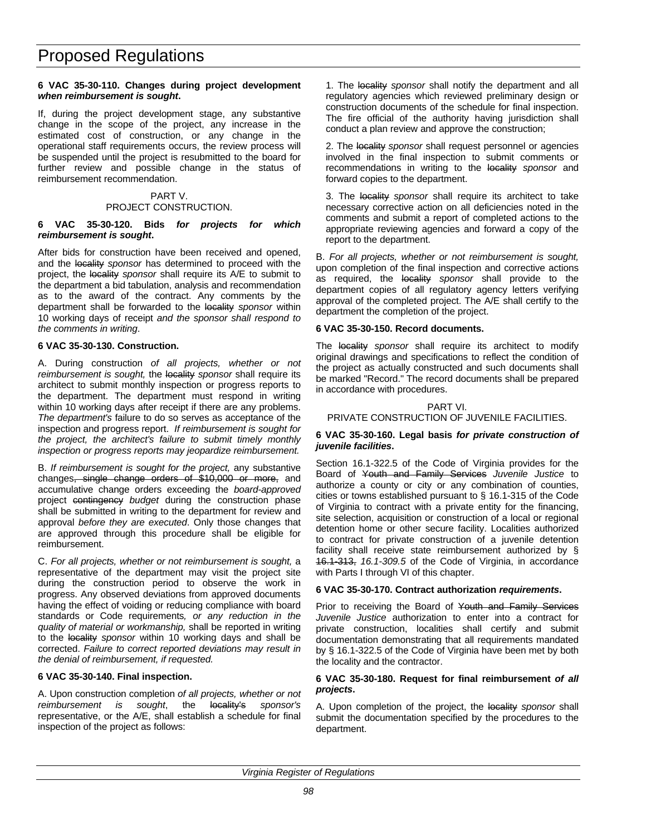#### **6 VAC 35-30-110. Changes during project development** *when reimbursement is sought***.**

If, during the project development stage, any substantive change in the scope of the project, any increase in the estimated cost of construction, or any change in the operational staff requirements occurs, the review process will be suspended until the project is resubmitted to the board for further review and possible change in the status of reimbursement recommendation.

#### PART V. PROJECT CONSTRUCTION.

#### **6 VAC 35-30-120. Bids** *for projects for which reimbursement is sought***.**

After bids for construction have been received and opened, and the locality *sponsor* has determined to proceed with the project, the locality *sponsor* shall require its A/E to submit to the department a bid tabulation, analysis and recommendation as to the award of the contract. Any comments by the department shall be forwarded to the locality *sponsor* within 10 working days of receipt *and the sponsor shall respond to the comments in writing*.

#### **6 VAC 35-30-130. Construction.**

A. During construction *of all projects, whether or not* reimbursement is sought, the locality sponsor shall require its architect to submit monthly inspection or progress reports to the department. The department must respond in writing within 10 working days after receipt if there are any problems. *The department's* failure to do so serves as acceptance of the inspection and progress report. *If reimbursement is sought for the project, the architect's failure to submit timely monthly inspection or progress reports may jeopardize reimbursement.*

B. *If reimbursement is sought for the project,* any substantive changes, single change orders of \$10,000 or more, and accumulative change orders exceeding the *board-approved* project contingency *budget* during the construction phase shall be submitted in writing to the department for review and approval *before they are executed*. Only those changes that are approved through this procedure shall be eligible for reimbursement.

C. *For all projects, whether or not reimbursement is sought,* a representative of the department may visit the project site during the construction period to observe the work in progress. Any observed deviations from approved documents having the effect of voiding or reducing compliance with board standards or Code requirements*, or any reduction in the quality of material or workmanship,* shall be reported in writing to the locality *sponsor* within 10 working days and shall be corrected. *Failure to correct reported deviations may result in the denial of reimbursement, if requested.*

#### **6 VAC 35-30-140. Final inspection.**

A. Upon construction completion *of all projects, whether or not reimbursement is sought*, the locality's *sponsor's* representative, or the A/E, shall establish a schedule for final inspection of the project as follows:

1. The locality *sponsor* shall notify the department and all regulatory agencies which reviewed preliminary design or construction documents of the schedule for final inspection. The fire official of the authority having jurisdiction shall conduct a plan review and approve the construction;

2. The locality *sponsor* shall request personnel or agencies involved in the final inspection to submit comments or recommendations in writing to the locality *sponsor* and forward copies to the department.

3. The locality *sponsor* shall require its architect to take necessary corrective action on all deficiencies noted in the comments and submit a report of completed actions to the appropriate reviewing agencies and forward a copy of the report to the department.

B. *For all projects, whether or not reimbursement is sought,* upon completion of the final inspection and corrective actions as required, the locality sponsor shall provide to the department copies of all regulatory agency letters verifying approval of the completed project. The A/E shall certify to the department the completion of the project.

#### **6 VAC 35-30-150. Record documents.**

The locality *sponsor* shall require its architect to modify original drawings and specifications to reflect the condition of the project as actually constructed and such documents shall be marked "Record." The record documents shall be prepared in accordance with procedures.

#### PART VI. PRIVATE CONSTRUCTION OF JUVENILE FACILITIES.

#### **6 VAC 35-30-160. Legal basis** *for private construction of juvenile facilities***.**

Section 16.1-322.5 of the Code of Virginia provides for the Board of Youth and Family Services *Juvenile Justice* to authorize a county or city or any combination of counties, cities or towns established pursuant to § 16.1-315 of the Code of Virginia to contract with a private entity for the financing, site selection, acquisition or construction of a local or regional detention home or other secure facility. Localities authorized to contract for private construction of a juvenile detention facility shall receive state reimbursement authorized by § 16.1-313, *16.1-309.5* of the Code of Virginia, in accordance with Parts I through VI of this chapter.

#### **6 VAC 35-30-170. Contract authorization** *requirements***.**

Prior to receiving the Board of Youth and Family Services *Juvenile Justice* authorization to enter into a contract for private construction, localities shall certify and submit documentation demonstrating that all requirements mandated by § 16.1-322.5 of the Code of Virginia have been met by both the locality and the contractor.

#### **6 VAC 35-30-180. Request for final reimbursement** *of all projects***.**

A. Upon completion of the project, the locality *sponsor* shall submit the documentation specified by the procedures to the department.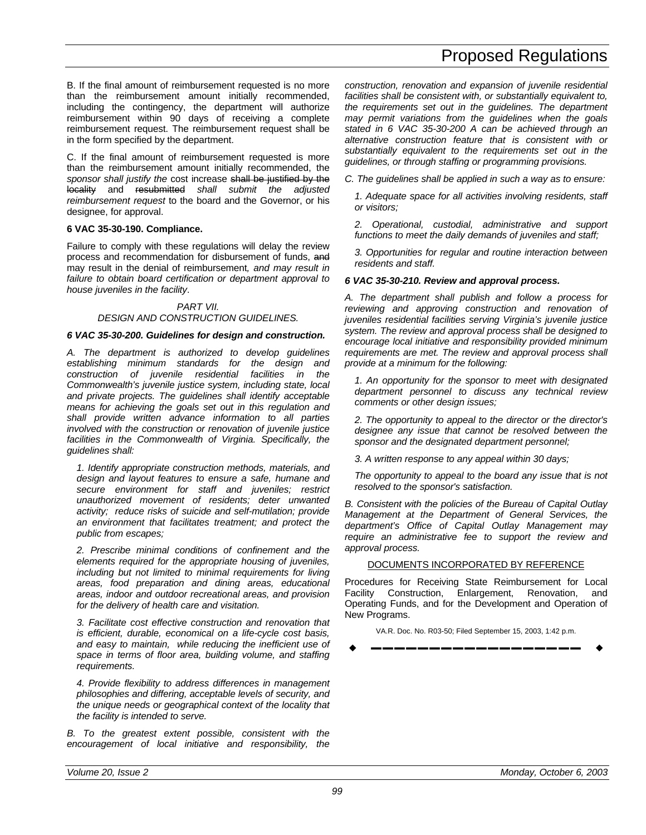B. If the final amount of reimbursement requested is no more than the reimbursement amount initially recommended, including the contingency, the department will authorize reimbursement within 90 days of receiving a complete reimbursement request. The reimbursement request shall be in the form specified by the department.

C. If the final amount of reimbursement requested is more than the reimbursement amount initially recommended, the *sponsor shall justify the* cost increase shall be justified by the locality and resubmitted *shall submit the adjusted reimbursement request* to the board and the Governor, or his designee, for approval.

#### **6 VAC 35-30-190. Compliance.**

Failure to comply with these regulations will delay the review process and recommendation for disbursement of funds, and may result in the denial of reimbursement*, and may result in failure to obtain board certification or department approval to house juveniles in the facility*.

#### *PART VII. DESIGN AND CONSTRUCTION GUIDELINES.*

#### *6 VAC 35-30-200. Guidelines for design and construction.*

*A. The department is authorized to develop guidelines establishing minimum standards for the design and construction of juvenile residential facilities in the Commonwealth's juvenile justice system, including state, local and private projects. The guidelines shall identify acceptable means for achieving the goals set out in this regulation and shall provide written advance information to all parties involved with the construction or renovation of juvenile justice facilities in the Commonwealth of Virginia. Specifically, the guidelines shall:*

*1. Identify appropriate construction methods, materials, and design and layout features to ensure a safe, humane and secure environment for staff and juveniles; restrict unauthorized movement of residents; deter unwanted activity; reduce risks of suicide and self-mutilation; provide an environment that facilitates treatment; and protect the public from escapes;*

*2. Prescribe minimal conditions of confinement and the elements required for the appropriate housing of juveniles, including but not limited to minimal requirements for living areas, food preparation and dining areas, educational areas, indoor and outdoor recreational areas, and provision for the delivery of health care and visitation.*

*3. Facilitate cost effective construction and renovation that is efficient, durable, economical on a life-cycle cost basis, and easy to maintain, while reducing the inefficient use of space in terms of floor area, building volume, and staffing requirements.*

*4. Provide flexibility to address differences in management philosophies and differing, acceptable levels of security, and the unique needs or geographical context of the locality that the facility is intended to serve.*

*B. To the greatest extent possible, consistent with the encouragement of local initiative and responsibility, the* *construction, renovation and expansion of juvenile residential facilities shall be consistent with, or substantially equivalent to, the requirements set out in the guidelines. The department may permit variations from the guidelines when the goals stated in 6 VAC 35-30-200 A can be achieved through an alternative construction feature that is consistent with or substantially equivalent to the requirements set out in the guidelines, or through staffing or programming provisions.*

*C. The guidelines shall be applied in such a way as to ensure:*

*1. Adequate space for all activities involving residents, staff or visitors;*

*2. Operational, custodial, administrative and support functions to meet the daily demands of juveniles and staff;*

*3. Opportunities for regular and routine interaction between residents and staff.*

#### *6 VAC 35-30-210. Review and approval process.*

*A. The department shall publish and follow a process for reviewing and approving construction and renovation of juveniles residential facilities serving Virginia's juvenile justice system. The review and approval process shall be designed to encourage local initiative and responsibility provided minimum requirements are met. The review and approval process shall provide at a minimum for the following:*

*1. An opportunity for the sponsor to meet with designated department personnel to discuss any technical review comments or other design issues;*

*2. The opportunity to appeal to the director or the director's designee any issue that cannot be resolved between the sponsor and the designated department personnel;*

*3. A written response to any appeal within 30 days;*

*The opportunity to appeal to the board any issue that is not resolved to the sponsor's satisfaction.*

*B. Consistent with the policies of the Bureau of Capital Outlay Management at the Department of General Services, the department's Office of Capital Outlay Management may require an administrative fee to support the review and approval process.*

#### DOCUMENTS INCORPORATED BY REFERENCE

Procedures for Receiving State Reimbursement for Local Facility Construction, Enlargement, Renovation, and Operating Funds, and for the Development and Operation of New Programs.

VA.R. Doc. No. R03-50; Filed September 15, 2003, 1:42 p.m.

w **––––––––––––––––––** w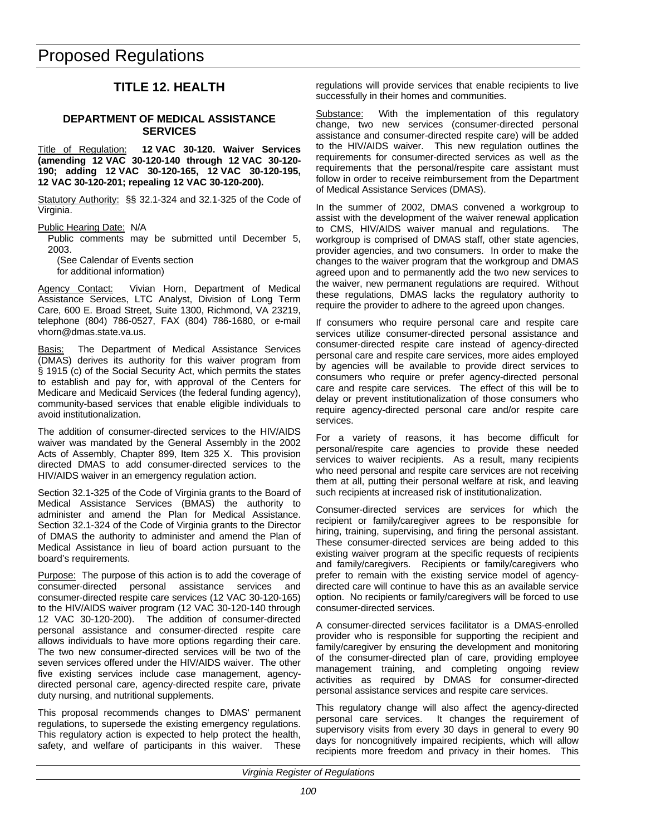### **TITLE 12. HEALTH**

#### <span id="page-35-0"></span>**DEPARTMENT OF MEDICAL ASSISTANCE SERVICES**

Title of Regulation: **12 VAC 30-120. Waiver Services (amending 12 VAC 30-120-140 through 12 VAC 30-120- 190; adding 12 VAC 30-120-165, 12 VAC 30-120-195, 12 VAC 30-120-201; repealing 12 VAC 30-120-200).**

Statutory Authority: §§ 32.1-324 and 32.1-325 of the Code of Virginia.

Public Hearing Date: N/A

Public comments may be submitted until December 5, 2003.

(See Calendar of Events section for additional information)

Agency Contact: Vivian Horn, Department of Medical Assistance Services, LTC Analyst, Division of Long Term Care, 600 E. Broad Street, Suite 1300, Richmond, VA 23219, telephone (804) 786-0527, FAX (804) 786-1680, or e-mail vhorn@dmas.state.va.us.

Basis: The Department of Medical Assistance Services (DMAS) derives its authority for this waiver program from § 1915 (c) of the Social Security Act, which permits the states to establish and pay for, with approval of the Centers for Medicare and Medicaid Services (the federal funding agency), community-based services that enable eligible individuals to avoid institutionalization.

The addition of consumer-directed services to the HIV/AIDS waiver was mandated by the General Assembly in the 2002 Acts of Assembly, Chapter 899, Item 325 X. This provision directed DMAS to add consumer-directed services to the HIV/AIDS waiver in an emergency regulation action.

Section 32.1-325 of the Code of Virginia grants to the Board of Medical Assistance Services (BMAS) the authority to administer and amend the Plan for Medical Assistance. Section 32.1-324 of the Code of Virginia grants to the Director of DMAS the authority to administer and amend the Plan of Medical Assistance in lieu of board action pursuant to the board's requirements.

Purpose: The purpose of this action is to add the coverage of consumer-directed personal assistance services and consumer-directed respite care services (12 VAC 30-120-165) to the HIV/AIDS waiver program (12 VAC 30-120-140 through 12 VAC 30-120-200). The addition of consumer-directed personal assistance and consumer-directed respite care allows individuals to have more options regarding their care. The two new consumer-directed services will be two of the seven services offered under the HIV/AIDS waiver. The other five existing services include case management, agencydirected personal care, agency-directed respite care, private duty nursing, and nutritional supplements.

This proposal recommends changes to DMAS' permanent regulations, to supersede the existing emergency regulations. This regulatory action is expected to help protect the health, safety, and welfare of participants in this waiver. These

regulations will provide services that enable recipients to live successfully in their homes and communities.

Substance: With the implementation of this regulatory change, two new services (consumer-directed personal assistance and consumer-directed respite care) will be added to the HIV/AIDS waiver. This new regulation outlines the requirements for consumer-directed services as well as the requirements that the personal/respite care assistant must follow in order to receive reimbursement from the Department of Medical Assistance Services (DMAS).

In the summer of 2002, DMAS convened a workgroup to assist with the development of the waiver renewal application to CMS, HIV/AIDS waiver manual and regulations. The workgroup is comprised of DMAS staff, other state agencies, provider agencies, and two consumers. In order to make the changes to the waiver program that the workgroup and DMAS agreed upon and to permanently add the two new services to the waiver, new permanent regulations are required. Without these regulations, DMAS lacks the regulatory authority to require the provider to adhere to the agreed upon changes.

If consumers who require personal care and respite care services utilize consumer-directed personal assistance and consumer-directed respite care instead of agency-directed personal care and respite care services, more aides employed by agencies will be available to provide direct services to consumers who require or prefer agency-directed personal care and respite care services. The effect of this will be to delay or prevent institutionalization of those consumers who require agency-directed personal care and/or respite care services.

For a variety of reasons, it has become difficult for personal/respite care agencies to provide these needed services to waiver recipients. As a result, many recipients who need personal and respite care services are not receiving them at all, putting their personal welfare at risk, and leaving such recipients at increased risk of institutionalization.

Consumer-directed services are services for which the recipient or family/caregiver agrees to be responsible for hiring, training, supervising, and firing the personal assistant. These consumer-directed services are being added to this existing waiver program at the specific requests of recipients and family/caregivers. Recipients or family/caregivers who prefer to remain with the existing service model of agencydirected care will continue to have this as an available service option. No recipients or family/caregivers will be forced to use consumer-directed services.

A consumer-directed services facilitator is a DMAS-enrolled provider who is responsible for supporting the recipient and family/caregiver by ensuring the development and monitoring of the consumer-directed plan of care, providing employee management training, and completing ongoing review activities as required by DMAS for consumer-directed personal assistance services and respite care services.

This regulatory change will also affect the agency-directed personal care services. It changes the requirement of supervisory visits from every 30 days in general to every 90 days for noncognitively impaired recipients, which will allow recipients more freedom and privacy in their homes. This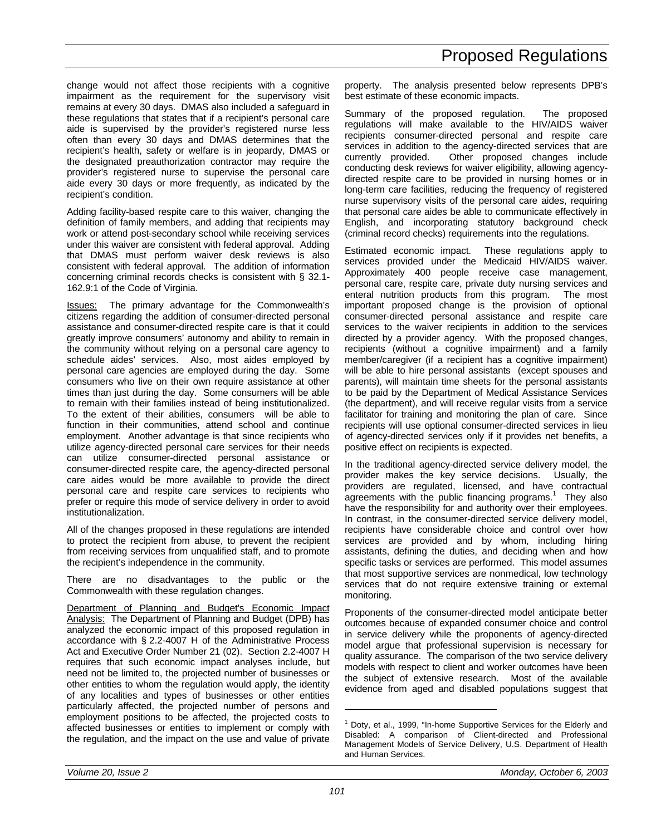change would not affect those recipients with a cognitive impairment as the requirement for the supervisory visit remains at every 30 days. DMAS also included a safeguard in these regulations that states that if a recipient's personal care aide is supervised by the provider's registered nurse less often than every 30 days and DMAS determines that the recipient's health, safety or welfare is in jeopardy, DMAS or the designated preauthorization contractor may require the provider's registered nurse to supervise the personal care aide every 30 days or more frequently, as indicated by the recipient's condition.

Adding facility-based respite care to this waiver, changing the definition of family members, and adding that recipients may work or attend post-secondary school while receiving services under this waiver are consistent with federal approval. Adding that DMAS must perform waiver desk reviews is also consistent with federal approval. The addition of information concerning criminal records checks is consistent with § 32.1- 162.9:1 of the Code of Virginia.

Issues: The primary advantage for the Commonwealth's citizens regarding the addition of consumer-directed personal assistance and consumer-directed respite care is that it could greatly improve consumers' autonomy and ability to remain in the community without relying on a personal care agency to schedule aides' services. Also, most aides employed by personal care agencies are employed during the day. Some consumers who live on their own require assistance at other times than just during the day. Some consumers will be able to remain with their families instead of being institutionalized. To the extent of their abilities, consumers will be able to function in their communities, attend school and continue employment. Another advantage is that since recipients who utilize agency-directed personal care services for their needs can utilize consumer-directed personal assistance or consumer-directed respite care, the agency-directed personal care aides would be more available to provide the direct personal care and respite care services to recipients who prefer or require this mode of service delivery in order to avoid institutionalization.

All of the changes proposed in these regulations are intended to protect the recipient from abuse, to prevent the recipient from receiving services from unqualified staff, and to promote the recipient's independence in the community.

There are no disadvantages to the public or the Commonwealth with these regulation changes.

Department of Planning and Budget's Economic Impact Analysis: The Department of Planning and Budget (DPB) has analyzed the economic impact of this proposed regulation in accordance with § 2.2-4007 H of the Administrative Process Act and Executive Order Number 21 (02). Section 2.2-4007 H requires that such economic impact analyses include, but need not be limited to, the projected number of businesses or other entities to whom the regulation would apply, the identity of any localities and types of businesses or other entities particularly affected, the projected number of persons and employment positions to be affected, the projected costs to affected businesses or entities to implement or comply with the regulation, and the impact on the use and value of private

property. The analysis presented below represents DPB's best estimate of these economic impacts.

Summary of the proposed regulation. The proposed regulations will make available to the HIV/AIDS waiver recipients consumer-directed personal and respite care services in addition to the agency-directed services that are currently provided. Other proposed changes include Other proposed changes include conducting desk reviews for waiver eligibility, allowing agencydirected respite care to be provided in nursing homes or in long-term care facilities, reducing the frequency of registered nurse supervisory visits of the personal care aides, requiring that personal care aides be able to communicate effectively in English, and incorporating statutory background check (criminal record checks) requirements into the regulations.

Estimated economic impact. These regulations apply to services provided under the Medicaid HIV/AIDS waiver. Approximately 400 people receive case management, personal care, respite care, private duty nursing services and enteral nutrition products from this program. The most important proposed change is the provision of optional consumer-directed personal assistance and respite care services to the waiver recipients in addition to the services directed by a provider agency. With the proposed changes, recipients (without a cognitive impairment) and a family member/caregiver (if a recipient has a cognitive impairment) will be able to hire personal assistants (except spouses and parents), will maintain time sheets for the personal assistants to be paid by the Department of Medical Assistance Services (the department), and will receive regular visits from a service facilitator for training and monitoring the plan of care. Since recipients will use optional consumer-directed services in lieu of agency-directed services only if it provides net benefits, a positive effect on recipients is expected.

In the traditional agency-directed service delivery model, the provider makes the key service decisions. Usually, the providers are regulated, licensed, and have contractual agreements with the public financing programs.<sup>1</sup> They also have the responsibility for and authority over their employees. In contrast, in the consumer-directed service delivery model, recipients have considerable choice and control over how services are provided and by whom, including hiring assistants, defining the duties, and deciding when and how specific tasks or services are performed. This model assumes that most supportive services are nonmedical, low technology services that do not require extensive training or external monitoring.

Proponents of the consumer-directed model anticipate better outcomes because of expanded consumer choice and control in service delivery while the proponents of agency-directed model argue that professional supervision is necessary for quality assurance. The comparison of the two service delivery models with respect to client and worker outcomes have been the subject of extensive research. Most of the available evidence from aged and disabled populations suggest that

-

<sup>1</sup> Doty, et al., 1999, "In-home Supportive Services for the Elderly and Disabled: A comparison of Client-directed and Professional Management Models of Service Delivery, U.S. Department of Health and Human Services.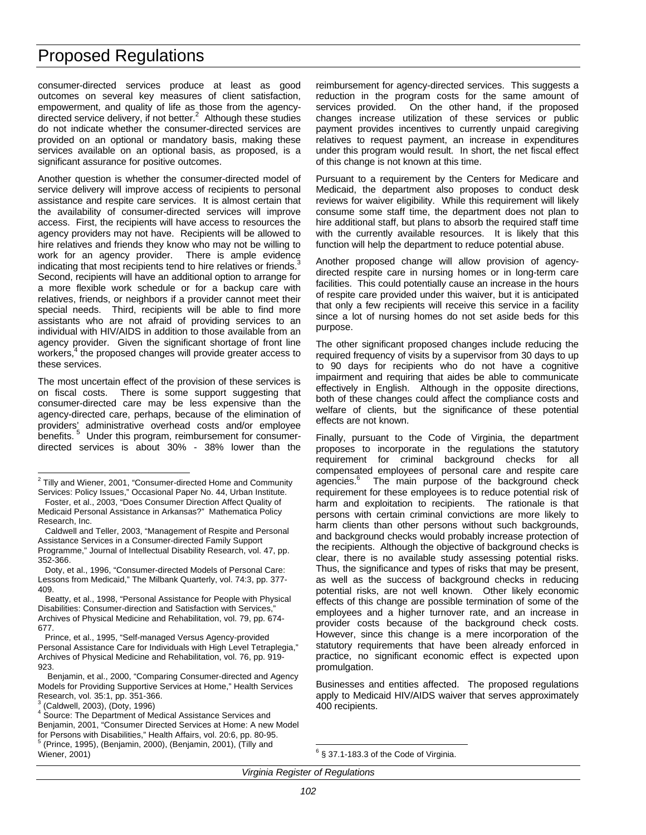consumer-directed services produce at least as good outcomes on several key measures of client satisfaction, empowerment, and quality of life as those from the agencydirected service delivery, if not better. $^2$  Although these studies do not indicate whether the consumer-directed services are provided on an optional or mandatory basis, making these services available on an optional basis, as proposed, is a significant assurance for positive outcomes.

Another question is whether the consumer-directed model of service delivery will improve access of recipients to personal assistance and respite care services. It is almost certain that the availability of consumer-directed services will improve access. First, the recipients will have access to resources the agency providers may not have. Recipients will be allowed to hire relatives and friends they know who may not be willing to work for an agency provider. There is ample evidence indicating that most recipients tend to hire relatives or friends.<sup>3</sup> Second, recipients will have an additional option to arrange for a more flexible work schedule or for a backup care with relatives, friends, or neighbors if a provider cannot meet their special needs. Third, recipients will be able to find more assistants who are not afraid of providing services to an individual with HIV/AIDS in addition to those available from an agency provider. Given the significant shortage of front line workers,<sup>4</sup> the proposed changes will provide greater access to these services.

The most uncertain effect of the provision of these services is on fiscal costs. There is some support suggesting that consumer-directed care may be less expensive than the agency-directed care, perhaps, because of the elimination of providers' administrative overhead costs and/or employee benefits.<sup>5</sup> Under this program, reimbursement for consumerdirected services is about 30% - 38% lower than the

reimbursement for agency-directed services. This suggests a reduction in the program costs for the same amount of services provided. On the other hand, if the proposed changes increase utilization of these services or public payment provides incentives to currently unpaid caregiving relatives to request payment, an increase in expenditures under this program would result. In short, the net fiscal effect of this change is not known at this time.

Pursuant to a requirement by the Centers for Medicare and Medicaid, the department also proposes to conduct desk reviews for waiver eligibility. While this requirement will likely consume some staff time, the department does not plan to hire additional staff, but plans to absorb the required staff time with the currently available resources. It is likely that this function will help the department to reduce potential abuse.

Another proposed change will allow provision of agencydirected respite care in nursing homes or in long-term care facilities. This could potentially cause an increase in the hours of respite care provided under this waiver, but it is anticipated that only a few recipients will receive this service in a facility since a lot of nursing homes do not set aside beds for this purpose.

The other significant proposed changes include reducing the required frequency of visits by a supervisor from 30 days to up to 90 days for recipients who do not have a cognitive impairment and requiring that aides be able to communicate effectively in English. Although in the opposite directions, both of these changes could affect the compliance costs and welfare of clients, but the significance of these potential effects are not known.

Finally, pursuant to the Code of Virginia, the department proposes to incorporate in the regulations the statutory requirement for criminal background checks for all compensated employees of personal care and respite care agencies.<sup>6</sup> The main purpose of the background check requirement for these employees is to reduce potential risk of harm and exploitation to recipients. The rationale is that persons with certain criminal convictions are more likely to harm clients than other persons without such backgrounds, and background checks would probably increase protection of the recipients. Although the objective of background checks is clear, there is no available study assessing potential risks. Thus, the significance and types of risks that may be present, as well as the success of background checks in reducing potential risks, are not well known. Other likely economic effects of this change are possible termination of some of the employees and a higher turnover rate, and an increase in provider costs because of the background check costs. However, since this change is a mere incorporation of the statutory requirements that have been already enforced in practice, no significant economic effect is expected upon promulgation.

Businesses and entities affected. The proposed regulations apply to Medicaid HIV/AIDS waiver that serves approximately 400 recipients.

 2 Tilly and Wiener, 2001, "Consumer-directed Home and Community Services: Policy Issues," Occasional Paper No. 44, Urban Institute.

Foster, et al., 2003, "Does Consumer Direction Affect Quality of Medicaid Personal Assistance in Arkansas?" Mathematica Policy Research, Inc.

Caldwell and Teller, 2003, "Management of Respite and Personal Assistance Services in a Consumer-directed Family Support Programme," Journal of Intellectual Disability Research, vol. 47, pp.

<sup>352-366.</sup>

Doty, et al., 1996, "Consumer-directed Models of Personal Care: Lessons from Medicaid," The Milbank Quarterly, vol. 74:3, pp. 377- 409.

Beatty, et al., 1998, "Personal Assistance for People with Physical Disabilities: Consumer-direction and Satisfaction with Services," Archives of Physical Medicine and Rehabilitation, vol. 79, pp. 674- 677.

Prince, et al., 1995, "Self-managed Versus Agency-provided Personal Assistance Care for Individuals with High Level Tetraplegia," Archives of Physical Medicine and Rehabilitation, vol. 76, pp. 919- 923.

Benjamin, et al., 2000, "Comparing Consumer-directed and Agency Models for Providing Supportive Services at Home," Health Services Research, vol. 35:1, pp. 351-366.

<sup>3</sup> (Caldwell, 2003), (Doty, 1996)

<sup>&</sup>lt;sup>4</sup> Source: The Department of Medical Assistance Services and Benjamin, 2001, "Consumer Directed Services at Home: A new Model for Persons with Disabilities," Health Affairs, vol. 20:6, pp. 80-95. 5 (Prince, 1995), (Benjamin, 2000), (Benjamin, 2001), (Tilly and Wiener, 2001)

 $\overline{a}$  $6$  § 37.1-183.3 of the Code of Virginia.

*Virginia Register of Regulations*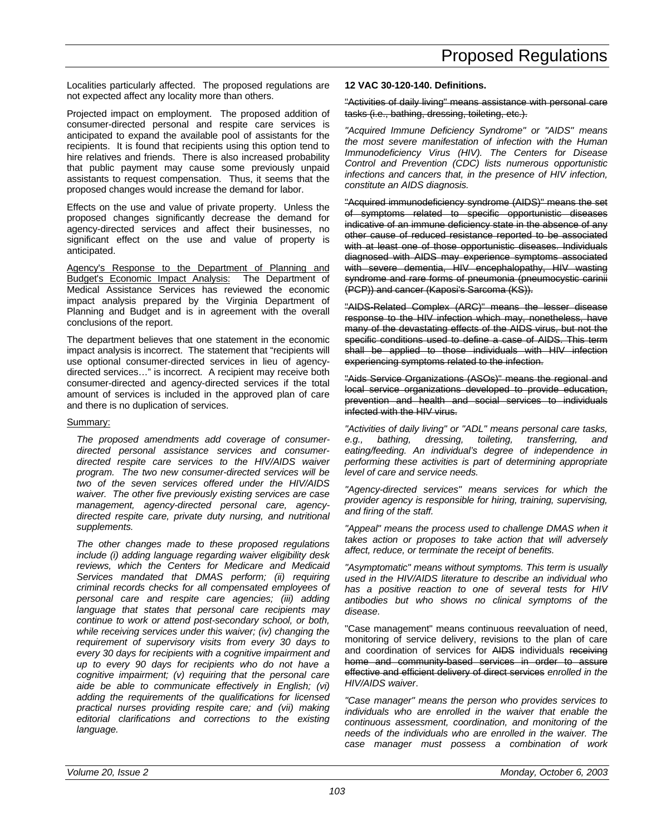Localities particularly affected. The proposed regulations are not expected affect any locality more than others.

Projected impact on employment. The proposed addition of consumer-directed personal and respite care services is anticipated to expand the available pool of assistants for the recipients. It is found that recipients using this option tend to hire relatives and friends. There is also increased probability that public payment may cause some previously unpaid assistants to request compensation. Thus, it seems that the proposed changes would increase the demand for labor.

Effects on the use and value of private property. Unless the proposed changes significantly decrease the demand for agency-directed services and affect their businesses, no significant effect on the use and value of property is anticipated.

Agency's Response to the Department of Planning and Budget's Economic Impact Analysis: The Department of Medical Assistance Services has reviewed the economic impact analysis prepared by the Virginia Department of Planning and Budget and is in agreement with the overall conclusions of the report.

The department believes that one statement in the economic impact analysis is incorrect. The statement that "recipients will use optional consumer-directed services in lieu of agencydirected services…" is incorrect. A recipient may receive both consumer-directed and agency-directed services if the total amount of services is included in the approved plan of care and there is no duplication of services.

### Summary:

*The proposed amendments add coverage of consumerdirected personal assistance services and consumerdirected respite care services to the HIV/AIDS waiver program. The two new consumer-directed services will be two of the seven services offered under the HIV/AIDS waiver. The other five previously existing services are case management, agency-directed personal care, agencydirected respite care, private duty nursing, and nutritional supplements.*

*The other changes made to these proposed regulations include (i) adding language regarding waiver eligibility desk reviews, which the Centers for Medicare and Medicaid Services mandated that DMAS perform; (ii) requiring criminal records checks for all compensated employees of personal care and respite care agencies; (iii) adding language that states that personal care recipients may continue to work or attend post-secondary school, or both, while receiving services under this waiver; (iv) changing the requirement of supervisory visits from every 30 days to every 30 days for recipients with a cognitive impairment and up to every 90 days for recipients who do not have a cognitive impairment; (v) requiring that the personal care aide be able to communicate effectively in English; (vi) adding the requirements of the qualifications for licensed practical nurses providing respite care; and (vii) making editorial clarifications and corrections to the existing language.*

#### **12 VAC 30-120-140. Definitions.**

"Activities of daily living" means assistance with personal care tasks (i.e., bathing, dressing, toileting, etc.).

*"Acquired Immune Deficiency Syndrome" or "AIDS" means the most severe manifestation of infection with the Human Immunodeficiency Virus (HIV). The Centers for Disease Control and Prevention (CDC) lists numerous opportunistic infections and cancers that, in the presence of HIV infection, constitute an AIDS diagnosis.*

"Acquired immunodeficiency syndrome (AIDS)" means the set of symptoms related to specific opportunistic diseases indicative of an immune deficiency state in the absence of any other cause of reduced resistance reported to be associated with at least one of those opportunistic diseases. Individuals diagnosed with AIDS may experience symptoms associated with severe dementia, HIV encephalopathy, HIV wasting syndrome and rare forms of pneumonia (pneumocystic carinii (PCP)) and cancer (Kaposi's Sarcoma (KS)).

"AIDS-Related Complex (ARC)" means the lesser disease response to the HIV infection which may, nonetheless, have many of the devastating effects of the AIDS virus, but not the specific conditions used to define a case of AIDS. This term shall be applied to those individuals with HIV infection experiencing symptoms related to the infection.

"Aids Service Organizations (ASOs)" means the regional and local service organizations developed to provide education, prevention and health and social services to individuals infected with the HIV virus.

*"Activities of daily living" or "ADL" means personal care tasks, e.g., bathing, dressing, toileting, transferring, and eating/feeding. An individual's degree of independence in performing these activities is part of determining appropriate level of care and service needs.*

*"Agency-directed services" means services for which the provider agency is responsible for hiring, training, supervising, and firing of the staff.*

*"Appeal" means the process used to challenge DMAS when it takes action or proposes to take action that will adversely affect, reduce, or terminate the receipt of benefits.*

*"Asymptomatic" means without symptoms. This term is usually used in the HIV/AIDS literature to describe an individual who has a positive reaction to one of several tests for HIV antibodies but who shows no clinical symptoms of the disease.*

"Case management" means continuous reevaluation of need, monitoring of service delivery, revisions to the plan of care and coordination of services for AIDS individuals receiving home and community-based services in order to assure effective and efficient delivery of direct services *enrolled in the HIV/AIDS waiver*.

*"Case manager" means the person who provides services to individuals who are enrolled in the waiver that enable the continuous assessment, coordination, and monitoring of the needs of the individuals who are enrolled in the waiver. The case manager must possess a combination of work*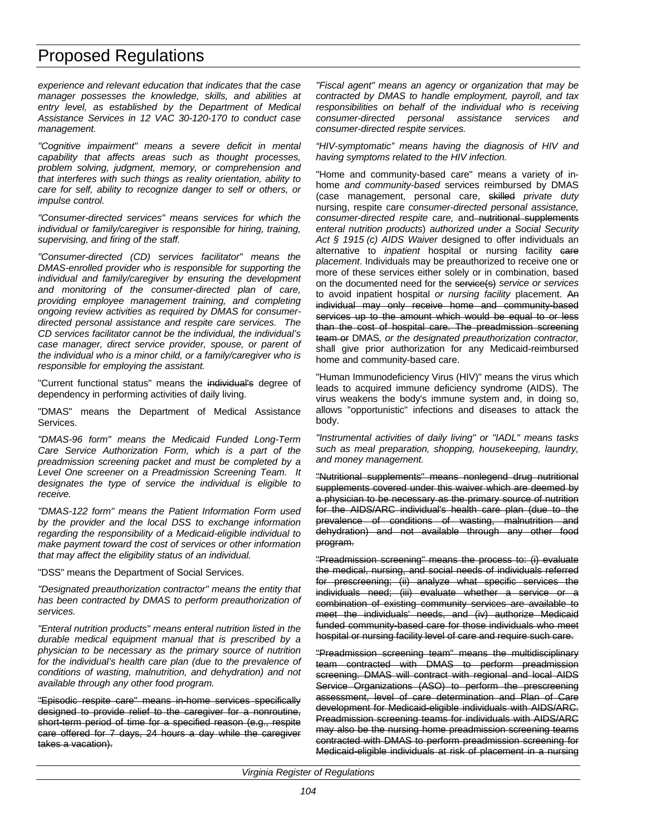*experience and relevant education that indicates that the case manager possesses the knowledge, skills, and abilities at entry level, as established by the Department of Medical Assistance Services in 12 VAC 30-120-170 to conduct case management.*

*"Cognitive impairment" means a severe deficit in mental capability that affects areas such as thought processes, problem solving, judgment, memory, or comprehension and that interferes with such things as reality orientation, ability to care for self, ability to recognize danger to self or others, or impulse control.*

*"Consumer-directed services" means services for which the individual or family/caregiver is responsible for hiring, training, supervising, and firing of the staff.*

*"Consumer-directed (CD) services facilitator" means the DMAS-enrolled provider who is responsible for supporting the individual and family/caregiver by ensuring the development and monitoring of the consumer-directed plan of care, providing employee management training, and completing ongoing review activities as required by DMAS for consumerdirected personal assistance and respite care services. The CD services facilitator cannot be the individual, the individual's case manager, direct service provider, spouse, or parent of the individual who is a minor child, or a family/caregiver who is responsible for employing the assistant.*

"Current functional status" means the individual's degree of dependency in performing activities of daily living.

"DMAS" means the Department of Medical Assistance Services.

*"DMAS-96 form" means the Medicaid Funded Long-Term Care Service Authorization Form, which is a part of the preadmission screening packet and must be completed by a Level One screener on a Preadmission Screening Team. It designates the type of service the individual is eligible to receive.*

*"DMAS-122 form" means the Patient Information Form used by the provider and the local DSS to exchange information regarding the responsibility of a Medicaid-eligible individual to make payment toward the cost of services or other information that may affect the eligibility status of an individual.*

"DSS" means the Department of Social Services.

*"Designated preauthorization contractor" means the entity that has been contracted by DMAS to perform preauthorization of services.*

*"Enteral nutrition products" means enteral nutrition listed in the durable medical equipment manual that is prescribed by a physician to be necessary as the primary source of nutrition for the individual's health care plan (due to the prevalence of conditions of wasting, malnutrition, and dehydration) and not available through any other food program.*

"Episodic respite care" means in-home services specifically designed to provide relief to the caregiver for a nonroutine, short-term period of time for a specified reason (e.g., respite care offered for 7 days, 24 hours a day while the caregiver takes a vacation).

*"Fiscal agent" means an agency or organization that may be contracted by DMAS to handle employment, payroll, and tax responsibilities on behalf of the individual who is receiving consumer-directed personal assistance services and consumer-directed respite services.*

*"HIV-symptomatic" means having the diagnosis of HIV and having symptoms related to the HIV infection.*

"Home and community-based care" means a variety of inhome *and community-based* services reimbursed by DMAS (case management, personal care, skilled *private duty* nursing, respite care *consumer-directed personal assistance,* consumer-directed respite care, and nutritional supplements *enteral nutrition products*) *authorized under a Social Security Act § 1915 (c) AIDS Waiver* designed to offer individuals an alternative to *inpatient* hospital or nursing facility eare *placement*. Individuals may be preauthorized to receive one or more of these services either solely or in combination, based on the documented need for the service(s) *service or services* to avoid inpatient hospital *or nursing facility* placement. An individual may only receive home and community-based services up to the amount which would be equal to or less than the cost of hospital care. The preadmission screening team or DMAS*, or the designated preauthorization contractor,* shall give prior authorization for any Medicaid-reimbursed home and community-based care.

"Human Immunodeficiency Virus (HIV)" means the virus which leads to acquired immune deficiency syndrome (AIDS). The virus weakens the body's immune system and, in doing so, allows "opportunistic" infections and diseases to attack the body.

*"Instrumental activities of daily living" or "IADL" means tasks such as meal preparation, shopping, housekeeping, laundry, and money management.*

"Nutritional supplements" means nonlegend drug nutritional supplements covered under this waiver which are deemed by a physician to be necessary as the primary source of nutrition for the AIDS/ARC individual's health care plan (due to the prevalence of conditions of wasting, malnutrition and dehydration) and not available through any other food program.

"Preadmission screening" means the process to: (i) evaluate the medical, nursing, and social needs of individuals referred for prescreening; (ii) analyze what specific services the individuals need; (iii) evaluate whether a service or a combination of existing community services are available to meet the individuals' needs, and (iv) authorize Medicaid funded community-based care for those individuals who meet hospital or nursing facility level of care and require such care.

"Preadmission screening team" means the multidisciplinary team contracted with DMAS to perform preadmission screening. DMAS will contract with regional and local AIDS Service Organizations (ASO) to perform the prescreening assessment, level of care determination and Plan of Care development for Medicaid-eligible individuals with AIDS/ARC. Preadmission screening teams for individuals with AIDS/ARC may also be the nursing home preadmission screening teams contracted with DMAS to perform preadmission screening for Medicaid-eligible individuals at risk of placement in a nursing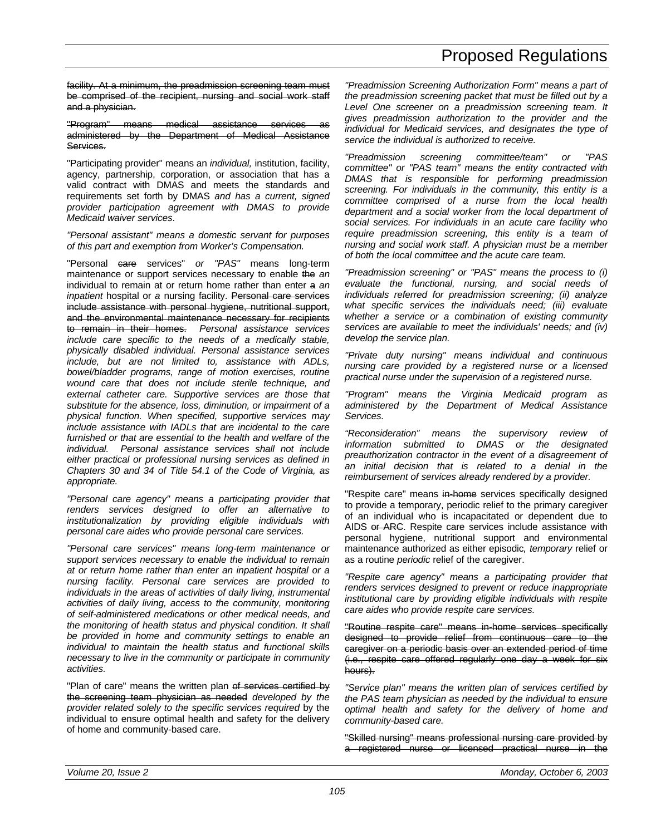facility. At a minimum, the preadmission screening team must be comprised of the recipient, nursing and social work staff and a physician.

"Program" means medical assistance services as administered by the Department of Medical Assistance Services.

"Participating provider" means an *individual,* institution, facility, agency, partnership, corporation, or association that has a valid contract with DMAS and meets the standards and requirements set forth by DMAS *and has a current, signed provider participation agreement with DMAS to provide Medicaid waiver services*.

*"Personal assistant" means a domestic servant for purposes of this part and exemption from Worker's Compensation.*

"Personal care services" *or "PAS"* means long-term maintenance or support services necessary to enable the *an* individual to remain at or return home rather than enter a *an inpatient* hospital or *a* nursing facility. Personal care services include assistance with personal hygiene, nutritional support, and the environmental maintenance necessary for recipients to remain in their homes. *Personal assistance services include care specific to the needs of a medically stable, physically disabled individual. Personal assistance services include, but are not limited to, assistance with ADLs, bowel/bladder programs, range of motion exercises, routine wound care that does not include sterile technique, and external catheter care. Supportive services are those that substitute for the absence, loss, diminution, or impairment of a physical function. When specified, supportive services may include assistance with IADLs that are incidental to the care furnished or that are essential to the health and welfare of the individual. Personal assistance services shall not include either practical or professional nursing services as defined in Chapters 30 and 34 of Title 54.1 of the Code of Virginia, as appropriate.*

*"Personal care agency" means a participating provider that renders services designed to offer an alternative to institutionalization by providing eligible individuals with personal care aides who provide personal care services.*

*"Personal care services" means long-term maintenance or support services necessary to enable the individual to remain at or return home rather than enter an inpatient hospital or a nursing facility. Personal care services are provided to individuals in the areas of activities of daily living, instrumental activities of daily living, access to the community, monitoring of self-administered medications or other medical needs, and the monitoring of health status and physical condition. It shall be provided in home and community settings to enable an individual to maintain the health status and functional skills necessary to live in the community or participate in community activities.*

"Plan of care" means the written plan of services certified by the screening team physician as needed *developed by the provider related solely to the specific services required* by the individual to ensure optimal health and safety for the delivery of home and community-based care.

*"Preadmission Screening Authorization Form" means a part of the preadmission screening packet that must be filled out by a Level One screener on a preadmission screening team. It gives preadmission authorization to the provider and the individual for Medicaid services, and designates the type of service the individual is authorized to receive.*

*"Preadmission screening committee/team" or "PAS committee" or "PAS team" means the entity contracted with DMAS that is responsible for performing preadmission screening. For individuals in the community, this entity is a committee comprised of a nurse from the local health department and a social worker from the local department of social services. For individuals in an acute care facility who require preadmission screening, this entity is a team of nursing and social work staff. A physician must be a member of both the local committee and the acute care team.*

*"Preadmission screening" or "PAS" means the process to (i) evaluate the functional, nursing, and social needs of individuals referred for preadmission screening; (ii) analyze what specific services the individuals need; (iii) evaluate whether a service or a combination of existing community services are available to meet the individuals' needs; and (iv) develop the service plan.*

*"Private duty nursing" means individual and continuous nursing care provided by a registered nurse or a licensed practical nurse under the supervision of a registered nurse.*

*"Program" means the Virginia Medicaid program as administered by the Department of Medical Assistance Services.*

*"Reconsideration" means the supervisory review of information submitted to DMAS or the designated preauthorization contractor in the event of a disagreement of an initial decision that is related to a denial in the reimbursement of services already rendered by a provider.*

"Respite care" means in-home services specifically designed to provide a temporary, periodic relief to the primary caregiver of an individual who is incapacitated or dependent due to AIDS or ARC. Respite care services include assistance with personal hygiene, nutritional support and environmental maintenance authorized as either episodic*, temporary* relief or as a routine *periodic* relief of the caregiver.

*"Respite care agency" means a participating provider that renders services designed to prevent or reduce inappropriate institutional care by providing eligible individuals with respite care aides who provide respite care services.*

"Routine respite care" means in-home services specifically designed to provide relief from continuous care to the caregiver on a periodic basis over an extended period of time (i.e., respite care offered regularly one day a week for six hours).

*"Service plan" means the written plan of services certified by the PAS team physician as needed by the individual to ensure optimal health and safety for the delivery of home and community-based care.*

"Skilled nursing" means professional nursing care provided by a registered nurse or licensed practical nurse in the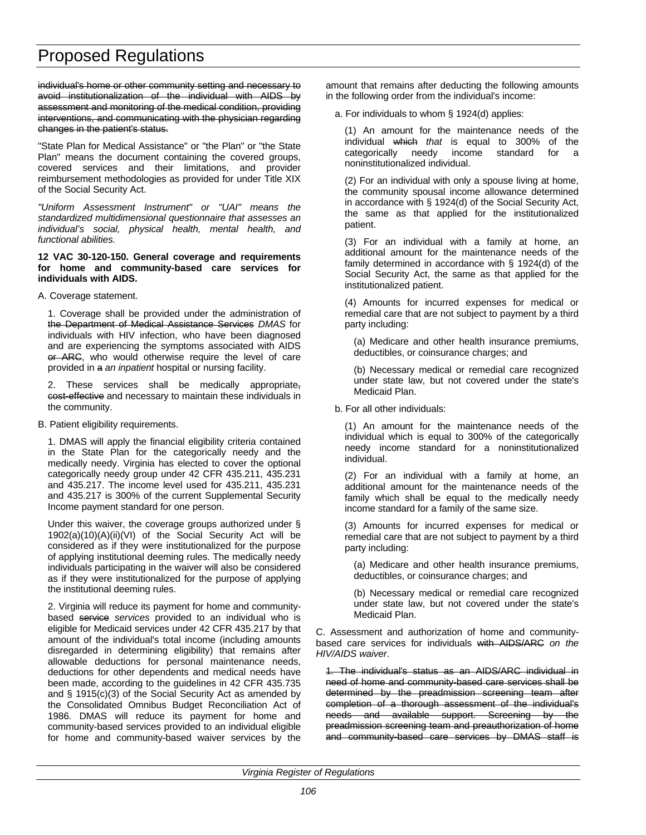individual's home or other community setting and necessary to avoid institutionalization of the individual with AIDS by assessment and monitoring of the medical condition, providing interventions, and communicating with the physician regarding changes in the patient's status.

"State Plan for Medical Assistance" or "the Plan" or "the State Plan" means the document containing the covered groups, covered services and their limitations, and provider reimbursement methodologies as provided for under Title XIX of the Social Security Act.

*"Uniform Assessment Instrument" or "UAI" means the standardized multidimensional questionnaire that assesses an individual's social, physical health, mental health, and functional abilities.*

#### **12 VAC 30-120-150. General coverage and requirements for home and community-based care services for individuals with AIDS.**

### A. Coverage statement.

1. Coverage shall be provided under the administration of the Department of Medical Assistance Services *DMAS* for individuals with HIV infection, who have been diagnosed and are experiencing the symptoms associated with AIDS or ARC, who would otherwise require the level of care provided in a *an inpatient* hospital or nursing facility.

2. These services shall be medically appropriate, cost-effective and necessary to maintain these individuals in the community.

B. Patient eligibility requirements.

1. DMAS will apply the financial eligibility criteria contained in the State Plan for the categorically needy and the medically needy. Virginia has elected to cover the optional categorically needy group under 42 CFR 435.211, 435.231 and 435.217. The income level used for 435.211, 435.231 and 435.217 is 300% of the current Supplemental Security Income payment standard for one person.

Under this waiver, the coverage groups authorized under § 1902(a)(10)(A)(ii)(VI) of the Social Security Act will be considered as if they were institutionalized for the purpose of applying institutional deeming rules. The medically needy individuals participating in the waiver will also be considered as if they were institutionalized for the purpose of applying the institutional deeming rules.

2. Virginia will reduce its payment for home and communitybased service *services* provided to an individual who is eligible for Medicaid services under 42 CFR 435.217 by that amount of the individual's total income (including amounts disregarded in determining eligibility) that remains after allowable deductions for personal maintenance needs, deductions for other dependents and medical needs have been made, according to the guidelines in 42 CFR 435.735 and § 1915(c)(3) of the Social Security Act as amended by the Consolidated Omnibus Budget Reconciliation Act of 1986. DMAS will reduce its payment for home and community-based services provided to an individual eligible for home and community-based waiver services by the amount that remains after deducting the following amounts in the following order from the individual's income:

a. For individuals to whom § 1924(d) applies:

(1) An amount for the maintenance needs of the individual which *that* is equal to 300% of the categorically needy income standard for a noninstitutionalized individual.

(2) For an individual with only a spouse living at home, the community spousal income allowance determined in accordance with § 1924(d) of the Social Security Act, the same as that applied for the institutionalized patient.

(3) For an individual with a family at home, an additional amount for the maintenance needs of the family determined in accordance with § 1924(d) of the Social Security Act, the same as that applied for the institutionalized patient.

(4) Amounts for incurred expenses for medical or remedial care that are not subject to payment by a third party including:

(a) Medicare and other health insurance premiums, deductibles, or coinsurance charges; and

(b) Necessary medical or remedial care recognized under state law, but not covered under the state's Medicaid Plan.

b. For all other individuals:

(1) An amount for the maintenance needs of the individual which is equal to 300% of the categorically needy income standard for a noninstitutionalized individual.

(2) For an individual with a family at home, an additional amount for the maintenance needs of the family which shall be equal to the medically needy income standard for a family of the same size.

(3) Amounts for incurred expenses for medical or remedial care that are not subject to payment by a third party including:

(a) Medicare and other health insurance premiums, deductibles, or coinsurance charges; and

(b) Necessary medical or remedial care recognized under state law, but not covered under the state's Medicaid Plan.

C. Assessment and authorization of home and communitybased care services for individuals with AIDS/ARC *on the HIV/AIDS waiver*.

1. The individual's status as an AIDS/ARC individual in need of home and community-based care services shall be determined by the preadmission screening team after completion of a thorough assessment of the individual's needs and available support. Screening by the preadmission screening team and preauthorization of home and community-based care services by DMAS staff is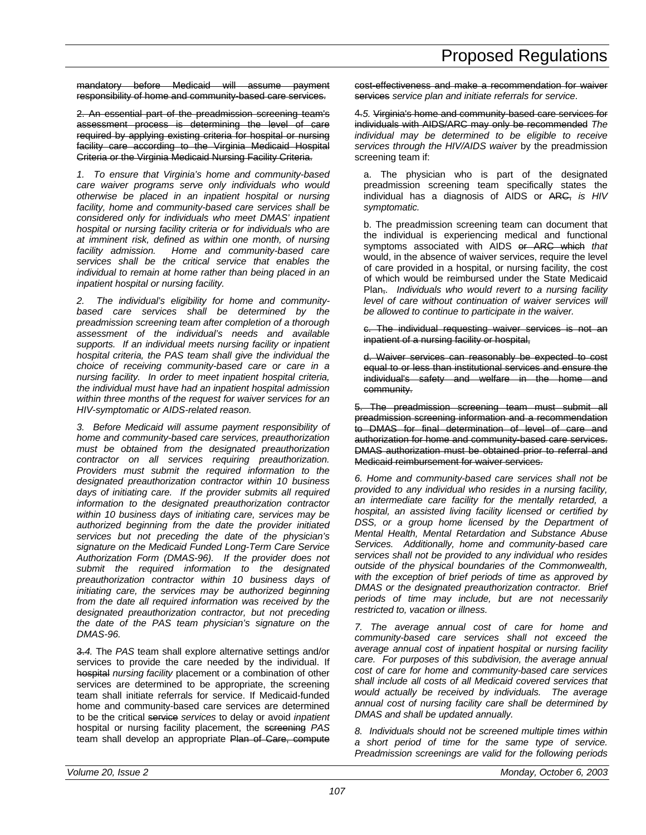mandatory before Medicaid will assume payment responsibility of home and community-based care services.

2. An essential part of the preadmission screening team's assessment process is determining the level of care required by applying existing criteria for hospital or nursing facility care according to the Virginia Medicaid Hospital Criteria or the Virginia Medicaid Nursing Facility Criteria.

*1. To ensure that Virginia's home and community-based care waiver programs serve only individuals who would otherwise be placed in an inpatient hospital or nursing facility, home and community-based care services shall be considered only for individuals who meet DMAS' inpatient hospital or nursing facility criteria or for individuals who are at imminent risk, defined as within one month, of nursing facility admission. Home and community-based care services shall be the critical service that enables the individual to remain at home rather than being placed in an inpatient hospital or nursing facility.*

*2. The individual's eligibility for home and communitybased care services shall be determined by the preadmission screening team after completion of a thorough assessment of the individual's needs and available supports. If an individual meets nursing facility or inpatient hospital criteria, the PAS team shall give the individual the choice of receiving community-based care or care in a nursing facility. In order to meet inpatient hospital criteria, the individual must have had an inpatient hospital admission within three months of the request for waiver services for an HIV-symptomatic or AIDS-related reason.*

*3. Before Medicaid will assume payment responsibility of home and community-based care services, preauthorization must be obtained from the designated preauthorization contractor on all services requiring preauthorization. Providers must submit the required information to the designated preauthorization contractor within 10 business days of initiating care. If the provider submits all required information to the designated preauthorization contractor within 10 business days of initiating care, services may be authorized beginning from the date the provider initiated services but not preceding the date of the physician's signature on the Medicaid Funded Long-Term Care Service Authorization Form (DMAS-96). If the provider does not submit the required information to the designated preauthorization contractor within 10 business days of initiating care, the services may be authorized beginning from the date all required information was received by the designated preauthorization contractor, but not preceding the date of the PAS team physician's signature on the DMAS-96.*

3.*4.* The *PAS* team shall explore alternative settings and/or services to provide the care needed by the individual. If hospital *nursing facility* placement or a combination of other services are determined to be appropriate, the screening team shall initiate referrals for service. If Medicaid-funded home and community-based care services are determined to be the critical service *services* to delay or avoid *inpatient* hospital or nursing facility placement, the screening *PAS* team shall develop an appropriate Plan of Care, compute

cost-effectiveness and make a recommendation for waiver services *service plan and initiate referrals for service*.

4.*5.* Virginia's home and community-based care services for individuals with AIDS/ARC may only be recommended *The individual may be determined to be eligible to receive services through the HIV/AIDS waiver* by the preadmission screening team if:

a. The physician who is part of the designated preadmission screening team specifically states the individual has a diagnosis of AIDS or ARC, *is HIV symptomatic.*

b. The preadmission screening team can document that the individual is experiencing medical and functional symptoms associated with AIDS or ARC which *that* would, in the absence of waiver services, require the level of care provided in a hospital, or nursing facility, the cost of which would be reimbursed under the State Medicaid Plan,*. Individuals who would revert to a nursing facility level of care without continuation of waiver services will be allowed to continue to participate in the waiver.*

c. The individual requesting waiver services is not an inpatient of a nursing facility or hospital.

d. Waiver services can reasonably be expected to cost equal to or less than institutional services and ensure the individual's safety and welfare in the home and community.

5. The preadmission screening team must submit all preadmission screening information and a recommendation to DMAS for final determination of level of care and authorization for home and community-based care services. DMAS authorization must be obtained prior to referral and Medicaid reimbursement for waiver services.

*6. Home and community-based care services shall not be provided to any individual who resides in a nursing facility, an intermediate care facility for the mentally retarded, a hospital, an assisted living facility licensed or certified by DSS, or a group home licensed by the Department of Mental Health, Mental Retardation and Substance Abuse Services. Additionally, home and community-based care services shall not be provided to any individual who resides outside of the physical boundaries of the Commonwealth, with the exception of brief periods of time as approved by DMAS or the designated preauthorization contractor. Brief periods of time may include, but are not necessarily restricted to, vacation or illness.*

*7. The average annual cost of care for home and community-based care services shall not exceed the average annual cost of inpatient hospital or nursing facility care. For purposes of this subdivision, the average annual cost of care for home and community-based care services shall include all costs of all Medicaid covered services that would actually be received by individuals. The average annual cost of nursing facility care shall be determined by DMAS and shall be updated annually.*

*8. Individuals should not be screened multiple times within a short period of time for the same type of service. Preadmission screenings are valid for the following periods*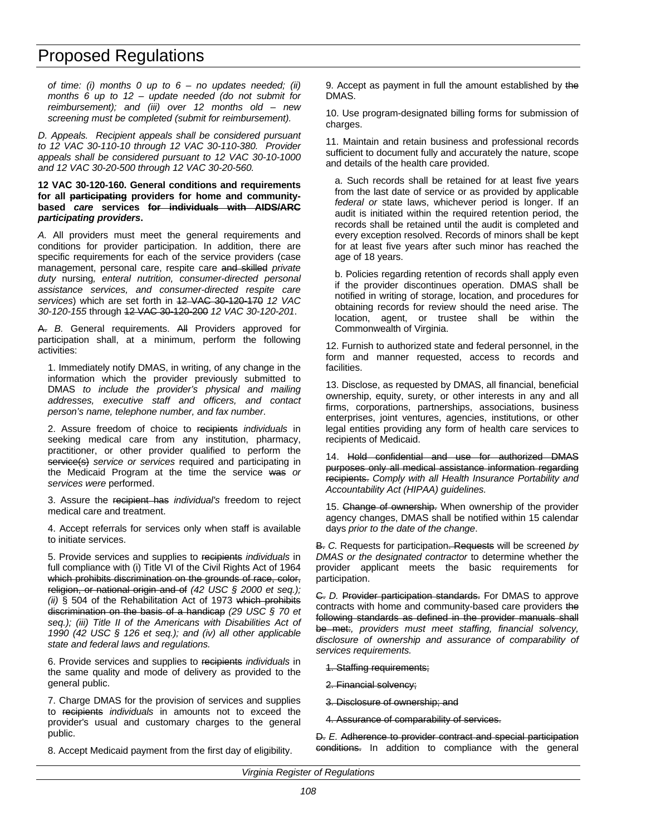*of time: (i) months 0 up to 6 – no updates needed; (ii) months 6 up to 12 – update needed (do not submit for reimbursement); and (iii) over 12 months old – new screening must be completed (submit for reimbursement).*

*D. Appeals. Recipient appeals shall be considered pursuant to 12 VAC 30-110-10 through 12 VAC 30-110-380. Provider appeals shall be considered pursuant to 12 VAC 30-10-1000 and 12 VAC 30-20-500 through 12 VAC 30-20-560.*

#### **12 VAC 30-120-160. General conditions and requirements for all participating providers for home and communitybased** *care* **services for individuals with AIDS/ARC** *participating providers***.**

*A.* All providers must meet the general requirements and conditions for provider participation. In addition, there are specific requirements for each of the service providers (case management, personal care, respite care and skilled *private duty* nursing*, enteral nutrition, consumer-directed personal assistance services, and consumer-directed respite care services*) which are set forth in 12 VAC 30-120-170 *12 VAC 30-120-155* through 12 VAC 30-120-200 *12 VAC 30-120-201*.

A. *B.* General requirements. All Providers approved for participation shall, at a minimum, perform the following activities:

1. Immediately notify DMAS, in writing, of any change in the information which the provider previously submitted to DMAS *to include the provider's physical and mailing addresses, executive staff and officers, and contact person's name, telephone number, and fax number*.

2. Assure freedom of choice to recipients *individuals* in seeking medical care from any institution, pharmacy, practitioner, or other provider qualified to perform the service(s) *service or services* required and participating in the Medicaid Program at the time the service was *or services were* performed.

3. Assure the recipient has *individual's* freedom to reject medical care and treatment.

4. Accept referrals for services only when staff is available to initiate services.

5. Provide services and supplies to recipients *individuals* in full compliance with (i) Title VI of the Civil Rights Act of 1964 which prohibits discrimination on the grounds of race, color, religion, or national origin and of *(42 USC § 2000 et seq.); (ii)* § 504 of the Rehabilitation Act of 1973 which prohibits discrimination on the basis of a handicap *(29 USC § 70 et seq.); (iii) Title II of the Americans with Disabilities Act of 1990 (42 USC § 126 et seq.); and (iv) all other applicable state and federal laws and regulations.*

6. Provide services and supplies to recipients *individuals* in the same quality and mode of delivery as provided to the general public.

7. Charge DMAS for the provision of services and supplies to recipients *individuals* in amounts not to exceed the provider's usual and customary charges to the general public.

8. Accept Medicaid payment from the first day of eligibility.

9. Accept as payment in full the amount established by the DMAS.

10. Use program-designated billing forms for submission of charges.

11. Maintain and retain business and professional records sufficient to document fully and accurately the nature, scope and details of the health care provided.

a. Such records shall be retained for at least five years from the last date of service or as provided by applicable *federal or* state laws, whichever period is longer. If an audit is initiated within the required retention period, the records shall be retained until the audit is completed and every exception resolved. Records of minors shall be kept for at least five years after such minor has reached the age of 18 years.

b. Policies regarding retention of records shall apply even if the provider discontinues operation. DMAS shall be notified in writing of storage, location, and procedures for obtaining records for review should the need arise. The location, agent, or trustee shall be within the Commonwealth of Virginia.

12. Furnish to authorized state and federal personnel, in the form and manner requested, access to records and facilities.

13. Disclose, as requested by DMAS, all financial, beneficial ownership, equity, surety, or other interests in any and all firms, corporations, partnerships, associations, business enterprises, joint ventures, agencies, institutions, or other legal entities providing any form of health care services to recipients of Medicaid.

14. Hold confidential and use for authorized DMAS purposes only all medical assistance information regarding recipients. *Comply with all Health Insurance Portability and Accountability Act (HIPAA) guidelines.*

15. Change of ownership. When ownership of the provider agency changes, DMAS shall be notified within 15 calendar days *prior to the date of the change*.

B. *C.* Requests for participation. Requests will be screened *by DMAS or the designated contractor* to determine whether the provider applicant meets the basic requirements for participation.

C. *D.* Provider participation standards. For DMAS to approve contracts with home and community-based care providers the following standards as defined in the provider manuals shall be met:*, providers must meet staffing, financial solvency, disclosure of ownership and assurance of comparability of services requirements.*

- 1. Staffing requirements;
- 2. Financial solvency;
- 3. Disclosure of ownership; and
- 4. Assurance of comparability of services.

D. *E.* Adherence to provider contract and special participation conditions. In addition to compliance with the general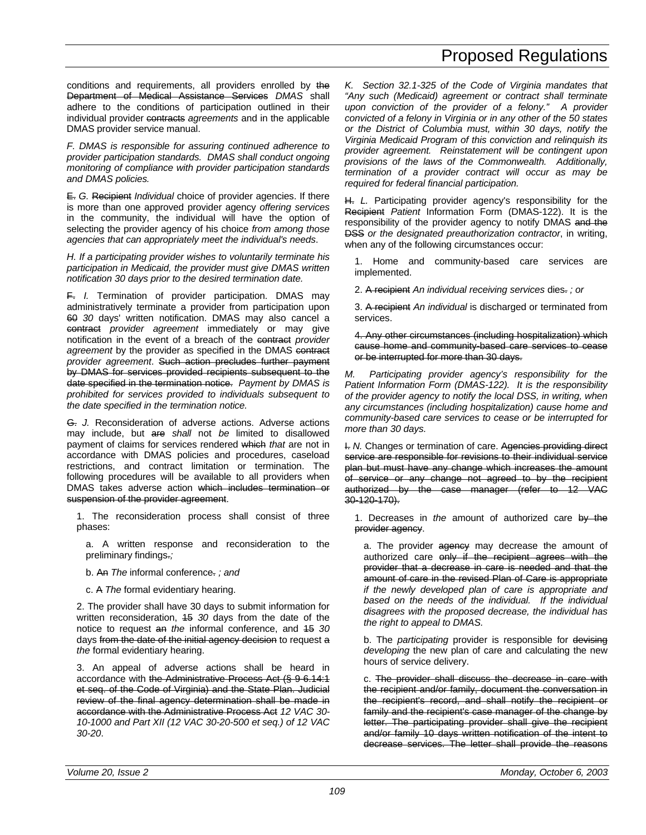conditions and requirements, all providers enrolled by the Department of Medical Assistance Services *DMAS* shall adhere to the conditions of participation outlined in their individual provider contracts *agreements* and in the applicable DMAS provider service manual.

*F. DMAS is responsible for assuring continued adherence to provider participation standards. DMAS shall conduct ongoing monitoring of compliance with provider participation standards and DMAS policies.*

E. *G.* Recipient *Individual* choice of provider agencies. If there is more than one approved provider agency *offering services* in the community, the individual will have the option of selecting the provider agency of his choice *from among those agencies that can appropriately meet the individual's needs*.

*H. If a participating provider wishes to voluntarily terminate his participation in Medicaid, the provider must give DMAS written notification 30 days prior to the desired termination date.*

F. *I.* Termination of provider participation. DMAS may administratively terminate a provider from participation upon 60 *30* days' written notification. DMAS may also cancel a contract *provider agreement* immediately or may give notification in the event of a breach of the contract *provider agreement* by the provider as specified in the DMAS contract *provider agreement*. Such action precludes further payment by DMAS for services provided recipients subsequent to the date specified in the termination notice. *Payment by DMAS is prohibited for services provided to individuals subsequent to the date specified in the termination notice.*

G. *J.* Reconsideration of adverse actions. Adverse actions may include, but are *shall* not *be* limited to disallowed payment of claims for services rendered which *that* are not in accordance with DMAS policies and procedures, caseload restrictions, and contract limitation or termination. The following procedures will be available to all providers when DMAS takes adverse action which includes termination or suspension of the provider agreement.

1. The reconsideration process shall consist of three phases:

a. A written response and reconsideration to the preliminary findings.*;*

- b. An *The* informal conference. *; and*
- c. A *The* formal evidentiary hearing.

2. The provider shall have 30 days to submit information for written reconsideration, 15 *30* days from the date of the notice to request an *the* informal conference, and 15 *30* days from the date of the initial agency decision to request a *the* formal evidentiary hearing.

3. An appeal of adverse actions shall be heard in accordance with the Administrative Process Act (§ 9-6.14:1 et seq. of the Code of Virginia) and the State Plan. Judicial review of the final agency determination shall be made in accordance with the Administrative Process Act *12 VAC 30- 10-1000 and Part XII (12 VAC 30-20-500 et seq.) of 12 VAC 30-20*.

*K. Section 32.1-325 of the Code of Virginia mandates that "Any such (Medicaid) agreement or contract shall terminate upon conviction of the provider of a felony." A provider convicted of a felony in Virginia or in any other of the 50 states or the District of Columbia must, within 30 days, notify the Virginia Medicaid Program of this conviction and relinquish its provider agreement. Reinstatement will be contingent upon provisions of the laws of the Commonwealth. Additionally, termination of a provider contract will occur as may be required for federal financial participation.*

H. *L.* Participating provider agency's responsibility for the Recipient *Patient* Information Form (DMAS-122). It is the responsibility of the provider agency to notify DMAS and the DSS *or the designated preauthorization contractor*, in writing, when any of the following circumstances occur:

1. Home and community-based care services are implemented.

2. A recipient *An individual receiving services* dies. *; or*

3. A recipient *An individual* is discharged or terminated from services.

4. Any other circumstances (including hospitalization) which cause home and community-based care services to cease or be interrupted for more than 30 days.

*M. Participating provider agency's responsibility for the Patient Information Form (DMAS-122). It is the responsibility of the provider agency to notify the local DSS, in writing, when any circumstances (including hospitalization) cause home and community-based care services to cease or be interrupted for more than 30 days.*

I. *N.* Changes or termination of care. Agencies providing direct service are responsible for revisions to their individual service plan but must have any change which increases the amount of service or any change not agreed to by the recipient authorized by the case manager (refer to 12 VAC 30-120-170).

1. Decreases in *the* amount of authorized care by the provider agency.

a. The provider agency may decrease the amount of authorized care only if the recipient agrees with the provider that a decrease in care is needed and that the amount of care in the revised Plan of Care is appropriate *if the newly developed plan of care is appropriate and based on the needs of the individual. If the individual disagrees with the proposed decrease, the individual has the right to appeal to DMAS.*

b. The *participating* provider is responsible for devising *developing* the new plan of care and calculating the new hours of service delivery.

c. The provider shall discuss the decrease in care with the recipient and/or family, document the conversation in the recipient's record, and shall notify the recipient or family and the recipient's case manager of the change by letter. The participating provider shall give the recipient and/or family 10 days written notification of the intent to decrease services. The letter shall provide the reasons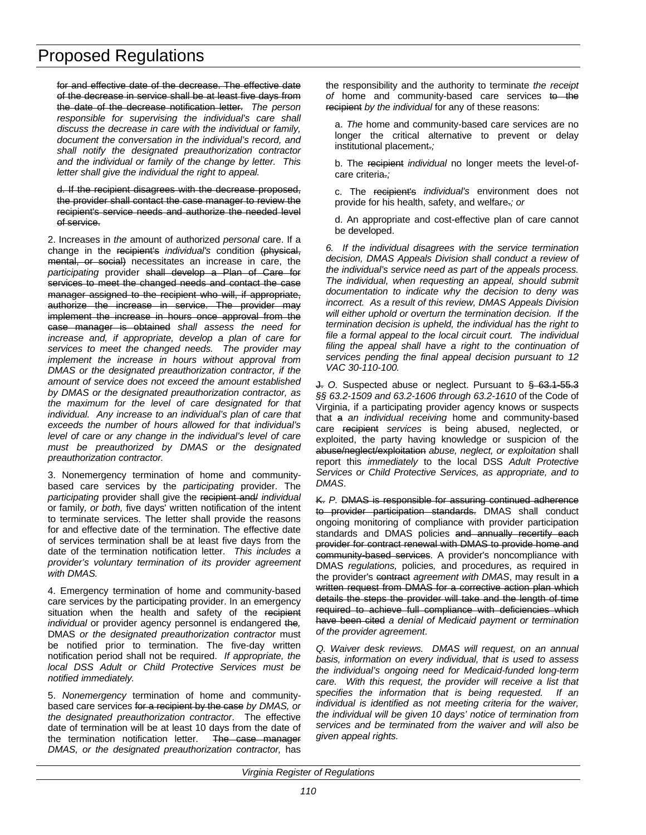for and effective date of the decrease. The effective date of the decrease in service shall be at least five days from the date of the decrease notification letter. *The person responsible for supervising the individual's care shall discuss the decrease in care with the individual or family, document the conversation in the individual's record, and shall notify the designated preauthorization contractor and the individual or family of the change by letter. This letter shall give the individual the right to appeal.*

d. If the recipient disagrees with the decrease proposed, the provider shall contact the case manager to review the recipient's service needs and authorize the needed level of service.

2. Increases in *the* amount of authorized *personal* care. If a change in the recipient's *individual's* condition (physical, mental, or social) necessitates an increase in care, the *participating* provider shall develop a Plan of Care for services to meet the changed needs and contact the case manager assigned to the recipient who will, if appropriate, authorize the increase in service. The provider may implement the increase in hours once approval from the case manager is obtained *shall assess the need for increase and, if appropriate, develop a plan of care for services to meet the changed needs. The provider may implement the increase in hours without approval from DMAS or the designated preauthorization contractor, if the amount of service does not exceed the amount established by DMAS or the designated preauthorization contractor, as the maximum for the level of care designated for that individual. Any increase to an individual's plan of care that exceeds the number of hours allowed for that individual's level of care or any change in the individual's level of care must be preauthorized by DMAS or the designated preauthorization contractor.*

3. Nonemergency termination of home and communitybased care services by the *participating* provider. The *participating* provider shall give the recipient and/ *individual* or family*, or both,* five days' written notification of the intent to terminate services. The letter shall provide the reasons for and effective date of the termination. The effective date of services termination shall be at least five days from the date of the termination notification letter. *This includes a provider's voluntary termination of its provider agreement with DMAS.*

4. Emergency termination of home and community-based care services by the participating provider. In an emergency situation when the health and safety of the recipient *individual* or provider agency personnel is endangered the*,* DMAS *or the designated preauthorization contractor* must be notified prior to termination. The five-day written notification period shall not be required. *If appropriate, the local DSS Adult or Child Protective Services must be notified immediately.*

5. *Nonemergency* termination of home and communitybased care services for a recipient by the case *by DMAS, or the designated preauthorization contractor*. The effective date of termination will be at least 10 days from the date of the termination notification letter. The case manager *DMAS, or the designated preauthorization contractor,* has

the responsibility and the authority to terminate *the receipt* of home and community-based care services to the recipient *by the individual* for any of these reasons:

a. *The* home and community-based care services are no longer the critical alternative to prevent or delay institutional placement.*;*

b. The recipient *individual* no longer meets the level-ofcare criteria.*;*

c. The recipient's *individual's* environment does not provide for his health, safety, and welfare.*; or*

d. An appropriate and cost-effective plan of care cannot be developed.

*6. If the individual disagrees with the service termination decision, DMAS Appeals Division shall conduct a review of the individual's service need as part of the appeals process. The individual, when requesting an appeal, should submit documentation to indicate why the decision to deny was incorrect. As a result of this review, DMAS Appeals Division will either uphold or overturn the termination decision. If the termination decision is upheld, the individual has the right to file a formal appeal to the local circuit court. The individual filing the appeal shall have a right to the continuation of services pending the final appeal decision pursuant to 12 VAC 30-110-100.*

J. *O.* Suspected abuse or neglect. Pursuant to § 63.1-55.3 *§§ 63.2-1509 and 63.2-1606 through 63.2-1610* of the Code of Virginia, if a participating provider agency knows or suspects that a *an individual receiving* home and community-based care recipient *services* is being abused, neglected, or exploited, the party having knowledge or suspicion of the abuse/neglect/exploitation *abuse, neglect, or exploitation* shall report this *immediately* to the local DSS *Adult Protective Services or Child Protective Services, as appropriate, and to DMAS*.

K. *P.* DMAS is responsible for assuring continued adherence to provider participation standards. DMAS shall conduct ongoing monitoring of compliance with provider participation standards and DMAS policies and annually recertify each provider for contract renewal with DMAS to provide home and community-based services. A provider's noncompliance with DMAS *regulations,* policies*,* and procedures, as required in the provider's contract *agreement with DMAS*, may result in a written request from DMAS for a corrective action plan which details the steps the provider will take and the length of time required to achieve full compliance with deficiencies which have been cited *a denial of Medicaid payment or termination of the provider agreement*.

*Q. Waiver desk reviews. DMAS will request, on an annual basis, information on every individual, that is used to assess the individual's ongoing need for Medicaid-funded long-term care. With this request, the provider will receive a list that specifies the information that is being requested. If an individual is identified as not meeting criteria for the waiver, the individual will be given 10 days' notice of termination from services and be terminated from the waiver and will also be given appeal rights.*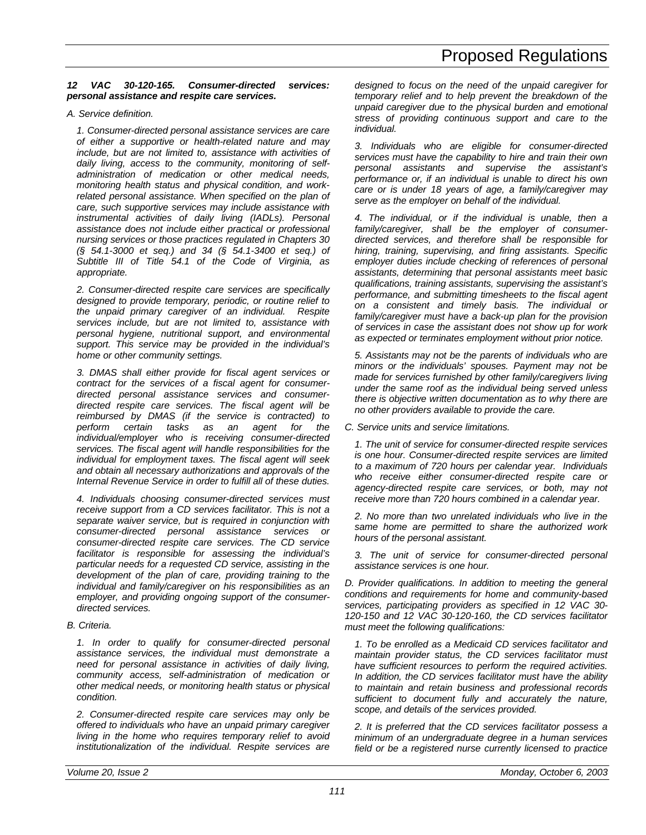### *12 VAC 30-120-165. Consumer-directed services: personal assistance and respite care services.*

#### *A. Service definition.*

*1. Consumer-directed personal assistance services are care of either a supportive or health-related nature and may include, but are not limited to, assistance with activities of daily living, access to the community, monitoring of selfadministration of medication or other medical needs, monitoring health status and physical condition, and workrelated personal assistance. When specified on the plan of care, such supportive services may include assistance with instrumental activities of daily living (IADLs). Personal assistance does not include either practical or professional nursing services or those practices regulated in Chapters 30 (§ 54.1-3000 et seq.) and 34 (§ 54.1-3400 et seq.) of Subtitle III of Title 54.1 of the Code of Virginia, as appropriate.*

*2. Consumer-directed respite care services are specifically designed to provide temporary, periodic, or routine relief to the unpaid primary caregiver of an individual. Respite services include, but are not limited to, assistance with personal hygiene, nutritional support, and environmental support. This service may be provided in the individual's home or other community settings.*

*3. DMAS shall either provide for fiscal agent services or contract for the services of a fiscal agent for consumerdirected personal assistance services and consumerdirected respite care services. The fiscal agent will be reimbursed by DMAS (if the service is contracted) to perform certain tasks as an agent for the individual/employer who is receiving consumer-directed services. The fiscal agent will handle responsibilities for the individual for employment taxes. The fiscal agent will seek and obtain all necessary authorizations and approvals of the Internal Revenue Service in order to fulfill all of these duties.*

*4. Individuals choosing consumer-directed services must receive support from a CD services facilitator. This is not a separate waiver service, but is required in conjunction with consumer-directed personal assistance services or consumer-directed respite care services. The CD service facilitator is responsible for assessing the individual's particular needs for a requested CD service, assisting in the development of the plan of care, providing training to the individual and family/caregiver on his responsibilities as an employer, and providing ongoing support of the consumerdirected services.*

#### *B. Criteria.*

*1. In order to qualify for consumer-directed personal assistance services, the individual must demonstrate a need for personal assistance in activities of daily living, community access, self-administration of medication or other medical needs, or monitoring health status or physical condition.*

*2. Consumer-directed respite care services may only be offered to individuals who have an unpaid primary caregiver living in the home who requires temporary relief to avoid institutionalization of the individual. Respite services are* *designed to focus on the need of the unpaid caregiver for temporary relief and to help prevent the breakdown of the unpaid caregiver due to the physical burden and emotional stress of providing continuous support and care to the individual.*

*3. Individuals who are eligible for consumer-directed services must have the capability to hire and train their own personal assistants and supervise the assistant's performance or, if an individual is unable to direct his own care or is under 18 years of age, a family/caregiver may serve as the employer on behalf of the individual.*

*4. The individual, or if the individual is unable, then a family/caregiver, shall be the employer of consumerdirected services, and therefore shall be responsible for hiring, training, supervising, and firing assistants. Specific employer duties include checking of references of personal assistants, determining that personal assistants meet basic qualifications, training assistants, supervising the assistant's performance, and submitting timesheets to the fiscal agent on a consistent and timely basis. The individual or family/caregiver must have a back-up plan for the provision of services in case the assistant does not show up for work as expected or terminates employment without prior notice.*

*5. Assistants may not be the parents of individuals who are minors or the individuals' spouses. Payment may not be made for services furnished by other family/caregivers living under the same roof as the individual being served unless there is objective written documentation as to why there are no other providers available to provide the care.*

*C. Service units and service limitations.*

*1. The unit of service for consumer-directed respite services is one hour. Consumer-directed respite services are limited to a maximum of 720 hours per calendar year. Individuals who receive either consumer-directed respite care or agency-directed respite care services, or both, may not receive more than 720 hours combined in a calendar year.*

*2. No more than two unrelated individuals who live in the same home are permitted to share the authorized work hours of the personal assistant.*

*3. The unit of service for consumer-directed personal assistance services is one hour.*

*D. Provider qualifications. In addition to meeting the general conditions and requirements for home and community-based services, participating providers as specified in 12 VAC 30- 120-150 and 12 VAC 30-120-160, the CD services facilitator must meet the following qualifications:*

*1. To be enrolled as a Medicaid CD services facilitator and maintain provider status, the CD services facilitator must have sufficient resources to perform the required activities. In addition, the CD services facilitator must have the ability to maintain and retain business and professional records sufficient to document fully and accurately the nature, scope, and details of the services provided.*

*2. It is preferred that the CD services facilitator possess a minimum of an undergraduate degree in a human services field or be a registered nurse currently licensed to practice*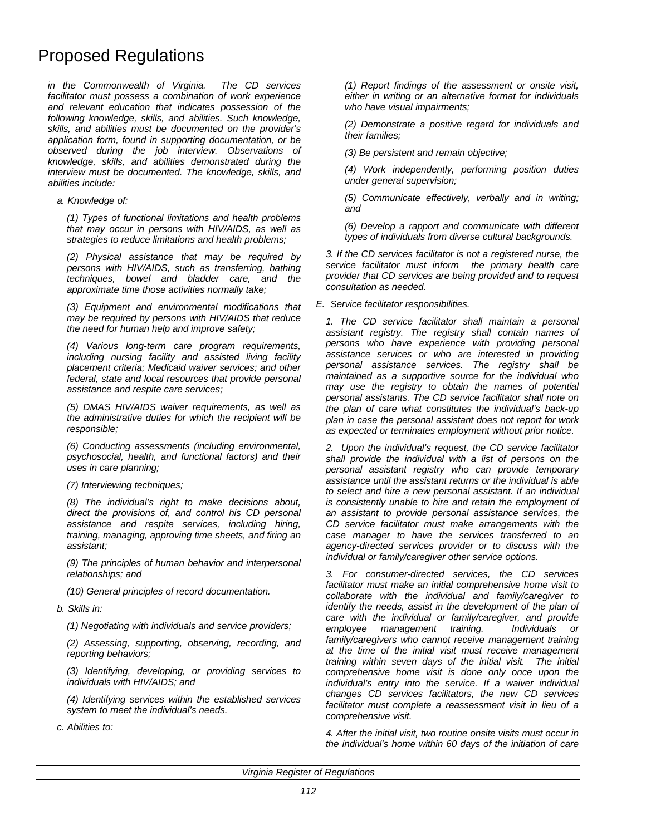*in the Commonwealth of Virginia. The CD services facilitator must possess a combination of work experience and relevant education that indicates possession of the following knowledge, skills, and abilities. Such knowledge, skills, and abilities must be documented on the provider's application form, found in supporting documentation, or be observed during the job interview. Observations of knowledge, skills, and abilities demonstrated during the interview must be documented. The knowledge, skills, and abilities include:*

*a. Knowledge of:*

*(1) Types of functional limitations and health problems that may occur in persons with HIV/AIDS, as well as strategies to reduce limitations and health problems;*

*(2) Physical assistance that may be required by persons with HIV/AIDS, such as transferring, bathing techniques, bowel and bladder care, and the approximate time those activities normally take;*

*(3) Equipment and environmental modifications that may be required by persons with HIV/AIDS that reduce the need for human help and improve safety;*

*(4) Various long-term care program requirements, including nursing facility and assisted living facility placement criteria; Medicaid waiver services; and other federal, state and local resources that provide personal assistance and respite care services;*

*(5) DMAS HIV/AIDS waiver requirements, as well as the administrative duties for which the recipient will be responsible;*

*(6) Conducting assessments (including environmental, psychosocial, health, and functional factors) and their uses in care planning;*

*(7) Interviewing techniques;*

*(8) The individual's right to make decisions about, direct the provisions of, and control his CD personal assistance and respite services, including hiring, training, managing, approving time sheets, and firing an assistant;*

*(9) The principles of human behavior and interpersonal relationships; and*

*(10) General principles of record documentation.*

*b. Skills in:*

*(1) Negotiating with individuals and service providers;*

*(2) Assessing, supporting, observing, recording, and reporting behaviors;*

*(3) Identifying, developing, or providing services to individuals with HIV/AIDS; and*

*(4) Identifying services within the established services system to meet the individual's needs.*

*c. Abilities to:*

*(1) Report findings of the assessment or onsite visit, either in writing or an alternative format for individuals who have visual impairments;*

*(2) Demonstrate a positive regard for individuals and their families;*

*(3) Be persistent and remain objective;*

*(4) Work independently, performing position duties under general supervision;*

*(5) Communicate effectively, verbally and in writing; and*

*(6) Develop a rapport and communicate with different types of individuals from diverse cultural backgrounds.*

*3. If the CD services facilitator is not a registered nurse, the service facilitator must inform the primary health care provider that CD services are being provided and to request consultation as needed.*

*E. Service facilitator responsibilities.*

*1. The CD service facilitator shall maintain a personal assistant registry. The registry shall contain names of persons who have experience with providing personal assistance services or who are interested in providing personal assistance services. The registry shall be maintained as a supportive source for the individual who may use the registry to obtain the names of potential personal assistants. The CD service facilitator shall note on the plan of care what constitutes the individual's back-up plan in case the personal assistant does not report for work as expected or terminates employment without prior notice.*

*2. Upon the individual's request, the CD service facilitator shall provide the individual with a list of persons on the personal assistant registry who can provide temporary assistance until the assistant returns or the individual is able to select and hire a new personal assistant. If an individual is consistently unable to hire and retain the employment of an assistant to provide personal assistance services, the CD service facilitator must make arrangements with the case manager to have the services transferred to an agency-directed services provider or to discuss with the individual or family/caregiver other service options.*

*3. For consumer-directed services, the CD services facilitator must make an initial comprehensive home visit to collaborate with the individual and family/caregiver to identify the needs, assist in the development of the plan of care with the individual or family/caregiver, and provide employee management training. Individuals or family/caregivers who cannot receive management training at the time of the initial visit must receive management training within seven days of the initial visit. The initial comprehensive home visit is done only once upon the individual's entry into the service. If a waiver individual changes CD services facilitators, the new CD services facilitator must complete a reassessment visit in lieu of a comprehensive visit.*

*4. After the initial visit, two routine onsite visits must occur in the individual's home within 60 days of the initiation of care*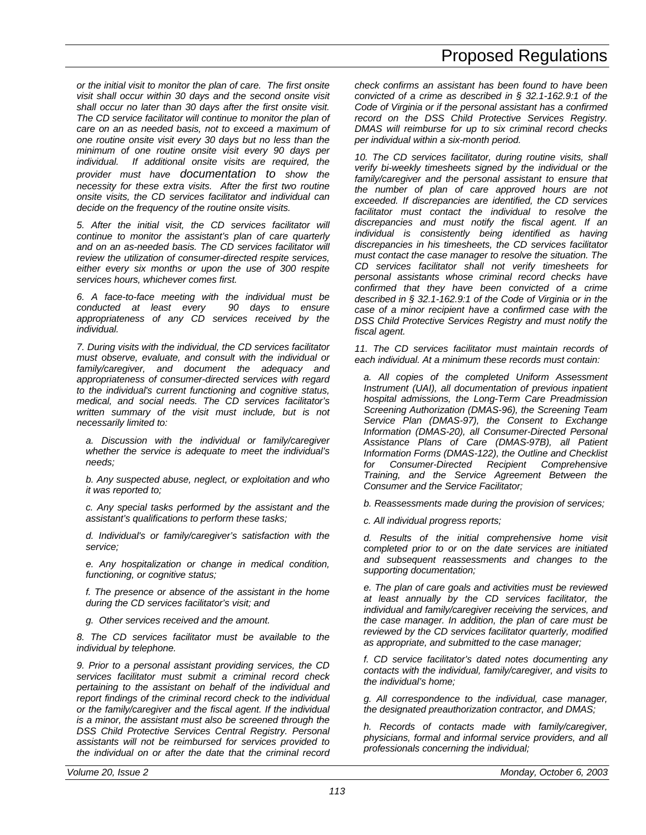*or the initial visit to monitor the plan of care. The first onsite visit shall occur within 30 days and the second onsite visit shall occur no later than 30 days after the first onsite visit. The CD service facilitator will continue to monitor the plan of care on an as needed basis, not to exceed a maximum of one routine onsite visit every 30 days but no less than the minimum of one routine onsite visit every 90 days per individual. If additional onsite visits are required, the provider must have documentation to show the necessity for these extra visits. After the first two routine onsite visits, the CD services facilitator and individual can decide on the frequency of the routine onsite visits.*

*5. After the initial visit, the CD services facilitator will continue to monitor the assistant's plan of care quarterly and on an as-needed basis. The CD services facilitator will review the utilization of consumer-directed respite services, either every six months or upon the use of 300 respite services hours, whichever comes first.*

*6. A face-to-face meeting with the individual must be conducted at least every 90 days to ensure appropriateness of any CD services received by the individual.*

*7. During visits with the individual, the CD services facilitator must observe, evaluate, and consult with the individual or family/caregiver, and document the adequacy and appropriateness of consumer-directed services with regard to the individual's current functioning and cognitive status, medical, and social needs. The CD services facilitator's written summary of the visit must include, but is not necessarily limited to:*

*a. Discussion with the individual or family/caregiver whether the service is adequate to meet the individual's needs;*

*b. Any suspected abuse, neglect, or exploitation and who it was reported to;*

*c. Any special tasks performed by the assistant and the assistant's qualifications to perform these tasks;*

*d. Individual's or family/caregiver's satisfaction with the service;*

*e. Any hospitalization or change in medical condition, functioning, or cognitive status;*

*f. The presence or absence of the assistant in the home during the CD services facilitator's visit; and*

*g. Other services received and the amount.*

*8. The CD services facilitator must be available to the individual by telephone.*

*9. Prior to a personal assistant providing services, the CD services facilitator must submit a criminal record check pertaining to the assistant on behalf of the individual and report findings of the criminal record check to the individual or the family/caregiver and the fiscal agent. If the individual is a minor, the assistant must also be screened through the DSS Child Protective Services Central Registry. Personal assistants will not be reimbursed for services provided to the individual on or after the date that the criminal record*

*check confirms an assistant has been found to have been convicted of a crime as described in § 32.1-162.9:1 of the Code of Virginia or if the personal assistant has a confirmed record on the DSS Child Protective Services Registry. DMAS will reimburse for up to six criminal record checks per individual within a six-month period.*

*10. The CD services facilitator, during routine visits, shall verify bi-weekly timesheets signed by the individual or the family/caregiver and the personal assistant to ensure that the number of plan of care approved hours are not exceeded. If discrepancies are identified, the CD services facilitator must contact the individual to resolve the discrepancies and must notify the fiscal agent. If an individual is consistently being identified as having discrepancies in his timesheets, the CD services facilitator must contact the case manager to resolve the situation. The CD services facilitator shall not verify timesheets for personal assistants whose criminal record checks have confirmed that they have been convicted of a crime described in § 32.1-162.9:1 of the Code of Virginia or in the case of a minor recipient have a confirmed case with the DSS Child Protective Services Registry and must notify the fiscal agent.*

*11. The CD services facilitator must maintain records of each individual. At a minimum these records must contain:*

*a. All copies of the completed Uniform Assessment Instrument (UAI), all documentation of previous inpatient hospital admissions, the Long-Term Care Preadmission Screening Authorization (DMAS-96), the Screening Team Service Plan (DMAS-97), the Consent to Exchange Information (DMAS-20), all Consumer-Directed Personal Assistance Plans of Care (DMAS-97B), all Patient Information Forms (DMAS-122), the Outline and Checklist for Consumer-Directed Recipient Comprehensive Training, and the Service Agreement Between the Consumer and the Service Facilitator;*

*b. Reassessments made during the provision of services;*

*c. All individual progress reports;*

*d. Results of the initial comprehensive home visit completed prior to or on the date services are initiated and subsequent reassessments and changes to the supporting documentation;*

*e. The plan of care goals and activities must be reviewed at least annually by the CD services facilitator, the individual and family/caregiver receiving the services, and the case manager. In addition, the plan of care must be reviewed by the CD services facilitator quarterly, modified as appropriate, and submitted to the case manager;*

*f. CD service facilitator's dated notes documenting any contacts with the individual, family/caregiver, and visits to the individual's home;*

*g. All correspondence to the individual, case manager, the designated preauthorization contractor, and DMAS;*

*h. Records of contacts made with family/caregiver, physicians, formal and informal service providers, and all professionals concerning the individual;*

*113*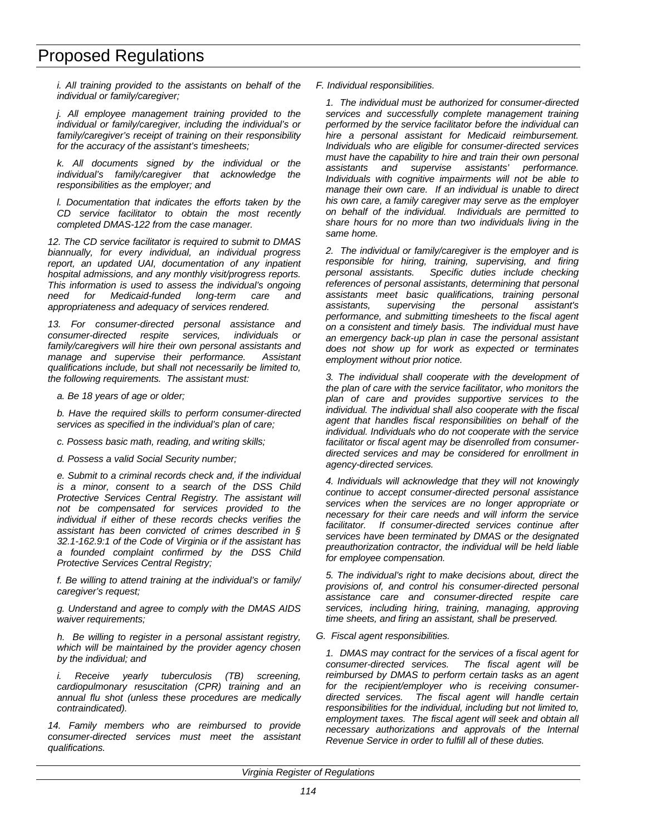*i. All training provided to the assistants on behalf of the individual or family/caregiver;*

*j. All employee management training provided to the individual or family/caregiver, including the individual's or family/caregiver's receipt of training on their responsibility for the accuracy of the assistant's timesheets;*

*k. All documents signed by the individual or the individual's family/caregiver that acknowledge the responsibilities as the employer; and*

*l. Documentation that indicates the efforts taken by the CD service facilitator to obtain the most recently completed DMAS-122 from the case manager.*

*12. The CD service facilitator is required to submit to DMAS biannually, for every individual, an individual progress report, an updated UAI, documentation of any inpatient hospital admissions, and any monthly visit/progress reports. This information is used to assess the individual's ongoing need for Medicaid-funded long-term care and appropriateness and adequacy of services rendered.*

*13. For consumer-directed personal assistance and consumer-directed respite services, individuals or family/caregivers will hire their own personal assistants and manage and supervise their performance. Assistant qualifications include, but shall not necessarily be limited to, the following requirements. The assistant must:*

*a. Be 18 years of age or older;*

*b. Have the required skills to perform consumer-directed services as specified in the individual's plan of care;*

*c. Possess basic math, reading, and writing skills;*

*d. Possess a valid Social Security number;*

*e. Submit to a criminal records check and, if the individual is a minor, consent to a search of the DSS Child Protective Services Central Registry. The assistant will not be compensated for services provided to the individual if either of these records checks verifies the assistant has been convicted of crimes described in § 32.1-162.9:1 of the Code of Virginia or if the assistant has a founded complaint confirmed by the DSS Child Protective Services Central Registry;*

*f. Be willing to attend training at the individual's or family/ caregiver's request;*

*g. Understand and agree to comply with the DMAS AIDS waiver requirements;*

*h. Be willing to register in a personal assistant registry, which will be maintained by the provider agency chosen by the individual; and*

*i. Receive yearly tuberculosis (TB) screening, cardiopulmonary resuscitation (CPR) training and an annual flu shot (unless these procedures are medically contraindicated).*

*14. Family members who are reimbursed to provide consumer-directed services must meet the assistant qualifications.*

*F. Individual responsibilities.*

*1. The individual must be authorized for consumer-directed services and successfully complete management training performed by the service facilitator before the individual can hire a personal assistant for Medicaid reimbursement. Individuals who are eligible for consumer-directed services must have the capability to hire and train their own personal assistants and supervise assistants' performance. Individuals with cognitive impairments will not be able to manage their own care. If an individual is unable to direct his own care, a family caregiver may serve as the employer on behalf of the individual. Individuals are permitted to share hours for no more than two individuals living in the same home.*

*2. The individual or family/caregiver is the employer and is responsible for hiring, training, supervising, and firing personal assistants. Specific duties include checking references of personal assistants, determining that personal assistants meet basic qualifications, training personal assistants, supervising the personal assistant's performance, and submitting timesheets to the fiscal agent on a consistent and timely basis. The individual must have an emergency back-up plan in case the personal assistant does not show up for work as expected or terminates employment without prior notice.*

*3. The individual shall cooperate with the development of the plan of care with the service facilitator, who monitors the plan of care and provides supportive services to the individual. The individual shall also cooperate with the fiscal agent that handles fiscal responsibilities on behalf of the individual. Individuals who do not cooperate with the service facilitator or fiscal agent may be disenrolled from consumerdirected services and may be considered for enrollment in agency-directed services.*

*4. Individuals will acknowledge that they will not knowingly continue to accept consumer-directed personal assistance services when the services are no longer appropriate or necessary for their care needs and will inform the service facilitator. If consumer-directed services continue after services have been terminated by DMAS or the designated preauthorization contractor, the individual will be held liable for employee compensation.*

*5. The individual's right to make decisions about, direct the provisions of, and control his consumer-directed personal assistance care and consumer-directed respite care services, including hiring, training, managing, approving time sheets, and firing an assistant, shall be preserved.*

*G. Fiscal agent responsibilities.*

*1. DMAS may contract for the services of a fiscal agent for consumer-directed services. The fiscal agent will be reimbursed by DMAS to perform certain tasks as an agent for the recipient/employer who is receiving consumerdirected services. The fiscal agent will handle certain responsibilities for the individual, including but not limited to, employment taxes. The fiscal agent will seek and obtain all necessary authorizations and approvals of the Internal Revenue Service in order to fulfill all of these duties.*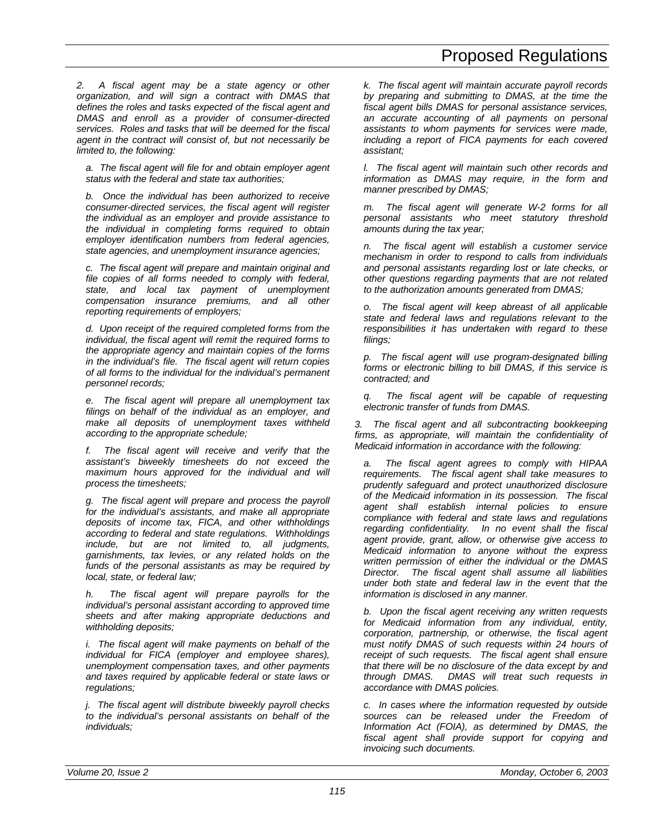*2. A fiscal agent may be a state agency or other organization, and will sign a contract with DMAS that defines the roles and tasks expected of the fiscal agent and DMAS and enroll as a provider of consumer-directed services. Roles and tasks that will be deemed for the fiscal agent in the contract will consist of, but not necessarily be limited to, the following:*

*a. The fiscal agent will file for and obtain employer agent status with the federal and state tax authorities;*

*b. Once the individual has been authorized to receive consumer-directed services, the fiscal agent will register the individual as an employer and provide assistance to the individual in completing forms required to obtain employer identification numbers from federal agencies, state agencies, and unemployment insurance agencies;*

*c. The fiscal agent will prepare and maintain original and file copies of all forms needed to comply with federal, state, and local tax payment of unemployment compensation insurance premiums, and all other reporting requirements of employers;*

*d. Upon receipt of the required completed forms from the individual, the fiscal agent will remit the required forms to the appropriate agency and maintain copies of the forms in the individual's file. The fiscal agent will return copies of all forms to the individual for the individual's permanent personnel records;*

*e. The fiscal agent will prepare all unemployment tax filings on behalf of the individual as an employer, and make all deposits of unemployment taxes withheld according to the appropriate schedule;*

*f. The fiscal agent will receive and verify that the assistant's biweekly timesheets do not exceed the maximum hours approved for the individual and will process the timesheets;*

*g. The fiscal agent will prepare and process the payroll for the individual's assistants, and make all appropriate deposits of income tax, FICA, and other withholdings according to federal and state regulations. Withholdings include, but are not limited to, all judgments, garnishments, tax levies, or any related holds on the funds of the personal assistants as may be required by local, state, or federal law;*

*h. The fiscal agent will prepare payrolls for the individual's personal assistant according to approved time sheets and after making appropriate deductions and withholding deposits;*

*i. The fiscal agent will make payments on behalf of the individual for FICA (employer and employee shares), unemployment compensation taxes, and other payments and taxes required by applicable federal or state laws or regulations;*

*j. The fiscal agent will distribute biweekly payroll checks to the individual's personal assistants on behalf of the individuals;*

*k. The fiscal agent will maintain accurate payroll records by preparing and submitting to DMAS, at the time the fiscal agent bills DMAS for personal assistance services, an accurate accounting of all payments on personal assistants to whom payments for services were made, including a report of FICA payments for each covered assistant;*

*l. The fiscal agent will maintain such other records and information as DMAS may require, in the form and manner prescribed by DMAS;*

*m. The fiscal agent will generate W-2 forms for all personal assistants who meet statutory threshold amounts during the tax year;*

*n. The fiscal agent will establish a customer service mechanism in order to respond to calls from individuals and personal assistants regarding lost or late checks, or other questions regarding payments that are not related to the authorization amounts generated from DMAS;*

*o. The fiscal agent will keep abreast of all applicable state and federal laws and regulations relevant to the responsibilities it has undertaken with regard to these filings;*

*p. The fiscal agent will use program-designated billing forms or electronic billing to bill DMAS, if this service is contracted; and*

*q. The fiscal agent will be capable of requesting electronic transfer of funds from DMAS.*

*3. The fiscal agent and all subcontracting bookkeeping firms, as appropriate, will maintain the confidentiality of Medicaid information in accordance with the following:*

*a. The fiscal agent agrees to comply with HIPAA requirements. The fiscal agent shall take measures to prudently safeguard and protect unauthorized disclosure of the Medicaid information in its possession. The fiscal agent shall establish internal policies to ensure compliance with federal and state laws and regulations regarding confidentiality. In no event shall the fiscal agent provide, grant, allow, or otherwise give access to Medicaid information to anyone without the express written permission of either the individual or the DMAS Director. The fiscal agent shall assume all liabilities under both state and federal law in the event that the information is disclosed in any manner.*

*b. Upon the fiscal agent receiving any written requests for Medicaid information from any individual, entity, corporation, partnership, or otherwise, the fiscal agent must notify DMAS of such requests within 24 hours of receipt of such requests. The fiscal agent shall ensure that there will be no disclosure of the data except by and through DMAS. DMAS will treat such requests in accordance with DMAS policies.*

*c. In cases where the information requested by outside sources can be released under the Freedom of Information Act (FOIA), as determined by DMAS, the fiscal agent shall provide support for copying and invoicing such documents.*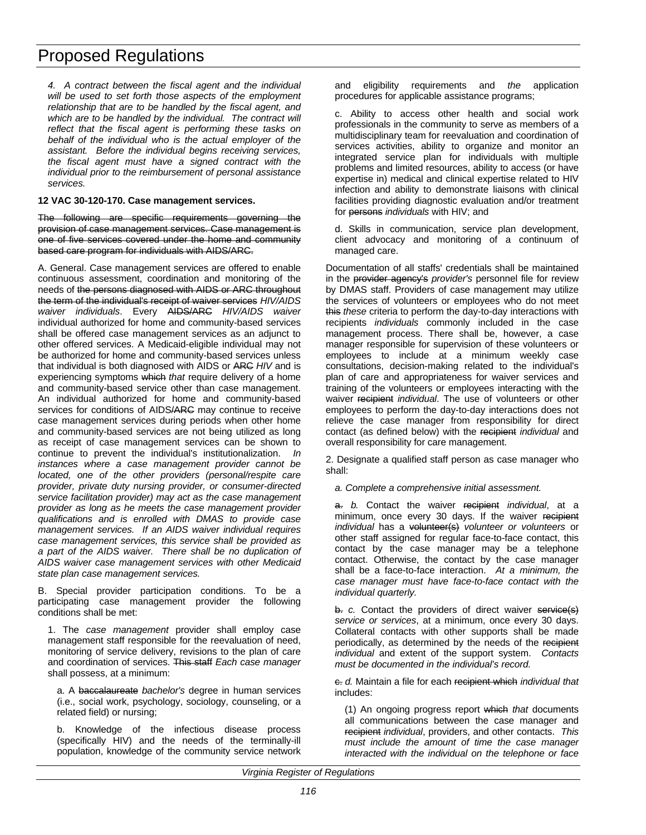*4. A contract between the fiscal agent and the individual will be used to set forth those aspects of the employment relationship that are to be handled by the fiscal agent, and which are to be handled by the individual. The contract will reflect that the fiscal agent is performing these tasks on behalf of the individual who is the actual employer of the assistant. Before the individual begins receiving services, the fiscal agent must have a signed contract with the individual prior to the reimbursement of personal assistance services.*

### **12 VAC 30-120-170. Case management services.**

The following are specific requirements governing the provision of case management services. Case management is one of five services covered under the home and community based care program for individuals with AIDS/ARC.

A. General. Case management services are offered to enable continuous assessment, coordination and monitoring of the needs of the persons diagnosed with AIDS or ARC throughout the term of the individual's receipt of waiver services *HIV/AIDS waiver individuals*. Every AIDS/ARC *HIV/AIDS waiver* individual authorized for home and community-based services shall be offered case management services as an adjunct to other offered services. A Medicaid-eligible individual may not be authorized for home and community-based services unless that individual is both diagnosed with AIDS or ARC *HIV* and is experiencing symptoms which *that* require delivery of a home and community-based service other than case management. An individual authorized for home and community-based services for conditions of AIDS/ARC may continue to receive case management services during periods when other home and community-based services are not being utilized as long as receipt of case management services can be shown to continue to prevent the individual's institutionalization. *In instances where a case management provider cannot be located, one of the other providers (personal/respite care provider, private duty nursing provider, or consumer-directed service facilitation provider) may act as the case management provider as long as he meets the case management provider qualifications and is enrolled with DMAS to provide case management services. If an AIDS waiver individual requires case management services, this service shall be provided as a part of the AIDS waiver. There shall be no duplication of AIDS waiver case management services with other Medicaid state plan case management services.*

B. Special provider participation conditions. To be a participating case management provider the following conditions shall be met:

1. The *case management* provider shall employ case management staff responsible for the reevaluation of need, monitoring of service delivery, revisions to the plan of care and coordination of services. This staff *Each case manager* shall possess, at a minimum:

a. A baccalaureate *bachelor's* degree in human services (i.e., social work, psychology, sociology, counseling, or a related field) or nursing;

b. Knowledge of the infectious disease process (specifically HIV) and the needs of the terminally-ill population, knowledge of the community service network and eligibility requirements and *the* application procedures for applicable assistance programs;

c. Ability to access other health and social work professionals in the community to serve as members of a multidisciplinary team for reevaluation and coordination of services activities, ability to organize and monitor an integrated service plan for individuals with multiple problems and limited resources, ability to access (or have expertise in) medical and clinical expertise related to HIV infection and ability to demonstrate liaisons with clinical facilities providing diagnostic evaluation and/or treatment for persons *individuals* with HIV; and

d. Skills in communication, service plan development, client advocacy and monitoring of a continuum of managed care.

Documentation of all staffs' credentials shall be maintained in the provider agency's *provider's* personnel file for review by DMAS staff. Providers of case management may utilize the services of volunteers or employees who do not meet this *these* criteria to perform the day-to-day interactions with recipients *individuals* commonly included in the case management process. There shall be, however, a case manager responsible for supervision of these volunteers or employees to include at a minimum weekly case consultations, decision-making related to the individual's plan of care and appropriateness for waiver services and training of the volunteers or employees interacting with the waiver recipient *individual*. The use of volunteers or other employees to perform the day-to-day interactions does not relieve the case manager from responsibility for direct contact (as defined below) with the recipient *individual* and overall responsibility for care management.

2. Designate a qualified staff person as case manager who shall:

*a. Complete a comprehensive initial assessment.*

a. *b.* Contact the waiver recipient *individual*, at a minimum, once every 30 days. If the waiver recipient *individual* has a volunteer(s) volunteer or volunteers or other staff assigned for regular face-to*-*face contact, this contact by the case manager may be a telephone contact. Otherwise, the contact by the case manager shall be a face-to-face interaction. *At a minimum, the case manager must have face-to-face contact with the individual quarterly.*

b. *c.* Contact the providers of direct waiver service(s) *service or services*, at a minimum, once every 30 days. Collateral contacts with other supports shall be made periodically, as determined by the needs of the recipient *individual* and extent of the support system. *Contacts must be documented in the individual's record.*

c. *d.* Maintain a file for each recipient which *individual that* includes:

(1) An ongoing progress report which *that* documents all communications between the case manager and recipient *individual*, providers, and other contacts. *This must include the amount of time the case manager interacted with the individual on the telephone or face*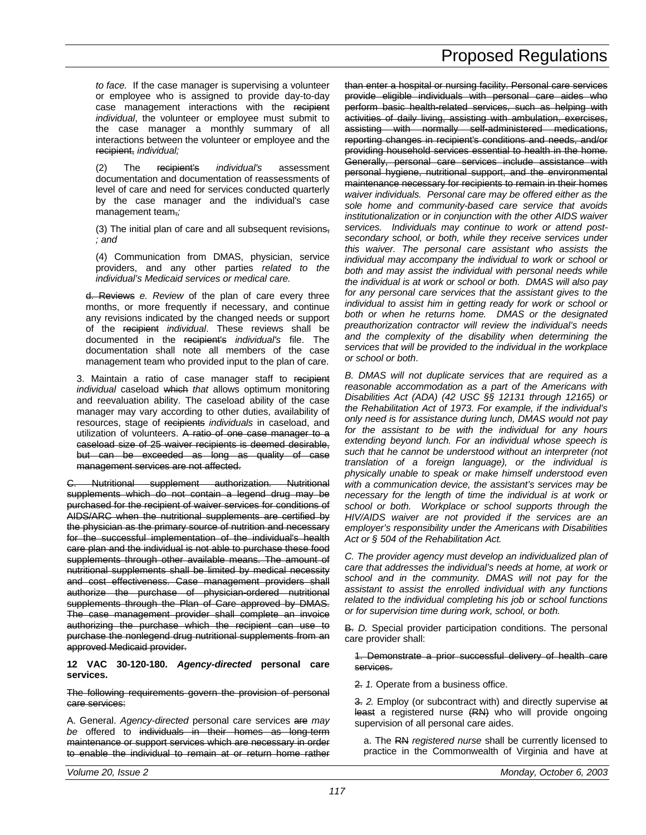*to face.* If the case manager is supervising a volunteer or employee who is assigned to provide day-to-day case management interactions with the recipient *individual*, the volunteer or employee must submit to the case manager a monthly summary of all interactions between the volunteer or employee and the recipient, *individual;*

(2) The recipient's *individual's* assessment documentation and documentation of reassessments of level of care and need for services conducted quarterly by the case manager and the individual's case management team,*;*

(3) The initial plan of care and all subsequent revisions, *; and*

(4) Communication from DMAS, physician, service providers, and any other parties *related to the individual's Medicaid services or medical care.*

d. Reviews *e. Review* of the plan of care every three months, or more frequently if necessary, and continue any revisions indicated by the changed needs or support of the recipient *individual*. These reviews shall be documented in the recipient's *individual's* file. The documentation shall note all members of the case management team who provided input to the plan of care.

3. Maintain a ratio of case manager staff to recipient *individual* caseload which *that* allows optimum monitoring and reevaluation ability. The caseload ability of the case manager may vary according to other duties, availability of resources, stage of recipients *individuals* in caseload, and utilization of volunteers. A ratio of one case manager to a caseload size of 25 waiver recipients is deemed desirable, but can be exceeded as long as quality of case management services are not affected.

C. Nutritional supplement authorization. Nutritional supplements which do not contain a legend drug may be purchased for the recipient of waiver services for conditions of AIDS/ARC when the nutritional supplements are certified by the physician as the primary source of nutrition and necessary for the successful implementation of the individual's health care plan and the individual is not able to purchase these food supplements through other available means. The amount of nutritional supplements shall be limited by medical necessity and cost effectiveness. Case management providers shall authorize the purchase of physician-ordered nutritional supplements through the Plan of Care approved by DMAS. The case management provider shall complete an invoice authorizing the purchase which the recipient can use to purchase the nonlegend drug nutritional supplements from an approved Medicaid provider.

**12 VAC 30-120-180.** *Agency-directed* **personal care services.**

The following requirements govern the provision of personal care services:

A. General. *Agency-directed* personal care services are *may be* offered to individuals in their homes as long-term maintenance or support services which are necessary in order to enable the individual to remain at or return home rather

than enter a hospital or nursing facility. Personal care services provide eligible individuals with personal care aides who perform basic health-related services, such as helping with activities of daily living, assisting with ambulation, exercises, assisting with normally self-administered medications, reporting changes in recipient's conditions and needs, and/or providing household services essential to health in the home. Generally, personal care services include assistance with personal hygiene, nutritional support, and the environmental maintenance necessary for recipients to remain in their homes *waiver individuals. Personal care may be offered either as the sole home and community-based care service that avoids institutionalization or in conjunction with the other AIDS waiver services. Individuals may continue to work or attend postsecondary school, or both, while they receive services under this waiver. The personal care assistant who assists the individual may accompany the individual to work or school or both and may assist the individual with personal needs while the individual is at work or school or both. DMAS will also pay for any personal care services that the assistant gives to the individual to assist him in getting ready for work or school or both or when he returns home. DMAS or the designated preauthorization contractor will review the individual's needs and the complexity of the disability when determining the services that will be provided to the individual in the workplace or school or both*.

*B. DMAS will not duplicate services that are required as a reasonable accommodation as a part of the Americans with Disabilities Act (ADA) (42 USC §§ 12131 through 12165) or the Rehabilitation Act of 1973. For example, if the individual's only need is for assistance during lunch, DMAS would not pay for the assistant to be with the individual for any hours extending beyond lunch. For an individual whose speech is such that he cannot be understood without an interpreter (not translation of a foreign language), or the individual is physically unable to speak or make himself understood even with a communication device, the assistant's services may be necessary for the length of time the individual is at work or school or both. Workplace or school supports through the HIV/AIDS waiver are not provided if the services are an employer's responsibility under the Americans with Disabilities Act or § 504 of the Rehabilitation Act.*

*C. The provider agency must develop an individualized plan of care that addresses the individual's needs at home, at work or school and in the community. DMAS will not pay for the assistant to assist the enrolled individual with any functions related to the individual completing his job or school functions or for supervision time during work, school, or both.*

**B.** *D.* Special provider participation conditions. The personal care provider shall:

1. Demonstrate a prior successful delivery of health care services.

2. *1.* Operate from a business office.

3. *2.* Employ (or subcontract with) and directly supervise at least a registered nurse (RN) who will provide ongoing supervision of all personal care aides.

a. The RN *registered nurse* shall be currently licensed to practice in the Commonwealth of Virginia and have at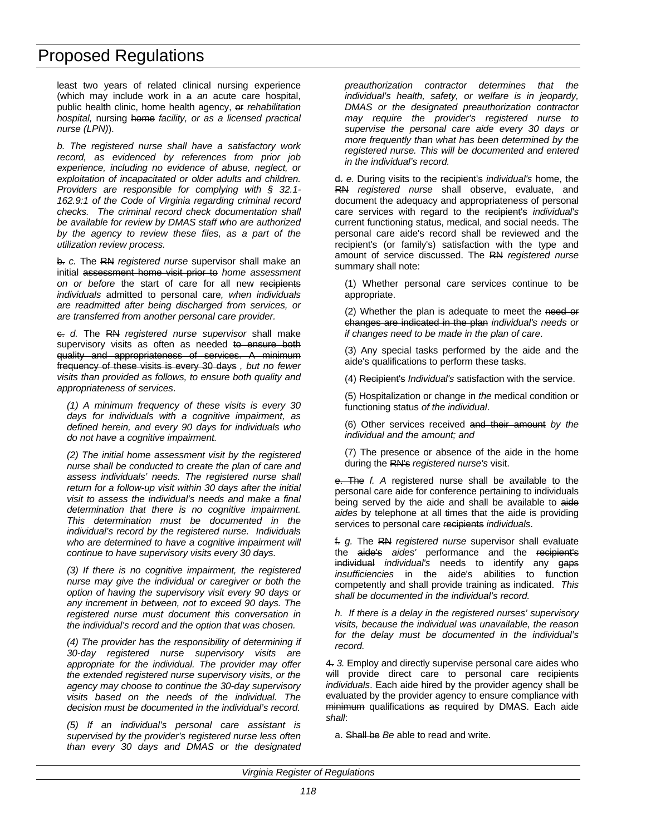least two years of related clinical nursing experience (which may include work in a *an* acute care hospital, public health clinic, home health agency, or *rehabilitation hospital,* nursing home *facility, or as a licensed practical nurse (LPN)*).

*b. The registered nurse shall have a satisfactory work record, as evidenced by references from prior job experience, including no evidence of abuse, neglect, or exploitation of incapacitated or older adults and children. Providers are responsible for complying with § 32.1- 162.9:1 of the Code of Virginia regarding criminal record checks. The criminal record check documentation shall be available for review by DMAS staff who are authorized by the agency to review these files, as a part of the utilization review process.*

b. *c.* The RN *registered nurse* supervisor shall make an initial assessment home visit prior to *home assessment on or before* the start of care for all new recipients *individuals* admitted to personal care*, when individuals are readmitted after being discharged from services, or are transferred from another personal care provider.*

c. *d.* The RN *registered nurse supervisor* shall make supervisory visits as often as needed to ensure both quality and appropriateness of services. A minimum frequency of these visits is every 30 days *, but no fewer visits than provided as follows, to ensure both quality and appropriateness of services*.

*(1) A minimum frequency of these visits is every 30 days for individuals with a cognitive impairment, as defined herein, and every 90 days for individuals who do not have a cognitive impairment.*

*(2) The initial home assessment visit by the registered nurse shall be conducted to create the plan of care and assess individuals' needs. The registered nurse shall return for a follow-up visit within 30 days after the initial visit to assess the individual's needs and make a final determination that there is no cognitive impairment. This determination must be documented in the individual's record by the registered nurse. Individuals who are determined to have a cognitive impairment will continue to have supervisory visits every 30 days.*

*(3) If there is no cognitive impairment, the registered nurse may give the individual or caregiver or both the option of having the supervisory visit every 90 days or any increment in between, not to exceed 90 days. The registered nurse must document this conversation in the individual's record and the option that was chosen.*

*(4) The provider has the responsibility of determining if 30-day registered nurse supervisory visits are appropriate for the individual. The provider may offer the extended registered nurse supervisory visits, or the agency may choose to continue the 30-day supervisory visits based on the needs of the individual. The decision must be documented in the individual's record.*

*(5) If an individual's personal care assistant is supervised by the provider's registered nurse less often than every 30 days and DMAS or the designated* *preauthorization contractor determines that the individual's health, safety, or welfare is in jeopardy, DMAS or the designated preauthorization contractor may require the provider's registered nurse to supervise the personal care aide every 30 days or more frequently than what has been determined by the registered nurse. This will be documented and entered in the individual's record.*

d. *e.* During visits to the recipient's *individual's* home, the RN *registered nurse* shall observe, evaluate, and document the adequacy and appropriateness of personal care services with regard to the recipient's *individual's* current functioning status, medical, and social needs. The personal care aide's record shall be reviewed and the recipient's (or family's) satisfaction with the type and amount of service discussed. The RN *registered nurse* summary shall note:

(1) Whether personal care services continue to be appropriate.

(2) Whether the plan is adequate to meet the need or changes are indicated in the plan *individual's needs or if changes need to be made in the plan of care*.

(3) Any special tasks performed by the aide and the aide's qualifications to perform these tasks.

(4) Recipient's *Individual's* satisfaction with the service.

(5) Hospitalization or change in *the* medical condition or functioning status *of the individual*.

(6) Other services received and their amount *by the individual and the amount; and*

(7) The presence or absence of the aide in the home during the RN's *registered nurse's* visit.

e. The *f. A* registered nurse shall be available to the personal care aide for conference pertaining to individuals being served by the aide and shall be available to aide *aides* by telephone at all times that the aide is providing services to personal care recipients *individuals*.

f. *g.* The RN *registered nurse* supervisor shall evaluate the aide's *aides'* performance and the recipient's individual *individual's* needs to identify any gaps *insufficiencies* in the aide's abilities to function competently and shall provide training as indicated. *This shall be documented in the individual's record.*

*h. If there is a delay in the registered nurses' supervisory visits, because the individual was unavailable, the reason for the delay must be documented in the individual's record.*

4. *3.* Employ and directly supervise personal care aides who will provide direct care to personal care recipients *individuals*. Each aide hired by the provider agency shall be evaluated by the provider agency to ensure compliance with minimum qualifications as required by DMAS. Each aide *shall*:

a. Shall be *Be* able to read and write.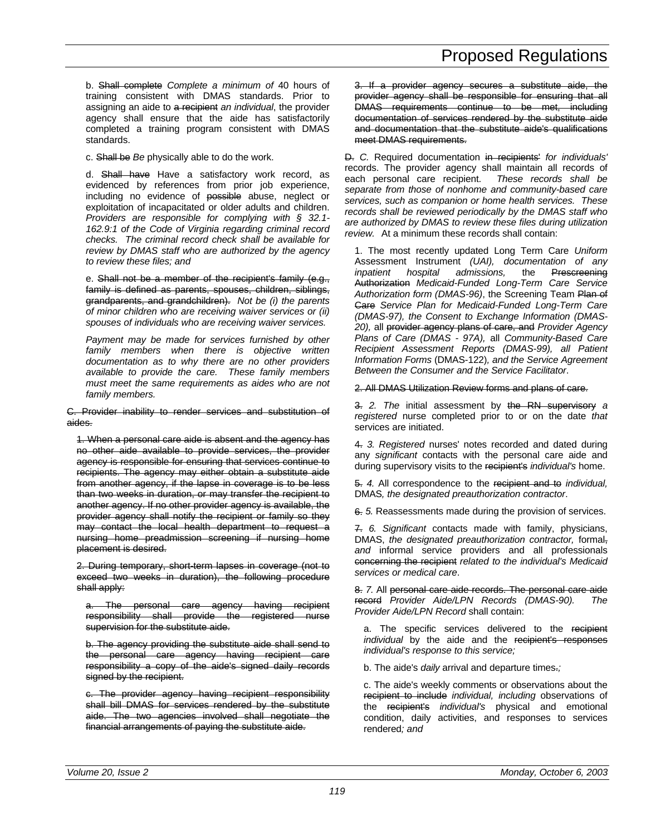b. Shall complete *Complete a minimum of* 40 hours of training consistent with DMAS standards. Prior to assigning an aide to a recipient *an individual*, the provider agency shall ensure that the aide has satisfactorily completed a training program consistent with DMAS standards.

c. Shall be *Be* physically able to do the work.

d. Shall have Have a satisfactory work record, as evidenced by references from prior job experience, including no evidence of possible abuse, neglect or exploitation of incapacitated or older adults and children. *Providers are responsible for complying with § 32.1- 162.9:1 of the Code of Virginia regarding criminal record checks. The criminal record check shall be available for review by DMAS staff who are authorized by the agency to review these files; and*

e. Shall not be a member of the recipient's family (e.g., family is defined as parents, spouses, children, siblings, grandparents, and grandchildren). *Not be (i) the parents of minor children who are receiving waiver services or (ii) spouses of individuals who are receiving waiver services.*

*Payment may be made for services furnished by other family members when there is objective written documentation as to why there are no other providers available to provide the care. These family members must meet the same requirements as aides who are not family members.*

C. Provider inability to render services and substitution of aides.

1. When a personal care aide is absent and the agency has no other aide available to provide services, the provider agency is responsible for ensuring that services continue to recipients. The agency may either obtain a substitute aide from another agency, if the lapse in coverage is to be less than two weeks in duration, or may transfer the recipient to another agency. If no other provider agency is available, the provider agency shall notify the recipient or family so they may contact the local health department to request a nursing home preadmission screening if nursing home placement is desired.

2. During temporary, short-term lapses in coverage (not to exceed two weeks in duration), the following procedure shall apply:

a. The personal care agency having recipient responsibility shall provide the registered nurse supervision for the substitute aide.

b. The agency providing the substitute aide shall send to the personal care agency having recipient care responsibility a copy of the aide's signed daily records signed by the recipient.

c. The provider agency having recipient responsibility shall bill DMAS for services rendered by the substitute aide. The two agencies involved shall negotiate the financial arrangements of paying the substitute aide.

3. If a provider agency secures a substitute aide, the provider agency shall be responsible for ensuring that all DMAS requirements continue to be met, including documentation of services rendered by the substitute aide and documentation that the substitute aide's qualifications meet DMAS requirements.

D. *C.* Required documentation in recipients' *for individuals'* records. The provider agency shall maintain all records of each personal care recipient. *These records shall be separate from those of nonhome and community-based care services, such as companion or home health services. These records shall be reviewed periodically by the DMAS staff who are authorized by DMAS to review these files during utilization review.* At a minimum these records shall contain:

1. The most recently updated Long Term Care *Uniform* Assessment Instrument *(UAI), documentation of any inpatient hospital admissions,* the Prescreening Authorization *Medicaid-Funded Long-Term Care Service Authorization form (DMAS-96)*, the Screening Team Plan of Care *Service Plan for Medicaid-Funded Long-Term Care (DMAS-97), the Consent to Exchange Information (DMAS-20),* all provider agency plans of care, and *Provider Agency Plans of Care (DMAS - 97A),* all *Community-Based Care Recipient Assessment Reports (DMAS-99), all Patient Information Forms* (DMAS-122)*, and the Service Agreement Between the Consumer and the Service Facilitator*.

2. All DMAS Utilization Review forms and plans of care.

3. *2. The* initial assessment by the RN supervisory *a registered* nurse completed prior to or on the date *that* services are initiated.

4. *3. Registered* nurses' notes recorded and dated during any *significant* contacts with the personal care aide and during supervisory visits to the recipient's *individual's* home.

5. *4.* All correspondence to the recipient and to *individual,* DMAS*, the designated preauthorization contractor*.

6. *5.* Reassessments made during the provision of services.

7. *6. Significant* contacts made with family, physicians, DMAS, *the designated preauthorization contractor,* formal, *and* informal service providers and all professionals concerning the recipient *related to the individual's Medicaid services or medical care*.

8. *7.* All personal care aide records. The personal care aide record *Provider Aide/LPN Records (DMAS-90). The Provider Aide/LPN Record* shall contain:

a. The specific services delivered to the recipient *individual* by the aide and the recipient's responses *individual's response to this service;*

b. The aide's *daily* arrival and departure times.*;*

c. The aide's weekly comments or observations about the recipient to include *individual, including* observations of the recipient's *individual's* physical and emotional condition, daily activities, and responses to services rendered*; and*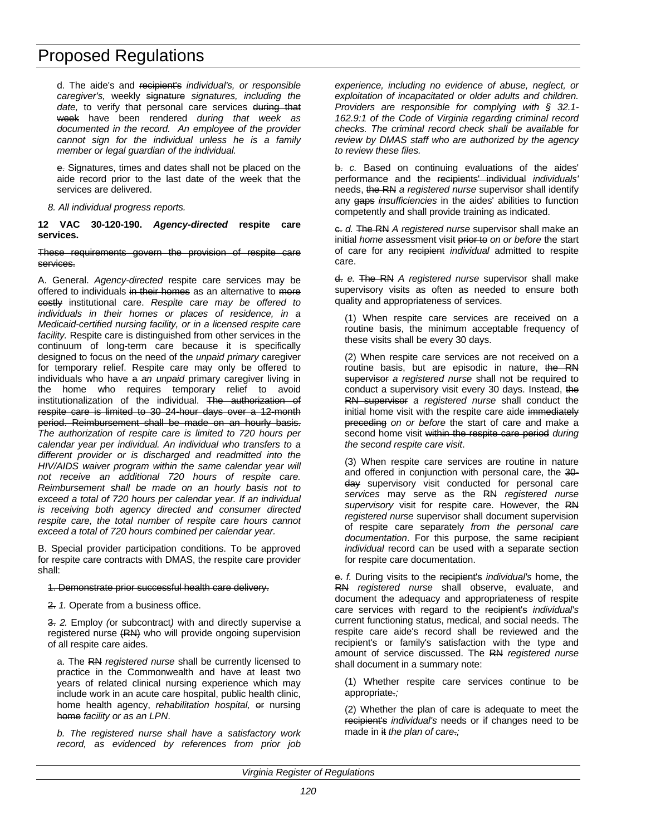d. The aide's and recipient's *individual's, or responsible caregiver's,* weekly signature *signatures, including the* date, to verify that personal care services during that week have been rendered *during that week as documented in the record. An employee of the provider cannot sign for the individual unless he is a family member or legal guardian of the individual.*

e. Signatures, times and dates shall not be placed on the aide record prior to the last date of the week that the services are delivered.

*8. All individual progress reports.*

**12 VAC 30-120-190.** *Agency-directed* **respite care services.**

#### These requirements govern the provision of respite care services.

A. General. *Agency-directed* respite care services may be offered to individuals in their homes as an alternative to more costly institutional care. *Respite care may be offered to individuals in their homes or places of residence, in a Medicaid-certified nursing facility, or in a licensed respite care facility.* Respite care is distinguished from other services in the continuum of long-term care because it is specifically designed to focus on the need of the *unpaid primary* caregiver for temporary relief. Respite care may only be offered to individuals who have a *an unpaid* primary caregiver living in the home who requires temporary relief to avoid institutionalization of the individual. The authorization of respite care is limited to 30 24-hour days over a 12-month period. Reimbursement shall be made on an hourly basis. *The authorization of respite care is limited to 720 hours per calendar year per individual. An individual who transfers to a different provider or is discharged and readmitted into the HIV/AIDS waiver program within the same calendar year will not receive an additional 720 hours of respite care. Reimbursement shall be made on an hourly basis not to exceed a total of 720 hours per calendar year. If an individual is receiving both agency directed and consumer directed respite care, the total number of respite care hours cannot exceed a total of 720 hours combined per calendar year.*

B. Special provider participation conditions. To be approved for respite care contracts with DMAS, the respite care provider shall:

#### 1. Demonstrate prior successful health care delivery.

2. *1.* Operate from a business office.

3. *2.* Employ *(*or subcontract*)* with and directly supervise a registered nurse (RN) who will provide ongoing supervision of all respite care aides.

a. The RN *registered nurse* shall be currently licensed to practice in the Commonwealth and have at least two years of related clinical nursing experience which may include work in an acute care hospital, public health clinic, home health agency, *rehabilitation hospital,* or nursing home *facility or as an LPN*.

*b. The registered nurse shall have a satisfactory work record, as evidenced by references from prior job* *experience, including no evidence of abuse, neglect, or exploitation of incapacitated or older adults and children. Providers are responsible for complying with § 32.1- 162.9:1 of the Code of Virginia regarding criminal record checks. The criminal record check shall be available for review by DMAS staff who are authorized by the agency to review these files.*

b. *c.* Based on continuing evaluations of the aides' performance and the recipients' individual *individuals'* needs, the RN *a registered nurse* supervisor shall identify any gaps *insufficiencies* in the aides' abilities to function competently and shall provide training as indicated.

c. *d.* The RN *A registered nurse* supervisor shall make an initial *home* assessment visit prior to *on or before* the start of care for any recipient *individual* admitted to respite care.

d. *e.* The RN *A registered nurse* supervisor shall make supervisory visits as often as needed to ensure both quality and appropriateness of services.

(1) When respite care services are received on a routine basis, the minimum acceptable frequency of these visits shall be every 30 days.

(2) When respite care services are not received on a routine basis, but are episodic in nature, the RN supervisor *a registered nurse* shall not be required to conduct a supervisory visit every 30 days. Instead, the RN supervisor *a registered nurse* shall conduct the initial home visit with the respite care aide immediately preceding *on or before* the start of care and make a second home visit within the respite care period *during the second respite care visit*.

(3) When respite care services are routine in nature and offered in conjunction with personal care, the 30 day supervisory visit conducted for personal care *services* may serve as the RN *registered nurse supervisory* visit for respite care. However, the RN *registered nurse* supervisor shall document supervision of respite care separately *from the personal care documentation*. For this purpose, the same recipient *individual* record can be used with a separate section for respite care documentation.

e. *f.* During visits to the recipient's *individual's* home, the RN *registered nurse* shall observe, evaluate, and document the adequacy and appropriateness of respite care services with regard to the recipient's *individual's* current functioning status, medical, and social needs. The respite care aide's record shall be reviewed and the recipient's or family's satisfaction with the type and amount of service discussed. The RN *registered nurse* shall document in a summary note:

(1) Whether respite care services continue to be appropriate.*;*

(2) Whether the plan of care is adequate to meet the recipient's *individual's* needs or if changes need to be made in it *the plan of care*.*;*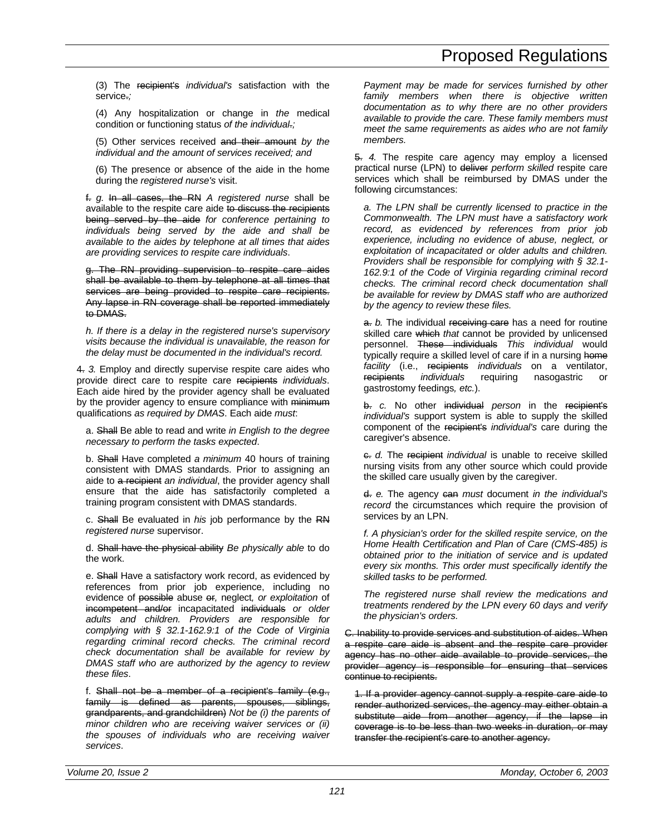(3) The recipient's *individual's* satisfaction with the service.*;*

(4) Any hospitalization or change in *the* medical condition or functioning status *of the individual*.*;*

(5) Other services received and their amount *by the individual and the amount of services received; and*

(6) The presence or absence of the aide in the home during the *registered nurse's* visit.

f. *g.* In all cases, the RN *A registered nurse* shall be available to the respite care aide to discuss the recipients being served by the aide *for conference pertaining to individuals being served by the aide and shall be available to the aides by telephone at all times that aides are providing services to respite care individuals*.

g. The RN providing supervision to respite care aides shall be available to them by telephone at all times that services are being provided to respite care recipients. Any lapse in RN coverage shall be reported immediately to DMAS.

*h. If there is a delay in the registered nurse's supervisory visits because the individual is unavailable, the reason for the delay must be documented in the individual's record.*

4. *3.* Employ and directly supervise respite care aides who provide direct care to respite care recipients *individuals*. Each aide hired by the provider agency shall be evaluated by the provider agency to ensure compliance with minimum qualifications *as required by DMAS*. Each aide *must*:

a. Shall Be able to read and write *in English to the degree necessary to perform the tasks expected*.

b. Shall Have completed *a minimum* 40 hours of training consistent with DMAS standards. Prior to assigning an aide to a recipient *an individual*, the provider agency shall ensure that the aide has satisfactorily completed a training program consistent with DMAS standards.

c. Shall Be evaluated in *his* job performance by the RN *registered nurse* supervisor.

d. Shall have the physical ability *Be physically able* to do the work.

e. Shall Have a satisfactory work record, as evidenced by references from prior job experience, including no evidence of possible abuse or*,* neglect*, or exploitation* of incompetent and/or incapacitated individuals *or older adults and children. Providers are responsible for complying with § 32.1-162.9:1 of the Code of Virginia regarding criminal record checks. The criminal record check documentation shall be available for review by DMAS staff who are authorized by the agency to review these files*.

f. Shall not be a member of a recipient's family (e.g., family is defined as parents, spouses, siblings, grandparents, and grandchildren) *Not be (i) the parents of minor children who are receiving waiver services or (ii) the spouses of individuals who are receiving waiver services*.

*Payment may be made for services furnished by other family members when there is objective written documentation as to why there are no other providers available to provide the care. These family members must meet the same requirements as aides who are not family members.*

5. *4.* The respite care agency may employ a licensed practical nurse (LPN) to deliver *perform skilled* respite care services which shall be reimbursed by DMAS under the following circumstances:

*a. The LPN shall be currently licensed to practice in the Commonwealth. The LPN must have a satisfactory work record, as evidenced by references from prior job experience, including no evidence of abuse, neglect, or exploitation of incapacitated or older adults and children. Providers shall be responsible for complying with § 32.1- 162.9:1 of the Code of Virginia regarding criminal record checks. The criminal record check documentation shall be available for review by DMAS staff who are authorized by the agency to review these files.*

a. *b.* The individual receiving care has a need for routine skilled care which *that* cannot be provided by unlicensed personnel. These individuals *This individual* would typically require a skilled level of care if in a nursing home *facility* (i.e., recipients *individuals* on a ventilator, *individuals* requiring nasogastric or gastrostomy feedings*, etc.*).

b. *c.* No other individual *person* in the recipient's *individual's* support system is able to supply the skilled component of the recipient's *individual's* care during the caregiver's absence.

 $\epsilon$ . *d.* The recipient *individual* is unable to receive skilled nursing visits from any other source which could provide the skilled care usually given by the caregiver.

d. *e.* The agency can *must* document *in the individual's record* the circumstances which require the provision of services by an LPN.

*f. A physician's order for the skilled respite service, on the Home Health Certification and Plan of Care (CMS-485) is obtained prior to the initiation of service and is updated every six months. This order must specifically identify the skilled tasks to be performed.*

*The registered nurse shall review the medications and treatments rendered by the LPN every 60 days and verify the physician's orders.*

C. Inability to provide services and substitution of aides. When a respite care aide is absent and the respite care provider agency has no other aide available to provide services, the provider agency is responsible for ensuring that services continue to recipients.

1. If a provider agency cannot supply a respite care aide to render authorized services, the agency may either obtain a substitute aide from another agency, if the lapse in coverage is to be less than two weeks in duration, or may transfer the recipient's care to another agency.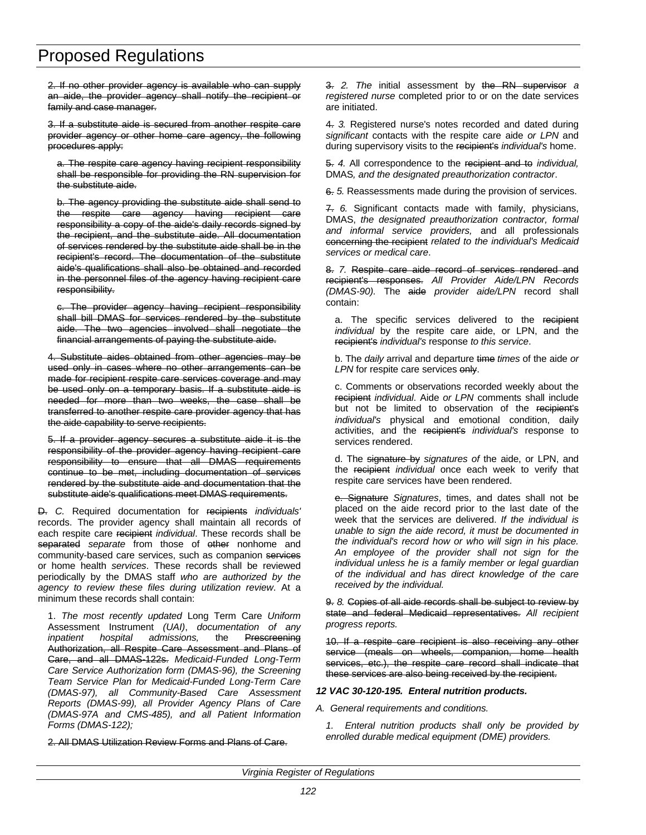2. If no other provider agency is available who can supply an aide, the provider agency shall notify the recipient or family and case manager.

3. If a substitute aide is secured from another respite care provider agency or other home care agency, the following procedures apply:

a. The respite care agency having recipient responsibility shall be responsible for providing the RN supervision for the substitute aide.

b. The agency providing the substitute aide shall send to the respite care agency having recipient care responsibility a copy of the aide's daily records signed by the recipient, and the substitute aide. All documentation of services rendered by the substitute aide shall be in the recipient's record. The documentation of the substitute aide's qualifications shall also be obtained and recorded in the personnel files of the agency having recipient care responsibility.

c. The provider agency having recipient responsibility shall bill DMAS for services rendered by the substitute aide. The two agencies involved shall negotiate the financial arrangements of paying the substitute aide.

4. Substitute aides obtained from other agencies may be used only in cases where no other arrangements can be made for recipient respite care services coverage and may be used only on a temporary basis. If a substitute aide is needed for more than two weeks, the case shall be transferred to another respite care provider agency that has the aide capability to serve recipients.

5. If a provider agency secures a substitute aide it is the responsibility of the provider agency having recipient care responsibility to ensure that all DMAS requirements continue to be met, including documentation of services rendered by the substitute aide and documentation that the substitute aide's qualifications meet DMAS requirements.

D. *C.* Required documentation for recipients *individuals'* records. The provider agency shall maintain all records of each respite care recipient *individual*. These records shall be separated *separate* from those of other nonhome and community-based care services, such as companion services or home health *services*. These records shall be reviewed periodically by the DMAS staff *who are authorized by the agency to review these files during utilization review*. At a minimum these records shall contain:

1. *The most recently updated* Long Term Care *Uniform* Assessment Instrument *(UAI)*, *documentation of any inpatient hospital admissions,* the Prescreening Authorization, all Respite Care Assessment and Plans of Care, and all DMAS-122s. *Medicaid-Funded Long-Term Care Service Authorization form (DMAS-96), the Screening Team Service Plan for Medicaid-Funded Long-Term Care (DMAS-97), all Community-Based Care Assessment Reports (DMAS-99), all Provider Agency Plans of Care (DMAS-97A and CMS-485), and all Patient Information Forms (DMAS-122);*

2. All DMAS Utilization Review Forms and Plans of Care.

3. *2. The* initial assessment by the RN supervisor *a registered nurse* completed prior to or on the date services are initiated.

4. *3.* Registered nurse's notes recorded and dated during *significant* contacts with the respite care aide *or LPN* and during supervisory visits to the recipient's *individual's* home.

5. *4.* All correspondence to the recipient and to *individual,* DMAS*, and the designated preauthorization contractor*.

6. *5.* Reassessments made during the provision of services.

7. *6.* Significant contacts made with family, physicians, DMAS, *the designated preauthorization contractor, formal and informal service providers,* and all professionals concerning the recipient *related to the individual's Medicaid services or medical care*.

8. *7.* Respite care aide record of services rendered and recipient's responses. *All Provider Aide/LPN Records (DMAS-90).* The aide *provider aide/LPN* record shall contain:

a. The specific services delivered to the recipient *individual* by the respite care aide, or LPN, and the recipient's *individual's* response *to this service*.

b. The *daily* arrival and departure time *times* of the aide *or* LPN for respite care services only.

c. Comments or observations recorded weekly about the recipient *individual*. Aide *or LPN* comments shall include but not be limited to observation of the recipient's *individual's* physical and emotional condition, daily activities, and the recipient's *individual's* response to services rendered.

d. The signature by *signatures of* the aide, or LPN, and the recipient *individual* once each week to verify that respite care services have been rendered.

e. Signature *Signatures*, times, and dates shall not be placed on the aide record prior to the last date of the week that the services are delivered. *If the individual is unable to sign the aide record, it must be documented in the individual's record how or who will sign in his place. An employee of the provider shall not sign for the individual unless he is a family member or legal guardian of the individual and has direct knowledge of the care received by the individual.*

9. *8.* Copies of all aide records shall be subject to review by state and federal Medicaid representatives. *All recipient progress reports.*

10. If a respite care recipient is also receiving any other service (meals on wheels, companion, home health services, etc.), the respite care record shall indicate that these services are also being received by the recipient.

### *12 VAC 30-120-195. Enteral nutrition products.*

*A. General requirements and conditions.*

*1. Enteral nutrition products shall only be provided by enrolled durable medical equipment (DME) providers.*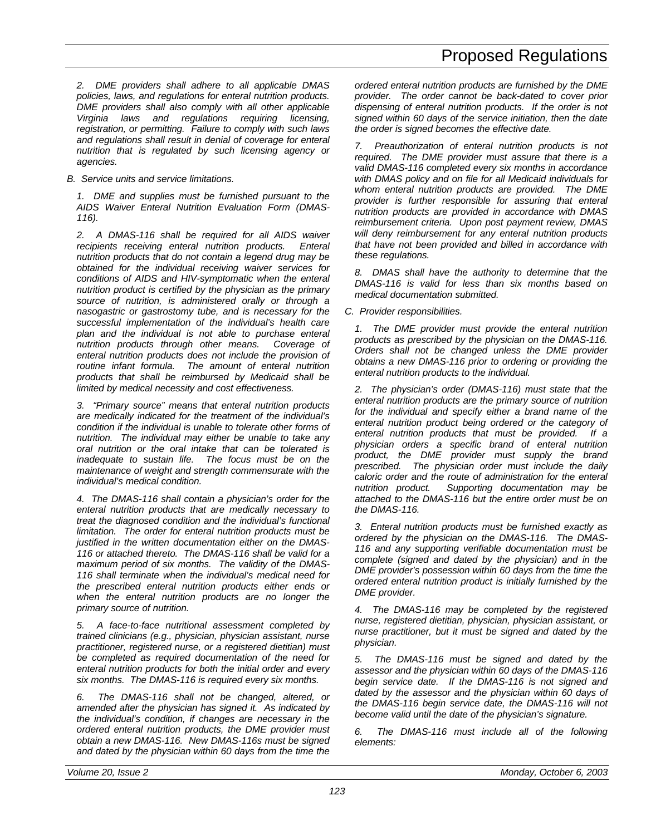*2. DME providers shall adhere to all applicable DMAS policies, laws, and regulations for enteral nutrition products. DME providers shall also comply with all other applicable Virginia laws and regulations requiring licensing, registration, or permitting. Failure to comply with such laws and regulations shall result in denial of coverage for enteral nutrition that is regulated by such licensing agency or agencies.*

*B. Service units and service limitations.*

*1. DME and supplies must be furnished pursuant to the AIDS Waiver Enteral Nutrition Evaluation Form (DMAS-116).*

*2. A DMAS-116 shall be required for all AIDS waiver recipients receiving enteral nutrition products. Enteral nutrition products that do not contain a legend drug may be obtained for the individual receiving waiver services for conditions of AIDS and HIV-symptomatic when the enteral nutrition product is certified by the physician as the primary source of nutrition, is administered orally or through a nasogastric or gastrostomy tube, and is necessary for the successful implementation of the individual's health care plan and the individual is not able to purchase enteral nutrition products through other means. Coverage of enteral nutrition products does not include the provision of routine infant formula. The amount of enteral nutrition products that shall be reimbursed by Medicaid shall be limited by medical necessity and cost effectiveness.*

*3. "Primary source" means that enteral nutrition products are medically indicated for the treatment of the individual's condition if the individual is unable to tolerate other forms of nutrition. The individual may either be unable to take any oral nutrition or the oral intake that can be tolerated is inadequate to sustain life. The focus must be on the maintenance of weight and strength commensurate with the individual's medical condition.*

*4. The DMAS-116 shall contain a physician's order for the enteral nutrition products that are medically necessary to treat the diagnosed condition and the individual's functional limitation. The order for enteral nutrition products must be justified in the written documentation either on the DMAS-116 or attached thereto. The DMAS-116 shall be valid for a maximum period of six months. The validity of the DMAS-116 shall terminate when the individual's medical need for the prescribed enteral nutrition products either ends or when the enteral nutrition products are no longer the primary source of nutrition.*

*5. A face-to-face nutritional assessment completed by trained clinicians (e.g., physician, physician assistant, nurse practitioner, registered nurse, or a registered dietitian) must be completed as required documentation of the need for enteral nutrition products for both the initial order and every six months. The DMAS-116 is required every six months.*

*6. The DMAS-116 shall not be changed, altered, or amended after the physician has signed it. As indicated by the individual's condition, if changes are necessary in the ordered enteral nutrition products, the DME provider must obtain a new DMAS-116. New DMAS-116s must be signed and dated by the physician within 60 days from the time the*

*ordered enteral nutrition products are furnished by the DME provider. The order cannot be back-dated to cover prior dispensing of enteral nutrition products. If the order is not signed within 60 days of the service initiation, then the date the order is signed becomes the effective date.*

*7. Preauthorization of enteral nutrition products is not required. The DME provider must assure that there is a valid DMAS-116 completed every six months in accordance with DMAS policy and on file for all Medicaid individuals for whom enteral nutrition products are provided. The DME provider is further responsible for assuring that enteral nutrition products are provided in accordance with DMAS reimbursement criteria. Upon post payment review, DMAS will deny reimbursement for any enteral nutrition products that have not been provided and billed in accordance with these regulations.*

*8. DMAS shall have the authority to determine that the DMAS-116 is valid for less than six months based on medical documentation submitted.*

*C. Provider responsibilities.*

*1. The DME provider must provide the enteral nutrition products as prescribed by the physician on the DMAS-116. Orders shall not be changed unless the DME provider obtains a new DMAS-116 prior to ordering or providing the enteral nutrition products to the individual.*

*2. The physician's order (DMAS-116) must state that the enteral nutrition products are the primary source of nutrition for the individual and specify either a brand name of the enteral nutrition product being ordered or the category of enteral nutrition products that must be provided. If a physician orders a specific brand of enteral nutrition product, the DME provider must supply the brand prescribed. The physician order must include the daily caloric order and the route of administration for the enteral nutrition product. Supporting documentation may be attached to the DMAS-116 but the entire order must be on the DMAS-116.*

*3. Enteral nutrition products must be furnished exactly as ordered by the physician on the DMAS-116. The DMAS-116 and any supporting verifiable documentation must be complete (signed and dated by the physician) and in the DME provider's possession within 60 days from the time the ordered enteral nutrition product is initially furnished by the DME provider.*

*4. The DMAS-116 may be completed by the registered nurse, registered dietitian, physician, physician assistant, or nurse practitioner, but it must be signed and dated by the physician.*

*5. The DMAS-116 must be signed and dated by the assessor and the physician within 60 days of the DMAS-116 begin service date. If the DMAS-116 is not signed and dated by the assessor and the physician within 60 days of the DMAS-116 begin service date, the DMAS-116 will not become valid until the date of the physician's signature.*

*6. The DMAS-116 must include all of the following elements:*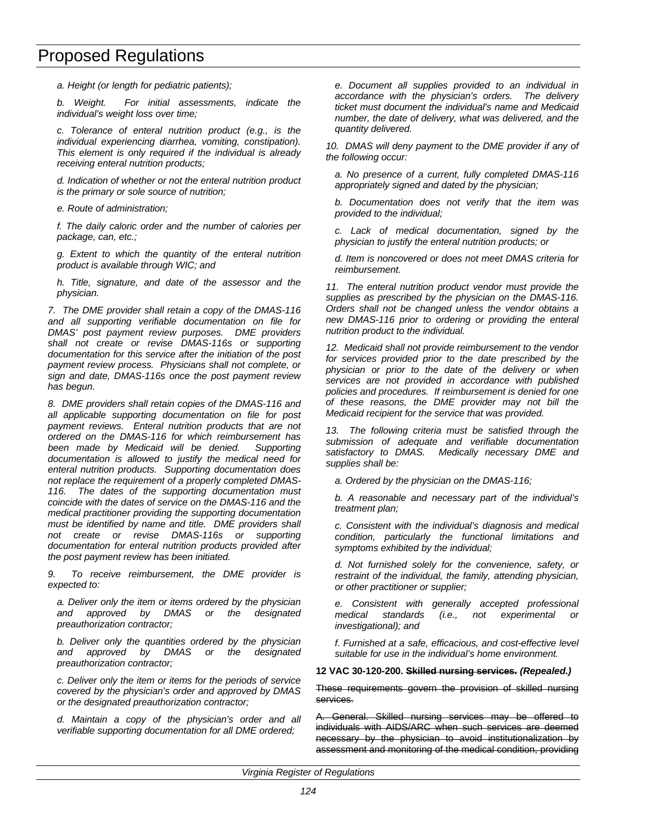*a. Height (or length for pediatric patients);*

*b. Weight. For initial assessments, indicate the individual's weight loss over time;*

*c. Tolerance of enteral nutrition product (e.g., is the individual experiencing diarrhea, vomiting, constipation). This element is only required if the individual is already receiving enteral nutrition products;*

*d. Indication of whether or not the enteral nutrition product is the primary or sole source of nutrition;*

*e. Route of administration;*

*f. The daily caloric order and the number of calories per package, can, etc.;*

*g. Extent to which the quantity of the enteral nutrition product is available through WIC; and*

*h. Title, signature, and date of the assessor and the physician.*

*7. The DME provider shall retain a copy of the DMAS-116 and all supporting verifiable documentation on file for DMAS' post payment review purposes. DME providers shall not create or revise DMAS-116s or supporting documentation for this service after the initiation of the post payment review process. Physicians shall not complete, or sign and date, DMAS-116s once the post payment review has begun.*

*8. DME providers shall retain copies of the DMAS-116 and all applicable supporting documentation on file for post payment reviews. Enteral nutrition products that are not ordered on the DMAS-116 for which reimbursement has been made by Medicaid will be denied. Supporting documentation is allowed to justify the medical need for enteral nutrition products. Supporting documentation does not replace the requirement of a properly completed DMAS-116. The dates of the supporting documentation must coincide with the dates of service on the DMAS-116 and the medical practitioner providing the supporting documentation must be identified by name and title. DME providers shall not create or revise DMAS-116s or supporting documentation for enteral nutrition products provided after the post payment review has been initiated.*

*9. To receive reimbursement, the DME provider is expected to:*

*a. Deliver only the item or items ordered by the physician and approved by DMAS or the designated preauthorization contractor;*

*b. Deliver only the quantities ordered by the physician and approved by DMAS or the designated preauthorization contractor;*

*c. Deliver only the item or items for the periods of service covered by the physician's order and approved by DMAS or the designated preauthorization contractor;*

*d. Maintain a copy of the physician's order and all verifiable supporting documentation for all DME ordered;*

*e. Document all supplies provided to an individual in accordance with the physician's orders. The delivery ticket must document the individual's name and Medicaid number, the date of delivery, what was delivered, and the quantity delivered.*

*10. DMAS will deny payment to the DME provider if any of the following occur:*

*a. No presence of a current, fully completed DMAS-116 appropriately signed and dated by the physician;*

*b. Documentation does not verify that the item was provided to the individual;*

*c. Lack of medical documentation, signed by the physician to justify the enteral nutrition products; or*

*d. Item is noncovered or does not meet DMAS criteria for reimbursement.*

*11. The enteral nutrition product vendor must provide the supplies as prescribed by the physician on the DMAS-116. Orders shall not be changed unless the vendor obtains a new DMAS-116 prior to ordering or providing the enteral nutrition product to the individual.*

*12. Medicaid shall not provide reimbursement to the vendor for services provided prior to the date prescribed by the physician or prior to the date of the delivery or when services are not provided in accordance with published policies and procedures. If reimbursement is denied for one of these reasons, the DME provider may not bill the Medicaid recipient for the service that was provided.*

*13. The following criteria must be satisfied through the submission of adequate and verifiable documentation satisfactory to DMAS. Medically necessary DME and supplies shall be:*

*a. Ordered by the physician on the DMAS-116;*

*b. A reasonable and necessary part of the individual's treatment plan;*

*c. Consistent with the individual's diagnosis and medical condition, particularly the functional limitations and symptoms exhibited by the individual;*

*d. Not furnished solely for the convenience, safety, or restraint of the individual, the family, attending physician, or other practitioner or supplier;*

*e. Consistent with generally accepted professional medical standards (i.e., not experimental investigational); and*

*f. Furnished at a safe, efficacious, and cost-effective level suitable for use in the individual's home environment.*

### **12 VAC 30-120-200. Skilled nursing services.** *(Repealed.)*

These requirements govern the provision of skilled nursing services.

A. General. Skilled nursing services may be offered to individuals with AIDS/ARC when such services are deemed necessary by the physician to avoid institutionalization by assessment and monitoring of the medical condition, providing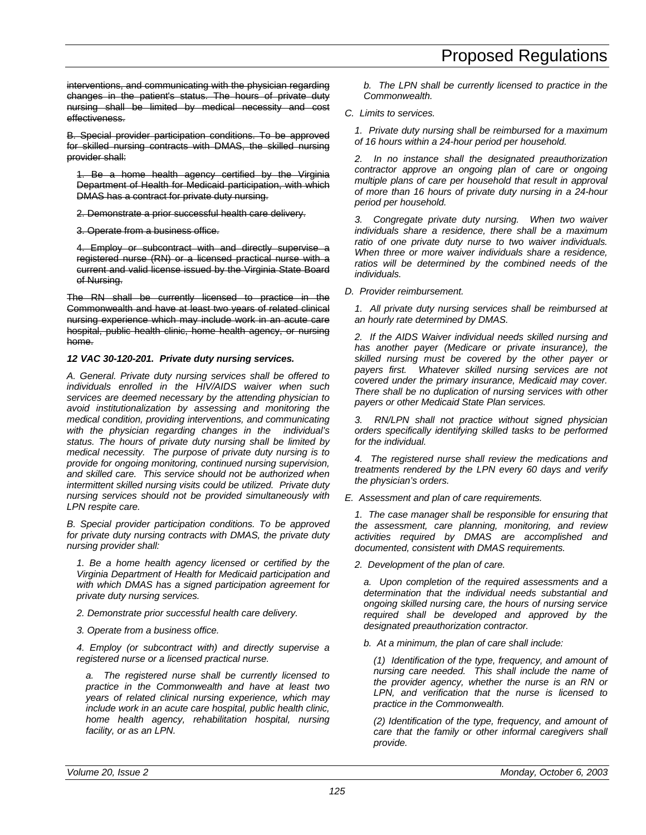interventions, and communicating with the physician regarding changes in the patient's status. The hours of private duty nursing shall be limited by medical necessity and cost effectiveness.

B. Special provider participation conditions. To be approved for skilled nursing contracts with DMAS, the skilled nursing provider shall:

1. Be a home health agency certified by the Virginia Department of Health for Medicaid participation, with which DMAS has a contract for private duty nursing.

2. Demonstrate a prior successful health care delivery.

3. Operate from a business office.

4. Employ or subcontract with and directly supervise a registered nurse (RN) or a licensed practical nurse with a current and valid license issued by the Virginia State Board of Nursing.

The RN shall be currently licensed to practice in the Commonwealth and have at least two years of related clinical nursing experience which may include work in an acute care hospital, public health clinic, home health agency, or nursing home.

## *12 VAC 30-120-201. Private duty nursing services.*

*A. General. Private duty nursing services shall be offered to individuals enrolled in the HIV/AIDS waiver when such services are deemed necessary by the attending physician to avoid institutionalization by assessing and monitoring the medical condition, providing interventions, and communicating with the physician regarding changes in the individual's status. The hours of private duty nursing shall be limited by medical necessity. The purpose of private duty nursing is to provide for ongoing monitoring, continued nursing supervision, and skilled care. This service should not be authorized when intermittent skilled nursing visits could be utilized. Private duty nursing services should not be provided simultaneously with LPN respite care.*

*B. Special provider participation conditions. To be approved for private duty nursing contracts with DMAS, the private duty nursing provider shall:*

*1. Be a home health agency licensed or certified by the Virginia Department of Health for Medicaid participation and with which DMAS has a signed participation agreement for private duty nursing services.*

- *2. Demonstrate prior successful health care delivery.*
- *3. Operate from a business office.*

*4. Employ (or subcontract with) and directly supervise a registered nurse or a licensed practical nurse.*

*a. The registered nurse shall be currently licensed to practice in the Commonwealth and have at least two years of related clinical nursing experience, which may include work in an acute care hospital, public health clinic, home health agency, rehabilitation hospital, nursing facility, or as an LPN.*

*b. The LPN shall be currently licensed to practice in the Commonwealth.*

### *C. Limits to services.*

*1. Private duty nursing shall be reimbursed for a maximum of 16 hours within a 24-hour period per household.*

*2. In no instance shall the designated preauthorization contractor approve an ongoing plan of care or ongoing multiple plans of care per household that result in approval of more than 16 hours of private duty nursing in a 24-hour period per household.*

*3. Congregate private duty nursing. When two waiver individuals share a residence, there shall be a maximum ratio of one private duty nurse to two waiver individuals. When three or more waiver individuals share a residence, ratios will be determined by the combined needs of the individuals.*

*D. Provider reimbursement.*

*1. All private duty nursing services shall be reimbursed at an hourly rate determined by DMAS.*

*2. If the AIDS Waiver individual needs skilled nursing and has another payer (Medicare or private insurance), the skilled nursing must be covered by the other payer or payers first. Whatever skilled nursing services are not covered under the primary insurance, Medicaid may cover. There shall be no duplication of nursing services with other payers or other Medicaid State Plan services.*

*3. RN/LPN shall not practice without signed physician orders specifically identifying skilled tasks to be performed for the individual.*

*4. The registered nurse shall review the medications and treatments rendered by the LPN every 60 days and verify the physician's orders.*

*E. Assessment and plan of care requirements.*

*1. The case manager shall be responsible for ensuring that the assessment, care planning, monitoring, and review activities required by DMAS are accomplished and documented, consistent with DMAS requirements.*

*2. Development of the plan of care.*

*a. Upon completion of the required assessments and a determination that the individual needs substantial and ongoing skilled nursing care, the hours of nursing service required shall be developed and approved by the designated preauthorization contractor.*

*b. At a minimum, the plan of care shall include:*

*(1) Identification of the type, frequency, and amount of nursing care needed. This shall include the name of the provider agency, whether the nurse is an RN or LPN, and verification that the nurse is licensed to practice in the Commonwealth.*

*(2) Identification of the type, frequency, and amount of care that the family or other informal caregivers shall provide.*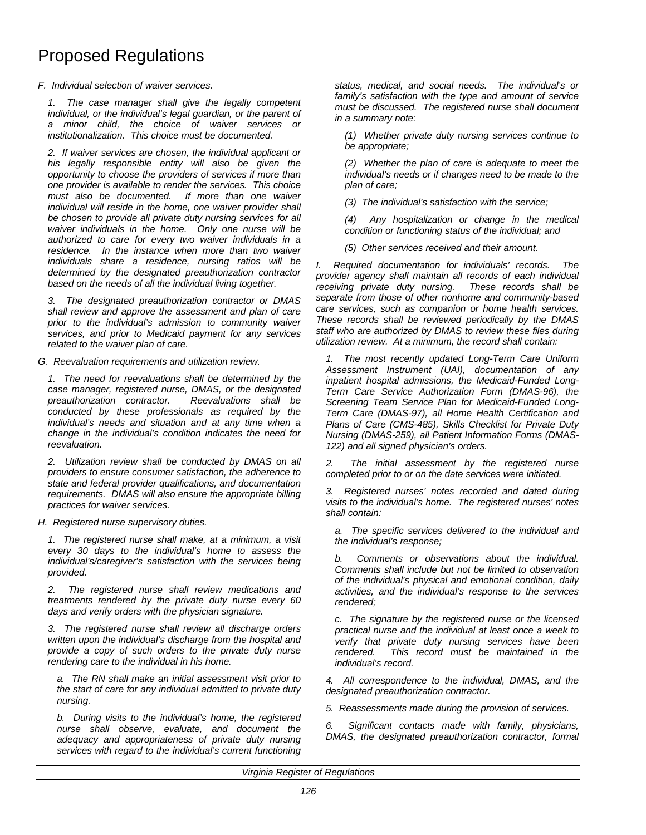*F. Individual selection of waiver services.*

*1. The case manager shall give the legally competent individual, or the individual's legal guardian, or the parent of a minor child, the choice of waiver services or institutionalization. This choice must be documented.*

*2. If waiver services are chosen, the individual applicant or his legally responsible entity will also be given the opportunity to choose the providers of services if more than one provider is available to render the services. This choice must also be documented. If more than one waiver individual will reside in the home, one waiver provider shall be chosen to provide all private duty nursing services for all waiver individuals in the home. Only one nurse will be authorized to care for every two waiver individuals in a residence. In the instance when more than two waiver individuals share a residence, nursing ratios will be determined by the designated preauthorization contractor based on the needs of all the individual living together.*

*3. The designated preauthorization contractor or DMAS shall review and approve the assessment and plan of care prior to the individual's admission to community waiver services, and prior to Medicaid payment for any services related to the waiver plan of care.*

*G. Reevaluation requirements and utilization review.*

*1. The need for reevaluations shall be determined by the case manager, registered nurse, DMAS, or the designated preauthorization contractor. Reevaluations shall be conducted by these professionals as required by the individual's needs and situation and at any time when a change in the individual's condition indicates the need for reevaluation.*

*2. Utilization review shall be conducted by DMAS on all providers to ensure consumer satisfaction, the adherence to state and federal provider qualifications, and documentation requirements. DMAS will also ensure the appropriate billing practices for waiver services.*

*H. Registered nurse supervisory duties.*

*1. The registered nurse shall make, at a minimum, a visit every 30 days to the individual's home to assess the individual's/caregiver's satisfaction with the services being provided.*

*2. The registered nurse shall review medications and treatments rendered by the private duty nurse every 60 days and verify orders with the physician signature.*

*3. The registered nurse shall review all discharge orders written upon the individual's discharge from the hospital and provide a copy of such orders to the private duty nurse rendering care to the individual in his home.*

*a. The RN shall make an initial assessment visit prior to the start of care for any individual admitted to private duty nursing.*

*b. During visits to the individual's home, the registered nurse shall observe, evaluate, and document the adequacy and appropriateness of private duty nursing services with regard to the individual's current functioning*

*status, medical, and social needs. The individual's or family's satisfaction with the type and amount of service must be discussed. The registered nurse shall document in a summary note:*

*(1) Whether private duty nursing services continue to be appropriate;*

*(2) Whether the plan of care is adequate to meet the individual's needs or if changes need to be made to the plan of care;*

*(3) The individual's satisfaction with the service;*

*(4) Any hospitalization or change in the medical condition or functioning status of the individual; and*

*(5) Other services received and their amount.*

*I. Required documentation for individuals' records. The provider agency shall maintain all records of each individual receiving private duty nursing. These records shall be separate from those of other nonhome and community-based care services, such as companion or home health services. These records shall be reviewed periodically by the DMAS staff who are authorized by DMAS to review these files during utilization review. At a minimum, the record shall contain:*

*1. The most recently updated Long-Term Care Uniform Assessment Instrument (UAI), documentation of any inpatient hospital admissions, the Medicaid-Funded Long-Term Care Service Authorization Form (DMAS-96), the Screening Team Service Plan for Medicaid-Funded Long-Term Care (DMAS-97), all Home Health Certification and Plans of Care (CMS-485), Skills Checklist for Private Duty Nursing (DMAS-259), all Patient Information Forms (DMAS-122) and all signed physician's orders.*

*2. The initial assessment by the registered nurse completed prior to or on the date services were initiated.*

*3. Registered nurses' notes recorded and dated during visits to the individual's home. The registered nurses' notes shall contain:*

*a. The specific services delivered to the individual and the individual's response;*

*b. Comments or observations about the individual. Comments shall include but not be limited to observation of the individual's physical and emotional condition, daily activities, and the individual's response to the services rendered;*

*c. The signature by the registered nurse or the licensed practical nurse and the individual at least once a week to verify that private duty nursing services have been rendered. This record must be maintained in the individual's record.*

*4. All correspondence to the individual, DMAS, and the designated preauthorization contractor.*

*5. Reassessments made during the provision of services.*

*6. Significant contacts made with family, physicians, DMAS, the designated preauthorization contractor, formal*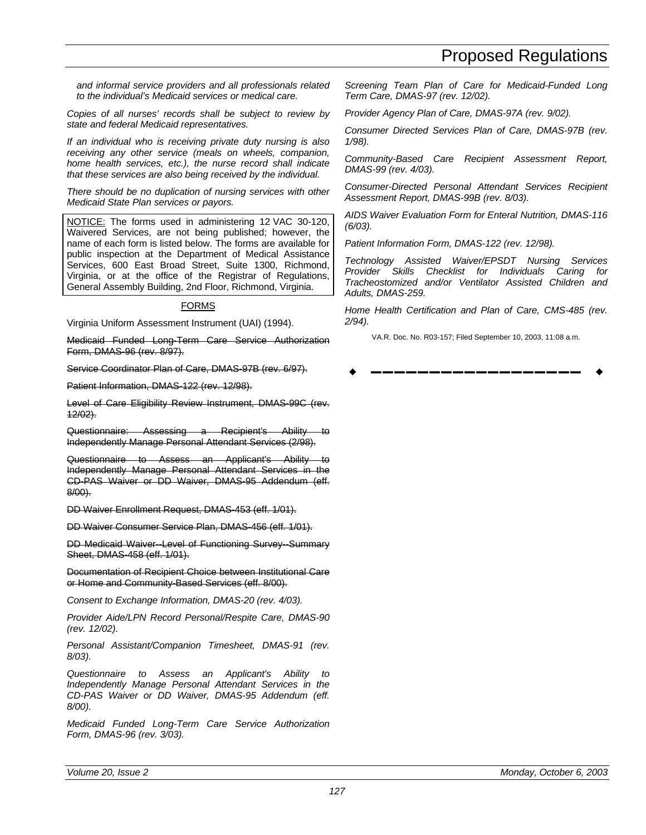*and informal service providers and all professionals related to the individual's Medicaid services or medical care.*

*Copies of all nurses' records shall be subject to review by state and federal Medicaid representatives.*

*If an individual who is receiving private duty nursing is also receiving any other service (meals on wheels, companion, home health services, etc.), the nurse record shall indicate that these services are also being received by the individual.*

*There should be no duplication of nursing services with other Medicaid State Plan services or payors.*

NOTICE: The forms used in administering 12 VAC 30-120, Waivered Services, are not being published; however, the name of each form is listed below. The forms are available for public inspection at the Department of Medical Assistance Services, 600 East Broad Street, Suite 1300, Richmond, Virginia, or at the office of the Registrar of Regulations, General Assembly Building, 2nd Floor, Richmond, Virginia.

### FORMS

Virginia Uniform Assessment Instrument (UAI) (1994).

Medicaid Funded Long-Term Care Service Authorization Form, DMAS-96 (rev. 8/97).

Service Coordinator Plan of Care, DMAS-97B (rev. 6/97).

Patient Information, DMAS-122 (rev. 12/98).

Level of Care Eligibility Review Instrument, DMAS-99C (rev. 12/02).

Questionnaire: Assessing a Recipient's Ability Independently Manage Personal Attendant Services (2/98).

Questionnaire to Assess an Applicant's Ability to Independently Manage Personal Attendant Services in the CD-PAS Waiver or DD Waiver, DMAS-95 Addendum (eff. 8/00).

DD Waiver Enrollment Request, DMAS-453 (eff. 1/01).

DD Waiver Consumer Service Plan, DMAS-456 (eff. 1/01).

DD Medicaid Waiver--Level of Functioning Survey--Summary Sheet, DMAS-458 (eff. 1/01).

Documentation of Recipient Choice between Institutional Care or Home and Community-Based Services (eff. 8/00).

*Consent to Exchange Information, DMAS-20 (rev. 4/03).*

*Provider Aide/LPN Record Personal/Respite Care, DMAS-90 (rev. 12/02).*

*Personal Assistant/Companion Timesheet, DMAS-91 (rev. 8/03).*

*Questionnaire to Assess an Applicant's Ability to Independently Manage Personal Attendant Services in the CD-PAS Waiver or DD Waiver, DMAS-95 Addendum (eff. 8/00).*

*Medicaid Funded Long-Term Care Service Authorization Form, DMAS-96 (rev. 3/03).*

*Screening Team Plan of Care for Medicaid-Funded Long Term Care, DMAS-97 (rev. 12/02).*

*Provider Agency Plan of Care, DMAS-97A (rev. 9/02).*

*Consumer Directed Services Plan of Care, DMAS-97B (rev. 1/98).*

*Community-Based Care Recipient Assessment Report, DMAS-99 (rev. 4/03).*

*Consumer-Directed Personal Attendant Services Recipient Assessment Report, DMAS-99B (rev. 8/03).*

*AIDS Waiver Evaluation Form for Enteral Nutrition, DMAS-116 (6/03).*

*Patient Information Form, DMAS-122 (rev. 12/98).*

*Technology Assisted Waiver/EPSDT Nursing Services Provider Skills Checklist for Individuals Caring for Tracheostomized and/or Ventilator Assisted Children and Adults, DMAS-259.*

*Home Health Certification and Plan of Care, CMS-485 (rev. 2/94).*

VA.R. Doc. No. R03-157; Filed September 10, 2003, 11:08 a.m.

w **––––––––––––––––––** w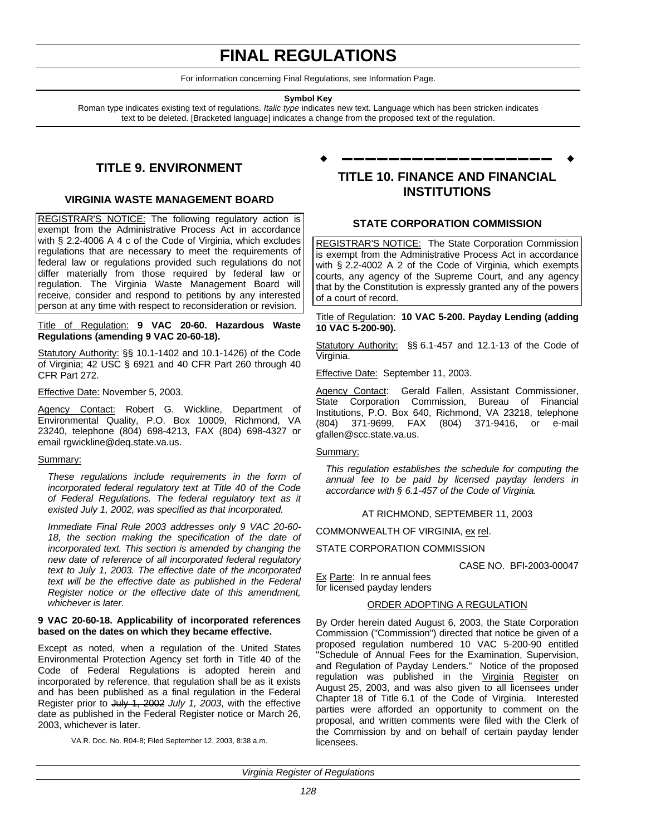# **FINAL REGULATIONS**

For information concerning Final Regulations, see Information Page.

#### **Symbol Key**

Roman type indicates existing text of regulations. *Italic type* indicates new text. Language which has been stricken indicates text to be deleted. [Bracketed language] indicates a change from the proposed text of the regulation.

## **TITLE 9. ENVIRONMENT**

### **VIRGINIA WASTE MANAGEMENT BOARD**

REGISTRAR'S NOTICE: The following regulatory action is exempt from the Administrative Process Act in accordance with § 2.2-4006 A 4 c of the Code of Virginia, which excludes regulations that are necessary to meet the requirements of federal law or regulations provided such regulations do not differ materially from those required by federal law or regulation. The Virginia Waste Management Board will receive, consider and respond to petitions by any interested person at any time with respect to reconsideration or revision.

### Title of Regulation: **9 VAC 20-60. Hazardous Waste Regulations (amending 9 VAC 20-60-18).**

Statutory Authority: §§ 10.1-1402 and 10.1-1426) of the Code of Virginia; 42 USC § 6921 and 40 CFR Part 260 through 40 CFR Part 272.

Effective Date: November 5, 2003.

Agency Contact: Robert G. Wickline, Department of Environmental Quality, P.O. Box 10009, Richmond, VA 23240, telephone (804) 698-4213, FAX (804) 698-4327 or email rgwickline@deq.state.va.us.

#### Summary:

*These regulations include requirements in the form of incorporated federal regulatory text at Title 40 of the Code of Federal Regulations. The federal regulatory text as it existed July 1, 2002, was specified as that incorporated.*

*Immediate Final Rule 2003 addresses only 9 VAC 20-60- 18, the section making the specification of the date of incorporated text. This section is amended by changing the new date of reference of all incorporated federal regulatory text to July 1, 2003. The effective date of the incorporated text will be the effective date as published in the Federal Register notice or the effective date of this amendment, whichever is later.*

#### **9 VAC 20-60-18. Applicability of incorporated references based on the dates on which they became effective.**

Except as noted, when a regulation of the United States Environmental Protection Agency set forth in Title 40 of the Code of Federal Regulations is adopted herein and incorporated by reference, that regulation shall be as it exists and has been published as a final regulation in the Federal Register prior to July 1, 2002 *July 1, 2003*, with the effective date as published in the Federal Register notice or March 26, 2003, whichever is later.

VA.R. Doc. No. R04-8; Filed September 12, 2003, 8:38 a.m.

## **TITLE 10. FINANCE AND FINANCIAL INSTITUTIONS**

w **––––––––––––––––––** w

### **STATE CORPORATION COMMISSION**

REGISTRAR'S NOTICE: The State Corporation Commission is exempt from the Administrative Process Act in accordance with § 2.2-4002 A 2 of the Code of Virginia, which exempts courts, any agency of the Supreme Court, and any agency that by the Constitution is expressly granted any of the powers of a court of record.

#### Title of Regulation: **10 VAC 5-200. Payday Lending (adding 10 VAC 5-200-90).**

Statutory Authority: §§ 6.1-457 and 12.1-13 of the Code of Virginia.

Effective Date: September 11, 2003.

Agency Contact: Gerald Fallen, Assistant Commissioner, State Corporation Commission, Bureau of Financial Institutions, P.O. Box 640, Richmond, VA 23218, telephone (804) 371-9699, FAX (804) 371-9416, or e-mail gfallen@scc.state.va.us.

### Summary:

*This regulation establishes the schedule for computing the annual fee to be paid by licensed payday lenders in accordance with § 6.1-457 of the Code of Virginia.*

AT RICHMOND, SEPTEMBER 11, 2003

COMMONWEALTH OF VIRGINIA, ex rel.

### STATE CORPORATION COMMISSION

CASE NO. BFI-2003-00047

Ex Parte: In re annual fees for licensed payday lenders

### ORDER ADOPTING A REGULATION

By Order herein dated August 6, 2003, the State Corporation Commission ("Commission") directed that notice be given of a proposed regulation numbered 10 VAC 5-200-90 entitled "Schedule of Annual Fees for the Examination, Supervision, and Regulation of Payday Lenders." Notice of the proposed regulation was published in the Virginia Register on August 25, 2003, and was also given to all licensees under Chapter 18 of Title 6.1 of the Code of Virginia. Interested parties were afforded an opportunity to comment on the proposal, and written comments were filed with the Clerk of the Commission by and on behalf of certain payday lender licensees.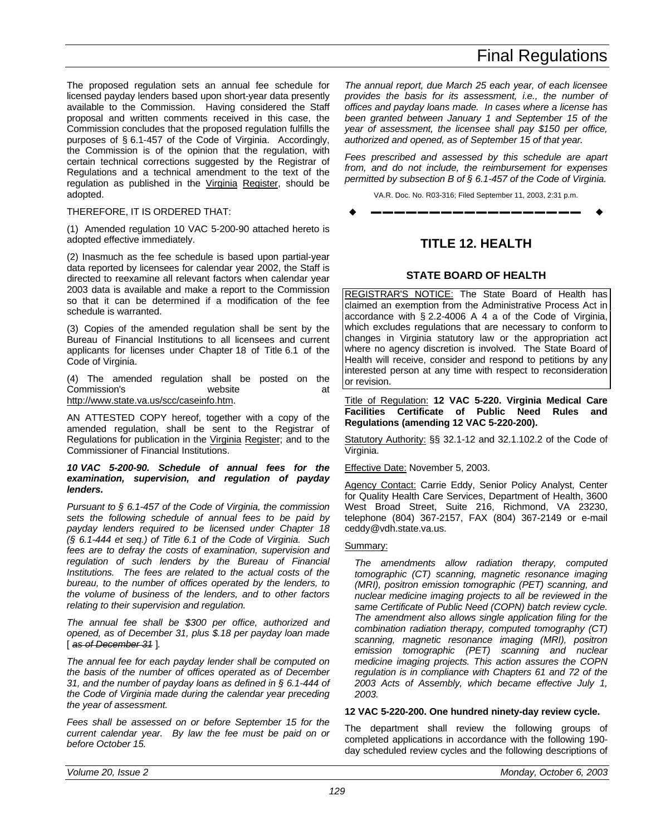The proposed regulation sets an annual fee schedule for licensed payday lenders based upon short-year data presently available to the Commission. Having considered the Staff proposal and written comments received in this case, the Commission concludes that the proposed regulation fulfills the purposes of § 6.1-457 of the Code of Virginia. Accordingly, the Commission is of the opinion that the regulation, with certain technical corrections suggested by the Registrar of Regulations and a technical amendment to the text of the regulation as published in the Virginia Register, should be adopted.

### THEREFORE, IT IS ORDERED THAT:

(1) Amended regulation 10 VAC 5-200-90 attached hereto is adopted effective immediately.

(2) Inasmuch as the fee schedule is based upon partial-year data reported by licensees for calendar year 2002, the Staff is directed to reexamine all relevant factors when calendar year 2003 data is available and make a report to the Commission so that it can be determined if a modification of the fee schedule is warranted.

(3) Copies of the amended regulation shall be sent by the Bureau of Financial Institutions to all licensees and current applicants for licenses under Chapter 18 of Title 6.1 of the Code of Virginia.

(4) The amended regulation shall be posted on the Commission's website at at http://www.state.va.us/scc/caseinfo.htm.

AN ATTESTED COPY hereof, together with a copy of the amended regulation, shall be sent to the Registrar of Regulations for publication in the Virginia Register; and to the Commissioner of Financial Institutions.

#### *10 VAC 5-200-90. Schedule of annual fees for the examination, supervision, and regulation of payday lenders.*

*Pursuant to § 6.1-457 of the Code of Virginia, the commission sets the following schedule of annual fees to be paid by payday lenders required to be licensed under Chapter 18 (§ 6.1-444 et seq.) of Title 6.1 of the Code of Virginia. Such fees are to defray the costs of examination, supervision and regulation of such lenders by the Bureau of Financial Institutions. The fees are related to the actual costs of the bureau, to the number of offices operated by the lenders, to the volume of business of the lenders, and to other factors relating to their supervision and regulation.*

*The annual fee shall be \$300 per office, authorized and opened, as of December 31, plus \$.18 per payday loan made* [ *as of December 31* ]*.*

*The annual fee for each payday lender shall be computed on the basis of the number of offices operated as of December 31, and the number of payday loans as defined in § 6.1-444 of the Code of Virginia made during the calendar year preceding the year of assessment.*

*Fees shall be assessed on or before September 15 for the current calendar year. By law the fee must be paid on or before October 15.*

*The annual report, due March 25 each year, of each licensee provides the basis for its assessment, i.e., the number of offices and payday loans made. In cases where a license has been granted between January 1 and September 15 of the year of assessment, the licensee shall pay \$150 per office, authorized and opened, as of September 15 of that year.*

*Fees prescribed and assessed by this schedule are apart from, and do not include, the reimbursement for expenses permitted by subsection B of § 6.1-457 of the Code of Virginia.*

VA.R. Doc. No. R03-316; Filed September 11, 2003, 2:31 p.m.

w **––––––––––––––––––** w

## **TITLE 12. HEALTH**

### **STATE BOARD OF HEALTH**

REGISTRAR'S NOTICE: The State Board of Health has claimed an exemption from the Administrative Process Act in accordance with § 2.2-4006 A 4 a of the Code of Virginia, which excludes regulations that are necessary to conform to changes in Virginia statutory law or the appropriation act where no agency discretion is involved. The State Board of Health will receive, consider and respond to petitions by any interested person at any time with respect to reconsideration or revision.

Title of Regulation: **12 VAC 5-220. Virginia Medical Care Facilities Certificate of Public Need Rules and Regulations (amending 12 VAC 5-220-200).**

Statutory Authority: §§ 32.1-12 and 32.1.102.2 of the Code of Virginia.

Effective Date: November 5, 2003.

Agency Contact: Carrie Eddy, Senior Policy Analyst, Center for Quality Health Care Services, Department of Health, 3600 West Broad Street, Suite 216, Richmond, VA 23230, telephone (804) 367-2157, FAX (804) 367-2149 or e-mail ceddy@vdh.state.va.us.

### Summary:

*The amendments allow radiation therapy, computed tomographic (CT) scanning, magnetic resonance imaging (MRI), positron emission tomographic (PET) scanning, and nuclear medicine imaging projects to all be reviewed in the same Certificate of Public Need (COPN) batch review cycle. The amendment also allows single application filing for the combination radiation therapy, computed tomography (CT) scanning, magnetic resonance imaging (MRI), positron emission tomographic (PET) scanning and nuclear medicine imaging projects. This action assures the COPN regulation is in compliance with Chapters 61 and 72 of the 2003 Acts of Assembly, which became effective July 1, 2003.*

#### **12 VAC 5-220-200. One hundred ninety-day review cycle.**

The department shall review the following groups of completed applications in accordance with the following 190 day scheduled review cycles and the following descriptions of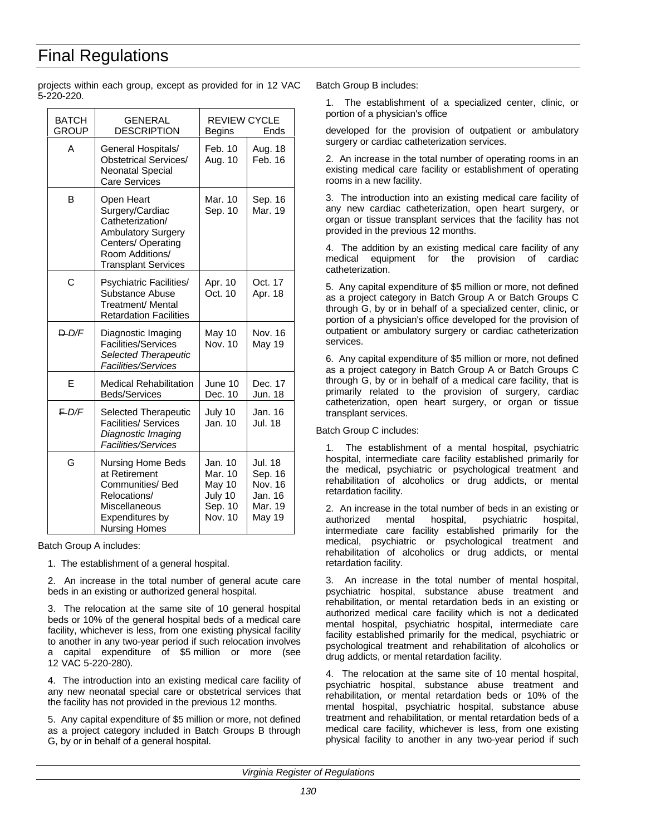projects within each group, except as provided for in 12 VAC 5-220-220.

| <b>BATCH</b><br><b>GROUP</b> | <b>GENERAL</b><br><b>DESCRIPTION</b>                                                                                                                 | <b>REVIEW CYCLE</b><br>Ends<br><b>Begins</b>                  |                                                                      |
|------------------------------|------------------------------------------------------------------------------------------------------------------------------------------------------|---------------------------------------------------------------|----------------------------------------------------------------------|
| А                            | General Hospitals/<br><b>Obstetrical Services/</b><br><b>Neonatal Special</b><br><b>Care Services</b>                                                | Feb. 10<br>Aug. 10                                            | Aug. 18<br>Feb. 16                                                   |
| в                            | Open Heart<br>Surgery/Cardiac<br>Catheterization/<br><b>Ambulatory Surgery</b><br>Centers/Operating<br>Room Additions/<br><b>Transplant Services</b> | Mar. 10<br>Sep. 10                                            | Sep. 16<br>Mar. 19                                                   |
| C                            | Psychiatric Facilities/<br>Substance Abuse<br>Treatment/ Mental<br><b>Retardation Facilities</b>                                                     | Apr. 10<br>Oct. 10                                            | Oct. 17<br>Apr. 18                                                   |
| D/D/F                        | Diagnostic Imaging<br><b>Facilities/Services</b><br><b>Selected Therapeutic</b><br>Facilities/Services                                               | May 10<br>Nov. 10                                             | Nov. 16<br>May 19                                                    |
| E                            | <b>Medical Rehabilitation</b><br><b>Beds/Services</b>                                                                                                | June 10<br>Dec. 10                                            | Dec. 17<br>Jun. 18                                                   |
| $E$ D/F                      | Selected Therapeutic<br><b>Facilities/ Services</b><br>Diagnostic Imaging<br><b>Facilities/Services</b>                                              | July 10<br>Jan. 10                                            | Jan. 16<br>Jul. 18                                                   |
| G                            | Nursing Home Beds<br>at Retirement<br>Communities/ Bed<br>Relocations/<br>Miscellaneous<br><b>Expenditures by</b><br><b>Nursing Homes</b>            | Jan. 10<br>Mar. 10<br>May 10<br>July 10<br>Sep. 10<br>Nov. 10 | <b>Jul. 18</b><br>Sep. 16<br>Nov. 16<br>Jan. 16<br>Mar. 19<br>May 19 |

Batch Group A includes:

1. The establishment of a general hospital.

2. An increase in the total number of general acute care beds in an existing or authorized general hospital.

3. The relocation at the same site of 10 general hospital beds or 10% of the general hospital beds of a medical care facility, whichever is less, from one existing physical facility to another in any two-year period if such relocation involves a capital expenditure of \$5 million or more (see 12 VAC 5-220-280).

4. The introduction into an existing medical care facility of any new neonatal special care or obstetrical services that the facility has not provided in the previous 12 months.

5. Any capital expenditure of \$5 million or more, not defined as a project category included in Batch Groups B through G, by or in behalf of a general hospital.

Batch Group B includes:

1. The establishment of a specialized center, clinic, or portion of a physician's office

developed for the provision of outpatient or ambulatory surgery or cardiac catheterization services.

2. An increase in the total number of operating rooms in an existing medical care facility or establishment of operating rooms in a new facility.

3. The introduction into an existing medical care facility of any new cardiac catheterization, open heart surgery, or organ or tissue transplant services that the facility has not provided in the previous 12 months.

4. The addition by an existing medical care facility of any medical equipment for the provision of cardiac catheterization.

5. Any capital expenditure of \$5 million or more, not defined as a project category in Batch Group A or Batch Groups C through G, by or in behalf of a specialized center, clinic, or portion of a physician's office developed for the provision of outpatient or ambulatory surgery or cardiac catheterization services.

6. Any capital expenditure of \$5 million or more, not defined as a project category in Batch Group A or Batch Groups C through G, by or in behalf of a medical care facility, that is primarily related to the provision of surgery, cardiac catheterization, open heart surgery, or organ or tissue transplant services.

Batch Group C includes:

The establishment of a mental hospital, psychiatric hospital, intermediate care facility established primarily for the medical, psychiatric or psychological treatment and rehabilitation of alcoholics or drug addicts, or mental retardation facility.

2. An increase in the total number of beds in an existing or authorized mental hospital, psychiatric hospital, intermediate care facility established primarily for the medical, psychiatric or psychological treatment and rehabilitation of alcoholics or drug addicts, or mental retardation facility.

3. An increase in the total number of mental hospital, psychiatric hospital, substance abuse treatment and rehabilitation, or mental retardation beds in an existing or authorized medical care facility which is not a dedicated mental hospital, psychiatric hospital, intermediate care facility established primarily for the medical, psychiatric or psychological treatment and rehabilitation of alcoholics or drug addicts, or mental retardation facility.

4. The relocation at the same site of 10 mental hospital, psychiatric hospital, substance abuse treatment and rehabilitation, or mental retardation beds or 10% of the mental hospital, psychiatric hospital, substance abuse treatment and rehabilitation, or mental retardation beds of a medical care facility, whichever is less, from one existing physical facility to another in any two-year period if such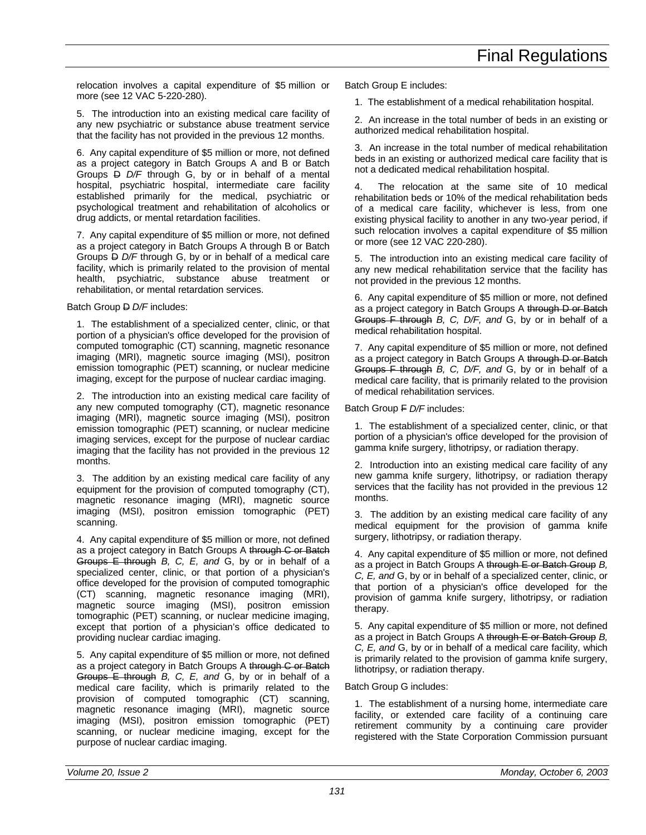relocation involves a capital expenditure of \$5 million or more (see 12 VAC 5-220-280).

5. The introduction into an existing medical care facility of any new psychiatric or substance abuse treatment service that the facility has not provided in the previous 12 months.

6. Any capital expenditure of \$5 million or more, not defined as a project category in Batch Groups A and B or Batch Groups D *D/F* through G, by or in behalf of a mental hospital, psychiatric hospital, intermediate care facility established primarily for the medical, psychiatric or psychological treatment and rehabilitation of alcoholics or drug addicts, or mental retardation facilities.

7. Any capital expenditure of \$5 million or more, not defined as a project category in Batch Groups A through B or Batch Groups  $\overline{P}$  *D/F* through G, by or in behalf of a medical care facility, which is primarily related to the provision of mental health, psychiatric, substance abuse treatment or rehabilitation, or mental retardation services.

Batch Group **D** *D/F* includes:

1. The establishment of a specialized center, clinic, or that portion of a physician's office developed for the provision of computed tomographic (CT) scanning, magnetic resonance imaging (MRI), magnetic source imaging (MSI), positron emission tomographic (PET) scanning, or nuclear medicine imaging, except for the purpose of nuclear cardiac imaging.

2. The introduction into an existing medical care facility of any new computed tomography (CT), magnetic resonance imaging (MRI), magnetic source imaging (MSI), positron emission tomographic (PET) scanning, or nuclear medicine imaging services, except for the purpose of nuclear cardiac imaging that the facility has not provided in the previous 12 months.

3. The addition by an existing medical care facility of any equipment for the provision of computed tomography (CT), magnetic resonance imaging (MRI), magnetic source imaging (MSI), positron emission tomographic (PET) scanning.

4. Any capital expenditure of \$5 million or more, not defined as a project category in Batch Groups A through C or Batch Groups E through *B, C, E, and* G, by or in behalf of a specialized center, clinic, or that portion of a physician's office developed for the provision of computed tomographic (CT) scanning, magnetic resonance imaging (MRI), magnetic source imaging (MSI), positron emission tomographic (PET) scanning, or nuclear medicine imaging, except that portion of a physician's office dedicated to providing nuclear cardiac imaging.

5. Any capital expenditure of \$5 million or more, not defined as a project category in Batch Groups A through C or Batch Groups E through *B, C, E, and* G, by or in behalf of a medical care facility, which is primarily related to the provision of computed tomographic (CT) scanning, magnetic resonance imaging (MRI), magnetic source imaging (MSI), positron emission tomographic (PET) scanning, or nuclear medicine imaging, except for the purpose of nuclear cardiac imaging.

Batch Group E includes:

1. The establishment of a medical rehabilitation hospital.

2. An increase in the total number of beds in an existing or authorized medical rehabilitation hospital.

3. An increase in the total number of medical rehabilitation beds in an existing or authorized medical care facility that is not a dedicated medical rehabilitation hospital.

4. The relocation at the same site of 10 medical rehabilitation beds or 10% of the medical rehabilitation beds of a medical care facility, whichever is less, from one existing physical facility to another in any two-year period, if such relocation involves a capital expenditure of \$5 million or more (see 12 VAC 220-280).

5. The introduction into an existing medical care facility of any new medical rehabilitation service that the facility has not provided in the previous 12 months.

6. Any capital expenditure of \$5 million or more, not defined as a project category in Batch Groups A through D or Batch Groups F through *B, C, D/F, and* G, by or in behalf of a medical rehabilitation hospital.

7. Any capital expenditure of \$5 million or more, not defined as a project category in Batch Groups A through D or Batch Groups F through *B, C, D/F, and* G, by or in behalf of a medical care facility, that is primarily related to the provision of medical rehabilitation services.

Batch Group F *D/F* includes:

1. The establishment of a specialized center, clinic, or that portion of a physician's office developed for the provision of gamma knife surgery, lithotripsy, or radiation therapy.

2. Introduction into an existing medical care facility of any new gamma knife surgery, lithotripsy, or radiation therapy services that the facility has not provided in the previous 12 months.

3. The addition by an existing medical care facility of any medical equipment for the provision of gamma knife surgery, lithotripsy, or radiation therapy.

4. Any capital expenditure of \$5 million or more, not defined as a project in Batch Groups A through E or Batch Group *B, C, E, and* G, by or in behalf of a specialized center, clinic, or that portion of a physician's office developed for the provision of gamma knife surgery, lithotripsy, or radiation therapy.

5. Any capital expenditure of \$5 million or more, not defined as a project in Batch Groups A through E or Batch Group *B, C, E, and* G, by or in behalf of a medical care facility, which is primarily related to the provision of gamma knife surgery, lithotripsy, or radiation therapy.

Batch Group G includes:

1. The establishment of a nursing home, intermediate care facility, or extended care facility of a continuing care retirement community by a continuing care provider registered with the State Corporation Commission pursuant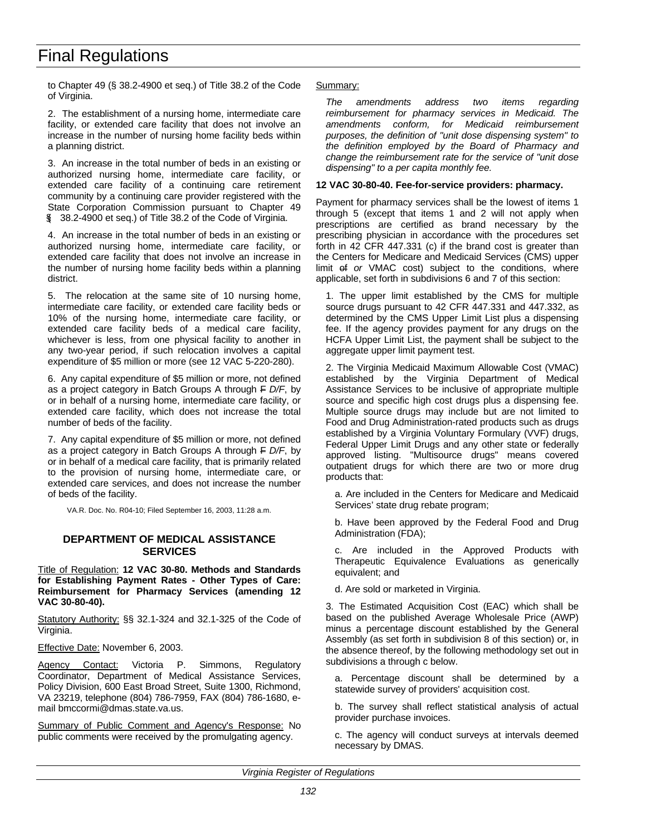to Chapter 49 (§ 38.2-4900 et seq.) of Title 38.2 of the Code of Virginia.

2. The establishment of a nursing home, intermediate care facility, or extended care facility that does not involve an increase in the number of nursing home facility beds within a planning district.

3. An increase in the total number of beds in an existing or authorized nursing home, intermediate care facility, or extended care facility of a continuing care retirement community by a continuing care provider registered with the State Corporation Commission pursuant to Chapter 49 (§ 38.2-4900 et seq.) of Title 38.2 of the Code of Virginia.

4. An increase in the total number of beds in an existing or authorized nursing home, intermediate care facility, or extended care facility that does not involve an increase in the number of nursing home facility beds within a planning district.

5. The relocation at the same site of 10 nursing home, intermediate care facility, or extended care facility beds or 10% of the nursing home, intermediate care facility, or extended care facility beds of a medical care facility, whichever is less, from one physical facility to another in any two-year period, if such relocation involves a capital expenditure of \$5 million or more (see 12 VAC 5-220-280).

6. Any capital expenditure of \$5 million or more, not defined as a project category in Batch Groups A through F *D/F*, by or in behalf of a nursing home, intermediate care facility, or extended care facility, which does not increase the total number of beds of the facility.

7. Any capital expenditure of \$5 million or more, not defined as a project category in Batch Groups A through F *D/F*, by or in behalf of a medical care facility, that is primarily related to the provision of nursing home, intermediate care, or extended care services, and does not increase the number of beds of the facility.

VA.R. Doc. No. R04-10; Filed September 16, 2003, 11:28 a.m.

### **DEPARTMENT OF MEDICAL ASSISTANCE SERVICES**

Title of Regulation: **12 VAC 30-80. Methods and Standards for Establishing Payment Rates - Other Types of Care: Reimbursement for Pharmacy Services (amending 12 VAC 30-80-40).**

Statutory Authority: §§ 32.1-324 and 32.1-325 of the Code of Virginia.

Effective Date: November 6, 2003.

Agency Contact: Victoria P. Simmons, Regulatory Coordinator, Department of Medical Assistance Services, Policy Division, 600 East Broad Street, Suite 1300, Richmond, VA 23219, telephone (804) 786-7959, FAX (804) 786-1680, email bmccormi@dmas.state.va.us.

Summary of Public Comment and Agency's Response: No public comments were received by the promulgating agency.

#### Summary:

*The amendments address two items regarding reimbursement for pharmacy services in Medicaid. The amendments conform, for Medicaid reimbursement purposes, the definition of "unit dose dispensing system" to the definition employed by the Board of Pharmacy and change the reimbursement rate for the service of "unit dose dispensing" to a per capita monthly fee.*

#### **12 VAC 30-80-40. Fee-for-service providers: pharmacy.**

Payment for pharmacy services shall be the lowest of items 1 through 5 (except that items 1 and 2 will not apply when prescriptions are certified as brand necessary by the prescribing physician in accordance with the procedures set forth in 42 CFR 447.331 (c) if the brand cost is greater than the Centers for Medicare and Medicaid Services (CMS) upper limit of or VMAC cost) subject to the conditions, where applicable, set forth in subdivisions 6 and 7 of this section:

1. The upper limit established by the CMS for multiple source drugs pursuant to 42 CFR 447.331 and 447.332, as determined by the CMS Upper Limit List plus a dispensing fee. If the agency provides payment for any drugs on the HCFA Upper Limit List, the payment shall be subject to the aggregate upper limit payment test.

2. The Virginia Medicaid Maximum Allowable Cost (VMAC) established by the Virginia Department of Medical Assistance Services to be inclusive of appropriate multiple source and specific high cost drugs plus a dispensing fee. Multiple source drugs may include but are not limited to Food and Drug Administration-rated products such as drugs established by a Virginia Voluntary Formulary (VVF) drugs, Federal Upper Limit Drugs and any other state or federally approved listing. "Multisource drugs" means covered outpatient drugs for which there are two or more drug products that:

a. Are included in the Centers for Medicare and Medicaid Services' state drug rebate program;

b. Have been approved by the Federal Food and Drug Administration (FDA);

c. Are included in the Approved Products with Therapeutic Equivalence Evaluations as generically equivalent; and

d. Are sold or marketed in Virginia.

3. The Estimated Acquisition Cost (EAC) which shall be based on the published Average Wholesale Price (AWP) minus a percentage discount established by the General Assembly (as set forth in subdivision 8 of this section) or, in the absence thereof, by the following methodology set out in subdivisions a through c below.

a. Percentage discount shall be determined by a statewide survey of providers' acquisition cost.

b. The survey shall reflect statistical analysis of actual provider purchase invoices.

c. The agency will conduct surveys at intervals deemed necessary by DMAS.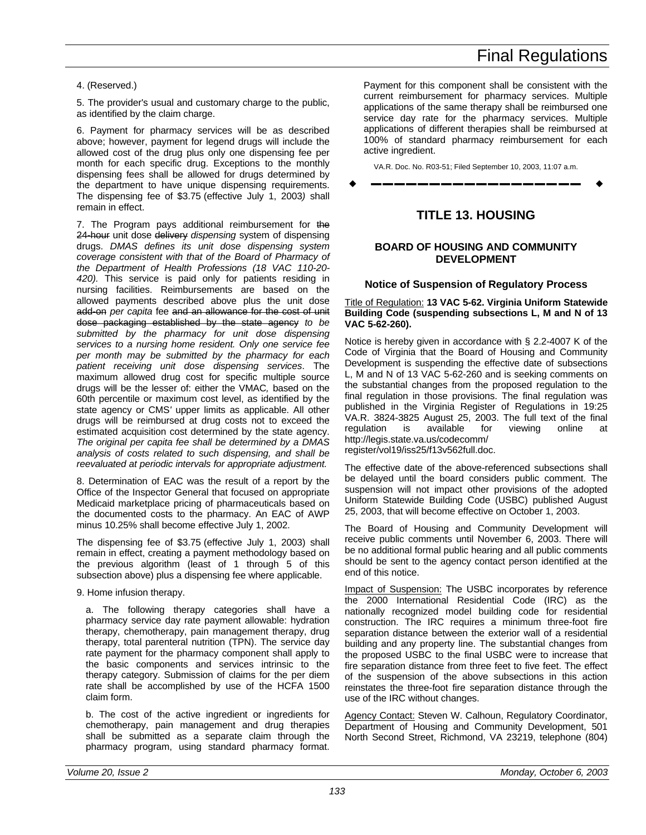### 4. (Reserved.)

5. The provider's usual and customary charge to the public, as identified by the claim charge.

6. Payment for pharmacy services will be as described above; however, payment for legend drugs will include the allowed cost of the drug plus only one dispensing fee per month for each specific drug. Exceptions to the monthly dispensing fees shall be allowed for drugs determined by the department to have unique dispensing requirements. The dispensing fee of \$3.75 (effective July 1, 2003*)* shall remain in effect.

7. The Program pays additional reimbursement for the 24-hour unit dose delivery *dispensing* system of dispensing drugs. *DMAS defines its unit dose dispensing system coverage consistent with that of the Board of Pharmacy of the Department of Health Professions (18 VAC 110-20- 420).* This service is paid only for patients residing in nursing facilities. Reimbursements are based on the allowed payments described above plus the unit dose add-on *per capita* fee and an allowance for the cost of unit dose packaging established by the state agency *to be submitted by the pharmacy for unit dose dispensing services to a nursing home resident. Only one service fee per month may be submitted by the pharmacy for each patient receiving unit dose dispensing services*. The maximum allowed drug cost for specific multiple source drugs will be the lesser of: either the VMAC*,* based on the 60th percentile or maximum cost level, as identified by the state agency or CMS*'* upper limits as applicable. All other drugs will be reimbursed at drug costs not to exceed the estimated acquisition cost determined by the state agency. *The original per capita fee shall be determined by a DMAS analysis of costs related to such dispensing, and shall be reevaluated at periodic intervals for appropriate adjustment.*

8. Determination of EAC was the result of a report by the Office of the Inspector General that focused on appropriate Medicaid marketplace pricing of pharmaceuticals based on the documented costs to the pharmacy. An EAC of AWP minus 10.25% shall become effective July 1, 2002.

The dispensing fee of \$3.75 (effective July 1, 2003) shall remain in effect, creating a payment methodology based on the previous algorithm (least of 1 through 5 of this subsection above) plus a dispensing fee where applicable.

9. Home infusion therapy.

a. The following therapy categories shall have a pharmacy service day rate payment allowable: hydration therapy, chemotherapy, pain management therapy, drug therapy, total parenteral nutrition (TPN). The service day rate payment for the pharmacy component shall apply to the basic components and services intrinsic to the therapy category. Submission of claims for the per diem rate shall be accomplished by use of the HCFA 1500 claim form.

b. The cost of the active ingredient or ingredients for chemotherapy, pain management and drug therapies shall be submitted as a separate claim through the pharmacy program, using standard pharmacy format.

Payment for this component shall be consistent with the current reimbursement for pharmacy services. Multiple applications of the same therapy shall be reimbursed one service day rate for the pharmacy services. Multiple applications of different therapies shall be reimbursed at 100% of standard pharmacy reimbursement for each active ingredient.

VA.R. Doc. No. R03-51; Filed September 10, 2003, 11:07 a.m.

w **––––––––––––––––––** w

## **TITLE 13. HOUSING**

### **BOARD OF HOUSING AND COMMUNITY DEVELOPMENT**

### **Notice of Suspension of Regulatory Process**

Title of Regulation: **13 VAC 5-62. Virginia Uniform Statewide Building Code (suspending subsections L, M and N of 13 VAC 5-62-260).**

Notice is hereby given in accordance with § 2.2-4007 K of the Code of Virginia that the Board of Housing and Community Development is suspending the effective date of subsections L, M and N of 13 VAC 5-62-260 and is seeking comments on the substantial changes from the proposed regulation to the final regulation in those provisions. The final regulation was published in the Virginia Register of Regulations in 19:25 VA.R. 3824-3825 August 25, 2003. The full text of the final regulation is available for viewing online at http://legis.state.va.us/codecomm/ register/vol19/iss25/f13v562full.doc.

The effective date of the above-referenced subsections shall be delayed until the board considers public comment. The suspension will not impact other provisions of the adopted Uniform Statewide Building Code (USBC) published August 25, 2003, that will become effective on October 1, 2003.

The Board of Housing and Community Development will receive public comments until November 6, 2003. There will be no additional formal public hearing and all public comments should be sent to the agency contact person identified at the end of this notice.

Impact of Suspension: The USBC incorporates by reference the 2000 International Residential Code (IRC) as the nationally recognized model building code for residential construction. The IRC requires a minimum three-foot fire separation distance between the exterior wall of a residential building and any property line. The substantial changes from the proposed USBC to the final USBC were to increase that fire separation distance from three feet to five feet. The effect of the suspension of the above subsections in this action reinstates the three-foot fire separation distance through the use of the IRC without changes.

Agency Contact: Steven W. Calhoun, Regulatory Coordinator, Department of Housing and Community Development, 501 North Second Street, Richmond, VA 23219, telephone (804)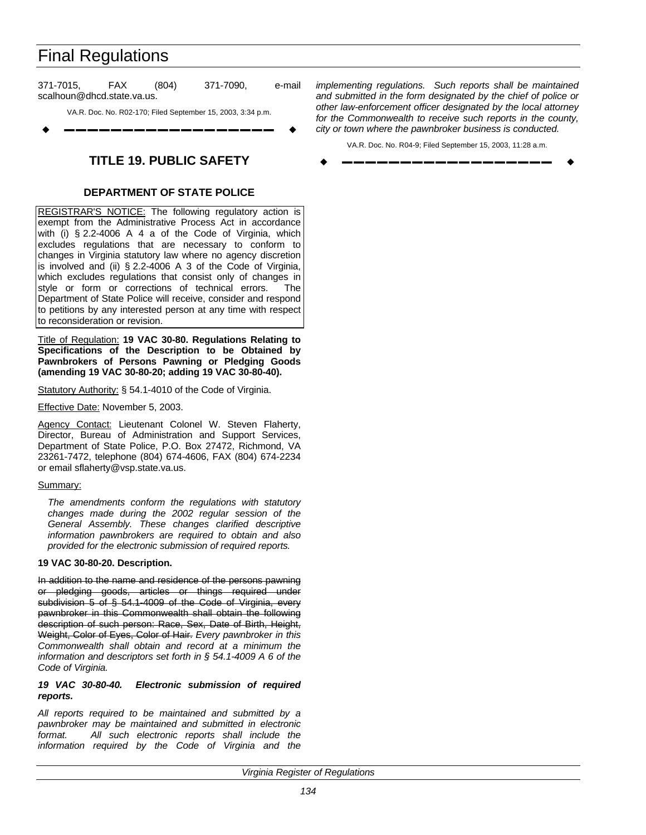371-7015, FAX (804) 371-7090, e-mail scalhoun@dhcd.state.va.us.

VA.R. Doc. No. R02-170; Filed September 15, 2003, 3:34 p.m.

w **––––––––––––––––––** w

## **TITLE 19. PUBLIC SAFETY**

### **DEPARTMENT OF STATE POLICE**

REGISTRAR'S NOTICE: The following regulatory action is exempt from the Administrative Process Act in accordance with (i) § 2.2-4006 A 4 a of the Code of Virginia, which excludes regulations that are necessary to conform to changes in Virginia statutory law where no agency discretion is involved and (ii) § 2.2-4006 A 3 of the Code of Virginia, which excludes regulations that consist only of changes in style or form or corrections of technical errors. The Department of State Police will receive, consider and respond to petitions by any interested person at any time with respect to reconsideration or revision.

Title of Regulation: **19 VAC 30-80. Regulations Relating to Specifications of the Description to be Obtained by Pawnbrokers of Persons Pawning or Pledging Goods (amending 19 VAC 30-80-20; adding 19 VAC 30-80-40).**

Statutory Authority: § 54.1-4010 of the Code of Virginia.

Effective Date: November 5, 2003.

Agency Contact: Lieutenant Colonel W. Steven Flaherty, Director, Bureau of Administration and Support Services, Department of State Police, P.O. Box 27472, Richmond, VA 23261-7472, telephone (804) 674-4606, FAX (804) 674-2234 or email sflaherty@vsp.state.va.us.

### Summary:

*The amendments conform the regulations with statutory changes made during the 2002 regular session of the General Assembly. These changes clarified descriptive information pawnbrokers are required to obtain and also provided for the electronic submission of required reports.*

### **19 VAC 30-80-20. Description.**

In addition to the name and residence of the persons pawning or pledging goods, articles or things required under subdivision 5 of § 54.1-4009 of the Code of Virginia, every pawnbroker in this Commonwealth shall obtain the following description of such person: Race, Sex, Date of Birth, Height, Weight, Color of Eyes, Color of Hair. *Every pawnbroker in this Commonwealth shall obtain and record at a minimum the information and descriptors set forth in § 54.1-4009 A 6 of the Code of Virginia.*

### *19 VAC 30-80-40. Electronic submission of required reports.*

*All reports required to be maintained and submitted by a pawnbroker may be maintained and submitted in electronic format. All such electronic reports shall include the information required by the Code of Virginia and the*

*implementing regulations. Such reports shall be maintained and submitted in the form designated by the chief of police or other law-enforcement officer designated by the local attorney for the Commonwealth to receive such reports in the county, city or town where the pawnbroker business is conducted.*

VA.R. Doc. No. R04-9; Filed September 15, 2003, 11:28 a.m. w **––––––––––––––––––** w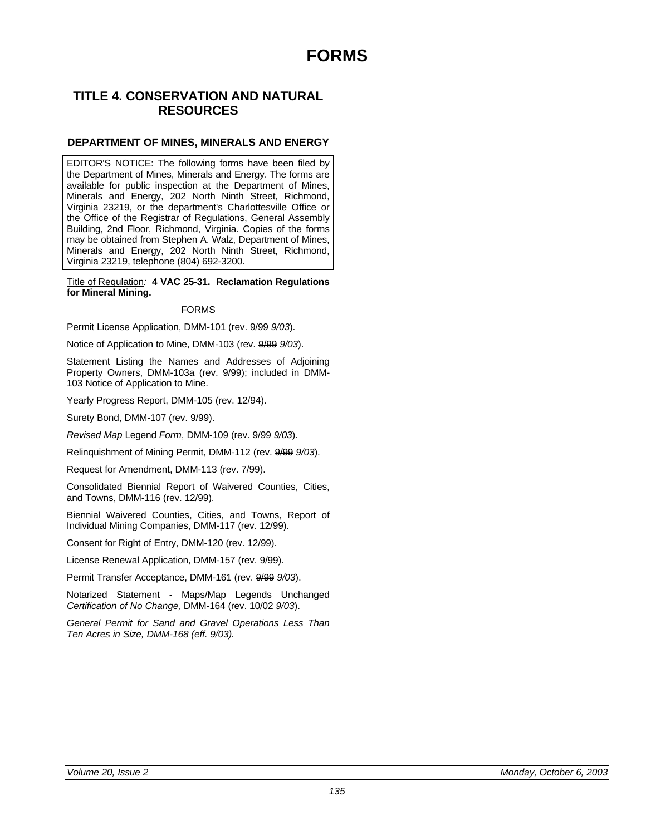## **TITLE 4. CONSERVATION AND NATURAL RESOURCES**

### **DEPARTMENT OF MINES, MINERALS AND ENERGY**

EDITOR'S NOTICE: The following forms have been filed by the Department of Mines, Minerals and Energy. The forms are available for public inspection at the Department of Mines, Minerals and Energy, 202 North Ninth Street, Richmond, Virginia 23219, or the department's Charlottesville Office or the Office of the Registrar of Regulations, General Assembly Building, 2nd Floor, Richmond, Virginia. Copies of the forms may be obtained from Stephen A. Walz, Department of Mines, Minerals and Energy, 202 North Ninth Street, Richmond, Virginia 23219, telephone (804) 692-3200.

Title of Regulation*:* **4 VAC 25-31. Reclamation Regulations for Mineral Mining.**

### FORMS

Permit License Application, DMM-101 (rev. 9/99 *9/03*).

Notice of Application to Mine, DMM-103 (rev. 9/99 *9/03*).

Statement Listing the Names and Addresses of Adjoining Property Owners, DMM-103a (rev. 9/99); included in DMM-103 Notice of Application to Mine.

Yearly Progress Report, DMM-105 (rev. 12/94).

Surety Bond, DMM-107 (rev. 9/99).

*Revised Map* Legend *Form*, DMM-109 (rev. 9/99 *9/03*).

Relinquishment of Mining Permit, DMM-112 (rev. 9/99 *9/03*).

Request for Amendment, DMM-113 (rev. 7/99).

Consolidated Biennial Report of Waivered Counties, Cities, and Towns, DMM-116 (rev. 12/99).

Biennial Waivered Counties, Cities, and Towns, Report of Individual Mining Companies, DMM-117 (rev. 12/99).

Consent for Right of Entry, DMM-120 (rev. 12/99).

License Renewal Application, DMM-157 (rev. 9/99).

Permit Transfer Acceptance, DMM-161 (rev. 9/99 *9/03*).

Notarized Statement - Maps/Map Legends Unchanged *Certification of No Change,* DMM-164 (rev. 10/02 *9/03*).

*General Permit for Sand and Gravel Operations Less Than Ten Acres in Size, DMM-168 (eff. 9/03).*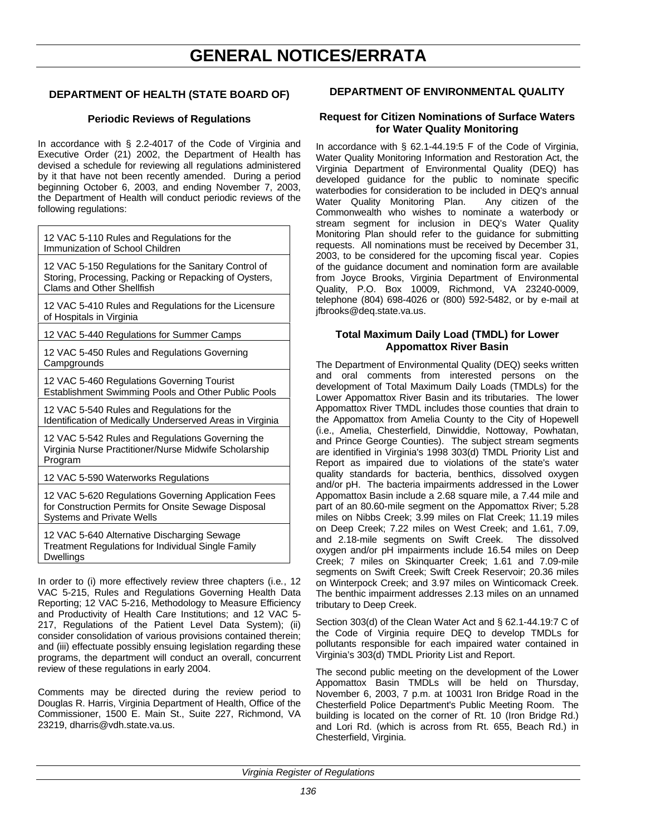# **GENERAL NOTICES/ERRATA**

### **DEPARTMENT OF HEALTH (STATE BOARD OF)**

### **Periodic Reviews of Regulations**

In accordance with § 2.2-4017 of the Code of Virginia and Executive Order (21) 2002, the Department of Health has devised a schedule for reviewing all regulations administered by it that have not been recently amended. During a period beginning October 6, 2003, and ending November 7, 2003, the Department of Health will conduct periodic reviews of the following regulations:

12 VAC 5-110 Rules and Regulations for the Immunization of School Children

12 VAC 5-150 Regulations for the Sanitary Control of Storing, Processing, Packing or Repacking of Oysters, Clams and Other Shellfish

12 VAC 5-410 Rules and Regulations for the Licensure of Hospitals in Virginia

12 VAC 5-440 Regulations for Summer Camps

12 VAC 5-450 Rules and Regulations Governing **Campgrounds** 

12 VAC 5-460 Regulations Governing Tourist Establishment Swimming Pools and Other Public Pools

12 VAC 5-540 Rules and Regulations for the Identification of Medically Underserved Areas in Virginia

12 VAC 5-542 Rules and Regulations Governing the Virginia Nurse Practitioner/Nurse Midwife Scholarship Program

12 VAC 5-590 Waterworks Regulations

12 VAC 5-620 Regulations Governing Application Fees for Construction Permits for Onsite Sewage Disposal Systems and Private Wells

12 VAC 5-640 Alternative Discharging Sewage Treatment Regulations for Individual Single Family **Dwellings** 

In order to (i) more effectively review three chapters (i.e*.*, 12 VAC 5-215, Rules and Regulations Governing Health Data Reporting; 12 VAC 5-216, Methodology to Measure Efficiency and Productivity of Health Care Institutions; and 12 VAC 5- 217, Regulations of the Patient Level Data System); (ii) consider consolidation of various provisions contained therein; and (iii) effectuate possibly ensuing legislation regarding these programs, the department will conduct an overall, concurrent review of these regulations in early 2004.

Comments may be directed during the review period to Douglas R. Harris, Virginia Department of Health, Office of the Commissioner, 1500 E. Main St., Suite 227, Richmond, VA 23219, dharris@vdh.state.va.us.

## **DEPARTMENT OF ENVIRONMENTAL QUALITY**

### **Request for Citizen Nominations of Surface Waters for Water Quality Monitoring**

In accordance with § 62.1-44.19:5 F of the Code of Virginia, Water Quality Monitoring Information and Restoration Act, the Virginia Department of Environmental Quality (DEQ) has developed guidance for the public to nominate specific waterbodies for consideration to be included in DEQ's annual Water Quality Monitoring Plan. Any citizen of the Commonwealth who wishes to nominate a waterbody or stream segment for inclusion in DEQ's Water Quality Monitoring Plan should refer to the guidance for submitting requests. All nominations must be received by December 31, 2003, to be considered for the upcoming fiscal year. Copies of the guidance document and nomination form are available from Joyce Brooks, Virginia Department of Environmental Quality, P.O. Box 10009, Richmond, VA 23240-0009, telephone (804) 698-4026 or (800) 592-5482, or by e-mail at jfbrooks@deq.state.va.us.

### **Total Maximum Daily Load (TMDL) for Lower Appomattox River Basin**

The Department of Environmental Quality (DEQ) seeks written and oral comments from interested persons on the development of Total Maximum Daily Loads (TMDLs) for the Lower Appomattox River Basin and its tributaries. The lower Appomattox River TMDL includes those counties that drain to the Appomattox from Amelia County to the City of Hopewell (i.e., Amelia, Chesterfield, Dinwiddie, Nottoway, Powhatan, and Prince George Counties). The subject stream segments are identified in Virginia's 1998 303(d) TMDL Priority List and Report as impaired due to violations of the state's water quality standards for bacteria, benthics, dissolved oxygen and/or pH. The bacteria impairments addressed in the Lower Appomattox Basin include a 2.68 square mile, a 7.44 mile and part of an 80.60-mile segment on the Appomattox River; 5.28 miles on Nibbs Creek; 3.99 miles on Flat Creek; 11.19 miles on Deep Creek; 7.22 miles on West Creek; and 1.61, 7.09, and 2.18-mile segments on Swift Creek. The dissolved oxygen and/or pH impairments include 16.54 miles on Deep Creek; 7 miles on Skinquarter Creek; 1.61 and 7.09-mile segments on Swift Creek; Swift Creek Reservoir; 20.36 miles on Winterpock Creek; and 3.97 miles on Winticomack Creek. The benthic impairment addresses 2.13 miles on an unnamed tributary to Deep Creek.

Section 303(d) of the Clean Water Act and § 62.1-44.19:7 C of the Code of Virginia require DEQ to develop TMDLs for pollutants responsible for each impaired water contained in Virginia's 303(d) TMDL Priority List and Report.

The second public meeting on the development of the Lower Appomattox Basin TMDLs will be held on Thursday, November 6, 2003, 7 p.m. at 10031 Iron Bridge Road in the Chesterfield Police Department's Public Meeting Room. The building is located on the corner of Rt. 10 (Iron Bridge Rd.) and Lori Rd. (which is across from Rt. 655, Beach Rd.) in Chesterfield, Virginia.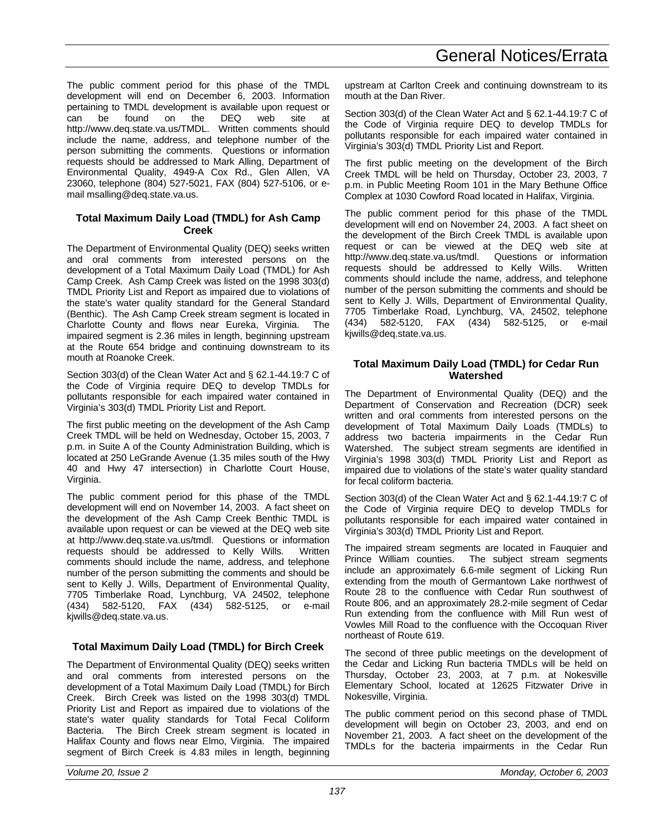The public comment period for this phase of the TMDL development will end on December 6, 2003. Information pertaining to TMDL development is available upon request or can be found on the DEQ web site at http://www.deq.state.va.us/TMDL. Written comments should include the name, address, and telephone number of the person submitting the comments. Questions or information requests should be addressed to Mark Alling, Department of Environmental Quality, 4949-A Cox Rd., Glen Allen, VA 23060, telephone (804) 527-5021, FAX (804) 527-5106, or email msalling@deq.state.va.us.

# **Total Maximum Daily Load (TMDL) for Ash Camp Creek**

The Department of Environmental Quality (DEQ) seeks written and oral comments from interested persons on the development of a Total Maximum Daily Load (TMDL) for Ash Camp Creek. Ash Camp Creek was listed on the 1998 303(d) TMDL Priority List and Report as impaired due to violations of the state's water quality standard for the General Standard (Benthic). The Ash Camp Creek stream segment is located in Charlotte County and flows near Eureka, Virginia. The impaired segment is 2.36 miles in length, beginning upstream at the Route 654 bridge and continuing downstream to its mouth at Roanoke Creek.

Section 303(d) of the Clean Water Act and § 62.1-44.19:7 C of the Code of Virginia require DEQ to develop TMDLs for pollutants responsible for each impaired water contained in Virginia's 303(d) TMDL Priority List and Report.

The first public meeting on the development of the Ash Camp Creek TMDL will be held on Wednesday, October 15, 2003, 7 p.m. in Suite A of the County Administration Building, which is located at 250 LeGrande Avenue (1.35 miles south of the Hwy 40 and Hwy 47 intersection) in Charlotte Court House, Virginia.

The public comment period for this phase of the TMDL development will end on November 14, 2003. A fact sheet on the development of the Ash Camp Creek Benthic TMDL is available upon request or can be viewed at the DEQ web site at http://www.deq.state.va.us/tmdl. Questions or information requests should be addressed to Kelly Wills. Written comments should include the name, address, and telephone number of the person submitting the comments and should be sent to Kelly J. Wills, Department of Environmental Quality, 7705 Timberlake Road, Lynchburg, VA 24502, telephone (434) 582-5120, FAX (434) 582-5125, or e-mail kjwills@deq.state.va.us.

# **Total Maximum Daily Load (TMDL) for Birch Creek**

The Department of Environmental Quality (DEQ) seeks written and oral comments from interested persons on the development of a Total Maximum Daily Load (TMDL) for Birch Creek. Birch Creek was listed on the 1998 303(d) TMDL Priority List and Report as impaired due to violations of the state's water quality standards for Total Fecal Coliform Bacteria. The Birch Creek stream segment is located in Halifax County and flows near Elmo, Virginia. The impaired segment of Birch Creek is 4.83 miles in length, beginning upstream at Carlton Creek and continuing downstream to its mouth at the Dan River.

Section 303(d) of the Clean Water Act and § 62.1-44.19:7 C of the Code of Virginia require DEQ to develop TMDLs for pollutants responsible for each impaired water contained in Virginia's 303(d) TMDL Priority List and Report.

The first public meeting on the development of the Birch Creek TMDL will be held on Thursday, October 23, 2003, 7 p.m. in Public Meeting Room 101 in the Mary Bethune Office Complex at 1030 Cowford Road located in Halifax, Virginia.

The public comment period for this phase of the TMDL development will end on November 24, 2003. A fact sheet on the development of the Birch Creek TMDL is available upon request or can be viewed at the DEQ web site at http://www.deq.state.va.us/tmdl. Questions or information requests should be addressed to Kelly Wills. Written comments should include the name, address, and telephone number of the person submitting the comments and should be sent to Kelly J. Wills, Department of Environmental Quality, 7705 Timberlake Road, Lynchburg, VA, 24502, telephone (434) 582-5120, FAX (434) 582-5125, or e-mail kjwills@deq.state.va.us.

# **Total Maximum Daily Load (TMDL) for Cedar Run Watershed**

The Department of Environmental Quality (DEQ) and the Department of Conservation and Recreation (DCR) seek written and oral comments from interested persons on the development of Total Maximum Daily Loads (TMDLs) to address two bacteria impairments in the Cedar Run Watershed. The subject stream segments are identified in Virginia's 1998 303(d) TMDL Priority List and Report as impaired due to violations of the state's water quality standard for fecal coliform bacteria.

Section 303(d) of the Clean Water Act and § 62.1-44.19:7 C of the Code of Virginia require DEQ to develop TMDLs for pollutants responsible for each impaired water contained in Virginia's 303(d) TMDL Priority List and Report.

The impaired stream segments are located in Fauquier and Prince William counties. The subject stream segments include an approximately 6.6-mile segment of Licking Run extending from the mouth of Germantown Lake northwest of Route 28 to the confluence with Cedar Run southwest of Route 806, and an approximately 28.2-mile segment of Cedar Run extending from the confluence with Mill Run west of Vowles Mill Road to the confluence with the Occoquan River northeast of Route 619.

The second of three public meetings on the development of the Cedar and Licking Run bacteria TMDLs will be held on Thursday, October 23, 2003, at 7 p.m. at Nokesville Elementary School, located at 12625 Fitzwater Drive in Nokesville, Virginia.

The public comment period on this second phase of TMDL development will begin on October 23, 2003, and end on November 21, 2003. A fact sheet on the development of the TMDLs for the bacteria impairments in the Cedar Run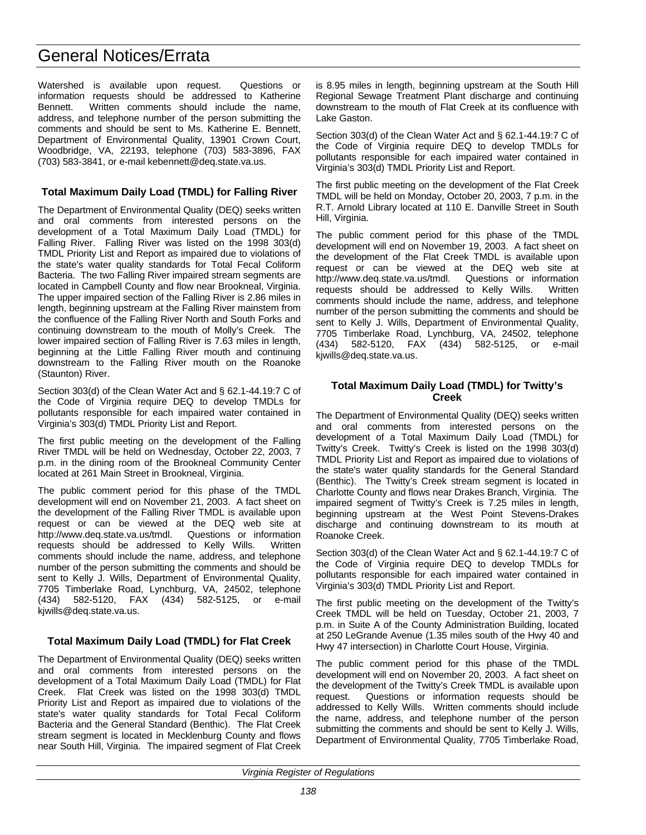# General Notices/Errata

Watershed is available upon request. Questions or information requests should be addressed to Katherine Bennett. Written comments should include the name, address, and telephone number of the person submitting the comments and should be sent to Ms. Katherine E. Bennett, Department of Environmental Quality, 13901 Crown Court, Woodbridge, VA, 22193, telephone (703) 583-3896, FAX (703) 583-3841, or e-mail kebennett@deq.state.va.us.

# **Total Maximum Daily Load (TMDL) for Falling River**

The Department of Environmental Quality (DEQ) seeks written and oral comments from interested persons on the development of a Total Maximum Daily Load (TMDL) for Falling River. Falling River was listed on the 1998 303(d) TMDL Priority List and Report as impaired due to violations of the state's water quality standards for Total Fecal Coliform Bacteria. The two Falling River impaired stream segments are located in Campbell County and flow near Brookneal, Virginia. The upper impaired section of the Falling River is 2.86 miles in length, beginning upstream at the Falling River mainstem from the confluence of the Falling River North and South Forks and continuing downstream to the mouth of Molly's Creek. The lower impaired section of Falling River is 7.63 miles in length, beginning at the Little Falling River mouth and continuing downstream to the Falling River mouth on the Roanoke (Staunton) River.

Section 303(d) of the Clean Water Act and § 62.1-44.19:7 C of the Code of Virginia require DEQ to develop TMDLs for pollutants responsible for each impaired water contained in Virginia's 303(d) TMDL Priority List and Report.

The first public meeting on the development of the Falling River TMDL will be held on Wednesday, October 22, 2003, 7 p.m. in the dining room of the Brookneal Community Center located at 261 Main Street in Brookneal, Virginia.

The public comment period for this phase of the TMDL development will end on November 21, 2003. A fact sheet on the development of the Falling River TMDL is available upon request or can be viewed at the DEQ web site at http://www.deq.state.va.us/tmdl. Questions or information requests should be addressed to Kelly Wills. Written comments should include the name, address, and telephone number of the person submitting the comments and should be sent to Kelly J. Wills, Department of Environmental Quality, 7705 Timberlake Road, Lynchburg, VA, 24502, telephone (434) 582-5120, FAX (434) 582-5125, or e-mail kjwills@deq.state.va.us.

# **Total Maximum Daily Load (TMDL) for Flat Creek**

The Department of Environmental Quality (DEQ) seeks written and oral comments from interested persons on the development of a Total Maximum Daily Load (TMDL) for Flat Creek. Flat Creek was listed on the 1998 303(d) TMDL Priority List and Report as impaired due to violations of the state's water quality standards for Total Fecal Coliform Bacteria and the General Standard (Benthic). The Flat Creek stream segment is located in Mecklenburg County and flows near South Hill, Virginia. The impaired segment of Flat Creek

is 8.95 miles in length, beginning upstream at the South Hill Regional Sewage Treatment Plant discharge and continuing downstream to the mouth of Flat Creek at its confluence with Lake Gaston.

Section 303(d) of the Clean Water Act and § 62.1-44.19:7 C of the Code of Virginia require DEQ to develop TMDLs for pollutants responsible for each impaired water contained in Virginia's 303(d) TMDL Priority List and Report.

The first public meeting on the development of the Flat Creek TMDL will be held on Monday, October 20, 2003, 7 p.m. in the R.T. Arnold Library located at 110 E. Danville Street in South Hill, Virginia.

The public comment period for this phase of the TMDL development will end on November 19, 2003. A fact sheet on the development of the Flat Creek TMDL is available upon request or can be viewed at the DEQ web site at http://www.deq.state.va.us/tmdl. Questions or information requests should be addressed to Kelly Wills. Written comments should include the name, address, and telephone number of the person submitting the comments and should be sent to Kelly J. Wills, Department of Environmental Quality, 7705 Timberlake Road, Lynchburg, VA, 24502, telephone (434) 582-5120, FAX (434) 582-5125, or e-mail kjwills@deq.state.va.us.

# **Total Maximum Daily Load (TMDL) for Twitty's Creek**

The Department of Environmental Quality (DEQ) seeks written and oral comments from interested persons on the development of a Total Maximum Daily Load (TMDL) for Twitty's Creek. Twitty's Creek is listed on the 1998 303(d) TMDL Priority List and Report as impaired due to violations of the state's water quality standards for the General Standard (Benthic). The Twitty's Creek stream segment is located in Charlotte County and flows near Drakes Branch, Virginia. The impaired segment of Twitty's Creek is 7.25 miles in length, beginning upstream at the West Point Stevens-Drakes discharge and continuing downstream to its mouth at Roanoke Creek.

Section 303(d) of the Clean Water Act and § 62.1-44.19:7 C of the Code of Virginia require DEQ to develop TMDLs for pollutants responsible for each impaired water contained in Virginia's 303(d) TMDL Priority List and Report.

The first public meeting on the development of the Twitty's Creek TMDL will be held on Tuesday, October 21, 2003, 7 p.m. in Suite A of the County Administration Building, located at 250 LeGrande Avenue (1.35 miles south of the Hwy 40 and Hwy 47 intersection) in Charlotte Court House, Virginia.

The public comment period for this phase of the TMDL development will end on November 20, 2003. A fact sheet on the development of the Twitty's Creek TMDL is available upon request. Questions or information requests should be addressed to Kelly Wills. Written comments should include the name, address, and telephone number of the person submitting the comments and should be sent to Kelly J. Wills, Department of Environmental Quality, 7705 Timberlake Road,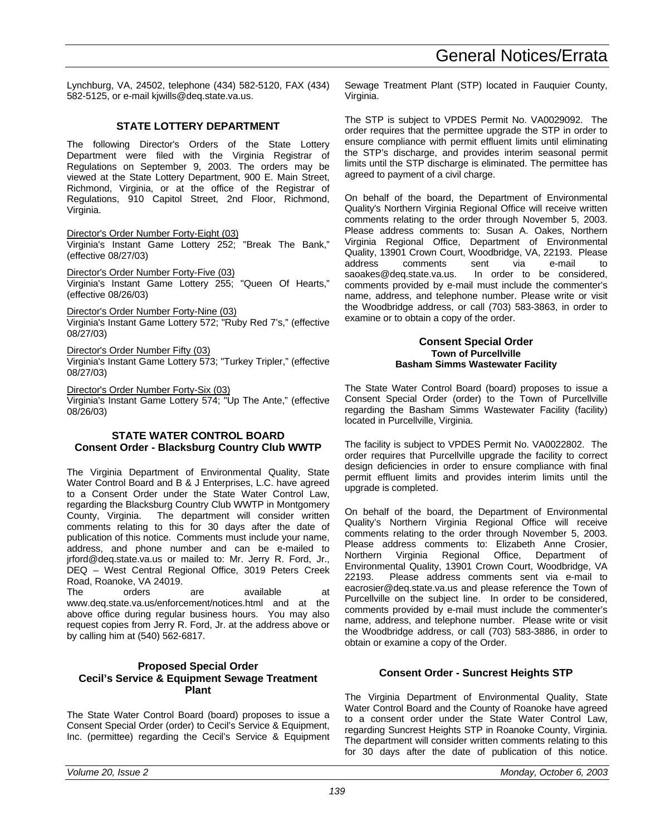Lynchburg, VA, 24502, telephone (434) 582-5120, FAX (434) 582-5125, or e-mail kjwills@deq.state.va.us.

### **STATE LOTTERY DEPARTMENT**

The following Director's Orders of the State Lottery Department were filed with the Virginia Registrar of Regulations on September 9, 2003. The orders may be viewed at the State Lottery Department, 900 E. Main Street, Richmond, Virginia, or at the office of the Registrar of Regulations, 910 Capitol Street, 2nd Floor, Richmond, Virginia.

Director's Order Number Forty-Eight (03)

Virginia's Instant Game Lottery 252; "Break The Bank," (effective 08/27/03)

Director's Order Number Forty-Five (03)

Virginia's Instant Game Lottery 255; "Queen Of Hearts," (effective 08/26/03)

Director's Order Number Forty-Nine (03)

Virginia's Instant Game Lottery 572; "Ruby Red 7's," (effective 08/27/03)

Director's Order Number Fifty (03)

Virginia's Instant Game Lottery 573; "Turkey Tripler," (effective 08/27/03)

Director's Order Number Forty-Six (03) Virginia's Instant Game Lottery 574; "Up The Ante," (effective 08/26/03)

#### **STATE WATER CONTROL BOARD Consent Order - Blacksburg Country Club WWTP**

The Virginia Department of Environmental Quality, State Water Control Board and B & J Enterprises, L.C. have agreed to a Consent Order under the State Water Control Law, regarding the Blacksburg Country Club WWTP in Montgomery County, Virginia. The department will consider written comments relating to this for 30 days after the date of publication of this notice. Comments must include your name, address, and phone number and can be e-mailed to jrford@deq.state.va.us or mailed to: Mr. Jerry R. Ford, Jr., DEQ – West Central Regional Office, 3019 Peters Creek Road, Roanoke, VA 24019.

The orders are available at www.deq.state.va.us/enforcement/notices.html and at the above office during regular business hours. You may also request copies from Jerry R. Ford, Jr. at the address above or by calling him at (540) 562-6817.

### **Proposed Special Order Cecil's Service & Equipment Sewage Treatment Plant**

The State Water Control Board (board) proposes to issue a Consent Special Order (order) to Cecil's Service & Equipment, Inc. (permittee) regarding the Cecil's Service & Equipment Sewage Treatment Plant (STP) located in Fauquier County, Virginia.

The STP is subject to VPDES Permit No. VA0029092. The order requires that the permittee upgrade the STP in order to ensure compliance with permit effluent limits until eliminating the STP's discharge, and provides interim seasonal permit limits until the STP discharge is eliminated. The permittee has agreed to payment of a civil charge.

On behalf of the board, the Department of Environmental Quality's Northern Virginia Regional Office will receive written comments relating to the order through November 5, 2003. Please address comments to: Susan A. Oakes, Northern Virginia Regional Office, Department of Environmental Quality, 13901 Crown Court, Woodbridge, VA, 22193. Please address comments sent via e-mail to<br>saoakes@deq.state.va.us. In order to be considered. In order to be considered, comments provided by e-mail must include the commenter's name, address, and telephone number. Please write or visit the Woodbridge address, or call (703) 583-3863, in order to examine or to obtain a copy of the order.

#### **Consent Special Order Town of Purcellville Basham Simms Wastewater Facility**

The State Water Control Board (board) proposes to issue a Consent Special Order (order) to the Town of Purcellville regarding the Basham Simms Wastewater Facility (facility) located in Purcellville, Virginia.

The facility is subject to VPDES Permit No. VA0022802. The order requires that Purcellville upgrade the facility to correct design deficiencies in order to ensure compliance with final permit effluent limits and provides interim limits until the upgrade is completed.

On behalf of the board, the Department of Environmental Quality's Northern Virginia Regional Office will receive comments relating to the order through November 5, 2003. Please address comments to: Elizabeth Anne Crosier, Northern Virginia Regional Office, Department of Environmental Quality, 13901 Crown Court, Woodbridge, VA 22193. Please address comments sent via e-mail to eacrosier@deq.state.va.us and please reference the Town of Purcellville on the subject line. In order to be considered, comments provided by e-mail must include the commenter's name, address, and telephone number. Please write or visit the Woodbridge address, or call (703) 583-3886, in order to obtain or examine a copy of the Order.

# **Consent Order - Suncrest Heights STP**

The Virginia Department of Environmental Quality, State Water Control Board and the County of Roanoke have agreed to a consent order under the State Water Control Law, regarding Suncrest Heights STP in Roanoke County, Virginia. The department will consider written comments relating to this for 30 days after the date of publication of this notice.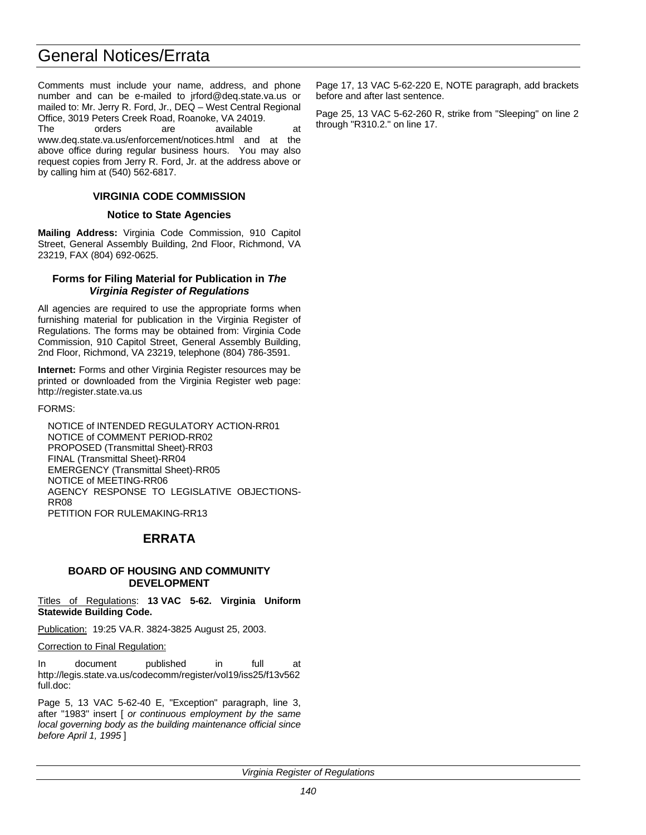# General Notices/Errata

Comments must include your name, address, and phone number and can be e-mailed to jrford@deq.state.va.us or mailed to: Mr. Jerry R. Ford, Jr., DEQ – West Central Regional Office, 3019 Peters Creek Road, Roanoke, VA 24019. The orders are available at

www.deq.state.va.us/enforcement/notices.html and at the above office during regular business hours. You may also request copies from Jerry R. Ford, Jr. at the address above or by calling him at (540) 562-6817.

# **VIRGINIA CODE COMMISSION**

# **Notice to State Agencies**

**Mailing Address:** Virginia Code Commission, 910 Capitol Street, General Assembly Building, 2nd Floor, Richmond, VA 23219, FAX (804) 692-0625.

### **Forms for Filing Material for Publication in** *The Virginia Register of Regulations*

All agencies are required to use the appropriate forms when furnishing material for publication in the Virginia Register of Regulations. The forms may be obtained from: Virginia Code Commission, 910 Capitol Street, General Assembly Building, 2nd Floor, Richmond, VA 23219, telephone (804) 786-3591.

**Internet:** Forms and other Virginia Register resources may be printed or downloaded from the Virginia Register web page: http://register.state.va.us

FORMS:

NOTICE of INTENDED REGULATORY ACTION-RR01 NOTICE of COMMENT PERIOD-RR02 PROPOSED (Transmittal Sheet)-RR03 FINAL (Transmittal Sheet)-RR04 EMERGENCY (Transmittal Sheet)-RR05 NOTICE of MEETING-RR06 AGENCY RESPONSE TO LEGISLATIVE OBJECTIONS-RR08 PETITION FOR RULEMAKING-RR13

# **ERRATA**

# **BOARD OF HOUSING AND COMMUNITY DEVELOPMENT**

Titles of Regulations: **13 VAC 5-62. Virginia Uniform Statewide Building Code.**

Publication: 19:25 VA.R. 3824-3825 August 25, 2003.

Correction to Final Regulation:

In document published in full at http://legis.state.va.us/codecomm/register/vol19/iss25/f13v562 full.doc:

Page 5, 13 VAC 5-62-40 E, "Exception" paragraph, line 3, after "1983" insert [ *or continuous employment by the same local governing body as the building maintenance official since before April 1, 1995* ]

Page 17, 13 VAC 5-62-220 E, NOTE paragraph, add brackets before and after last sentence.

Page 25, 13 VAC 5-62-260 R, strike from "Sleeping" on line 2 through "R310.2." on line 17.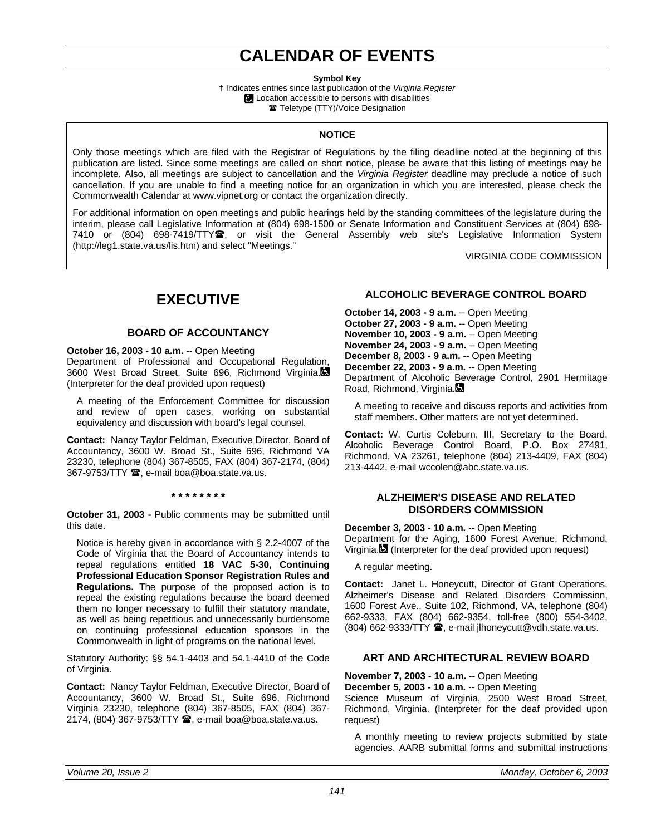# **CALENDAR OF EVENTS**

**Symbol Key**

† Indicates entries since last publication of the *Virginia Register* **L** Location accessible to persons with disabilities **■ Teletype (TTY)/Voice Designation** 

# **NOTICE**

Only those meetings which are filed with the Registrar of Regulations by the filing deadline noted at the beginning of this publication are listed. Since some meetings are called on short notice, please be aware that this listing of meetings may be incomplete. Also, all meetings are subject to cancellation and the *Virginia Register* deadline may preclude a notice of such cancellation. If you are unable to find a meeting notice for an organization in which you are interested, please check the Commonwealth Calendar at www.vipnet.org or contact the organization directly.

For additional information on open meetings and public hearings held by the standing committees of the legislature during the interim, please call Legislative Information at (804) 698-1500 or Senate Information and Constituent Services at (804) 698- 7410 or (804) 698-7419/TTY<sup>2</sup>, or visit the General Assembly web site's Legislative Information System (http://leg1.state.va.us/lis.htm) and select "Meetings."

VIRGINIA CODE COMMISSION

# **EXECUTIVE**

# **BOARD OF ACCOUNTANCY**

**October 16, 2003 - 10 a.m.** -- Open Meeting

Department of Professional and Occupational Regulation, 3600 West Broad Street, Suite 696, Richmond Virginia. (Interpreter for the deaf provided upon request)

A meeting of the Enforcement Committee for discussion and review of open cases, working on substantial equivalency and discussion with board's legal counsel.

**Contact:** Nancy Taylor Feldman, Executive Director, Board of Accountancy, 3600 W. Broad St., Suite 696, Richmond VA 23230, telephone (804) 367-8505, FAX (804) 367-2174, (804) 367-9753/TTY **雪**, e-mail boa@boa.state.va.us.

#### **\* \* \* \* \* \* \* \***

**October 31, 2003 -** Public comments may be submitted until this date.

Notice is hereby given in accordance with § 2.2-4007 of the Code of Virginia that the Board of Accountancy intends to repeal regulations entitled **18 VAC 5-30, Continuing Professional Education Sponsor Registration Rules and Regulations.** The purpose of the proposed action is to repeal the existing regulations because the board deemed them no longer necessary to fulfill their statutory mandate, as well as being repetitious and unnecessarily burdensome on continuing professional education sponsors in the Commonwealth in light of programs on the national level.

Statutory Authority: §§ 54.1-4403 and 54.1-4410 of the Code of Virginia.

**Contact:** Nancy Taylor Feldman, Executive Director, Board of Accountancy, 3600 W. Broad St., Suite 696, Richmond Virginia 23230, telephone (804) 367-8505, FAX (804) 367- 2174, (804) 367-9753/TTY <sup>3</sup>, e-mail boa@boa.state.va.us.

# **ALCOHOLIC BEVERAGE CONTROL BOARD**

**October 14, 2003 - 9 a.m.** -- Open Meeting **October 27, 2003 - 9 a.m.** -- Open Meeting **November 10, 2003 - 9 a.m.** -- Open Meeting **November 24, 2003 - 9 a.m.** -- Open Meeting **December 8, 2003 - 9 a.m.** -- Open Meeting **December 22, 2003 - 9 a.m.** -- Open Meeting Department of Alcoholic Beverage Control, 2901 Hermitage Road, Richmond, Virginia.

A meeting to receive and discuss reports and activities from staff members. Other matters are not yet determined.

**Contact:** W. Curtis Coleburn, III, Secretary to the Board, Alcoholic Beverage Control Board, P.O. Box 27491, Richmond, VA 23261, telephone (804) 213-4409, FAX (804) 213-4442, e-mail wccolen@abc.state.va.us.

#### **ALZHEIMER'S DISEASE AND RELATED DISORDERS COMMISSION**

**December 3, 2003 - 10 a.m.** -- Open Meeting Department for the Aging, 1600 Forest Avenue, Richmond, Virginia. (Interpreter for the deaf provided upon request)

A regular meeting.

**Contact:** Janet L. Honeycutt, Director of Grant Operations, Alzheimer's Disease and Related Disorders Commission, 1600 Forest Ave., Suite 102, Richmond, VA, telephone (804) 662-9333, FAX (804) 662-9354, toll-free (800) 554-3402,  $(804)$  662-9333/TTY  $\hat{=}$ , e-mail jlhoneycutt@vdh.state.va.us.

# **ART AND ARCHITECTURAL REVIEW BOARD**

**November 7, 2003 - 10 a.m.** -- Open Meeting **December 5, 2003 - 10 a.m.** -- Open Meeting Science Museum of Virginia, 2500 West Broad Street, Richmond, Virginia. (Interpreter for the deaf provided upon request)

A monthly meeting to review projects submitted by state agencies. AARB submittal forms and submittal instructions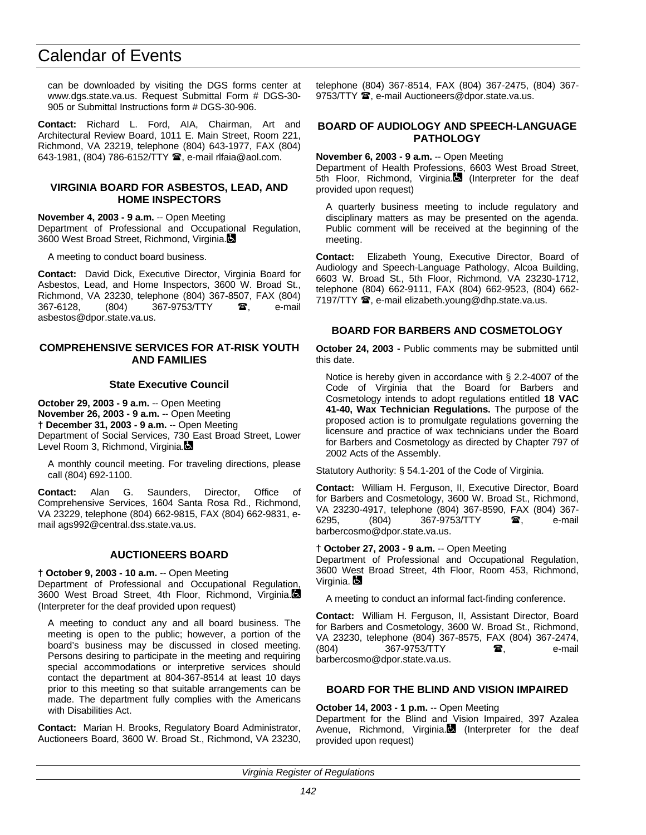can be downloaded by visiting the DGS forms center at www.dgs.state.va.us. Request Submittal Form # DGS-30- 905 or Submittal Instructions form # DGS-30-906.

**Contact:** Richard L. Ford, AIA, Chairman, Art and Architectural Review Board, 1011 E. Main Street, Room 221, Richmond, VA 23219, telephone (804) 643-1977, FAX (804) 643-1981, (804) 786-6152/TTY <sup>3</sup>, e-mail rlfaia@aol.com.

#### **VIRGINIA BOARD FOR ASBESTOS, LEAD, AND HOME INSPECTORS**

**November 4, 2003 - 9 a.m.** -- Open Meeting Department of Professional and Occupational Regulation, 3600 West Broad Street, Richmond, Virginia.

A meeting to conduct board business.

**Contact:** David Dick, Executive Director, Virginia Board for Asbestos, Lead, and Home Inspectors, 3600 W. Broad St., Richmond, VA 23230, telephone (804) 367-8507, FAX (804) 367-6128, (804) 367-9753/TTY **a**, e-mail asbestos@dpor.state.va.us.

#### **COMPREHENSIVE SERVICES FOR AT-RISK YOUTH AND FAMILIES**

#### **State Executive Council**

**October 29, 2003 - 9 a.m.** -- Open Meeting **November 26, 2003 - 9 a.m.** -- Open Meeting **† December 31, 2003 - 9 a.m.** -- Open Meeting Department of Social Services, 730 East Broad Street, Lower Level Room 3, Richmond, Virginia.

A monthly council meeting. For traveling directions, please call (804) 692-1100.

**Contact:** Alan G. Saunders, Director, Office of Comprehensive Services, 1604 Santa Rosa Rd., Richmond, VA 23229, telephone (804) 662-9815, FAX (804) 662-9831, email ags992@central.dss.state.va.us.

# **AUCTIONEERS BOARD**

#### **† October 9, 2003 - 10 a.m.** -- Open Meeting

Department of Professional and Occupational Regulation, 3600 West Broad Street, 4th Floor, Richmond, Virginia. (Interpreter for the deaf provided upon request)

A meeting to conduct any and all board business. The meeting is open to the public; however, a portion of the board's business may be discussed in closed meeting. Persons desiring to participate in the meeting and requiring special accommodations or interpretive services should contact the department at 804-367-8514 at least 10 days prior to this meeting so that suitable arrangements can be made. The department fully complies with the Americans with Disabilities Act.

**Contact:** Marian H. Brooks, Regulatory Board Administrator, Auctioneers Board, 3600 W. Broad St., Richmond, VA 23230, telephone (804) 367-8514, FAX (804) 367-2475, (804) 367- 9753/TTY  $\mathbf{\mathcal{D}}$ , e-mail Auctioneers@dpor.state.va.us.

### **BOARD OF AUDIOLOGY AND SPEECH-LANGUAGE PATHOLOGY**

**November 6, 2003 - 9 a.m.** -- Open Meeting

Department of Health Professions, 6603 West Broad Street, 5th Floor, Richmond, Virginia. (Interpreter for the deaf provided upon request)

A quarterly business meeting to include regulatory and disciplinary matters as may be presented on the agenda. Public comment will be received at the beginning of the meeting.

**Contact:** Elizabeth Young, Executive Director, Board of Audiology and Speech-Language Pathology, Alcoa Building, 6603 W. Broad St., 5th Floor, Richmond, VA 23230-1712, telephone (804) 662-9111, FAX (804) 662-9523, (804) 662- 7197/TTY  $\mathbf{\mathcal{F}}$ , e-mail elizabeth.young@dhp.state.va.us.

# **BOARD FOR BARBERS AND COSMETOLOGY**

**October 24, 2003 -** Public comments may be submitted until this date.

Notice is hereby given in accordance with § 2.2-4007 of the Code of Virginia that the Board for Barbers and Cosmetology intends to adopt regulations entitled **18 VAC 41-40, Wax Technician Regulations.** The purpose of the proposed action is to promulgate regulations governing the licensure and practice of wax technicians under the Board for Barbers and Cosmetology as directed by Chapter 797 of 2002 Acts of the Assembly.

Statutory Authority: § 54.1-201 of the Code of Virginia.

**Contact:** William H. Ferguson, II, Executive Director, Board for Barbers and Cosmetology, 3600 W. Broad St., Richmond, VA 23230-4917, telephone (804) 367-8590, FAX (804) 367- 6295, (804) 367-9753/TTY **雷**, e-mail barbercosmo@dpor.state.va.us.

#### **† October 27, 2003 - 9 a.m.** -- Open Meeting

Department of Professional and Occupational Regulation, 3600 West Broad Street, 4th Floor, Room 453, Richmond, Virginia.

A meeting to conduct an informal fact-finding conference.

**Contact:** William H. Ferguson, II, Assistant Director, Board for Barbers and Cosmetology, 3600 W. Broad St., Richmond, VA 23230, telephone (804) 367-8575, FAX (804) 367-2474, (804) 367-9753/TTY **a**, e-mail barbercosmo@dpor.state.va.us.

# **BOARD FOR THE BLIND AND VISION IMPAIRED**

#### **October 14, 2003 - 1 p.m.** -- Open Meeting

Department for the Blind and Vision Impaired, 397 Azalea Avenue, Richmond, Virginia. $\blacksquare$  (Interpreter for the deaf provided upon request)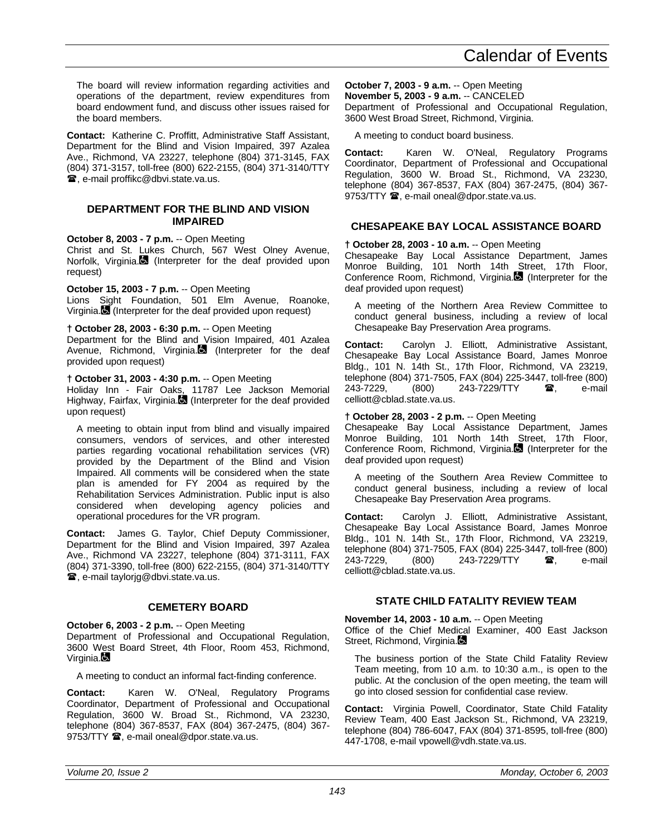The board will review information regarding activities and operations of the department, review expenditures from board endowment fund, and discuss other issues raised for the board members.

**Contact:** Katherine C. Proffitt, Administrative Staff Assistant, Department for the Blind and Vision Impaired, 397 Azalea Ave., Richmond, VA 23227, telephone (804) 371-3145, FAX (804) 371-3157, toll-free (800) 622-2155, (804) 371-3140/TTY **■, e-mail proffikc@dbvi.state.va.us.** 

# **DEPARTMENT FOR THE BLIND AND VISION IMPAIRED**

# **October 8, 2003 - 7 p.m.** -- Open Meeting

Christ and St. Lukes Church, 567 West Olney Avenue, Norfolk, Virginia. (Interpreter for the deaf provided upon request)

**October 15, 2003 - 7 p.m.** -- Open Meeting

Lions Sight Foundation, 501 Elm Avenue, Roanoke, Virginia. (Interpreter for the deaf provided upon request)

# **† October 28, 2003 - 6:30 p.m.** -- Open Meeting

Department for the Blind and Vision Impaired, 401 Azalea Avenue, Richmond, Virginia. (Interpreter for the deaf provided upon request)

# **† October 31, 2003 - 4:30 p.m.** -- Open Meeting

Holiday Inn - Fair Oaks, 11787 Lee Jackson Memorial Highway, Fairfax, Virginia.<sup>1</sup> (Interpreter for the deaf provided upon request)

A meeting to obtain input from blind and visually impaired consumers, vendors of services, and other interested parties regarding vocational rehabilitation services (VR) provided by the Department of the Blind and Vision Impaired. All comments will be considered when the state plan is amended for FY 2004 as required by the Rehabilitation Services Administration. Public input is also considered when developing agency policies and operational procedures for the VR program.

**Contact:** James G. Taylor, Chief Deputy Commissioner, Department for the Blind and Vision Impaired, 397 Azalea Ave., Richmond VA 23227, telephone (804) 371-3111, FAX (804) 371-3390, toll-free (800) 622-2155, (804) 371-3140/TTY **■, e-mail taylorig@dbvi.state.va.us.** 

# **CEMETERY BOARD**

**October 6, 2003 - 2 p.m.** -- Open Meeting Department of Professional and Occupational Regulation, 3600 West Board Street, 4th Floor, Room 453, Richmond, Virginia.**Q** 

A meeting to conduct an informal fact-finding conference.

**Contact:** Karen W. O'Neal, Regulatory Programs Coordinator, Department of Professional and Occupational Regulation, 3600 W. Broad St., Richmond, VA 23230, telephone (804) 367-8537, FAX (804) 367-2475, (804) 367- 9753/TTY <sup>3</sup>, e-mail oneal@dpor.state.va.us.

# **October 7, 2003 - 9 a.m.** -- Open Meeting

**November 5, 2003 - 9 a.m.** -- CANCELED Department of Professional and Occupational Regulation, 3600 West Broad Street, Richmond, Virginia.

A meeting to conduct board business.

**Contact:** Karen W. O'Neal, Regulatory Programs Coordinator, Department of Professional and Occupational Regulation, 3600 W. Broad St., Richmond, VA 23230, telephone (804) 367-8537, FAX (804) 367-2475, (804) 367- 9753/TTY  $\mathbf{\mathcal{D}}$ , e-mail oneal@dpor.state.va.us.

# **CHESAPEAKE BAY LOCAL ASSISTANCE BOARD**

**† October 28, 2003 - 10 a.m.** -- Open Meeting

Chesapeake Bay Local Assistance Department, James Monroe Building, 101 North 14th Street, 17th Floor, Conference Room, Richmond, Virginia. (Interpreter for the deaf provided upon request)

A meeting of the Northern Area Review Committee to conduct general business, including a review of local Chesapeake Bay Preservation Area programs.

**Contact:** Carolyn J. Elliott, Administrative Assistant, Chesapeake Bay Local Assistance Board, James Monroe Bldg., 101 N. 14th St., 17th Floor, Richmond, VA 23219, telephone (804) 371-7505, FAX (804) 225-3447, toll-free (800)<br>243-7229, (800) 243-7229/TTY **雷**, e-mail 243-7229/TTY  $\bullet$ , e-mail celliott@cblad.state.va.us.

# **† October 28, 2003 - 2 p.m.** -- Open Meeting

Chesapeake Bay Local Assistance Department, James Monroe Building, 101 North 14th Street, 17th Floor, Conference Room, Richmond, Virginia. (Interpreter for the deaf provided upon request)

A meeting of the Southern Area Review Committee to conduct general business, including a review of local Chesapeake Bay Preservation Area programs.

**Contact:** Carolyn J. Elliott, Administrative Assistant, Chesapeake Bay Local Assistance Board, James Monroe Bldg., 101 N. 14th St., 17th Floor, Richmond, VA 23219, telephone (804) 371-7505, FAX (804) 225-3447, toll-free (800) 243-7229, (800) 243-7229/TTY **雷**, e-mail celliott@cblad.state.va.us.

# **STATE CHILD FATALITY REVIEW TEAM**

**November 14, 2003 - 10 a.m.** -- Open Meeting Office of the Chief Medical Examiner, 400 East Jackson Street, Richmond, Virginia.

The business portion of the State Child Fatality Review Team meeting, from 10 a.m. to 10:30 a.m., is open to the public. At the conclusion of the open meeting, the team will go into closed session for confidential case review.

**Contact:** Virginia Powell, Coordinator, State Child Fatality Review Team, 400 East Jackson St., Richmond, VA 23219, telephone (804) 786-6047, FAX (804) 371-8595, toll-free (800) 447-1708, e-mail vpowell@vdh.state.va.us.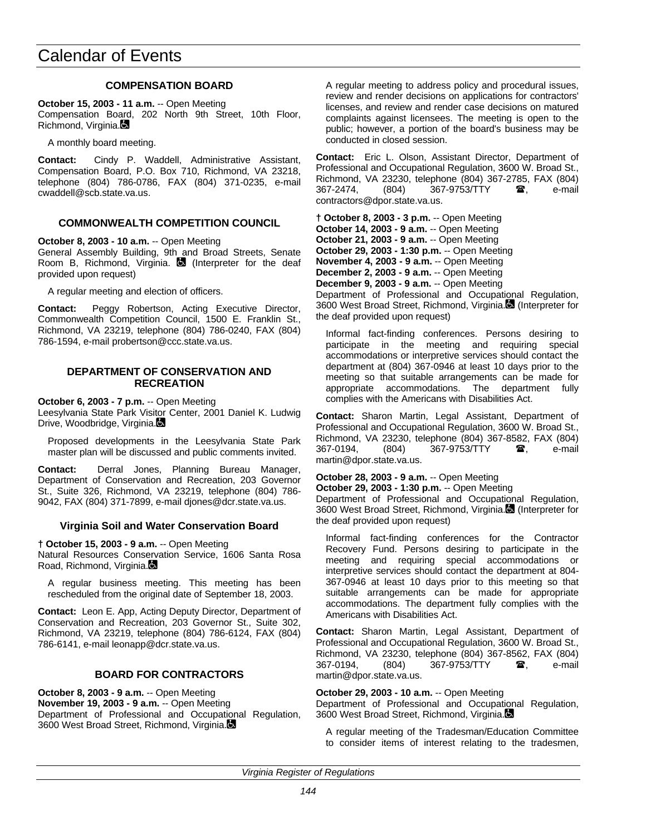# **COMPENSATION BOARD**

**October 15, 2003 - 11 a.m.** -- Open Meeting Compensation Board, 202 North 9th Street, 10th Floor, Richmond, Virginia.

A monthly board meeting.

**Contact:** Cindy P. Waddell, Administrative Assistant, Compensation Board, P.O. Box 710, Richmond, VA 23218, telephone (804) 786-0786, FAX (804) 371-0235, e-mail cwaddell@scb.state.va.us.

# **COMMONWEALTH COMPETITION COUNCIL**

**October 8, 2003 - 10 a.m.** -- Open Meeting General Assembly Building, 9th and Broad Streets, Senate Room B, Richmond, Virginia.  $\blacksquare$  (Interpreter for the deaf provided upon request)

A regular meeting and election of officers.

**Contact:** Peggy Robertson, Acting Executive Director, Commonwealth Competition Council, 1500 E. Franklin St., Richmond, VA 23219, telephone (804) 786-0240, FAX (804) 786-1594, e-mail probertson@ccc.state.va.us.

### **DEPARTMENT OF CONSERVATION AND RECREATION**

**October 6, 2003 - 7 p.m.** -- Open Meeting

Leesylvania State Park Visitor Center, 2001 Daniel K. Ludwig Drive, Woodbridge, Virginia.

Proposed developments in the Leesylvania State Park master plan will be discussed and public comments invited.

**Contact:** Derral Jones, Planning Bureau Manager, Department of Conservation and Recreation, 203 Governor St., Suite 326, Richmond, VA 23219, telephone (804) 786- 9042, FAX (804) 371-7899, e-mail djones@dcr.state.va.us.

# **Virginia Soil and Water Conservation Board**

**† October 15, 2003 - 9 a.m.** -- Open Meeting

Natural Resources Conservation Service, 1606 Santa Rosa Road, Richmond, Virginia.

A regular business meeting. This meeting has been rescheduled from the original date of September 18, 2003.

**Contact:** Leon E. App, Acting Deputy Director, Department of Conservation and Recreation, 203 Governor St., Suite 302, Richmond, VA 23219, telephone (804) 786-6124, FAX (804) 786-6141, e-mail leonapp@dcr.state.va.us.

# **BOARD FOR CONTRACTORS**

**October 8, 2003 - 9 a.m.** -- Open Meeting **November 19, 2003 - 9 a.m.** -- Open Meeting Department of Professional and Occupational Regulation, 3600 West Broad Street, Richmond, Virginia.

A regular meeting to address policy and procedural issues, review and render decisions on applications for contractors' licenses, and review and render case decisions on matured complaints against licensees. The meeting is open to the public; however, a portion of the board's business may be conducted in closed session.

**Contact:** Eric L. Olson, Assistant Director, Department of Professional and Occupational Regulation, 3600 W. Broad St., Richmond, VA 23230, telephone (804) 367-2785, FAX (804) 367-2474. (804) 367-9753/TTY **a**, e-mail contractors@dpor.state.va.us.

**† October 8, 2003 - 3 p.m.** -- Open Meeting **October 14, 2003 - 9 a.m.** -- Open Meeting **October 21, 2003 - 9 a.m.** -- Open Meeting **October 29, 2003 - 1:30 p.m.** -- Open Meeting **November 4, 2003 - 9 a.m.** -- Open Meeting **December 2, 2003 - 9 a.m.** -- Open Meeting **December 9, 2003 - 9 a.m.** -- Open Meeting

Department of Professional and Occupational Regulation, 3600 West Broad Street, Richmond, Virginia. (Interpreter for the deaf provided upon request)

Informal fact-finding conferences. Persons desiring to participate in the meeting and requiring special accommodations or interpretive services should contact the department at (804) 367-0946 at least 10 days prior to the meeting so that suitable arrangements can be made for appropriate accommodations. The department fully complies with the Americans with Disabilities Act.

**Contact:** Sharon Martin, Legal Assistant, Department of Professional and Occupational Regulation, 3600 W. Broad St., Richmond, VA 23230, telephone (804) 367-8582, FAX (804) 367-0194, (804) 367-9753/TTY **a**, e-mail martin@dpor.state.va.us.

#### **October 28, 2003 - 9 a.m.** -- Open Meeting

**October 29, 2003 - 1:30 p.m.** -- Open Meeting

Department of Professional and Occupational Regulation, 3600 West Broad Street, Richmond, Virginia. (Interpreter for the deaf provided upon request)

Informal fact-finding conferences for the Contractor Recovery Fund. Persons desiring to participate in the meeting and requiring special accommodations or interpretive services should contact the department at 804- 367-0946 at least 10 days prior to this meeting so that suitable arrangements can be made for appropriate accommodations. The department fully complies with the Americans with Disabilities Act.

**Contact:** Sharon Martin, Legal Assistant, Department of Professional and Occupational Regulation, 3600 W. Broad St., Richmond, VA 23230, telephone (804) 367-8562, FAX (804) 367-0194, (804) 367-9753/TTY **雷**, e-mail martin@dpor.state.va.us.

#### **October 29, 2003 - 10 a.m.** -- Open Meeting

Department of Professional and Occupational Regulation, 3600 West Broad Street, Richmond, Virginia.

A regular meeting of the Tradesman/Education Committee to consider items of interest relating to the tradesmen,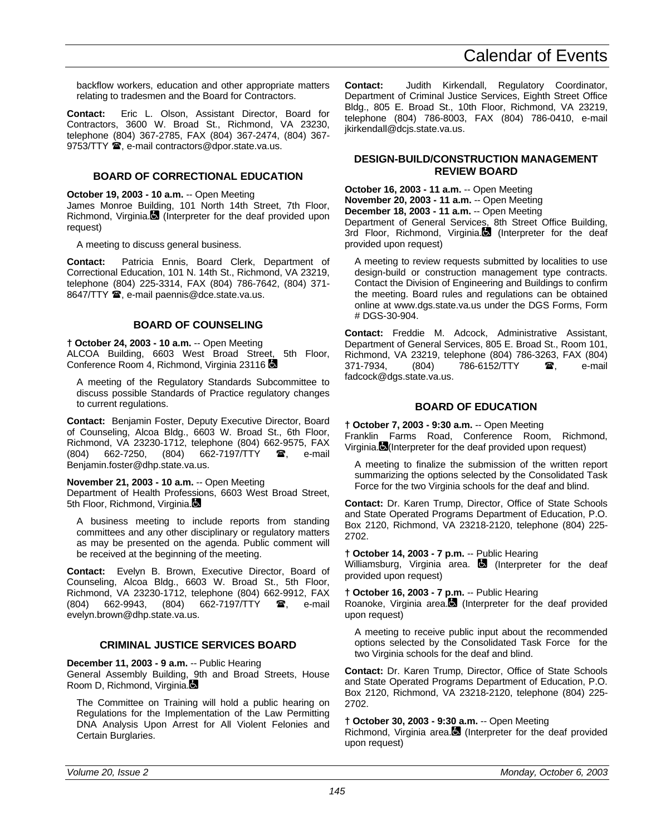backflow workers, education and other appropriate matters relating to tradesmen and the Board for Contractors.

**Contact:** Eric L. Olson, Assistant Director, Board for Contractors, 3600 W. Broad St., Richmond, VA 23230, telephone (804) 367-2785, FAX (804) 367-2474, (804) 367- 9753/TTY <sup>3</sup>, e-mail contractors@dpor.state.va.us.

# **BOARD OF CORRECTIONAL EDUCATION**

**October 19, 2003 - 10 a.m.** -- Open Meeting James Monroe Building, 101 North 14th Street, 7th Floor, Richmond, Virginia. (Interpreter for the deaf provided upon request)

A meeting to discuss general business.

**Contact:** Patricia Ennis, Board Clerk, Department of Correctional Education, 101 N. 14th St., Richmond, VA 23219, telephone (804) 225-3314, FAX (804) 786-7642, (804) 371- 8647/TTY  $\mathbf{\mathcal{D}}$ , e-mail paennis@dce.state.va.us.

# **BOARD OF COUNSELING**

**† October 24, 2003 - 10 a.m.** -- Open Meeting ALCOA Building, 6603 West Broad Street, 5th Floor, Conference Room 4, Richmond, Virginia 23116

A meeting of the Regulatory Standards Subcommittee to discuss possible Standards of Practice regulatory changes to current regulations.

**Contact:** Benjamin Foster, Deputy Executive Director, Board of Counseling, Alcoa Bldg., 6603 W. Broad St., 6th Floor, Richmond, VA 23230-1712, telephone (804) 662-9575, FAX (804) 662-7250, (804) 662-7197/TTY **雷**, e-mail Benjamin.foster@dhp.state.va.us.

#### **November 21, 2003 - 10 a.m.** -- Open Meeting

Department of Health Professions, 6603 West Broad Street, 5th Floor, Richmond, Virginia.

A business meeting to include reports from standing committees and any other disciplinary or regulatory matters as may be presented on the agenda. Public comment will be received at the beginning of the meeting.

**Contact:** Evelyn B. Brown, Executive Director, Board of Counseling, Alcoa Bldg., 6603 W. Broad St., 5th Floor, Richmond, VA 23230-1712, telephone (804) 662-9912, FAX (804) 662-9943, (804) 662-7197/TTY  $\mathbf{\mathcal{F}}$ , e-mail evelyn.brown@dhp.state.va.us.

#### **CRIMINAL JUSTICE SERVICES BOARD**

**December 11, 2003 - 9 a.m.** -- Public Hearing

General Assembly Building, 9th and Broad Streets, House Room D, Richmond, Virginia.

The Committee on Training will hold a public hearing on Regulations for the Implementation of the Law Permitting DNA Analysis Upon Arrest for All Violent Felonies and Certain Burglaries.

**Contact:** Judith Kirkendall, Regulatory Coordinator, Department of Criminal Justice Services, Eighth Street Office Bldg., 805 E. Broad St., 10th Floor, Richmond, VA 23219, telephone (804) 786-8003, FAX (804) 786-0410, e-mail jkirkendall@dcjs.state.va.us.

#### **DESIGN-BUILD/CONSTRUCTION MANAGEMENT REVIEW BOARD**

**October 16, 2003 - 11 a.m.** -- Open Meeting **November 20, 2003 - 11 a.m.** -- Open Meeting **December 18, 2003 - 11 a.m.** -- Open Meeting

Department of General Services, 8th Street Office Building, 3rd Floor, Richmond, Virginia.<sup>1</sup> (Interpreter for the deaf provided upon request)

A meeting to review requests submitted by localities to use design-build or construction management type contracts. Contact the Division of Engineering and Buildings to confirm the meeting. Board rules and regulations can be obtained online at www.dgs.state.va.us under the DGS Forms, Form # DGS-30-904.

**Contact:** Freddie M. Adcock, Administrative Assistant, Department of General Services, 805 E. Broad St., Room 101, Richmond, VA 23219, telephone (804) 786-3263, FAX (804)<br>371-7934. (804) 786-6152/TTY **28** e-mail 371-7934, (804) 786-6152/TTY **a**, e-mail fadcock@dgs.state.va.us.

# **BOARD OF EDUCATION**

**† October 7, 2003 - 9:30 a.m.** -- Open Meeting Franklin Farms Road, Conference Room, Richmond, Virginia. (Interpreter for the deaf provided upon request)

A meeting to finalize the submission of the written report summarizing the options selected by the Consolidated Task Force for the two Virginia schools for the deaf and blind.

**Contact:** Dr. Karen Trump, Director, Office of State Schools and State Operated Programs Department of Education, P.O. Box 2120, Richmond, VA 23218-2120, telephone (804) 225- 2702.

#### **† October 14, 2003 - 7 p.m.** -- Public Hearing

Williamsburg, Virginia area.  $\Box$  (Interpreter for the deaf provided upon request)

**† October 16, 2003 - 7 p.m.** -- Public Hearing

Roanoke, Virginia area. (Interpreter for the deaf provided upon request)

A meeting to receive public input about the recommended options selected by the Consolidated Task Force for the two Virginia schools for the deaf and blind.

**Contact:** Dr. Karen Trump, Director, Office of State Schools and State Operated Programs Department of Education, P.O. Box 2120, Richmond, VA 23218-2120, telephone (804) 225- 2702.

**† October 30, 2003 - 9:30 a.m.** -- Open Meeting

Richmond, Virginia area. (Interpreter for the deaf provided upon request)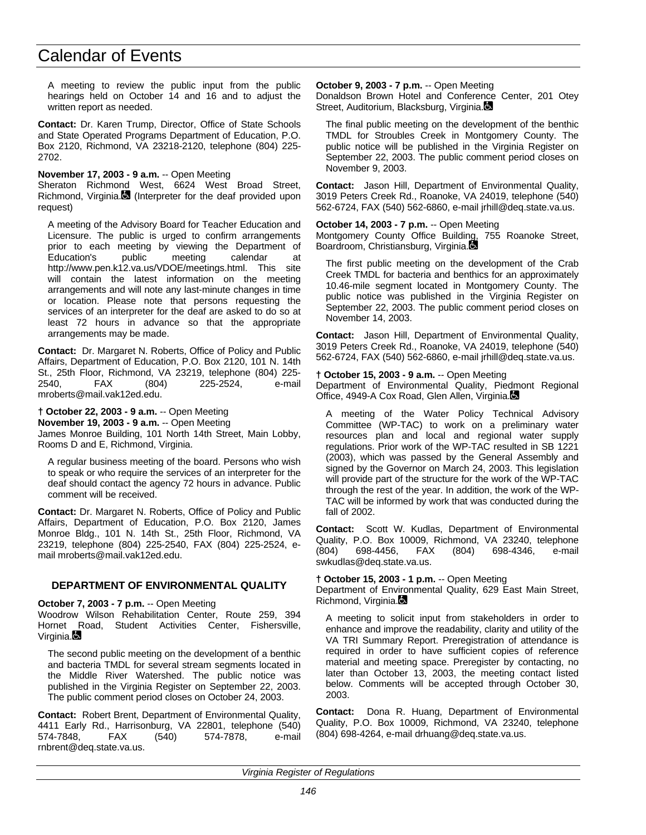A meeting to review the public input from the public hearings held on October 14 and 16 and to adjust the written report as needed.

**Contact:** Dr. Karen Trump, Director, Office of State Schools and State Operated Programs Department of Education, P.O. Box 2120, Richmond, VA 23218-2120, telephone (804) 225- 2702.

**November 17, 2003 - 9 a.m.** -- Open Meeting Sheraton Richmond West, 6624 West Broad Street, Richmond, Virginia. (Interpreter for the deaf provided upon request)

A meeting of the Advisory Board for Teacher Education and Licensure. The public is urged to confirm arrangements prior to each meeting by viewing the Department of<br>Education's public meeting calendar at Education's public meeting calendar at http://www.pen.k12.va.us/VDOE/meetings.html. This site will contain the latest information on the meeting arrangements and will note any last-minute changes in time or location. Please note that persons requesting the services of an interpreter for the deaf are asked to do so at least 72 hours in advance so that the appropriate arrangements may be made.

**Contact:** Dr. Margaret N. Roberts, Office of Policy and Public Affairs, Department of Education, P.O. Box 2120, 101 N. 14th St., 25th Floor, Richmond, VA 23219, telephone (804) 225- 2540, FAX (804) 225-2524, e-mail mroberts@mail.vak12ed.edu.

**† October 22, 2003 - 9 a.m.** -- Open Meeting **November 19, 2003 - 9 a.m.** -- Open Meeting James Monroe Building, 101 North 14th Street, Main Lobby, Rooms D and E, Richmond, Virginia.

A regular business meeting of the board. Persons who wish to speak or who require the services of an interpreter for the deaf should contact the agency 72 hours in advance. Public comment will be received.

**Contact:** Dr. Margaret N. Roberts, Office of Policy and Public Affairs, Department of Education, P.O. Box 2120, James Monroe Bldg., 101 N. 14th St., 25th Floor, Richmond, VA 23219, telephone (804) 225-2540, FAX (804) 225-2524, email mroberts@mail.vak12ed.edu.

# **DEPARTMENT OF ENVIRONMENTAL QUALITY**

**October 7, 2003 - 7 p.m.** -- Open Meeting

Woodrow Wilson Rehabilitation Center, Route 259, 394 Hornet Road, Student Activities Center, Fishersville, Virginia.

The second public meeting on the development of a benthic and bacteria TMDL for several stream segments located in the Middle River Watershed. The public notice was published in the Virginia Register on September 22, 2003. The public comment period closes on October 24, 2003.

**Contact:** Robert Brent, Department of Environmental Quality, 4411 Early Rd., Harrisonburg, VA 22801, telephone (540) 574-7848, FAX (540) 574-7878, e-mail rnbrent@deq.state.va.us.

**October 9, 2003 - 7 p.m.** -- Open Meeting

Donaldson Brown Hotel and Conference Center, 201 Otey Street, Auditorium, Blacksburg, Virginia.

The final public meeting on the development of the benthic TMDL for Stroubles Creek in Montgomery County. The public notice will be published in the Virginia Register on September 22, 2003. The public comment period closes on November 9, 2003.

**Contact:** Jason Hill, Department of Environmental Quality, 3019 Peters Creek Rd., Roanoke, VA 24019, telephone (540) 562-6724, FAX (540) 562-6860, e-mail jrhill@deq.state.va.us.

#### **October 14, 2003 - 7 p.m.** -- Open Meeting

Montgomery County Office Building, 755 Roanoke Street, Boardroom, Christiansburg, Virginia.

The first public meeting on the development of the Crab Creek TMDL for bacteria and benthics for an approximately 10.46-mile segment located in Montgomery County. The public notice was published in the Virginia Register on September 22, 2003. The public comment period closes on November 14, 2003.

**Contact:** Jason Hill, Department of Environmental Quality, 3019 Peters Creek Rd., Roanoke, VA 24019, telephone (540) 562-6724, FAX (540) 562-6860, e-mail jrhill@deq.state.va.us.

#### **† October 15, 2003 - 9 a.m.** -- Open Meeting

Department of Environmental Quality, Piedmont Regional Office, 4949-A Cox Road, Glen Allen, Virginia.

A meeting of the Water Policy Technical Advisory Committee (WP-TAC) to work on a preliminary water resources plan and local and regional water supply regulations. Prior work of the WP-TAC resulted in SB 1221 (2003), which was passed by the General Assembly and signed by the Governor on March 24, 2003. This legislation will provide part of the structure for the work of the WP-TAC through the rest of the year. In addition, the work of the WP-TAC will be informed by work that was conducted during the fall of 2002.

**Contact:** Scott W. Kudlas, Department of Environmental Quality, P.O. Box 10009, Richmond, VA 23240, telephone (804) 698-4456, FAX (804) 698-4346, e-mail swkudlas@deq.state.va.us.

#### **† October 15, 2003 - 1 p.m.** -- Open Meeting

Department of Environmental Quality, 629 East Main Street, Richmond, Virginia.

A meeting to solicit input from stakeholders in order to enhance and improve the readability, clarity and utility of the VA TRI Summary Report. Preregistration of attendance is required in order to have sufficient copies of reference material and meeting space. Preregister by contacting, no later than October 13, 2003, the meeting contact listed below. Comments will be accepted through October 30, 2003.

**Contact:** Dona R. Huang, Department of Environmental Quality, P.O. Box 10009, Richmond, VA 23240, telephone (804) 698-4264, e-mail drhuang@deq.state.va.us.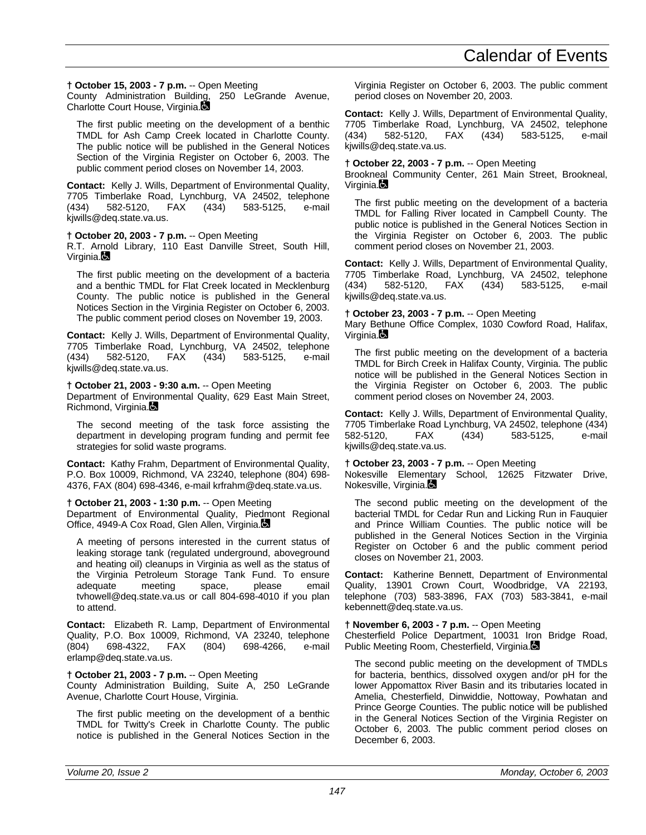# **† October 15, 2003 - 7 p.m.** -- Open Meeting

County Administration Building, 250 LeGrande Avenue, Charlotte Court House, Virginia.

The first public meeting on the development of a benthic TMDL for Ash Camp Creek located in Charlotte County. The public notice will be published in the General Notices Section of the Virginia Register on October 6, 2003. The public comment period closes on November 14, 2003.

**Contact:** Kelly J. Wills, Department of Environmental Quality, 7705 Timberlake Road, Lynchburg, VA 24502, telephone (434) 582-5120, FAX (434) 583-5125, e-mail kjwills@deq.state.va.us.

# **† October 20, 2003 - 7 p.m.** -- Open Meeting

R.T. Arnold Library, 110 East Danville Street, South Hill, Virginia.

The first public meeting on the development of a bacteria and a benthic TMDL for Flat Creek located in Mecklenburg County. The public notice is published in the General Notices Section in the Virginia Register on October 6, 2003. The public comment period closes on November 19, 2003.

**Contact:** Kelly J. Wills, Department of Environmental Quality, 7705 Timberlake Road, Lynchburg, VA 24502, telephone (434) 582-5120, FAX (434) 583-5125, e-mail kjwills@deq.state.va.us.

# **† October 21, 2003 - 9:30 a.m.** -- Open Meeting

Department of Environmental Quality, 629 East Main Street, Richmond, Virginia.

The second meeting of the task force assisting the department in developing program funding and permit fee strategies for solid waste programs.

**Contact:** Kathy Frahm, Department of Environmental Quality, P.O. Box 10009, Richmond, VA 23240, telephone (804) 698- 4376, FAX (804) 698-4346, e-mail krfrahm@deq.state.va.us.

# **† October 21, 2003 - 1:30 p.m.** -- Open Meeting

Department of Environmental Quality, Piedmont Regional Office, 4949-A Cox Road, Glen Allen, Virginia.

A meeting of persons interested in the current status of leaking storage tank (regulated underground, aboveground and heating oil) cleanups in Virginia as well as the status of the Virginia Petroleum Storage Tank Fund. To ensure<br>adequate meeting space, please email adequate meeting space, please email tvhowell@deq.state.va.us or call 804-698-4010 if you plan to attend.

**Contact:** Elizabeth R. Lamp, Department of Environmental Quality, P.O. Box 10009, Richmond, VA 23240, telephone (804) 698-4322, FAX (804) 698-4266, e-mail erlamp@deq.state.va.us.

# **† October 21, 2003 - 7 p.m.** -- Open Meeting

County Administration Building, Suite A, 250 LeGrande Avenue, Charlotte Court House, Virginia.

The first public meeting on the development of a benthic TMDL for Twitty's Creek in Charlotte County. The public notice is published in the General Notices Section in the

Virginia Register on October 6, 2003. The public comment period closes on November 20, 2003.

**Contact:** Kelly J. Wills, Department of Environmental Quality, 7705 Timberlake Road, Lynchburg, VA 24502, telephone (434) 582-5120, FAX (434) 583-5125, e-mail kjwills@deq.state.va.us.

# **† October 22, 2003 - 7 p.m.** -- Open Meeting

Brookneal Community Center, 261 Main Street, Brookneal, Virginia.

The first public meeting on the development of a bacteria TMDL for Falling River located in Campbell County. The public notice is published in the General Notices Section in the Virginia Register on October 6, 2003. The public comment period closes on November 21, 2003.

**Contact:** Kelly J. Wills, Department of Environmental Quality, 7705 Timberlake Road, Lynchburg, VA 24502, telephone (434) 582-5120, FAX (434) 583-5125, e-mail kjwills@deq.state.va.us.

# **† October 23, 2003 - 7 p.m.** -- Open Meeting

Mary Bethune Office Complex, 1030 Cowford Road, Halifax, Virginia.

The first public meeting on the development of a bacteria TMDL for Birch Creek in Halifax County, Virginia. The public notice will be published in the General Notices Section in the Virginia Register on October 6, 2003. The public comment period closes on November 24, 2003.

**Contact:** Kelly J. Wills, Department of Environmental Quality, 7705 Timberlake Road Lynchburg, VA 24502, telephone (434) 582-5120, FAX (434) 583-5125, e-mail kjwills@deq.state.va.us.

# **† October 23, 2003 - 7 p.m.** -- Open Meeting

Nokesville Elementary School, 12625 Fitzwater Drive, Nokesville, Virginia.

The second public meeting on the development of the bacterial TMDL for Cedar Run and Licking Run in Fauquier and Prince William Counties. The public notice will be published in the General Notices Section in the Virginia Register on October 6 and the public comment period closes on November 21, 2003.

**Contact:** Katherine Bennett, Department of Environmental Quality, 13901 Crown Court, Woodbridge, VA 22193, telephone (703) 583-3896, FAX (703) 583-3841, e-mail kebennett@deq.state.va.us.

# **† November 6, 2003 - 7 p.m.** -- Open Meeting

Chesterfield Police Department, 10031 Iron Bridge Road, Public Meeting Room, Chesterfield, Virginia.

The second public meeting on the development of TMDLs for bacteria, benthics, dissolved oxygen and/or pH for the lower Appomattox River Basin and its tributaries located in Amelia, Chesterfield, Dinwiddie, Nottoway, Powhatan and Prince George Counties. The public notice will be published in the General Notices Section of the Virginia Register on October 6, 2003. The public comment period closes on December 6, 2003.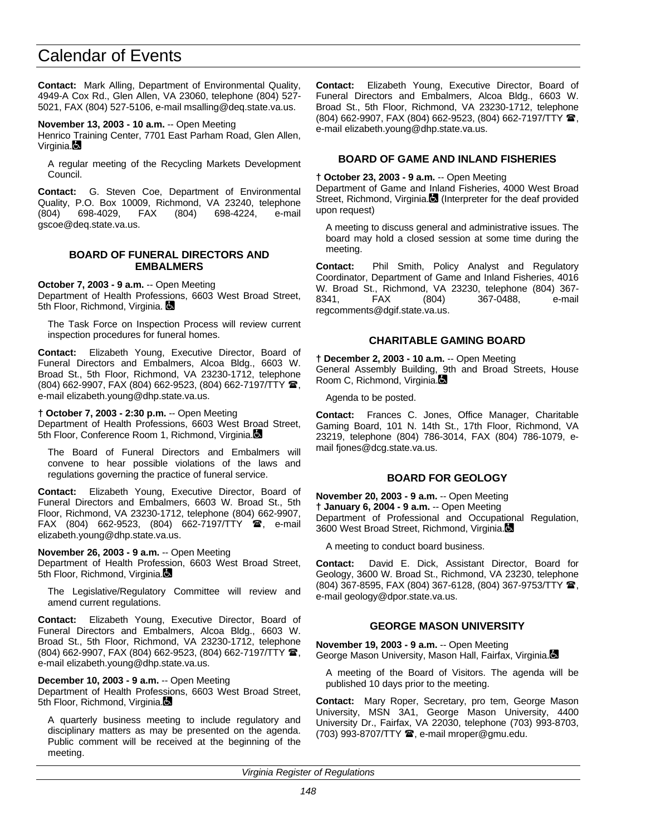**Contact:** Mark Alling, Department of Environmental Quality, 4949-A Cox Rd., Glen Allen, VA 23060, telephone (804) 527- 5021, FAX (804) 527-5106, e-mail msalling@deq.state.va.us.

**November 13, 2003 - 10 a.m.** -- Open Meeting Henrico Training Center, 7701 East Parham Road, Glen Allen, Virginia.

A regular meeting of the Recycling Markets Development Council.

**Contact:** G. Steven Coe, Department of Environmental Quality, P.O. Box 10009, Richmond, VA 23240, telephone (804) 698-4029, FAX (804) 698-4224, e-mail gscoe@deq.state.va.us.

#### **BOARD OF FUNERAL DIRECTORS AND EMBALMERS**

**October 7, 2003 - 9 a.m.** -- Open Meeting Department of Health Professions, 6603 West Broad Street, 5th Floor, Richmond, Virginia.

The Task Force on Inspection Process will review current inspection procedures for funeral homes.

**Contact:** Elizabeth Young, Executive Director, Board of Funeral Directors and Embalmers, Alcoa Bldg., 6603 W. Broad St., 5th Floor, Richmond, VA 23230-1712, telephone (804) 662-9907, FAX (804) 662-9523, (804) 662-7197/TTY 2, e-mail elizabeth.young@dhp.state.va.us.

**† October 7, 2003 - 2:30 p.m.** -- Open Meeting Department of Health Professions, 6603 West Broad Street, 5th Floor, Conference Room 1, Richmond, Virginia.

The Board of Funeral Directors and Embalmers will convene to hear possible violations of the laws and regulations governing the practice of funeral service.

**Contact:** Elizabeth Young, Executive Director, Board of Funeral Directors and Embalmers, 6603 W. Broad St., 5th Floor, Richmond, VA 23230-1712, telephone (804) 662-9907, FAX (804) 662-9523, (804) 662-7197/TTY <sup>1</sup>, e-mail elizabeth.young@dhp.state.va.us.

# **November 26, 2003 - 9 a.m.** -- Open Meeting

Department of Health Profession, 6603 West Broad Street, 5th Floor, Richmond, Virginia.

The Legislative/Regulatory Committee will review and amend current regulations.

**Contact:** Elizabeth Young, Executive Director, Board of Funeral Directors and Embalmers, Alcoa Bldg., 6603 W. Broad St., 5th Floor, Richmond, VA 23230-1712, telephone (804) 662-9907, FAX (804) 662-9523, (804) 662-7197/TTY 2, e-mail elizabeth.young@dhp.state.va.us.

# **December 10, 2003 - 9 a.m.** -- Open Meeting

Department of Health Professions, 6603 West Broad Street, 5th Floor, Richmond, Virginia.

A quarterly business meeting to include regulatory and disciplinary matters as may be presented on the agenda. Public comment will be received at the beginning of the meeting.

**Contact:** Elizabeth Young, Executive Director, Board of Funeral Directors and Embalmers, Alcoa Bldg., 6603 W. Broad St., 5th Floor, Richmond, VA 23230-1712, telephone (804) 662-9907, FAX (804) 662-9523, (804) 662-7197/TTY 2, e-mail elizabeth.young@dhp.state.va.us.

# **BOARD OF GAME AND INLAND FISHERIES**

**† October 23, 2003 - 9 a.m.** -- Open Meeting

Department of Game and Inland Fisheries, 4000 West Broad Street, Richmond, Virginia. (Interpreter for the deaf provided upon request)

A meeting to discuss general and administrative issues. The board may hold a closed session at some time during the meeting.

**Contact:** Phil Smith, Policy Analyst and Regulatory Coordinator, Department of Game and Inland Fisheries, 4016 W. Broad St., Richmond, VA 23230, telephone (804) 367- 8341, FAX (804) 367-0488, e-mail regcomments@dgif.state.va.us.

# **CHARITABLE GAMING BOARD**

**† December 2, 2003 - 10 a.m.** -- Open Meeting General Assembly Building, 9th and Broad Streets, House Room C, Richmond, Virginia.

Agenda to be posted.

**Contact:** Frances C. Jones, Office Manager, Charitable Gaming Board, 101 N. 14th St., 17th Floor, Richmond, VA 23219, telephone (804) 786-3014, FAX (804) 786-1079, email fjones@dcg.state.va.us.

# **BOARD FOR GEOLOGY**

**November 20, 2003 - 9 a.m.** -- Open Meeting **† January 6, 2004 - 9 a.m.** -- Open Meeting Department of Professional and Occupational Regulation, 3600 West Broad Street, Richmond, Virginia.

A meeting to conduct board business.

**Contact:** David E. Dick, Assistant Director, Board for Geology, 3600 W. Broad St., Richmond, VA 23230, telephone (804) 367-8595, FAX (804) 367-6128, (804) 367-9753/TTY 2, e-mail geology@dpor.state.va.us.

# **GEORGE MASON UNIVERSITY**

**November 19, 2003 - 9 a.m.** -- Open Meeting George Mason University, Mason Hall, Fairfax, Virginia.

A meeting of the Board of Visitors. The agenda will be published 10 days prior to the meeting.

**Contact:** Mary Roper, Secretary, pro tem, George Mason University, MSN 3A1, George Mason University, 4400 University Dr., Fairfax, VA 22030, telephone (703) 993-8703, (703) 993-8707/TTY <sup>3</sup>, e-mail mroper@gmu.edu.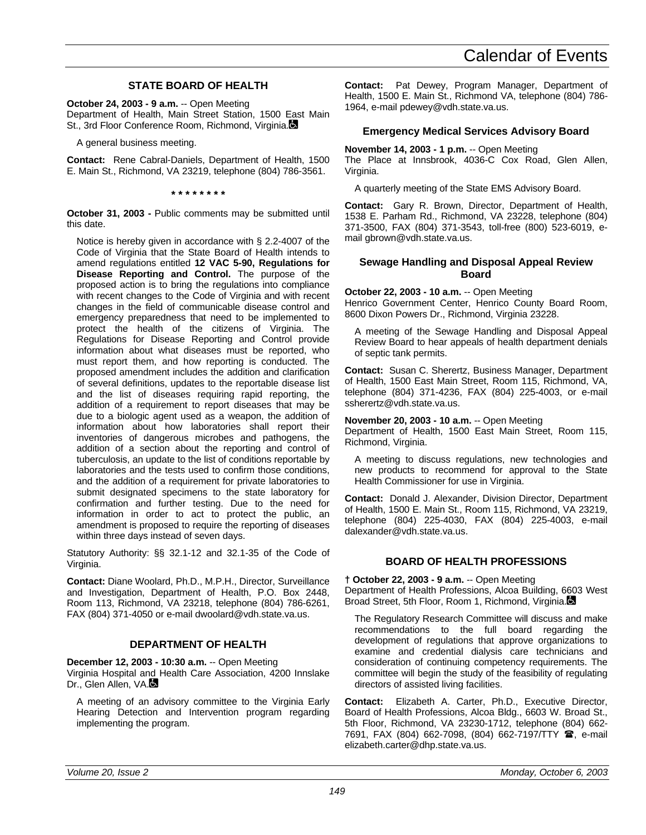# **STATE BOARD OF HEALTH**

**October 24, 2003 - 9 a.m.** -- Open Meeting Department of Health, Main Street Station, 1500 East Main St., 3rd Floor Conference Room, Richmond, Virginia.

A general business meeting.

**Contact:** Rene Cabral-Daniels, Department of Health, 1500 E. Main St., Richmond, VA 23219, telephone (804) 786-3561.

**\* \* \* \* \* \* \* \***

**October 31, 2003 -** Public comments may be submitted until this date.

Notice is hereby given in accordance with § 2.2-4007 of the Code of Virginia that the State Board of Health intends to amend regulations entitled **12 VAC 5-90, Regulations for Disease Reporting and Control.** The purpose of the proposed action is to bring the regulations into compliance with recent changes to the Code of Virginia and with recent changes in the field of communicable disease control and emergency preparedness that need to be implemented to protect the health of the citizens of Virginia. The Regulations for Disease Reporting and Control provide information about what diseases must be reported, who must report them, and how reporting is conducted. The proposed amendment includes the addition and clarification of several definitions, updates to the reportable disease list and the list of diseases requiring rapid reporting, the addition of a requirement to report diseases that may be due to a biologic agent used as a weapon, the addition of information about how laboratories shall report their inventories of dangerous microbes and pathogens, the addition of a section about the reporting and control of tuberculosis, an update to the list of conditions reportable by laboratories and the tests used to confirm those conditions, and the addition of a requirement for private laboratories to submit designated specimens to the state laboratory for confirmation and further testing. Due to the need for information in order to act to protect the public, an amendment is proposed to require the reporting of diseases within three days instead of seven days.

Statutory Authority: §§ 32.1-12 and 32.1-35 of the Code of Virginia.

**Contact:** Diane Woolard, Ph.D., M.P.H., Director, Surveillance and Investigation, Department of Health, P.O. Box 2448, Room 113, Richmond, VA 23218, telephone (804) 786-6261, FAX (804) 371-4050 or e-mail dwoolard@vdh.state.va.us.

# **DEPARTMENT OF HEALTH**

**December 12, 2003 - 10:30 a.m.** -- Open Meeting

Virginia Hospital and Health Care Association, 4200 Innslake Dr., Glen Allen, VA.

A meeting of an advisory committee to the Virginia Early Hearing Detection and Intervention program regarding implementing the program.

**Contact:** Pat Dewey, Program Manager, Department of Health, 1500 E. Main St., Richmond VA, telephone (804) 786- 1964, e-mail pdewey@vdh.state.va.us.

# **Emergency Medical Services Advisory Board**

# **November 14, 2003 - 1 p.m.** -- Open Meeting

The Place at Innsbrook, 4036-C Cox Road, Glen Allen, Virginia.

A quarterly meeting of the State EMS Advisory Board.

**Contact:** Gary R. Brown, Director, Department of Health, 1538 E. Parham Rd., Richmond, VA 23228, telephone (804) 371-3500, FAX (804) 371-3543, toll-free (800) 523-6019, email gbrown@vdh.state.va.us.

# **Sewage Handling and Disposal Appeal Review Board**

# **October 22, 2003 - 10 a.m.** -- Open Meeting

Henrico Government Center, Henrico County Board Room, 8600 Dixon Powers Dr., Richmond, Virginia 23228.

A meeting of the Sewage Handling and Disposal Appeal Review Board to hear appeals of health department denials of septic tank permits.

**Contact:** Susan C. Sherertz, Business Manager, Department of Health, 1500 East Main Street, Room 115, Richmond, VA, telephone (804) 371-4236, FAX (804) 225-4003, or e-mail ssherertz@vdh.state.va.us.

### **November 20, 2003 - 10 a.m.** -- Open Meeting

Department of Health, 1500 East Main Street, Room 115, Richmond, Virginia.

A meeting to discuss regulations, new technologies and new products to recommend for approval to the State Health Commissioner for use in Virginia.

**Contact:** Donald J. Alexander, Division Director, Department of Health, 1500 E. Main St., Room 115, Richmond, VA 23219, telephone (804) 225-4030, FAX (804) 225-4003, e-mail dalexander@vdh.state.va.us.

# **BOARD OF HEALTH PROFESSIONS**

# **† October 22, 2003 - 9 a.m.** -- Open Meeting

Department of Health Professions, Alcoa Building, 6603 West Broad Street, 5th Floor, Room 1, Richmond, Virginia.

The Regulatory Research Committee will discuss and make recommendations to the full board regarding the development of regulations that approve organizations to examine and credential dialysis care technicians and consideration of continuing competency requirements. The committee will begin the study of the feasibility of regulating directors of assisted living facilities.

**Contact:** Elizabeth A. Carter, Ph.D., Executive Director, Board of Health Professions, Alcoa Bldg., 6603 W. Broad St., 5th Floor, Richmond, VA 23230-1712, telephone (804) 662- 7691, FAX (804) 662-7098, (804) 662-7197/TTY **雷**, e-mail elizabeth.carter@dhp.state.va.us.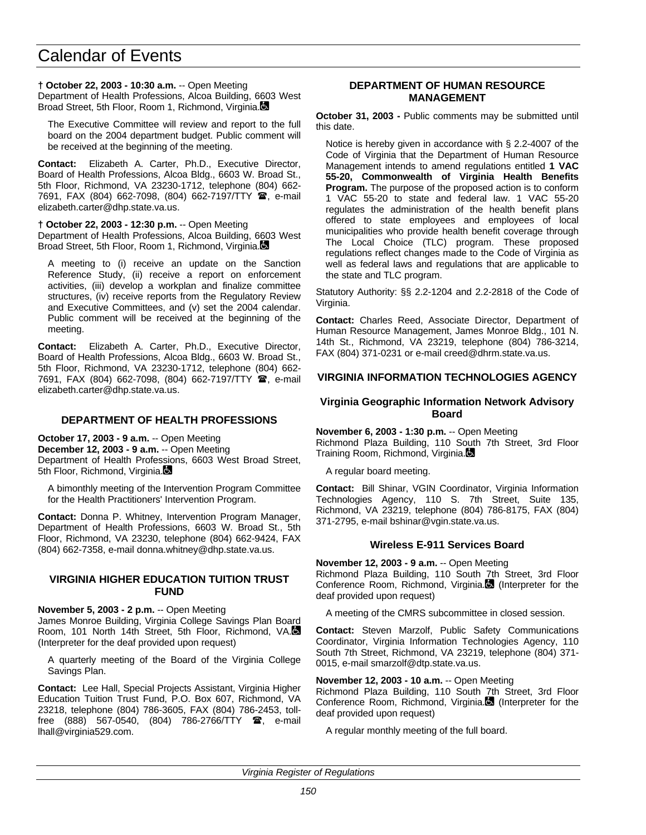# **† October 22, 2003 - 10:30 a.m.** -- Open Meeting

Department of Health Professions, Alcoa Building, 6603 West Broad Street, 5th Floor, Room 1, Richmond, Virginia.

The Executive Committee will review and report to the full board on the 2004 department budget. Public comment will be received at the beginning of the meeting.

**Contact:** Elizabeth A. Carter, Ph.D., Executive Director, Board of Health Professions, Alcoa Bldg., 6603 W. Broad St., 5th Floor, Richmond, VA 23230-1712, telephone (804) 662- 7691, FAX (804) 662-7098, (804) 662-7197/TTY <sup>2</sup>, e-mail elizabeth.carter@dhp.state.va.us.

#### **† October 22, 2003 - 12:30 p.m.** -- Open Meeting

Department of Health Professions, Alcoa Building, 6603 West Broad Street, 5th Floor, Room 1, Richmond, Virginia.

A meeting to (i) receive an update on the Sanction Reference Study, (ii) receive a report on enforcement activities, (iii) develop a workplan and finalize committee structures, (iv) receive reports from the Regulatory Review and Executive Committees, and (v) set the 2004 calendar. Public comment will be received at the beginning of the meeting.

**Contact:** Elizabeth A. Carter, Ph.D., Executive Director, Board of Health Professions, Alcoa Bldg., 6603 W. Broad St., 5th Floor, Richmond, VA 23230-1712, telephone (804) 662- 7691, FAX (804) 662-7098, (804) 662-7197/TTY **雷**, e-mail elizabeth.carter@dhp.state.va.us.

# **DEPARTMENT OF HEALTH PROFESSIONS**

**October 17, 2003 - 9 a.m.** -- Open Meeting

**December 12, 2003 - 9 a.m.** -- Open Meeting Department of Health Professions, 6603 West Broad Street, 5th Floor, Richmond, Virginia.

A bimonthly meeting of the Intervention Program Committee for the Health Practitioners' Intervention Program.

**Contact:** Donna P. Whitney, Intervention Program Manager, Department of Health Professions, 6603 W. Broad St., 5th Floor, Richmond, VA 23230, telephone (804) 662-9424, FAX (804) 662-7358, e-mail donna.whitney@dhp.state.va.us.

#### **VIRGINIA HIGHER EDUCATION TUITION TRUST FUND**

**November 5, 2003 - 2 p.m.** -- Open Meeting

James Monroe Building, Virginia College Savings Plan Board Room, 101 North 14th Street, 5th Floor, Richmond, VA. (Interpreter for the deaf provided upon request)

A quarterly meeting of the Board of the Virginia College Savings Plan.

**Contact:** Lee Hall, Special Projects Assistant, Virginia Higher Education Tuition Trust Fund, P.O. Box 607, Richmond, VA 23218, telephone (804) 786-3605, FAX (804) 786-2453, tollfree (888) 567-0540, (804) 786-2766/TTY  $\mathbf{\mathcal{F}}$ , e-mail lhall@virginia529.com.

### **DEPARTMENT OF HUMAN RESOURCE MANAGEMENT**

**October 31, 2003 -** Public comments may be submitted until this date.

Notice is hereby given in accordance with § 2.2-4007 of the Code of Virginia that the Department of Human Resource Management intends to amend regulations entitled **1 VAC 55-20, Commonwealth of Virginia Health Benefits Program.** The purpose of the proposed action is to conform 1 VAC 55-20 to state and federal law. 1 VAC 55-20 regulates the administration of the health benefit plans offered to state employees and employees of local municipalities who provide health benefit coverage through The Local Choice (TLC) program. These proposed regulations reflect changes made to the Code of Virginia as well as federal laws and regulations that are applicable to the state and TLC program.

Statutory Authority: §§ 2.2-1204 and 2.2-2818 of the Code of Virginia.

**Contact:** Charles Reed, Associate Director, Department of Human Resource Management, James Monroe Bldg., 101 N. 14th St., Richmond, VA 23219, telephone (804) 786-3214, FAX (804) 371-0231 or e-mail creed@dhrm.state.va.us.

# **VIRGINIA INFORMATION TECHNOLOGIES AGENCY**

### **Virginia Geographic Information Network Advisory Board**

**November 6, 2003 - 1:30 p.m.** -- Open Meeting Richmond Plaza Building, 110 South 7th Street, 3rd Floor Training Room, Richmond, Virginia.

A regular board meeting.

**Contact:** Bill Shinar, VGIN Coordinator, Virginia Information Technologies Agency, 110 S. 7th Street, Suite 135, Richmond, VA 23219, telephone (804) 786-8175, FAX (804) 371-2795, e-mail bshinar@vgin.state.va.us.

# **Wireless E-911 Services Board**

**November 12, 2003 - 9 a.m.** -- Open Meeting

Richmond Plaza Building, 110 South 7th Street, 3rd Floor Conference Room, Richmond, Virginia. (Interpreter for the deaf provided upon request)

A meeting of the CMRS subcommittee in closed session.

**Contact:** Steven Marzolf, Public Safety Communications Coordinator, Virginia Information Technologies Agency, 110 South 7th Street, Richmond, VA 23219, telephone (804) 371- 0015, e-mail smarzolf@dtp.state.va.us.

#### **November 12, 2003 - 10 a.m.** -- Open Meeting

Richmond Plaza Building, 110 South 7th Street, 3rd Floor Conference Room, Richmond, Virginia. (Interpreter for the deaf provided upon request)

A regular monthly meeting of the full board.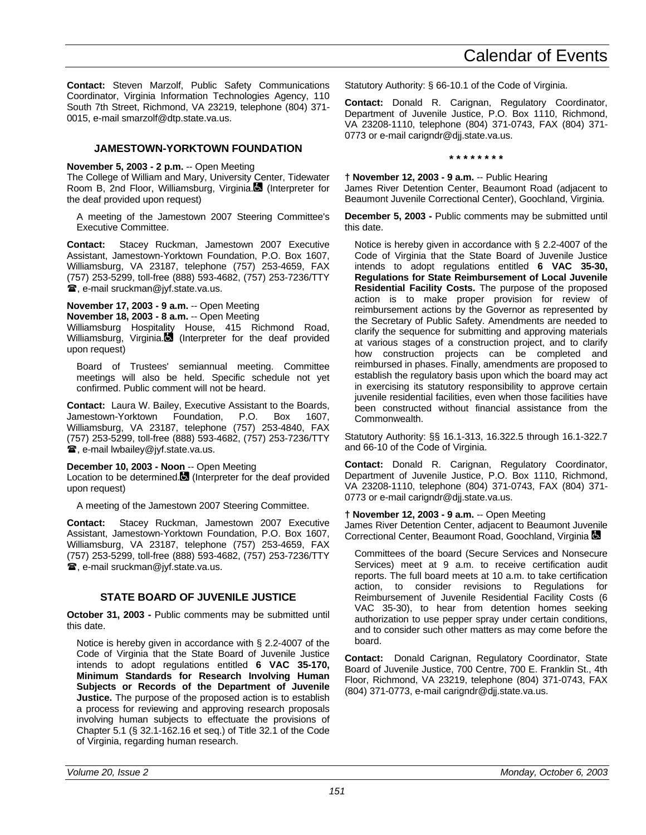**Contact:** Steven Marzolf, Public Safety Communications Coordinator, Virginia Information Technologies Agency, 110 South 7th Street, Richmond, VA 23219, telephone (804) 371- 0015, e-mail smarzolf@dtp.state.va.us.

# **JAMESTOWN-YORKTOWN FOUNDATION**

# **November 5, 2003 - 2 p.m.** -- Open Meeting

The College of William and Mary, University Center, Tidewater Room B, 2nd Floor, Williamsburg, Virginia. (Interpreter for the deaf provided upon request)

A meeting of the Jamestown 2007 Steering Committee's Executive Committee.

**Contact:** Stacey Ruckman, Jamestown 2007 Executive Assistant, Jamestown-Yorktown Foundation, P.O. Box 1607, Williamsburg, VA 23187, telephone (757) 253-4659, FAX (757) 253-5299, toll-free (888) 593-4682, (757) 253-7236/TTY **■, e-mail sruckman@jyf.state.va.us.** 

**November 17, 2003 - 9 a.m.** -- Open Meeting **November 18, 2003 - 8 a.m.** -- Open Meeting

Williamsburg Hospitality House, 415 Richmond Road, Williamsburg, Virginia. $\Box$  (Interpreter for the deaf provided upon request)

Board of Trustees' semiannual meeting. Committee meetings will also be held. Specific schedule not yet confirmed. Public comment will not be heard.

**Contact:** Laura W. Bailey, Executive Assistant to the Boards, Jamestown-Yorktown Foundation, P.O. Box 1607, Williamsburg, VA 23187, telephone (757) 253-4840, FAX (757) 253-5299, toll-free (888) 593-4682, (757) 253-7236/TTY **■, e-mail lwbailey@jyf.state.va.us.** 

# **December 10, 2003 - Noon** -- Open Meeting

Location to be determined.<sup>3</sup> (Interpreter for the deaf provided upon request)

A meeting of the Jamestown 2007 Steering Committee.

**Contact:** Stacey Ruckman, Jamestown 2007 Executive Assistant, Jamestown-Yorktown Foundation, P.O. Box 1607, Williamsburg, VA 23187, telephone (757) 253-4659, FAX (757) 253-5299, toll-free (888) 593-4682, (757) 253-7236/TTY **■, e-mail sruckman@jyf.state.va.us.** 

# **STATE BOARD OF JUVENILE JUSTICE**

**October 31, 2003 -** Public comments may be submitted until this date.

Notice is hereby given in accordance with § 2.2-4007 of the Code of Virginia that the State Board of Juvenile Justice intends to adopt regulations entitled **6 VAC 35-170, Minimum Standards for Research Involving Human Subjects or Records of the Department of Juvenile Justice.** The purpose of the proposed action is to establish a process for reviewing and approving research proposals involving human subjects to effectuate the provisions of Chapter 5.1 (§ 32.1-162.16 et seq.) of Title 32.1 of the Code of Virginia, regarding human research.

Statutory Authority: § 66-10.1 of the Code of Virginia.

**Contact:** Donald R. Carignan, Regulatory Coordinator, Department of Juvenile Justice, P.O. Box 1110, Richmond, VA 23208-1110, telephone (804) 371-0743, FAX (804) 371- 0773 or e-mail carigndr@djj.state.va.us.

**\* \* \* \* \* \* \* \***

**† November 12, 2003 - 9 a.m.** -- Public Hearing James River Detention Center, Beaumont Road (adjacent to Beaumont Juvenile Correctional Center), Goochland, Virginia.

**December 5, 2003 -** Public comments may be submitted until this date.

Notice is hereby given in accordance with § 2.2-4007 of the Code of Virginia that the State Board of Juvenile Justice intends to adopt regulations entitled **6 VAC 35-30, Regulations for State Reimbursement of Local Juvenile Residential Facility Costs.** The purpose of the proposed action is to make proper provision for review of reimbursement actions by the Governor as represented by the Secretary of Public Safety. Amendments are needed to clarify the sequence for submitting and approving materials at various stages of a construction project, and to clarify how construction projects can be completed and reimbursed in phases. Finally, amendments are proposed to establish the regulatory basis upon which the board may act in exercising its statutory responsibility to approve certain juvenile residential facilities, even when those facilities have been constructed without financial assistance from the Commonwealth.

Statutory Authority: §§ 16.1-313, 16.322.5 through 16.1-322.7 and 66-10 of the Code of Virginia.

**Contact:** Donald R. Carignan, Regulatory Coordinator, Department of Juvenile Justice, P.O. Box 1110, Richmond, VA 23208-1110, telephone (804) 371-0743, FAX (804) 371- 0773 or e-mail carigndr@djj.state.va.us.

# **† November 12, 2003 - 9 a.m.** -- Open Meeting

James River Detention Center, adjacent to Beaumont Juvenile Correctional Center, Beaumont Road, Goochland, Virginia

Committees of the board (Secure Services and Nonsecure Services) meet at 9 a.m. to receive certification audit reports. The full board meets at 10 a.m. to take certification action, to consider revisions to Regulations for Reimbursement of Juvenile Residential Facility Costs (6 VAC 35-30), to hear from detention homes seeking authorization to use pepper spray under certain conditions, and to consider such other matters as may come before the board.

**Contact:** Donald Carignan, Regulatory Coordinator, State Board of Juvenile Justice, 700 Centre, 700 E. Franklin St., 4th Floor, Richmond, VA 23219, telephone (804) 371-0743, FAX (804) 371-0773, e-mail carigndr@djj.state.va.us.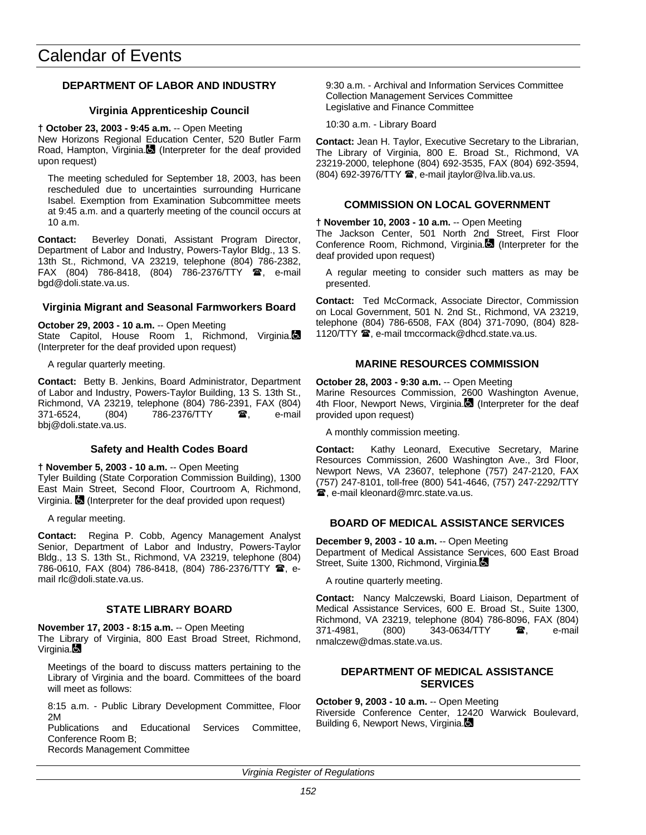# **DEPARTMENT OF LABOR AND INDUSTRY**

# **Virginia Apprenticeship Council**

#### **† October 23, 2003 - 9:45 a.m.** -- Open Meeting

New Horizons Regional Education Center, 520 Butler Farm Road, Hampton, Virginia. (Interpreter for the deaf provided upon request)

The meeting scheduled for September 18, 2003, has been rescheduled due to uncertainties surrounding Hurricane Isabel. Exemption from Examination Subcommittee meets at 9:45 a.m. and a quarterly meeting of the council occurs at 10 a.m.

**Contact:** Beverley Donati, Assistant Program Director, Department of Labor and Industry, Powers-Taylor Bldg., 13 S. 13th St., Richmond, VA 23219, telephone (804) 786-2382, FAX (804) 786-8418, (804) 786-2376/TTY 雷, e-mail bgd@doli.state.va.us.

# **Virginia Migrant and Seasonal Farmworkers Board**

#### **October 29, 2003 - 10 a.m.** -- Open Meeting

State Capitol, House Room 1, Richmond, Virginia. (Interpreter for the deaf provided upon request)

A regular quarterly meeting.

**Contact:** Betty B. Jenkins, Board Administrator, Department of Labor and Industry, Powers-Taylor Building, 13 S. 13th St., Richmond, VA 23219, telephone (804) 786-2391, FAX (804) 371-6524, (804) 786-2376/TTY **雷**, e-mail bbj@doli.state.va.us.

# **Safety and Health Codes Board**

# **† November 5, 2003 - 10 a.m.** -- Open Meeting

Tyler Building (State Corporation Commission Building), 1300 East Main Street, Second Floor, Courtroom A, Richmond, Virginia. **(3)** (Interpreter for the deaf provided upon request)

A regular meeting.

**Contact:** Regina P. Cobb, Agency Management Analyst Senior, Department of Labor and Industry, Powers-Taylor Bldg., 13 S. 13th St., Richmond, VA 23219, telephone (804) 786-0610, FAX (804) 786-8418, (804) 786-2376/TTY  $\hat{B}$ , email rlc@doli.state.va.us.

# **STATE LIBRARY BOARD**

**November 17, 2003 - 8:15 a.m.** -- Open Meeting The Library of Virginia, 800 East Broad Street, Richmond, Virginia.

Meetings of the board to discuss matters pertaining to the Library of Virginia and the board. Committees of the board will meet as follows:

8:15 a.m. - Public Library Development Committee, Floor 2M

Publications and Educational Services Committee, Conference Room B; Records Management Committee

9:30 a.m. - Archival and Information Services Committee Collection Management Services Committee Legislative and Finance Committee

10:30 a.m. - Library Board

**Contact:** Jean H. Taylor, Executive Secretary to the Librarian, The Library of Virginia, 800 E. Broad St., Richmond, VA 23219-2000, telephone (804) 692-3535, FAX (804) 692-3594,  $(804)$  692-3976/TTY  $\hat{=}$ , e-mail jtaylor@lva.lib.va.us.

# **COMMISSION ON LOCAL GOVERNMENT**

**† November 10, 2003 - 10 a.m.** -- Open Meeting

The Jackson Center, 501 North 2nd Street, First Floor Conference Room, Richmond, Virginia. (Interpreter for the deaf provided upon request)

A regular meeting to consider such matters as may be presented.

**Contact:** Ted McCormack, Associate Director, Commission on Local Government, 501 N. 2nd St., Richmond, VA 23219, telephone (804) 786-6508, FAX (804) 371-7090, (804) 828- 1120/TTY  $\mathbf{\mathcal{D}}$ , e-mail tmccormack@dhcd.state.va.us.

# **MARINE RESOURCES COMMISSION**

**October 28, 2003 - 9:30 a.m.** -- Open Meeting Marine Resources Commission, 2600 Washington Avenue, 4th Floor, Newport News, Virginia. (Interpreter for the deaf provided upon request)

A monthly commission meeting.

**Contact:** Kathy Leonard, Executive Secretary, Marine Resources Commission, 2600 Washington Ave., 3rd Floor, Newport News, VA 23607, telephone (757) 247-2120, FAX (757) 247-8101, toll-free (800) 541-4646, (757) 247-2292/TTY **■, e-mail kleonard@mrc.state.va.us.** 

# **BOARD OF MEDICAL ASSISTANCE SERVICES**

**December 9, 2003 - 10 a.m.** -- Open Meeting Department of Medical Assistance Services, 600 East Broad Street, Suite 1300, Richmond, Virginia.

A routine quarterly meeting.

**Contact:** Nancy Malczewski, Board Liaison, Department of Medical Assistance Services, 600 E. Broad St., Suite 1300, Richmond, VA 23219, telephone (804) 786-8096, FAX (804) 371-4981, (800) 343-0634/TTY **雷**, e-mail nmalczew@dmas.state.va.us.

# **DEPARTMENT OF MEDICAL ASSISTANCE SERVICES**

**October 9, 2003 - 10 a.m.** -- Open Meeting

Riverside Conference Center, 12420 Warwick Boulevard, Building 6, Newport News, Virginia.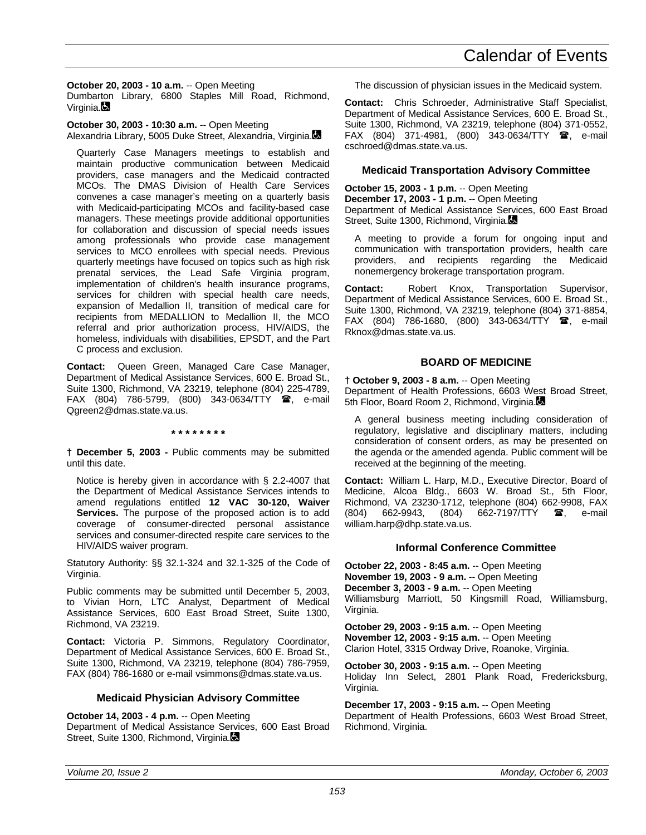**October 20, 2003 - 10 a.m.** -- Open Meeting Dumbarton Library, 6800 Staples Mill Road, Richmond,  $V$ irginia. $\blacksquare$ 

**October 30, 2003 - 10:30 a.m.** -- Open Meeting Alexandria Library, 5005 Duke Street, Alexandria, Virginia.

Quarterly Case Managers meetings to establish and maintain productive communication between Medicaid providers, case managers and the Medicaid contracted MCOs. The DMAS Division of Health Care Services convenes a case manager's meeting on a quarterly basis with Medicaid-participating MCOs and facility-based case managers. These meetings provide additional opportunities for collaboration and discussion of special needs issues among professionals who provide case management services to MCO enrollees with special needs. Previous quarterly meetings have focused on topics such as high risk prenatal services, the Lead Safe Virginia program, implementation of children's health insurance programs, services for children with special health care needs, expansion of Medallion II, transition of medical care for recipients from MEDALLION to Medallion II, the MCO referral and prior authorization process, HIV/AIDS, the homeless, individuals with disabilities, EPSDT, and the Part C process and exclusion.

**Contact:** Queen Green, Managed Care Case Manager, Department of Medical Assistance Services, 600 E. Broad St., Suite 1300, Richmond, VA 23219, telephone (804) 225-4789,  $FAX$  (804) 786-5799, (800) 343-0634/TTY  $\bullet$ , e-mail Qgreen2@dmas.state.va.us.

**\* \* \* \* \* \* \* \***

**† December 5, 2003 -** Public comments may be submitted until this date.

Notice is hereby given in accordance with § 2.2-4007 that the Department of Medical Assistance Services intends to amend regulations entitled **12 VAC 30-120, Waiver Services.** The purpose of the proposed action is to add coverage of consumer-directed personal assistance services and consumer-directed respite care services to the HIV/AIDS waiver program.

Statutory Authority: §§ 32.1-324 and 32.1-325 of the Code of Virginia.

Public comments may be submitted until December 5, 2003, to Vivian Horn, LTC Analyst, Department of Medical Assistance Services, 600 East Broad Street, Suite 1300, Richmond, VA 23219.

**Contact:** Victoria P. Simmons, Regulatory Coordinator, Department of Medical Assistance Services, 600 E. Broad St., Suite 1300, Richmond, VA 23219, telephone (804) 786-7959, FAX (804) 786-1680 or e-mail vsimmons@dmas.state.va.us.

# **Medicaid Physician Advisory Committee**

**October 14, 2003 - 4 p.m.** -- Open Meeting

Department of Medical Assistance Services, 600 East Broad Street, Suite 1300, Richmond, Virginia.

The discussion of physician issues in the Medicaid system.

**Contact:** Chris Schroeder, Administrative Staff Specialist, Department of Medical Assistance Services, 600 E. Broad St., Suite 1300, Richmond, VA 23219, telephone (804) 371-0552,  $FAX$  (804) 371-4981, (800) 343-0634/TTY  $\circledR$ , e-mail cschroed@dmas.state.va.us.

# **Medicaid Transportation Advisory Committee**

**October 15, 2003 - 1 p.m.** -- Open Meeting **December 17, 2003 - 1 p.m.** -- Open Meeting Department of Medical Assistance Services, 600 East Broad Street, Suite 1300, Richmond, Virginia.

A meeting to provide a forum for ongoing input and communication with transportation providers, health care providers, and recipients regarding the Medicaid nonemergency brokerage transportation program.

**Contact:** Robert Knox, Transportation Supervisor, Department of Medical Assistance Services, 600 E. Broad St., Suite 1300, Richmond, VA 23219, telephone (804) 371-8854, FAX (804) 786-1680, (800) 343-0634/TTY  $\bullet$ , e-mail Rknox@dmas.state.va.us.

# **BOARD OF MEDICINE**

**† October 9, 2003 - 8 a.m.** -- Open Meeting Department of Health Professions, 6603 West Broad Street, 5th Floor, Board Room 2, Richmond, Virginia.

A general business meeting including consideration of regulatory, legislative and disciplinary matters, including consideration of consent orders, as may be presented on the agenda or the amended agenda. Public comment will be received at the beginning of the meeting.

**Contact:** William L. Harp, M.D., Executive Director, Board of Medicine, Alcoa Bldg., 6603 W. Broad St., 5th Floor, Richmond, VA 23230-1712, telephone (804) 662-9908, FAX (804) 662-9943, (804) 662-7197/TTY  $\circledR$ , e-mail william.harp@dhp.state.va.us.

# **Informal Conference Committee**

**October 22, 2003 - 8:45 a.m.** -- Open Meeting **November 19, 2003 - 9 a.m.** -- Open Meeting **December 3, 2003 - 9 a.m.** -- Open Meeting Williamsburg Marriott, 50 Kingsmill Road, Williamsburg, Virginia.

**October 29, 2003 - 9:15 a.m.** -- Open Meeting **November 12, 2003 - 9:15 a.m.** -- Open Meeting Clarion Hotel, 3315 Ordway Drive, Roanoke, Virginia.

**October 30, 2003 - 9:15 a.m.** -- Open Meeting Holiday Inn Select, 2801 Plank Road, Fredericksburg, Virginia.

**December 17, 2003 - 9:15 a.m.** -- Open Meeting Department of Health Professions, 6603 West Broad Street, Richmond, Virginia.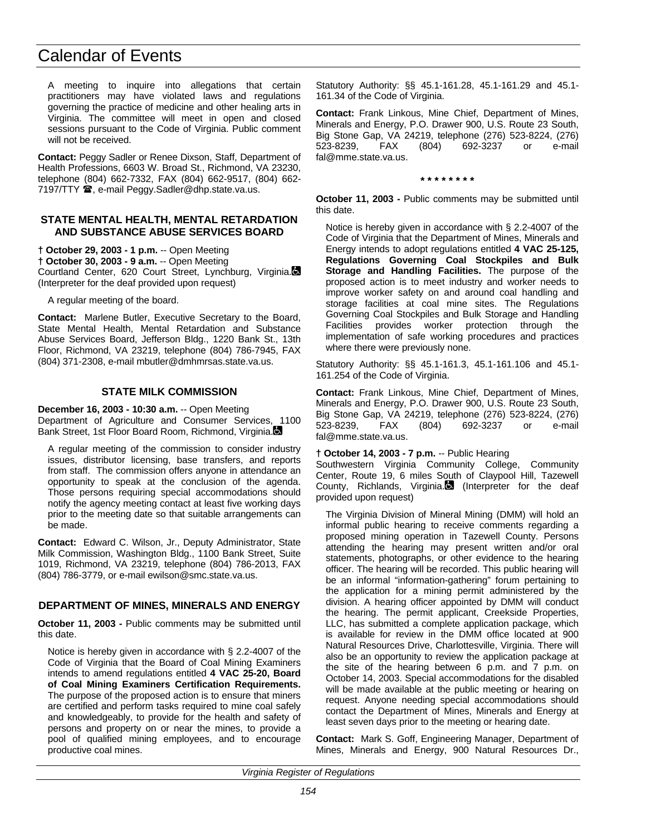A meeting to inquire into allegations that certain practitioners may have violated laws and regulations governing the practice of medicine and other healing arts in Virginia. The committee will meet in open and closed sessions pursuant to the Code of Virginia. Public comment will not be received.

**Contact:** Peggy Sadler or Renee Dixson, Staff, Department of Health Professions, 6603 W. Broad St., Richmond, VA 23230, telephone (804) 662-7332, FAX (804) 662-9517, (804) 662- 7197/TTY <sup>3</sup>, e-mail Peggy.Sadler@dhp.state.va.us.

#### **STATE MENTAL HEALTH, MENTAL RETARDATION AND SUBSTANCE ABUSE SERVICES BOARD**

**† October 29, 2003 - 1 p.m.** -- Open Meeting **† October 30, 2003 - 9 a.m.** -- Open Meeting Courtland Center, 620 Court Street, Lynchburg, Virginia. (Interpreter for the deaf provided upon request)

A regular meeting of the board.

**Contact:** Marlene Butler, Executive Secretary to the Board, State Mental Health, Mental Retardation and Substance Abuse Services Board, Jefferson Bldg., 1220 Bank St., 13th Floor, Richmond, VA 23219, telephone (804) 786-7945, FAX (804) 371-2308, e-mail mbutler@dmhmrsas.state.va.us.

#### **STATE MILK COMMISSION**

**December 16, 2003 - 10:30 a.m.** -- Open Meeting Department of Agriculture and Consumer Services, 1100 Bank Street, 1st Floor Board Room, Richmond, Virginia.

A regular meeting of the commission to consider industry issues, distributor licensing, base transfers, and reports from staff. The commission offers anyone in attendance an opportunity to speak at the conclusion of the agenda. Those persons requiring special accommodations should notify the agency meeting contact at least five working days prior to the meeting date so that suitable arrangements can be made.

**Contact:** Edward C. Wilson, Jr., Deputy Administrator, State Milk Commission, Washington Bldg., 1100 Bank Street, Suite 1019, Richmond, VA 23219, telephone (804) 786-2013, FAX (804) 786-3779, or e-mail ewilson@smc.state.va.us.

# **DEPARTMENT OF MINES, MINERALS AND ENERGY**

**October 11, 2003 -** Public comments may be submitted until this date.

Notice is hereby given in accordance with § 2.2-4007 of the Code of Virginia that the Board of Coal Mining Examiners intends to amend regulations entitled **4 VAC 25-20, Board of Coal Mining Examiners Certification Requirements.** The purpose of the proposed action is to ensure that miners are certified and perform tasks required to mine coal safely and knowledgeably, to provide for the health and safety of persons and property on or near the mines, to provide a pool of qualified mining employees, and to encourage productive coal mines.

Statutory Authority: §§ 45.1-161.28, 45.1-161.29 and 45.1- 161.34 of the Code of Virginia.

**Contact:** Frank Linkous, Mine Chief, Department of Mines, Minerals and Energy, P.O. Drawer 900, U.S. Route 23 South, Big Stone Gap, VA 24219, telephone (276) 523-8224, (276) 523-8239, FAX (804) 692-3237 or e-mail fal@mme.state.va.us.

**\* \* \* \* \* \* \* \***

**October 11, 2003 - Public comments may be submitted until** this date.

Notice is hereby given in accordance with § 2.2-4007 of the Code of Virginia that the Department of Mines, Minerals and Energy intends to adopt regulations entitled **4 VAC 25-125, Regulations Governing Coal Stockpiles and Bulk Storage and Handling Facilities.** The purpose of the proposed action is to meet industry and worker needs to improve worker safety on and around coal handling and storage facilities at coal mine sites. The Regulations Governing Coal Stockpiles and Bulk Storage and Handling Facilities provides worker protection through the implementation of safe working procedures and practices where there were previously none.

Statutory Authority: §§ 45.1-161.3, 45.1-161.106 and 45.1- 161.254 of the Code of Virginia.

**Contact:** Frank Linkous, Mine Chief, Department of Mines, Minerals and Energy, P.O. Drawer 900, U.S. Route 23 South, Big Stone Gap, VA 24219, telephone (276) 523-8224, (276) 523-8239, FAX (804) 692-3237 or e-mail fal@mme.state.va.us.

**† October 14, 2003 - 7 p.m.** -- Public Hearing

Southwestern Virginia Community College, Community Center, Route 19, 6 miles South of Claypool Hill, Tazewell County, Richlands, Virginia.<sup>1</sup> (Interpreter for the deaf provided upon request)

The Virginia Division of Mineral Mining (DMM) will hold an informal public hearing to receive comments regarding a proposed mining operation in Tazewell County. Persons attending the hearing may present written and/or oral statements, photographs, or other evidence to the hearing officer. The hearing will be recorded. This public hearing will be an informal "information-gathering" forum pertaining to the application for a mining permit administered by the division. A hearing officer appointed by DMM will conduct the hearing. The permit applicant, Creekside Properties, LLC, has submitted a complete application package, which is available for review in the DMM office located at 900 Natural Resources Drive, Charlottesville, Virginia. There will also be an opportunity to review the application package at the site of the hearing between 6 p.m. and 7 p.m. on October 14, 2003. Special accommodations for the disabled will be made available at the public meeting or hearing on request. Anyone needing special accommodations should contact the Department of Mines, Minerals and Energy at least seven days prior to the meeting or hearing date.

**Contact:** Mark S. Goff, Engineering Manager, Department of Mines, Minerals and Energy, 900 Natural Resources Dr.,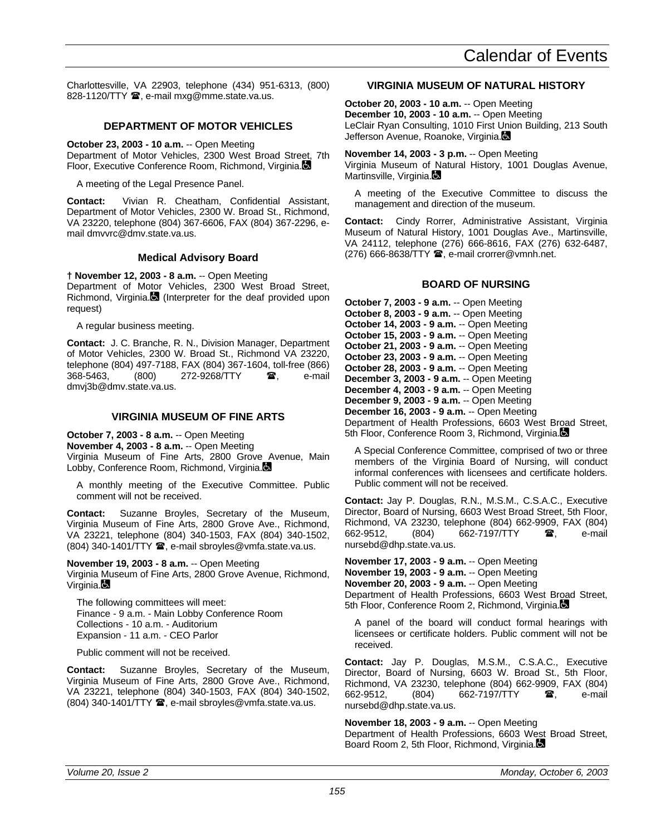Charlottesville, VA 22903, telephone (434) 951-6313, (800) 828-1120/TTY <sup>3</sup>, e-mail mxg@mme.state.va.us.

# **DEPARTMENT OF MOTOR VEHICLES**

**October 23, 2003 - 10 a.m.** -- Open Meeting Department of Motor Vehicles, 2300 West Broad Street, 7th Floor, Executive Conference Room, Richmond, Virginia.

A meeting of the Legal Presence Panel.

**Contact:** Vivian R. Cheatham, Confidential Assistant, Department of Motor Vehicles, 2300 W. Broad St., Richmond, VA 23220, telephone (804) 367-6606, FAX (804) 367-2296, email dmvvrc@dmv.state.va.us.

# **Medical Advisory Board**

**† November 12, 2003 - 8 a.m.** -- Open Meeting Department of Motor Vehicles, 2300 West Broad Street, Richmond, Virginia. $\blacksquare$  (Interpreter for the deaf provided upon request)

A regular business meeting.

**Contact:** J. C. Branche, R. N., Division Manager, Department of Motor Vehicles, 2300 W. Broad St., Richmond VA 23220, telephone (804) 497-7188, FAX (804) 367-1604, toll-free (866) 368-5463, (800) 272-9268/TTY **雷,** e-mail dmvj3b@dmv.state.va.us.

#### **VIRGINIA MUSEUM OF FINE ARTS**

**October 7, 2003 - 8 a.m.** -- Open Meeting **November 4, 2003 - 8 a.m.** -- Open Meeting Virginia Museum of Fine Arts, 2800 Grove Avenue, Main Lobby, Conference Room, Richmond, Virginia.

A monthly meeting of the Executive Committee. Public comment will not be received.

**Contact:** Suzanne Broyles, Secretary of the Museum, Virginia Museum of Fine Arts, 2800 Grove Ave., Richmond, VA 23221, telephone (804) 340-1503, FAX (804) 340-1502,  $(804)$  340-1401/TTY  $\hat{=}$ , e-mail sbroyles@vmfa.state.va.us.

**November 19, 2003 - 8 a.m.** -- Open Meeting Virginia Museum of Fine Arts, 2800 Grove Avenue, Richmond,  $V$ irginia. $\blacksquare$ 

The following committees will meet: Finance - 9 a.m. - Main Lobby Conference Room Collections - 10 a.m. - Auditorium Expansion - 11 a.m. - CEO Parlor

Public comment will not be received.

**Contact:** Suzanne Broyles, Secretary of the Museum, Virginia Museum of Fine Arts, 2800 Grove Ave., Richmond, VA 23221, telephone (804) 340-1503, FAX (804) 340-1502,  $(804)$  340-1401/TTY  $\hat{=}$ , e-mail sbroyles@vmfa.state.va.us.

### **VIRGINIA MUSEUM OF NATURAL HISTORY**

**October 20, 2003 - 10 a.m.** -- Open Meeting **December 10, 2003 - 10 a.m.** -- Open Meeting LeClair Ryan Consulting, 1010 First Union Building, 213 South Jefferson Avenue, Roanoke, Virginia.

**November 14, 2003 - 3 p.m.** -- Open Meeting Virginia Museum of Natural History, 1001 Douglas Avenue, Martinsville, Virginia.

A meeting of the Executive Committee to discuss the management and direction of the museum.

**Contact:** Cindy Rorrer, Administrative Assistant, Virginia Museum of Natural History, 1001 Douglas Ave., Martinsville, VA 24112, telephone (276) 666-8616, FAX (276) 632-6487,  $(276)$  666-8638/TTY  $\mathbf{\mathcal{F}}$ , e-mail crorrer@vmnh.net.

# **BOARD OF NURSING**

**October 7, 2003 - 9 a.m.** -- Open Meeting **October 8, 2003 - 9 a.m.** -- Open Meeting **October 14, 2003 - 9 a.m.** -- Open Meeting **October 15, 2003 - 9 a.m.** -- Open Meeting **October 21, 2003 - 9 a.m.** -- Open Meeting **October 23, 2003 - 9 a.m.** -- Open Meeting **October 28, 2003 - 9 a.m.** -- Open Meeting **December 3, 2003 - 9 a.m.** -- Open Meeting **December 4, 2003 - 9 a.m.** -- Open Meeting **December 9, 2003 - 9 a.m.** -- Open Meeting **December 16, 2003 - 9 a.m.** -- Open Meeting Department of Health Professions, 6603 West Broad Street, 5th Floor, Conference Room 3, Richmond, Virginia.

A Special Conference Committee, comprised of two or three members of the Virginia Board of Nursing, will conduct informal conferences with licensees and certificate holders. Public comment will not be received.

**Contact:** Jay P. Douglas, R.N., M.S.M., C.S.A.C., Executive Director, Board of Nursing, 6603 West Broad Street, 5th Floor, Richmond, VA 23230, telephone (804) 662-9909, FAX (804) 662-9512, (804) 662-7197/TTY **雷,** e-mail nursebd@dhp.state.va.us.

**November 17, 2003 - 9 a.m.** -- Open Meeting **November 19, 2003 - 9 a.m.** -- Open Meeting **November 20, 2003 - 9 a.m.** -- Open Meeting Department of Health Professions, 6603 West Broad Street, 5th Floor, Conference Room 2, Richmond, Virginia.

A panel of the board will conduct formal hearings with licensees or certificate holders. Public comment will not be received.

**Contact:** Jay P. Douglas, M.S.M., C.S.A.C., Executive Director, Board of Nursing, 6603 W. Broad St., 5th Floor, Richmond, VA 23230, telephone (804) 662-9909, FAX (804) 662-7197/TTY  $\bullet$ , e-mail nursebd@dhp.state.va.us.

**November 18, 2003 - 9 a.m.** -- Open Meeting Department of Health Professions, 6603 West Broad Street, Board Room 2, 5th Floor, Richmond, Virginia.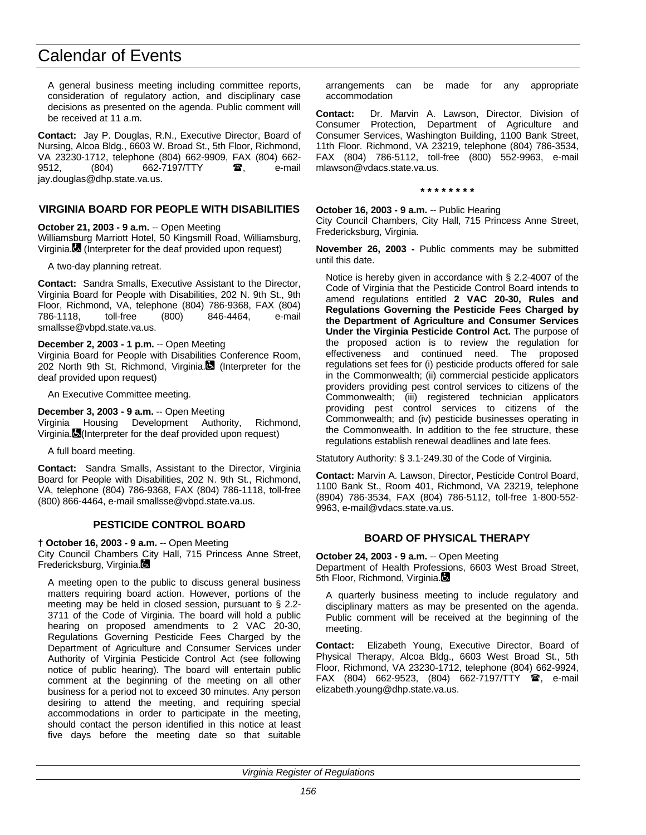A general business meeting including committee reports, consideration of regulatory action, and disciplinary case decisions as presented on the agenda. Public comment will be received at 11 a.m.

**Contact:** Jay P. Douglas, R.N., Executive Director, Board of Nursing, Alcoa Bldg., 6603 W. Broad St., 5th Floor, Richmond, VA 23230-1712, telephone (804) 662-9909, FAX (804) 662- 9512, (804) 662-7197/TTY  $\bullet$ , e-mail jay.douglas@dhp.state.va.us.

### **VIRGINIA BOARD FOR PEOPLE WITH DISABILITIES**

**October 21, 2003 - 9 a.m.** -- Open Meeting

Williamsburg Marriott Hotel, 50 Kingsmill Road, Williamsburg, Virginia. (Interpreter for the deaf provided upon request)

A two-day planning retreat.

**Contact:** Sandra Smalls, Executive Assistant to the Director, Virginia Board for People with Disabilities, 202 N. 9th St., 9th Floor, Richmond, VA, telephone (804) 786-9368, FAX (804) 786-1118, toll-free (800) 846-4464, smallsse@vbpd.state.va.us.

#### **December 2, 2003 - 1 p.m.** -- Open Meeting

Virginia Board for People with Disabilities Conference Room, 202 North 9th St, Richmond, Virginia. (Interpreter for the deaf provided upon request)

An Executive Committee meeting.

#### **December 3, 2003 - 9 a.m.** -- Open Meeting

Virginia Housing Development Authority, Richmond, Virginia. (Interpreter for the deaf provided upon request)

A full board meeting.

**Contact:** Sandra Smalls, Assistant to the Director, Virginia Board for People with Disabilities, 202 N. 9th St., Richmond, VA, telephone (804) 786-9368, FAX (804) 786-1118, toll-free (800) 866-4464, e-mail smallsse@vbpd.state.va.us.

# **PESTICIDE CONTROL BOARD**

#### **† October 16, 2003 - 9 a.m.** -- Open Meeting

City Council Chambers City Hall, 715 Princess Anne Street, Fredericksburg, Virginia.

A meeting open to the public to discuss general business matters requiring board action. However, portions of the meeting may be held in closed session, pursuant to § 2.2- 3711 of the Code of Virginia. The board will hold a public hearing on proposed amendments to 2 VAC 20-30, Regulations Governing Pesticide Fees Charged by the Department of Agriculture and Consumer Services under Authority of Virginia Pesticide Control Act (see following notice of public hearing). The board will entertain public comment at the beginning of the meeting on all other business for a period not to exceed 30 minutes. Any person desiring to attend the meeting, and requiring special accommodations in order to participate in the meeting, should contact the person identified in this notice at least five days before the meeting date so that suitable arrangements can be made for any appropriate accommodation

**Contact:** Dr. Marvin A. Lawson, Director, Division of Consumer Protection, Department of Agriculture and Consumer Services, Washington Building, 1100 Bank Street, 11th Floor. Richmond, VA 23219, telephone (804) 786-3534, FAX (804) 786-5112, toll-free (800) 552-9963, e-mail mlawson@vdacs.state.va.us.

**\* \* \* \* \* \* \* \***

**October 16, 2003 - 9 a.m.** -- Public Hearing

City Council Chambers, City Hall, 715 Princess Anne Street, Fredericksburg, Virginia.

**November 26, 2003 -** Public comments may be submitted until this date.

Notice is hereby given in accordance with § 2.2-4007 of the Code of Virginia that the Pesticide Control Board intends to amend regulations entitled **2 VAC 20-30, Rules and Regulations Governing the Pesticide Fees Charged by the Department of Agriculture and Consumer Services Under the Virginia Pesticide Control Act.** The purpose of the proposed action is to review the regulation for effectiveness and continued need. The proposed regulations set fees for (i) pesticide products offered for sale in the Commonwealth; (ii) commercial pesticide applicators providers providing pest control services to citizens of the Commonwealth; (iii) registered technician applicators providing pest control services to citizens of the Commonwealth; and (iv) pesticide businesses operating in the Commonwealth. In addition to the fee structure, these regulations establish renewal deadlines and late fees.

Statutory Authority: § 3.1-249.30 of the Code of Virginia.

**Contact:** Marvin A. Lawson, Director, Pesticide Control Board, 1100 Bank St., Room 401, Richmond, VA 23219, telephone (8904) 786-3534, FAX (804) 786-5112, toll-free 1-800-552- 9963, e-mail@vdacs.state.va.us.

# **BOARD OF PHYSICAL THERAPY**

**October 24, 2003 - 9 a.m.** -- Open Meeting

Department of Health Professions, 6603 West Broad Street, 5th Floor, Richmond, Virginia.

A quarterly business meeting to include regulatory and disciplinary matters as may be presented on the agenda. Public comment will be received at the beginning of the meeting.

**Contact:** Elizabeth Young, Executive Director, Board of Physical Therapy, Alcoa Bldg., 6603 West Broad St., 5th Floor, Richmond, VA 23230-1712, telephone (804) 662-9924,  $FAX (804) 662-9523, (804) 662-7197/TTY$ elizabeth.young@dhp.state.va.us.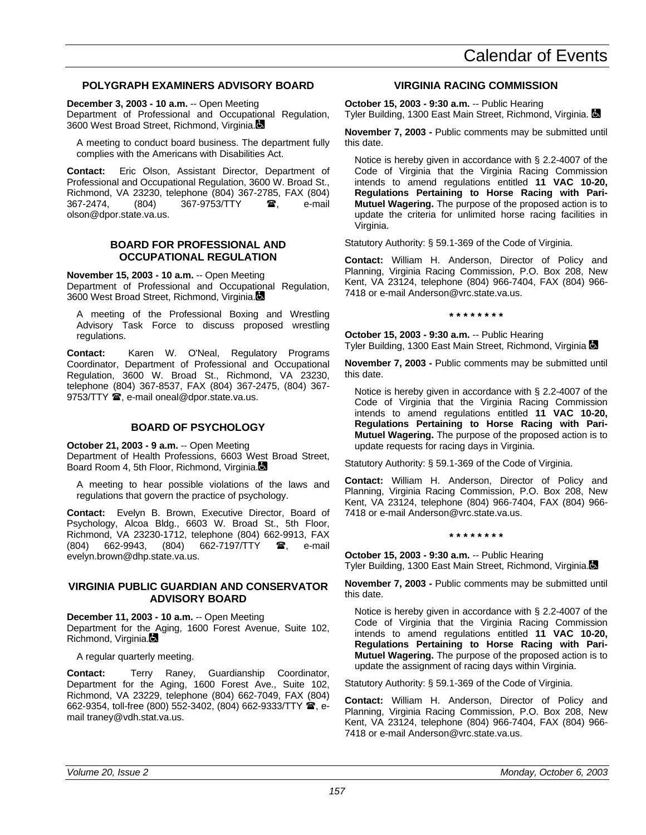### **POLYGRAPH EXAMINERS ADVISORY BOARD**

**December 3, 2003 - 10 a.m.** -- Open Meeting

Department of Professional and Occupational Regulation, 3600 West Broad Street, Richmond, Virginia.

A meeting to conduct board business. The department fully complies with the Americans with Disabilities Act.

**Contact:** Eric Olson, Assistant Director, Department of Professional and Occupational Regulation, 3600 W. Broad St., Richmond, VA 23230, telephone (804) 367-2785, FAX (804) 367-2474, (804) 367-9753/TTY **a**, e-mail olson@dpor.state.va.us.

#### **BOARD FOR PROFESSIONAL AND OCCUPATIONAL REGULATION**

**November 15, 2003 - 10 a.m.** -- Open Meeting

Department of Professional and Occupational Regulation, 3600 West Broad Street, Richmond, Virginia.

A meeting of the Professional Boxing and Wrestling Advisory Task Force to discuss proposed wrestling regulations.

**Contact:** Karen W. O'Neal, Regulatory Programs Coordinator, Department of Professional and Occupational Regulation, 3600 W. Broad St., Richmond, VA 23230, telephone (804) 367-8537, FAX (804) 367-2475, (804) 367- 9753/TTY  $\mathbf{\mathcal{D}}$ , e-mail oneal@dpor.state.va.us.

# **BOARD OF PSYCHOLOGY**

**October 21, 2003 - 9 a.m.** -- Open Meeting

Department of Health Professions, 6603 West Broad Street, Board Room 4, 5th Floor, Richmond, Virginia.

A meeting to hear possible violations of the laws and regulations that govern the practice of psychology.

**Contact:** Evelyn B. Brown, Executive Director, Board of Psychology, Alcoa Bldg., 6603 W. Broad St., 5th Floor, Richmond, VA 23230-1712, telephone (804) 662-9913, FAX (804) 662-9943, (804) 662-7197/TTY  $\mathbf{\hat{a}}$ , e-mail evelyn.brown@dhp.state.va.us.

#### **VIRGINIA PUBLIC GUARDIAN AND CONSERVATOR ADVISORY BOARD**

**December 11, 2003 - 10 a.m.** -- Open Meeting Department for the Aging, 1600 Forest Avenue, Suite 102, Richmond, Virginia.

A regular quarterly meeting.

**Contact:** Terry Raney, Guardianship Coordinator, Department for the Aging, 1600 Forest Ave., Suite 102, Richmond, VA 23229, telephone (804) 662-7049, FAX (804) 662-9354, toll-free (800) 552-3402, (804) 662-9333/TTY <sup>3</sup>, email traney@vdh.stat.va.us.

#### **VIRGINIA RACING COMMISSION**

**October 15, 2003 - 9:30 a.m.** -- Public Hearing Tyler Building, 1300 East Main Street, Richmond, Virginia.

**November 7, 2003 -** Public comments may be submitted until this date.

Notice is hereby given in accordance with § 2.2-4007 of the Code of Virginia that the Virginia Racing Commission intends to amend regulations entitled **11 VAC 10-20, Regulations Pertaining to Horse Racing with Pari-Mutuel Wagering.** The purpose of the proposed action is to update the criteria for unlimited horse racing facilities in Virginia.

Statutory Authority: § 59.1-369 of the Code of Virginia.

**Contact:** William H. Anderson, Director of Policy and Planning, Virginia Racing Commission, P.O. Box 208, New Kent, VA 23124, telephone (804) 966-7404, FAX (804) 966- 7418 or e-mail Anderson@vrc.state.va.us.

**\* \* \* \* \* \* \* \***

**October 15, 2003 - 9:30 a.m.** -- Public Hearing Tyler Building, 1300 East Main Street, Richmond, Virginia La

**November 7, 2003 -** Public comments may be submitted until this date.

Notice is hereby given in accordance with § 2.2-4007 of the Code of Virginia that the Virginia Racing Commission intends to amend regulations entitled **11 VAC 10-20, Regulations Pertaining to Horse Racing with Pari-Mutuel Wagering.** The purpose of the proposed action is to update requests for racing days in Virginia.

Statutory Authority: § 59.1-369 of the Code of Virginia.

**Contact:** William H. Anderson, Director of Policy and Planning, Virginia Racing Commission, P.O. Box 208, New Kent, VA 23124, telephone (804) 966-7404, FAX (804) 966- 7418 or e-mail Anderson@vrc.state.va.us.

**\* \* \* \* \* \* \* \***

**October 15, 2003 - 9:30 a.m.** -- Public Hearing Tyler Building, 1300 East Main Street, Richmond, Virginia.

**November 7, 2003 -** Public comments may be submitted until this date.

Notice is hereby given in accordance with § 2.2-4007 of the Code of Virginia that the Virginia Racing Commission intends to amend regulations entitled **11 VAC 10-20, Regulations Pertaining to Horse Racing with Pari-Mutuel Wagering.** The purpose of the proposed action is to update the assignment of racing days within Virginia.

Statutory Authority: § 59.1-369 of the Code of Virginia.

**Contact:** William H. Anderson, Director of Policy and Planning, Virginia Racing Commission, P.O. Box 208, New Kent, VA 23124, telephone (804) 966-7404, FAX (804) 966- 7418 or e-mail Anderson@vrc.state.va.us.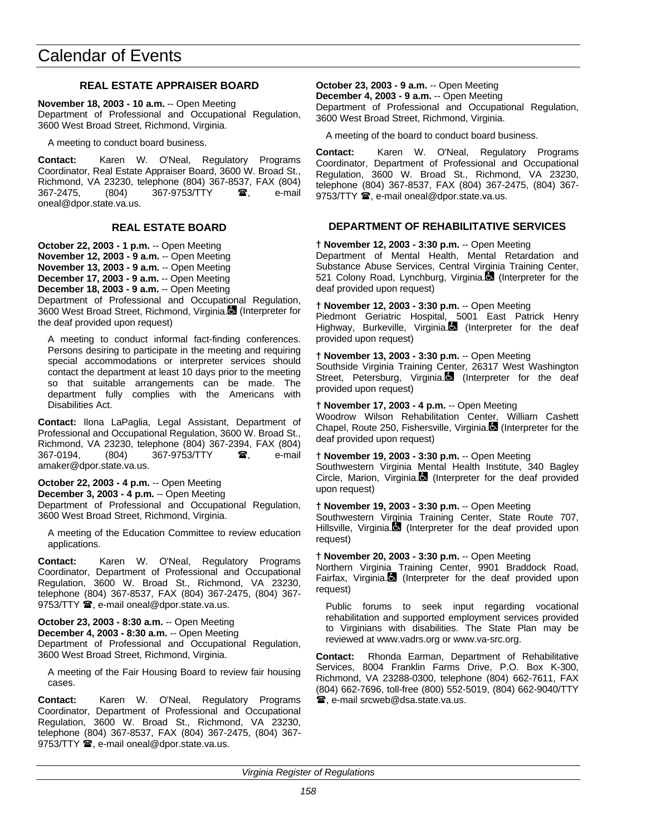# **REAL ESTATE APPRAISER BOARD**

**November 18, 2003 - 10 a.m.** -- Open Meeting Department of Professional and Occupational Regulation, 3600 West Broad Street, Richmond, Virginia.

A meeting to conduct board business.

**Contact:** Karen W. O'Neal, Regulatory Programs Coordinator, Real Estate Appraiser Board, 3600 W. Broad St., Richmond, VA 23230, telephone (804) 367-8537, FAX (804) 367-2475, (804) 367-9753/TTY  $\bullet$ , e-mail oneal@dpor.state.va.us.

# **REAL ESTATE BOARD**

**October 22, 2003 - 1 p.m.** -- Open Meeting **November 12, 2003 - 9 a.m.** -- Open Meeting **November 13, 2003 - 9 a.m.** -- Open Meeting **December 17, 2003 - 9 a.m.** -- Open Meeting **December 18, 2003 - 9 a.m.** -- Open Meeting

Department of Professional and Occupational Regulation, 3600 West Broad Street, Richmond, Virginia. (Interpreter for the deaf provided upon request)

A meeting to conduct informal fact-finding conferences. Persons desiring to participate in the meeting and requiring special accommodations or interpreter services should contact the department at least 10 days prior to the meeting so that suitable arrangements can be made. The department fully complies with the Americans with Disabilities Act.

**Contact:** Ilona LaPaglia, Legal Assistant, Department of Professional and Occupational Regulation, 3600 W. Broad St., Richmond, VA 23230, telephone (804) 367-2394, FAX (804) 367-0194, (804) 367-9753/TTY  $\bullet$ , e-mail amaker@dpor.state.va.us.

**October 22, 2003 - 4 p.m.** -- Open Meeting **December 3, 2003 - 4 p.m.** -- Open Meeting Department of Professional and Occupational Regulation, 3600 West Broad Street, Richmond, Virginia.

A meeting of the Education Committee to review education applications.

**Contact:** Karen W. O'Neal, Regulatory Programs Coordinator, Department of Professional and Occupational Regulation, 3600 W. Broad St., Richmond, VA 23230, telephone (804) 367-8537, FAX (804) 367-2475, (804) 367- 9753/TTY <sup>3</sup>, e-mail oneal@dpor.state.va.us.

**October 23, 2003 - 8:30 a.m.** -- Open Meeting **December 4, 2003 - 8:30 a.m.** -- Open Meeting Department of Professional and Occupational Regulation, 3600 West Broad Street, Richmond, Virginia.

A meeting of the Fair Housing Board to review fair housing cases.

**Contact:** Karen W. O'Neal, Regulatory Programs Coordinator, Department of Professional and Occupational Regulation, 3600 W. Broad St., Richmond, VA 23230, telephone (804) 367-8537, FAX (804) 367-2475, (804) 367- 9753/TTY  $\mathbf{\mathcal{D}}$ , e-mail oneal@dpor.state.va.us.

**October 23, 2003 - 9 a.m.** -- Open Meeting **December 4, 2003 - 9 a.m.** -- Open Meeting

Department of Professional and Occupational Regulation, 3600 West Broad Street, Richmond, Virginia.

A meeting of the board to conduct board business.

**Contact:** Karen W. O'Neal, Regulatory Programs Coordinator, Department of Professional and Occupational Regulation, 3600 W. Broad St., Richmond, VA 23230, telephone (804) 367-8537, FAX (804) 367-2475, (804) 367- 9753/TTY  $\mathbf{\mathcal{D}}$ , e-mail oneal@dpor.state.va.us.

### **DEPARTMENT OF REHABILITATIVE SERVICES**

**† November 12, 2003 - 3:30 p.m.** -- Open Meeting

Department of Mental Health, Mental Retardation and Substance Abuse Services, Central Virginia Training Center, 521 Colony Road, Lynchburg, Virginia. (Interpreter for the deaf provided upon request)

**† November 12, 2003 - 3:30 p.m.** -- Open Meeting Piedmont Geriatric Hospital, 5001 East Patrick Henry Highway, Burkeville, Virginia. (Interpreter for the deaf provided upon request)

**† November 13, 2003 - 3:30 p.m.** -- Open Meeting

Southside Virginia Training Center, 26317 West Washington Street, Petersburg, Virginia.<sup>1</sup> (Interpreter for the deaf provided upon request)

**† November 17, 2003 - 4 p.m.** -- Open Meeting

Woodrow Wilson Rehabilitation Center, William Cashett Chapel, Route 250, Fishersville, Virginia. (Interpreter for the deaf provided upon request)

**† November 19, 2003 - 3:30 p.m.** -- Open Meeting

Southwestern Virginia Mental Health Institute, 340 Bagley Circle, Marion, Virginia. (Interpreter for the deaf provided upon request)

**† November 19, 2003 - 3:30 p.m.** -- Open Meeting

Southwestern Virginia Training Center, State Route 707, Hillsville, Virginia. (Interpreter for the deaf provided upon request)

**† November 20, 2003 - 3:30 p.m.** -- Open Meeting

Northern Virginia Training Center, 9901 Braddock Road, Fairfax, Virginia.<sup>1</sup> (Interpreter for the deaf provided upon request)

Public forums to seek input regarding vocational rehabilitation and supported employment services provided to Virginians with disabilities. The State Plan may be reviewed at www.vadrs.org or www.va-src.org.

**Contact:** Rhonda Earman, Department of Rehabilitative Services, 8004 Franklin Farms Drive, P.O. Box K-300, Richmond, VA 23288-0300, telephone (804) 662-7611, FAX (804) 662-7696, toll-free (800) 552-5019, (804) 662-9040/TTY **■**, e-mail srcweb@dsa.state.va.us.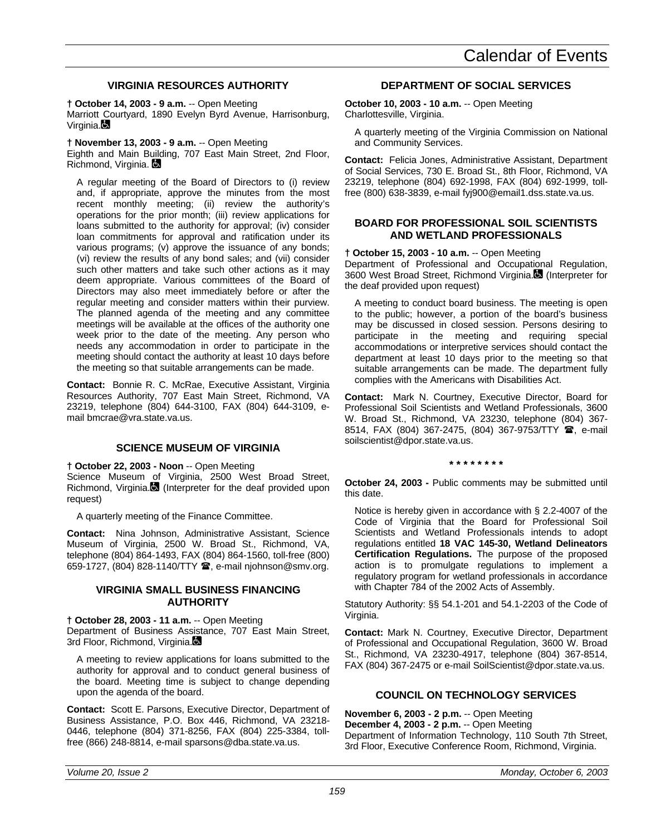# **VIRGINIA RESOURCES AUTHORITY**

**† October 14, 2003 - 9 a.m.** -- Open Meeting

Marriott Courtyard, 1890 Evelyn Byrd Avenue, Harrisonburg, Virginia.

**† November 13, 2003 - 9 a.m.** -- Open Meeting

Eighth and Main Building, 707 East Main Street, 2nd Floor, Richmond, Virginia.

A regular meeting of the Board of Directors to (i) review and, if appropriate, approve the minutes from the most recent monthly meeting; (ii) review the authority's operations for the prior month; (iii) review applications for loans submitted to the authority for approval; (iv) consider loan commitments for approval and ratification under its various programs; (v) approve the issuance of any bonds; (vi) review the results of any bond sales; and (vii) consider such other matters and take such other actions as it may deem appropriate. Various committees of the Board of Directors may also meet immediately before or after the regular meeting and consider matters within their purview. The planned agenda of the meeting and any committee meetings will be available at the offices of the authority one week prior to the date of the meeting. Any person who needs any accommodation in order to participate in the meeting should contact the authority at least 10 days before the meeting so that suitable arrangements can be made.

**Contact:** Bonnie R. C. McRae, Executive Assistant, Virginia Resources Authority, 707 East Main Street, Richmond, VA 23219, telephone (804) 644-3100, FAX (804) 644-3109, email bmcrae@vra.state.va.us.

# **SCIENCE MUSEUM OF VIRGINIA**

**† October 22, 2003 - Noon** -- Open Meeting

Science Museum of Virginia, 2500 West Broad Street, Richmond, Virginia. $\blacksquare$  (Interpreter for the deaf provided upon request)

A quarterly meeting of the Finance Committee.

**Contact:** Nina Johnson, Administrative Assistant, Science Museum of Virginia, 2500 W. Broad St., Richmond, VA, telephone (804) 864-1493, FAX (804) 864-1560, toll-free (800) 659-1727, (804) 828-1140/TTY <sup>3</sup>, e-mail njohnson@smv.org.

# **VIRGINIA SMALL BUSINESS FINANCING AUTHORITY**

**† October 28, 2003 - 11 a.m.** -- Open Meeting Department of Business Assistance, 707 East Main Street, 3rd Floor, Richmond, Virginia.

A meeting to review applications for loans submitted to the authority for approval and to conduct general business of the board. Meeting time is subject to change depending upon the agenda of the board.

**Contact:** Scott E. Parsons, Executive Director, Department of Business Assistance, P.O. Box 446, Richmond, VA 23218- 0446, telephone (804) 371-8256, FAX (804) 225-3384, tollfree (866) 248-8814, e-mail sparsons@dba.state.va.us.

# **DEPARTMENT OF SOCIAL SERVICES**

**October 10, 2003 - 10 a.m.** -- Open Meeting Charlottesville, Virginia.

A quarterly meeting of the Virginia Commission on National and Community Services.

**Contact:** Felicia Jones, Administrative Assistant, Department of Social Services, 730 E. Broad St., 8th Floor, Richmond, VA 23219, telephone (804) 692-1998, FAX (804) 692-1999, tollfree (800) 638-3839, e-mail fyj900@email1.dss.state.va.us.

# **BOARD FOR PROFESSIONAL SOIL SCIENTISTS AND WETLAND PROFESSIONALS**

**† October 15, 2003 - 10 a.m.** -- Open Meeting

Department of Professional and Occupational Regulation, 3600 West Broad Street, Richmond Virginia. (Interpreter for the deaf provided upon request)

A meeting to conduct board business. The meeting is open to the public; however, a portion of the board's business may be discussed in closed session. Persons desiring to participate in the meeting and requiring special accommodations or interpretive services should contact the department at least 10 days prior to the meeting so that suitable arrangements can be made. The department fully complies with the Americans with Disabilities Act.

**Contact:** Mark N. Courtney, Executive Director, Board for Professional Soil Scientists and Wetland Professionals, 3600 W. Broad St., Richmond, VA 23230, telephone (804) 367- 8514, FAX (804) 367-2475, (804) 367-9753/TTY  $\hat{B}$ , e-mail soilscientist@dpor.state.va.us.

**\* \* \* \* \* \* \* \***

**October 24, 2003 -** Public comments may be submitted until this date.

Notice is hereby given in accordance with § 2.2-4007 of the Code of Virginia that the Board for Professional Soil Scientists and Wetland Professionals intends to adopt regulations entitled **18 VAC 145-30, Wetland Delineators Certification Regulations.** The purpose of the proposed action is to promulgate regulations to implement a regulatory program for wetland professionals in accordance with Chapter 784 of the 2002 Acts of Assembly.

Statutory Authority: §§ 54.1-201 and 54.1-2203 of the Code of Virginia.

**Contact:** Mark N. Courtney, Executive Director, Department of Professional and Occupational Regulation, 3600 W. Broad St., Richmond, VA 23230-4917, telephone (804) 367-8514, FAX (804) 367-2475 or e-mail SoilScientist@dpor.state.va.us.

# **COUNCIL ON TECHNOLOGY SERVICES**

**November 6, 2003 - 2 p.m.** -- Open Meeting **December 4, 2003 - 2 p.m.** -- Open Meeting Department of Information Technology, 110 South 7th Street, 3rd Floor, Executive Conference Room, Richmond, Virginia.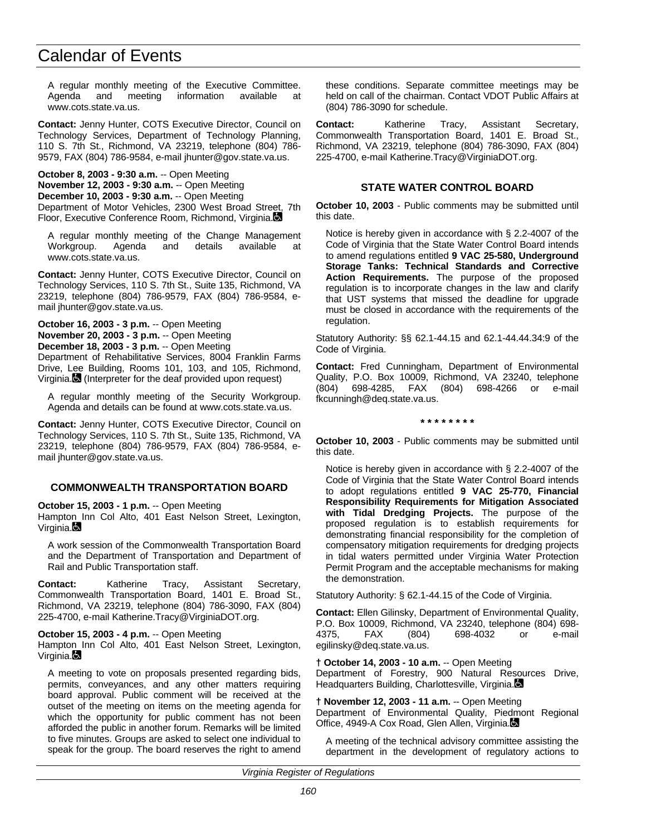A regular monthly meeting of the Executive Committee.<br>Agenda and meeting information available at and meeting information available at www.cots.state.va.us.

**Contact:** Jenny Hunter, COTS Executive Director, Council on Technology Services, Department of Technology Planning, 110 S. 7th St., Richmond, VA 23219, telephone (804) 786- 9579, FAX (804) 786-9584, e-mail jhunter@gov.state.va.us.

**October 8, 2003 - 9:30 a.m.** -- Open Meeting **November 12, 2003 - 9:30 a.m.** -- Open Meeting **December 10, 2003 - 9:30 a.m.** -- Open Meeting Department of Motor Vehicles, 2300 West Broad Street, 7th Floor, Executive Conference Room, Richmond, Virginia.

A regular monthly meeting of the Change Management Workgroup. Agenda and details available at www.cots.state.va.us.

**Contact:** Jenny Hunter, COTS Executive Director, Council on Technology Services, 110 S. 7th St., Suite 135, Richmond, VA 23219, telephone (804) 786-9579, FAX (804) 786-9584, email jhunter@gov.state.va.us.

**October 16, 2003 - 3 p.m.** -- Open Meeting **November 20, 2003 - 3 p.m.** -- Open Meeting **December 18, 2003 - 3 p.m.** -- Open Meeting Department of Rehabilitative Services, 8004 Franklin Farms Drive, Lee Building, Rooms 101, 103, and 105, Richmond, Virginia. (Interpreter for the deaf provided upon request)

A regular monthly meeting of the Security Workgroup. Agenda and details can be found at www.cots.state.va.us.

**Contact:** Jenny Hunter, COTS Executive Director, Council on Technology Services, 110 S. 7th St., Suite 135, Richmond, VA 23219, telephone (804) 786-9579, FAX (804) 786-9584, email jhunter@gov.state.va.us.

# **COMMONWEALTH TRANSPORTATION BOARD**

**October 15, 2003 - 1 p.m.** -- Open Meeting

Hampton Inn Col Alto, 401 East Nelson Street, Lexington, Virginia.

A work session of the Commonwealth Transportation Board and the Department of Transportation and Department of Rail and Public Transportation staff.

**Contact:** Katherine Tracy, Assistant Secretary, Commonwealth Transportation Board, 1401 E. Broad St., Richmond, VA 23219, telephone (804) 786-3090, FAX (804) 225-4700, e-mail Katherine.Tracy@VirginiaDOT.org.

#### **October 15, 2003 - 4 p.m.** -- Open Meeting

Hampton Inn Col Alto, 401 East Nelson Street, Lexington, Virginia.

A meeting to vote on proposals presented regarding bids, permits, conveyances, and any other matters requiring board approval. Public comment will be received at the outset of the meeting on items on the meeting agenda for which the opportunity for public comment has not been afforded the public in another forum. Remarks will be limited to five minutes. Groups are asked to select one individual to speak for the group. The board reserves the right to amend these conditions. Separate committee meetings may be held on call of the chairman. Contact VDOT Public Affairs at (804) 786-3090 for schedule.

**Contact:** Katherine Tracy, Assistant Secretary, Commonwealth Transportation Board, 1401 E. Broad St., Richmond, VA 23219, telephone (804) 786-3090, FAX (804) 225-4700, e-mail Katherine.Tracy@VirginiaDOT.org.

# **STATE WATER CONTROL BOARD**

**October 10, 2003** - Public comments may be submitted until this date.

Notice is hereby given in accordance with § 2.2-4007 of the Code of Virginia that the State Water Control Board intends to amend regulations entitled **9 VAC 25-580, Underground Storage Tanks: Technical Standards and Corrective Action Requirements.** The purpose of the proposed regulation is to incorporate changes in the law and clarify that UST systems that missed the deadline for upgrade must be closed in accordance with the requirements of the regulation.

Statutory Authority: §§ 62.1-44.15 and 62.1-44.44.34:9 of the Code of Virginia.

**Contact:** Fred Cunningham, Department of Environmental Quality, P.O. Box 10009, Richmond, VA 23240, telephone (804) 698-4285, FAX (804) 698-4266 or e-mail fkcunningh@deq.state.va.us.

**\* \* \* \* \* \* \* \***

**October 10, 2003** - Public comments may be submitted until this date.

Notice is hereby given in accordance with § 2.2-4007 of the Code of Virginia that the State Water Control Board intends to adopt regulations entitled **9 VAC 25-770, Financial Responsibility Requirements for Mitigation Associated with Tidal Dredging Projects.** The purpose of the proposed regulation is to establish requirements for demonstrating financial responsibility for the completion of compensatory mitigation requirements for dredging projects in tidal waters permitted under Virginia Water Protection Permit Program and the acceptable mechanisms for making the demonstration.

Statutory Authority: § 62.1-44.15 of the Code of Virginia.

**Contact:** Ellen Gilinsky, Department of Environmental Quality, P.O. Box 10009, Richmond, VA 23240, telephone (804) 698- 4375, FAX (804) 698-4032 or e-mail egilinsky@deq.state.va.us.

**† October 14, 2003 - 10 a.m.** -- Open Meeting Department of Forestry, 900 Natural Resources Drive, Headquarters Building, Charlottesville, Virginia.

**† November 12, 2003 - 11 a.m.** -- Open Meeting Department of Environmental Quality, Piedmont Regional Office, 4949-A Cox Road, Glen Allen, Virginia.

A meeting of the technical advisory committee assisting the department in the development of regulatory actions to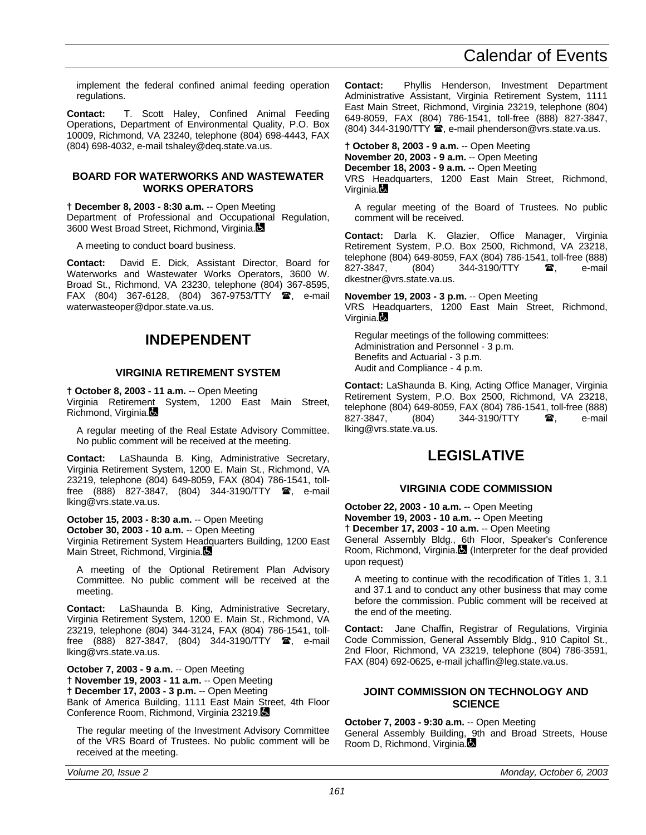implement the federal confined animal feeding operation regulations.

**Contact:** T. Scott Haley, Confined Animal Feeding Operations, Department of Environmental Quality, P.O. Box 10009, Richmond, VA 23240, telephone (804) 698-4443, FAX (804) 698-4032, e-mail tshaley@deq.state.va.us.

#### **BOARD FOR WATERWORKS AND WASTEWATER WORKS OPERATORS**

**† December 8, 2003 - 8:30 a.m.** -- Open Meeting Department of Professional and Occupational Regulation, 3600 West Broad Street, Richmond, Virginia.

A meeting to conduct board business.

**Contact:** David E. Dick, Assistant Director, Board for Waterworks and Wastewater Works Operators, 3600 W. Broad St., Richmond, VA 23230, telephone (804) 367-8595, FAX (804) 367-6128, (804) 367-9753/TTY **@**, e-mail waterwasteoper@dpor.state.va.us.

# **INDEPENDENT**

#### **VIRGINIA RETIREMENT SYSTEM**

**† October 8, 2003 - 11 a.m.** -- Open Meeting

Virginia Retirement System, 1200 East Main Street, Richmond, Virginia.

A regular meeting of the Real Estate Advisory Committee. No public comment will be received at the meeting.

**Contact:** LaShaunda B. King, Administrative Secretary, Virginia Retirement System, 1200 E. Main St., Richmond, VA 23219, telephone (804) 649-8059, FAX (804) 786-1541, tollfree (888) 827-3847, (804) 344-3190/TTY **雷**, e-mail lking@vrs.state.va.us.

**October 15, 2003 - 8:30 a.m.** -- Open Meeting **October 30, 2003 - 10 a.m.** -- Open Meeting

Virginia Retirement System Headquarters Building, 1200 East Main Street, Richmond, Virginia.

A meeting of the Optional Retirement Plan Advisory Committee. No public comment will be received at the meeting.

**Contact:** LaShaunda B. King, Administrative Secretary, Virginia Retirement System, 1200 E. Main St., Richmond, VA 23219, telephone (804) 344-3124, FAX (804) 786-1541, tollfree (888) 827-3847, (804) 344-3190/TTY  $\mathbf{\mathcal{F}}$ , e-mail lking@vrs.state.va.us.

**October 7, 2003 - 9 a.m.** -- Open Meeting **† November 19, 2003 - 11 a.m.** -- Open Meeting **† December 17, 2003 - 3 p.m.** -- Open Meeting Bank of America Building, 1111 East Main Street, 4th Floor Conference Room, Richmond, Virginia 23219.

The regular meeting of the Investment Advisory Committee of the VRS Board of Trustees. No public comment will be received at the meeting.

**Contact:** Phyllis Henderson, Investment Department Administrative Assistant, Virginia Retirement System, 1111 East Main Street, Richmond, Virginia 23219, telephone (804) 649-8059, FAX (804) 786-1541, toll-free (888) 827-3847,  $(804)$  344-3190/TTY  $\hat{=}$ , e-mail phenderson@vrs.state.va.us.

**† October 8, 2003 - 9 a.m.** -- Open Meeting **November 20, 2003 - 9 a.m.** -- Open Meeting **December 18, 2003 - 9 a.m.** -- Open Meeting VRS Headquarters, 1200 East Main Street, Richmond, Virginia.**B** 

A regular meeting of the Board of Trustees. No public comment will be received.

**Contact:** Darla K. Glazier, Office Manager, Virginia Retirement System, P.O. Box 2500, Richmond, VA 23218, telephone (804) 649-8059, FAX (804) 786-1541, toll-free (888)<br>827-3847. (804) 344-3190/TTY **28** e-mail  $(804)$  344-3190/TTY  $\bullet$  e-mail dkestner@vrs.state.va.us.

**November 19, 2003 - 3 p.m.** -- Open Meeting VRS Headquarters, 1200 East Main Street, Richmond, Virginia.

Regular meetings of the following committees: Administration and Personnel - 3 p.m. Benefits and Actuarial - 3 p.m. Audit and Compliance - 4 p.m.

**Contact:** LaShaunda B. King, Acting Office Manager, Virginia Retirement System, P.O. Box 2500, Richmond, VA 23218, telephone (804) 649-8059, FAX (804) 786-1541, toll-free (888) 827-3847, (804) 344-3190/TTY **a**, e-mail lking@vrs.state.va.us.

# **LEGISLATIVE**

#### **VIRGINIA CODE COMMISSION**

**October 22, 2003 - 10 a.m.** -- Open Meeting **November 19, 2003 - 10 a.m.** -- Open Meeting **† December 17, 2003 - 10 a.m.** -- Open Meeting General Assembly Bldg., 6th Floor, Speaker's Conference Room, Richmond, Virginia. (Interpreter for the deaf provided upon request)

A meeting to continue with the recodification of Titles 1, 3.1 and 37.1 and to conduct any other business that may come before the commission. Public comment will be received at the end of the meeting.

**Contact:** Jane Chaffin, Registrar of Regulations, Virginia Code Commission, General Assembly Bldg., 910 Capitol St., 2nd Floor, Richmond, VA 23219, telephone (804) 786-3591, FAX (804) 692-0625, e-mail jchaffin@leg.state.va.us.

#### **JOINT COMMISSION ON TECHNOLOGY AND SCIENCE**

#### **October 7, 2003 - 9:30 a.m.** -- Open Meeting

General Assembly Building, 9th and Broad Streets, House Room D, Richmond, Virginia.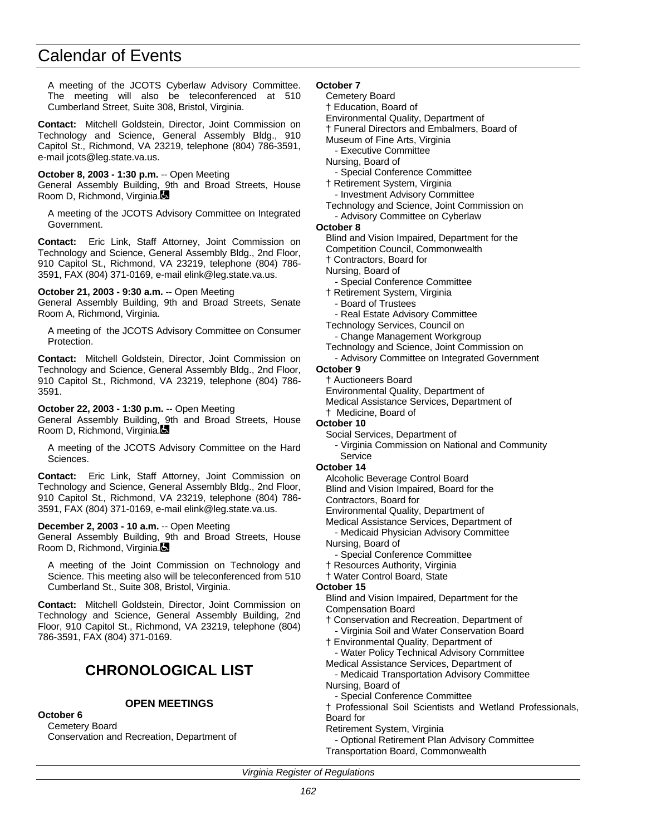A meeting of the JCOTS Cyberlaw Advisory Committee. The meeting will also be teleconferenced at 510 Cumberland Street, Suite 308, Bristol, Virginia.

**Contact:** Mitchell Goldstein, Director, Joint Commission on Technology and Science, General Assembly Bldg., 910 Capitol St., Richmond, VA 23219, telephone (804) 786-3591, e-mail jcots@leg.state.va.us.

**October 8, 2003 - 1:30 p.m.** -- Open Meeting

General Assembly Building, 9th and Broad Streets, House Room D, Richmond, Virginia.

A meeting of the JCOTS Advisory Committee on Integrated Government.

**Contact:** Eric Link, Staff Attorney, Joint Commission on Technology and Science, General Assembly Bldg., 2nd Floor, 910 Capitol St., Richmond, VA 23219, telephone (804) 786- 3591, FAX (804) 371-0169, e-mail elink@leg.state.va.us.

**October 21, 2003 - 9:30 a.m.** -- Open Meeting

General Assembly Building, 9th and Broad Streets, Senate Room A, Richmond, Virginia.

A meeting of the JCOTS Advisory Committee on Consumer Protection.

**Contact:** Mitchell Goldstein, Director, Joint Commission on Technology and Science, General Assembly Bldg., 2nd Floor, 910 Capitol St., Richmond, VA 23219, telephone (804) 786- 3591.

**October 22, 2003 - 1:30 p.m.** -- Open Meeting

General Assembly Building, 9th and Broad Streets, House Room D, Richmond, Virginia.

A meeting of the JCOTS Advisory Committee on the Hard Sciences.

**Contact:** Eric Link, Staff Attorney, Joint Commission on Technology and Science, General Assembly Bldg., 2nd Floor, 910 Capitol St., Richmond, VA 23219, telephone (804) 786- 3591, FAX (804) 371-0169, e-mail elink@leg.state.va.us.

**December 2, 2003 - 10 a.m.** -- Open Meeting

General Assembly Building, 9th and Broad Streets, House Room D, Richmond, Virginia.

A meeting of the Joint Commission on Technology and Science. This meeting also will be teleconferenced from 510 Cumberland St., Suite 308, Bristol, Virginia.

**Contact:** Mitchell Goldstein, Director, Joint Commission on Technology and Science, General Assembly Building, 2nd Floor, 910 Capitol St., Richmond, VA 23219, telephone (804) 786-3591, FAX (804) 371-0169.

# **CHRONOLOGICAL LIST**

### **OPEN MEETINGS**

#### **October 6**

Cemetery Board Conservation and Recreation, Department of

#### **October 7**

- Cemetery Board
- † Education, Board of
- Environmental Quality, Department of
- † Funeral Directors and Embalmers, Board of
- Museum of Fine Arts, Virginia
- Executive Committee
- Nursing, Board of
- Special Conference Committee
- † Retirement System, Virginia

- Investment Advisory Committee

- Technology and Science, Joint Commission on
	- Advisory Committee on Cyberlaw

#### **October 8**

- Blind and Vision Impaired, Department for the
- Competition Council, Commonwealth

† Contractors, Board for

- Nursing, Board of
- Special Conference Committee
- † Retirement System, Virginia
- Board of Trustees
- Real Estate Advisory Committee
- Technology Services, Council on
	- Change Management Workgroup
- Technology and Science, Joint Commission on
	- Advisory Committee on Integrated Government

# **October 9**

- † Auctioneers Board
- Environmental Quality, Department of Medical Assistance Services, Department of
- 
- † Medicine, Board of
- **October 10**
	- Social Services, Department of
		- Virginia Commission on National and Community Service

#### **October 14**

- Alcoholic Beverage Control Board
- Blind and Vision Impaired, Board for the

Contractors, Board for

Environmental Quality, Department of

- Medical Assistance Services, Department of
- Medicaid Physician Advisory Committee Nursing, Board of
- Special Conference Committee
- † Resources Authority, Virginia
- † Water Control Board, State

#### **October 15**

- Blind and Vision Impaired, Department for the Compensation Board
- † Conservation and Recreation, Department of
	- Virginia Soil and Water Conservation Board
- † Environmental Quality, Department of
- Water Policy Technical Advisory Committee Medical Assistance Services, Department of
- Medicaid Transportation Advisory Committee Nursing, Board of
- Special Conference Committee
- † Professional Soil Scientists and Wetland Professionals, Board for
- Retirement System, Virginia
- Optional Retirement Plan Advisory Committee Transportation Board, Commonwealth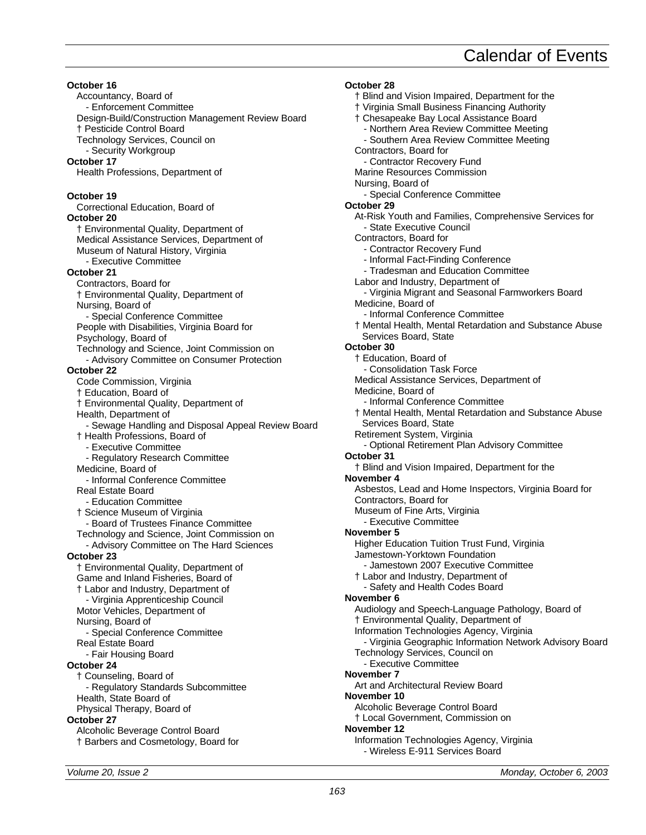**October 16** Accountancy, Board of - Enforcement Committee Design-Build/Construction Management Review Board † Pesticide Control Board Technology Services, Council on - Security Workgroup **October 17** Health Professions, Department of **October 19** Correctional Education, Board of **October 20** † Environmental Quality, Department of Medical Assistance Services, Department of Museum of Natural History, Virginia - Executive Committee **October 21** Contractors, Board for † Environmental Quality, Department of Nursing, Board of - Special Conference Committee People with Disabilities, Virginia Board for Psychology, Board of Technology and Science, Joint Commission on - Advisory Committee on Consumer Protection **October 22** Code Commission, Virginia † Education, Board of † Environmental Quality, Department of Health, Department of - Sewage Handling and Disposal Appeal Review Board † Health Professions, Board of - Executive Committee - Regulatory Research Committee Medicine, Board of - Informal Conference Committee Real Estate Board - Education Committee † Science Museum of Virginia - Board of Trustees Finance Committee Technology and Science, Joint Commission on - Advisory Committee on The Hard Sciences **October 23** † Environmental Quality, Department of Game and Inland Fisheries, Board of † Labor and Industry, Department of - Virginia Apprenticeship Council Motor Vehicles, Department of Nursing, Board of - Special Conference Committee Real Estate Board - Fair Housing Board **October 24** † Counseling, Board of - Regulatory Standards Subcommittee Health, State Board of Physical Therapy, Board of **October 27** Alcoholic Beverage Control Board † Barbers and Cosmetology, Board for

**October 28** † Blind and Vision Impaired, Department for the † Virginia Small Business Financing Authority † Chesapeake Bay Local Assistance Board - Northern Area Review Committee Meeting - Southern Area Review Committee Meeting Contractors, Board for - Contractor Recovery Fund Marine Resources Commission Nursing, Board of - Special Conference Committee **October 29** At-Risk Youth and Families, Comprehensive Services for - State Executive Council Contractors, Board for - Contractor Recovery Fund - Informal Fact-Finding Conference - Tradesman and Education Committee Labor and Industry, Department of - Virginia Migrant and Seasonal Farmworkers Board Medicine, Board of - Informal Conference Committee † Mental Health, Mental Retardation and Substance Abuse Services Board, State **October 30** † Education, Board of - Consolidation Task Force Medical Assistance Services, Department of Medicine, Board of - Informal Conference Committee † Mental Health, Mental Retardation and Substance Abuse Services Board, State Retirement System, Virginia - Optional Retirement Plan Advisory Committee **October 31** † Blind and Vision Impaired, Department for the **November 4** Asbestos, Lead and Home Inspectors, Virginia Board for Contractors, Board for Museum of Fine Arts, Virginia - Executive Committee **November 5** Higher Education Tuition Trust Fund, Virginia Jamestown-Yorktown Foundation - Jamestown 2007 Executive Committee † Labor and Industry, Department of - Safety and Health Codes Board **November 6** Audiology and Speech-Language Pathology, Board of † Environmental Quality, Department of Information Technologies Agency, Virginia - Virginia Geographic Information Network Advisory Board Technology Services, Council on - Executive Committee **November 7** Art and Architectural Review Board **November 10** Alcoholic Beverage Control Board † Local Government, Commission on **November 12** Information Technologies Agency, Virginia - Wireless E-911 Services Board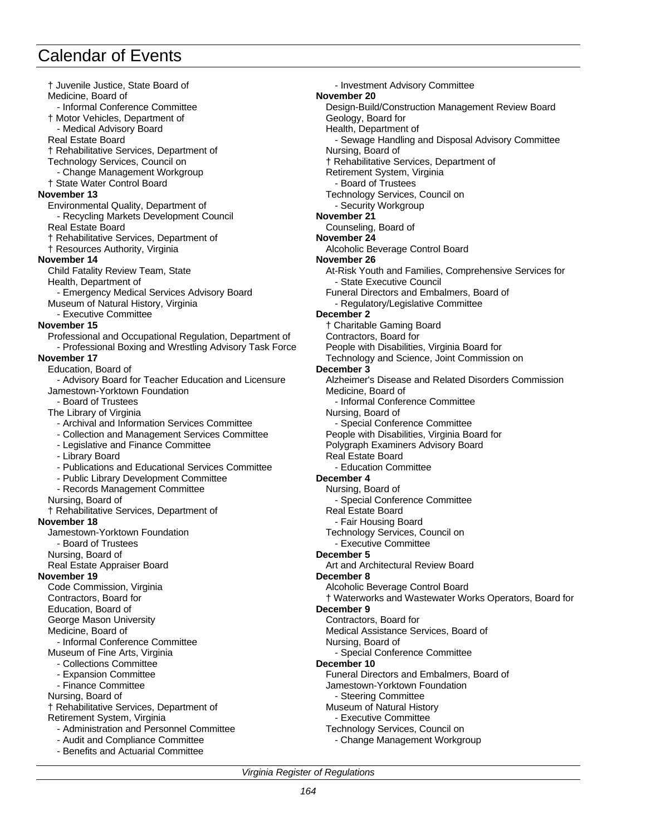† Juvenile Justice, State Board of Medicine, Board of - Informal Conference Committee † Motor Vehicles, Department of Medical Advisory Board Real Estate Board † Rehabilitative Services, Department of Technology Services, Council on - Change Management Workgroup † State Water Control Board **November 13** Environmental Quality, Department of - Recycling Markets Development Council Real Estate Board † Rehabilitative Services, Department of † Resources Authority, Virginia **November 14** Child Fatality Review Team, State Health, Department of - Emergency Medical Services Advisory Board Museum of Natural History, Virginia - Executive Committee **November 15** Professional and Occupational Regulation, Department of - Professional Boxing and Wrestling Advisory Task Force **November 17** Education, Board of - Advisory Board for Teacher Education and Licensure Jamestown-Yorktown Foundation - Board of Trustees The Library of Virginia - Archival and Information Services Committee - Collection and Management Services Committee - Legislative and Finance Committee - Library Board - Publications and Educational Services Committee - Public Library Development Committee - Records Management Committee Nursing, Board of † Rehabilitative Services, Department of **November 18** Jamestown-Yorktown Foundation - Board of Trustees Nursing, Board of Real Estate Appraiser Board **November 19** Code Commission, Virginia Contractors, Board for Education, Board of George Mason University Medicine, Board of - Informal Conference Committee Museum of Fine Arts, Virginia - Collections Committee - Expansion Committee - Finance Committee Nursing, Board of † Rehabilitative Services, Department of Retirement System, Virginia - Administration and Personnel Committee - Audit and Compliance Committee - Benefits and Actuarial Committee

- Investment Advisory Committee **November 20** Design-Build/Construction Management Review Board Geology, Board for Health, Department of - Sewage Handling and Disposal Advisory Committee Nursing, Board of † Rehabilitative Services, Department of Retirement System, Virginia - Board of Trustees Technology Services, Council on - Security Workgroup **November 21** Counseling, Board of **November 24** Alcoholic Beverage Control Board **November 26** At-Risk Youth and Families, Comprehensive Services for - State Executive Council Funeral Directors and Embalmers, Board of - Regulatory/Legislative Committee **December 2** † Charitable Gaming Board Contractors, Board for People with Disabilities, Virginia Board for Technology and Science, Joint Commission on **December 3** Alzheimer's Disease and Related Disorders Commission Medicine, Board of - Informal Conference Committee Nursing, Board of - Special Conference Committee People with Disabilities, Virginia Board for Polygraph Examiners Advisory Board Real Estate Board - Education Committee **December 4** Nursing, Board of - Special Conference Committee Real Estate Board - Fair Housing Board Technology Services, Council on - Executive Committee **December 5** Art and Architectural Review Board **December 8** Alcoholic Beverage Control Board † Waterworks and Wastewater Works Operators, Board for **December 9** Contractors, Board for Medical Assistance Services, Board of Nursing, Board of - Special Conference Committee **December 10** Funeral Directors and Embalmers, Board of Jamestown-Yorktown Foundation - Steering Committee Museum of Natural History - Executive Committee Technology Services, Council on

- Change Management Workgroup